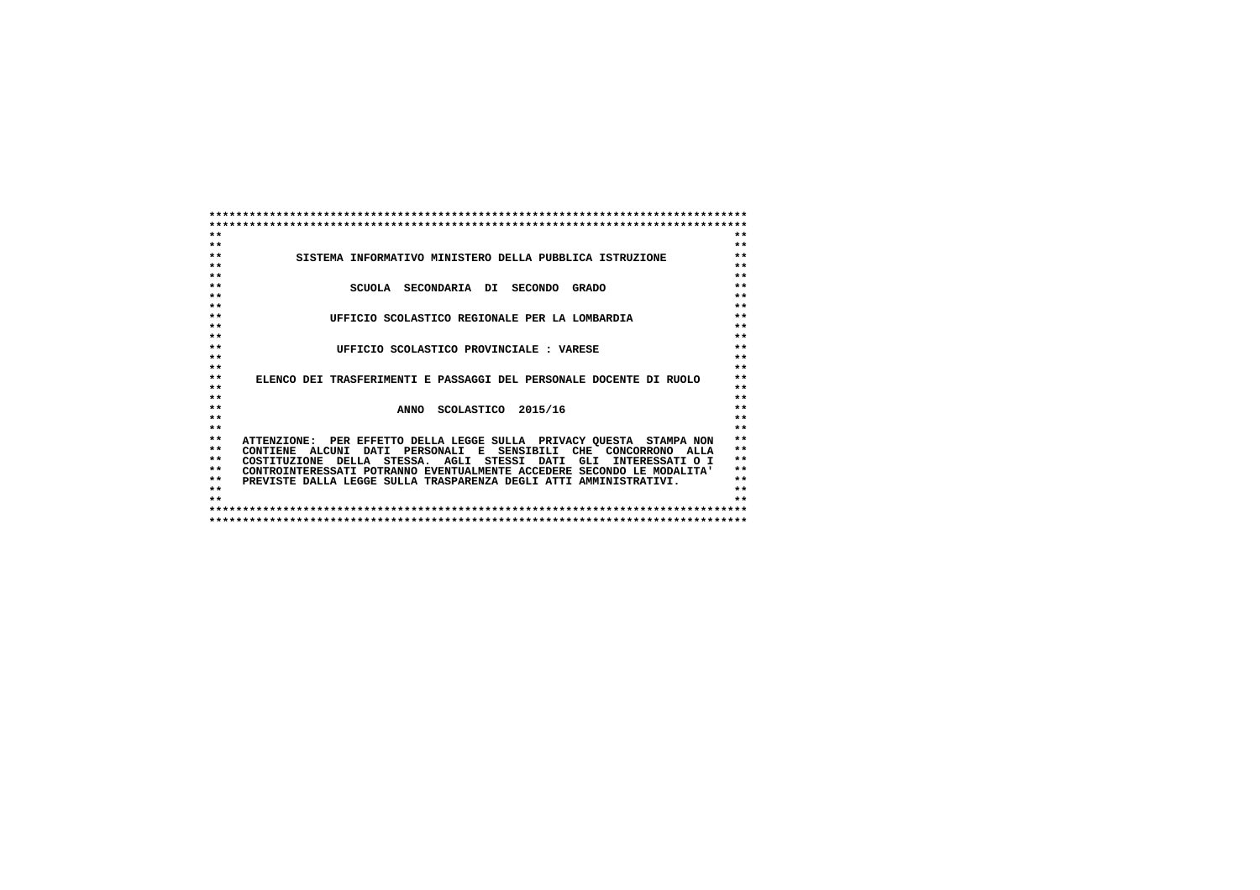| $* *$           |                                                                        | $**$  |
|-----------------|------------------------------------------------------------------------|-------|
| $**$            |                                                                        | $**$  |
| $**$            | SISTEMA INFORMATIVO MINISTERO DELLA PUBBLICA ISTRUZIONE                | $**$  |
| $**$            |                                                                        | $**$  |
| $**$            |                                                                        | $**$  |
| $* *$           | SCUOLA SECONDARIA DI SECONDO<br><b>GRADO</b>                           | $**$  |
| $**$            |                                                                        | $**$  |
| $* *$           |                                                                        | $**$  |
| $**$            | UFFICIO SCOLASTICO REGIONALE PER LA LOMBARDIA                          | $**$  |
| $**$            |                                                                        | $**$  |
| $**$            |                                                                        | $**$  |
| $**$            | UFFICIO SCOLASTICO PROVINCIALE : VARESE                                | $**$  |
| $**$            |                                                                        | $**$  |
| $**$            |                                                                        | $**$  |
| $**$            | ELENCO DEI TRASFERIMENTI E PASSAGGI DEL PERSONALE DOCENTE DI RUOLO     | $**$  |
| $**$            |                                                                        | $**$  |
| $* *$           |                                                                        | $**$  |
| $**$            | ANNO SCOLASTICO 2015/16                                                | $**$  |
| $**$            |                                                                        | $**$  |
| $* *$           |                                                                        | $**$  |
| $**$            | ATTENZIONE: PER EFFETTO DELLA LEGGE SULLA PRIVACY QUESTA STAMPA NON    | $* *$ |
| $**$            | PERSONALI E SENSIBILI CHE CONCORRONO ALLA<br>CONTIENE ALCUNI DATI      | $**$  |
| $**$            | COSTITUZIONE DELLA STESSA. AGLI STESSI DATI<br>GLI<br>INTERESSATI O I  | $* *$ |
| $**$            | CONTROINTERESSATI POTRANNO EVENTUALMENTE ACCEDERE SECONDO LE MODALITA' | $**$  |
| $**$            | PREVISTE DALLA LEGGE SULLA TRASPARENZA DEGLI ATTI AMMINISTRATIVI.      | $**$  |
| $* *$           |                                                                        | $**$  |
| $\star$ $\star$ |                                                                        | $+ +$ |
|                 |                                                                        |       |
|                 |                                                                        |       |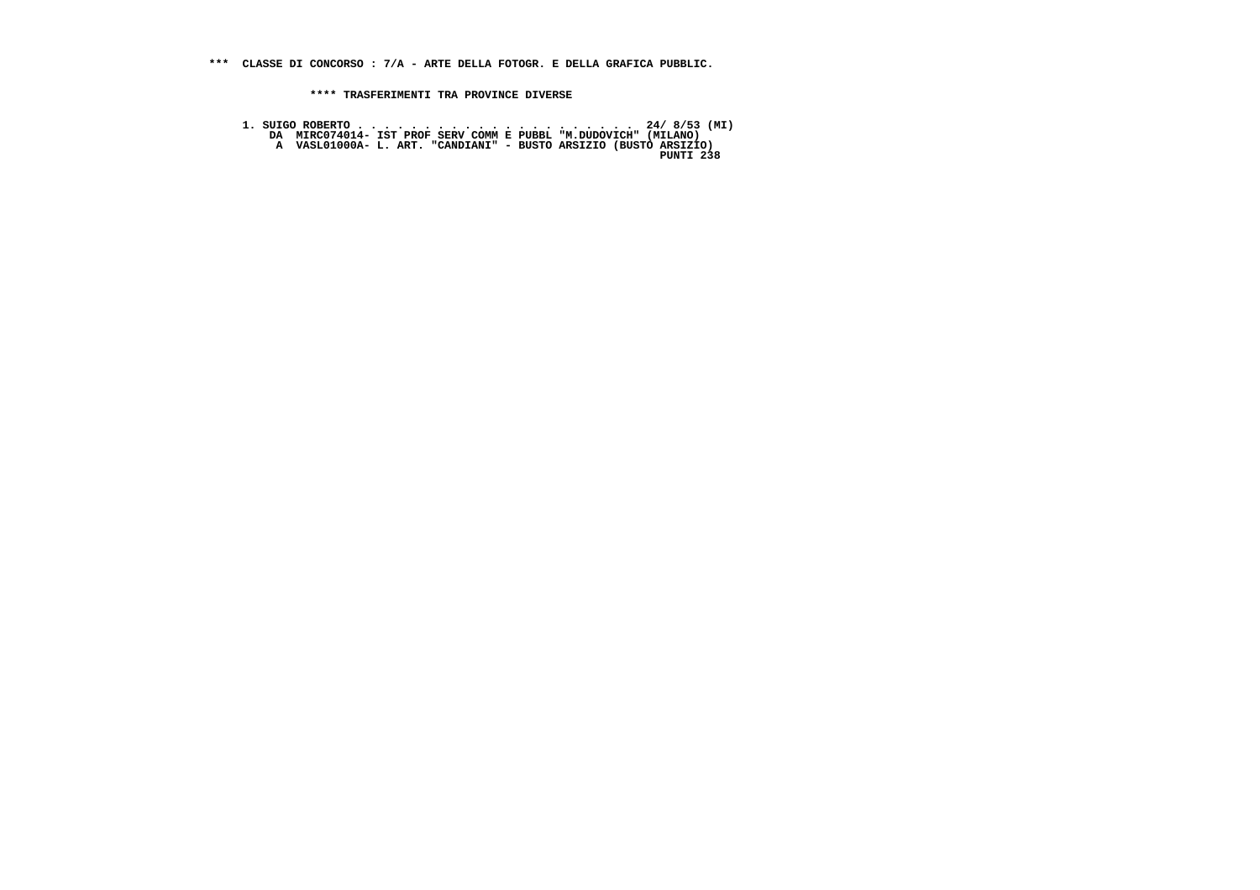**\*\*\* CLASSE DI CONCORSO : 7/A - ARTE DELLA FOTOGR. E DELLA GRAFICA PUBBLIC.**

 **\*\*\*\* TRASFERIMENTI TRA PROVINCE DIVERSE**

 **1. SUIGO ROBERTO . . . . . . . . . . . . . . . . . . . . . 24/ 8/53 (MI) DA MIRC074014- IST PROF SERV COMM E PUBBL "M.DUDOVICH" (MILANO) A VASL01000A- L. ART. "CANDIANI" - BUSTO ARSIZIO (BUSTO ARSIZIO)**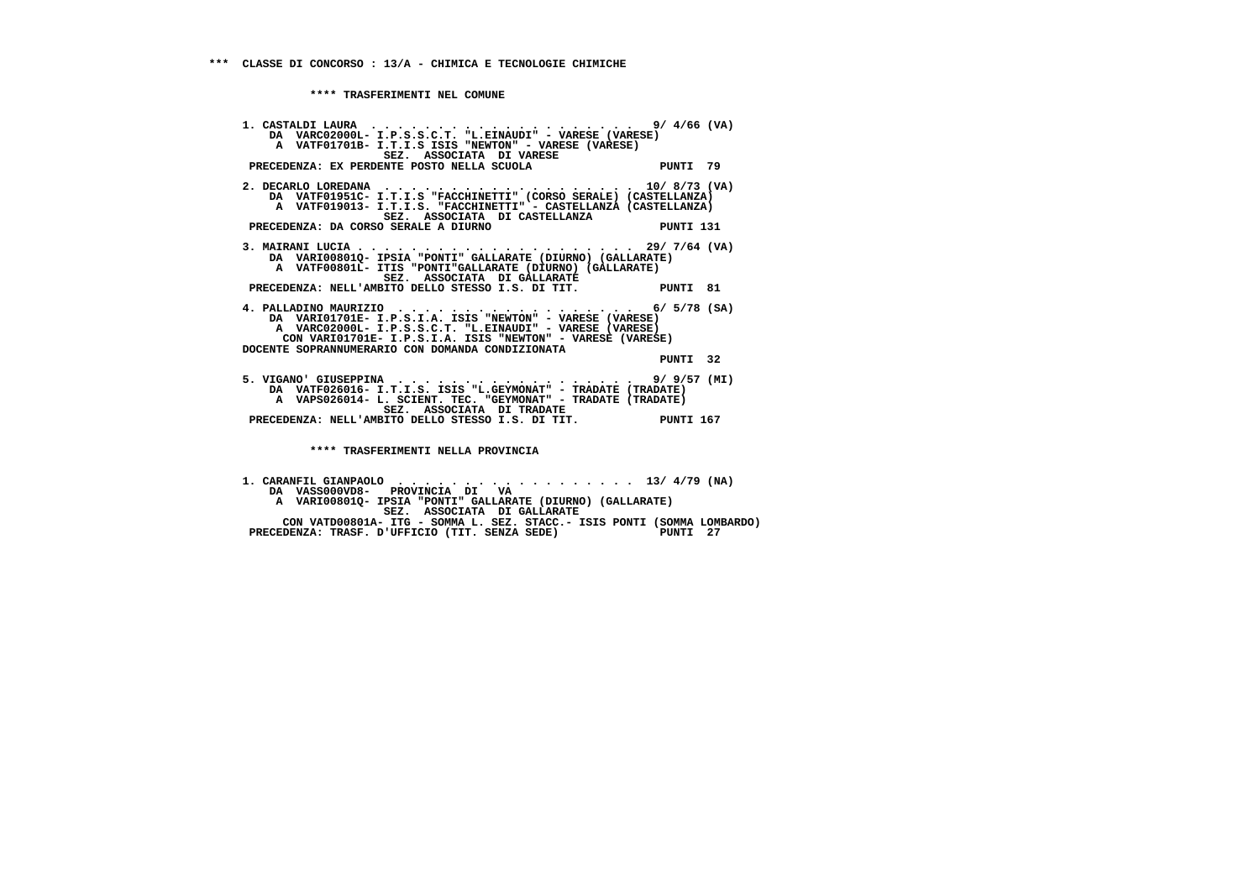**1. CASTALDI LAURA . . . . . . . . . . . . . . . . . . . . 9/ 4/66 (VA) DA VARC02000L- I.P.S.S.C.T. "L.EINAUDI" - VARESE (VARESE) A VATF01701B- I.T.I.S ISIS "NEWTON" - VARESE (VARESE) SEZ. ASSOCIATA DI VARESE**PRECEDENZA: EX PERDENTE POSTO NELLA SCUOLA PUNTI 79  **2. DECARLO LOREDANA . . . . . . . . . . . . . . . . . . . 10/ 8/73 (VA) DA VATF01951C- I.T.I.S "FACCHINETTI" (CORSO SERALE) (CASTELLANZA) A VATF019013- I.T.I.S. "FACCHINETTI" - CASTELLANZA (CASTELLANZA) SEZ. ASSOCIATA DI CASTELLANZA**PRECEDENZA: DA CORSO SERALE A DIURNO **PUNTI 131 3. MAIRANI LUCIA . . . . . . . . . . . . . . . . . . . . . 29/ 7/64 (VA) DA VARI00801Q- IPSIA "PONTI" GALLARATE (DIURNO) (GALLARATE) A VATF00801L- ITIS "PONTI"GALLARATE (DIURNO) (GALLARATE) SEZ. ASSOCIATA DI GALLARATE PRECEDENZA: NELL'AMBITO DELLO STESSO I.S. DI TIT. PUNTI 81 4. PALLADINO MAURIZIO . . . . . . . . . . . . . . . . . . 6/ 5/78 (SA) DA VARI01701E- I.P.S.I.A. ISIS "NEWTON" - VARESE (VARESE) A VARC02000L- I.P.S.S.C.T. "L.EINAUDI" - VARESE (VARESE) CON VARI01701E- I.P.S.I.A. ISIS "NEWTON" - VARESE (VARESE) DOCENTE SOPRANNUMERARIO CON DOMANDA CONDIZIONATA PUNTI 32 5. VIGANO' GIUSEPPINA . . . . . . . . . . . . . . . . . . 9/ 9/57 (MI) DA VATF026016- I.T.I.S. ISIS "L.GEYMONAT" - TRADATE (TRADATE) A VAPS026014- L. SCIENT. TEC. "GEYMONAT" - TRADATE (TRADATE) SEZ. ASSOCIATA DI TRADATE PRECEDENZA: NELL'AMBITO DELLO STESSO I.S. DI TIT. PUNTI 167 \*\*\*\* TRASFERIMENTI NELLA PROVINCIA**

 **1. CARANFIL GIANPAOLO . . . . . . . . . . . . . . . . . . 13/ 4/79 (NA) DA VASS000VD8- PROVINCIA DI VA A VARI00801Q- IPSIA "PONTI" GALLARATE (DIURNO) (GALLARATE) SEZ. ASSOCIATA DI GALLARATE CON VATD00801A- ITG - SOMMA L. SEZ. STACC.- ISIS PONTI (SOMMA LOMBARDO)**PRECEDENZA: TRASF. D'UFFICIO (TIT. SENZA SEDE) <sup>199</sup> PUNTI 27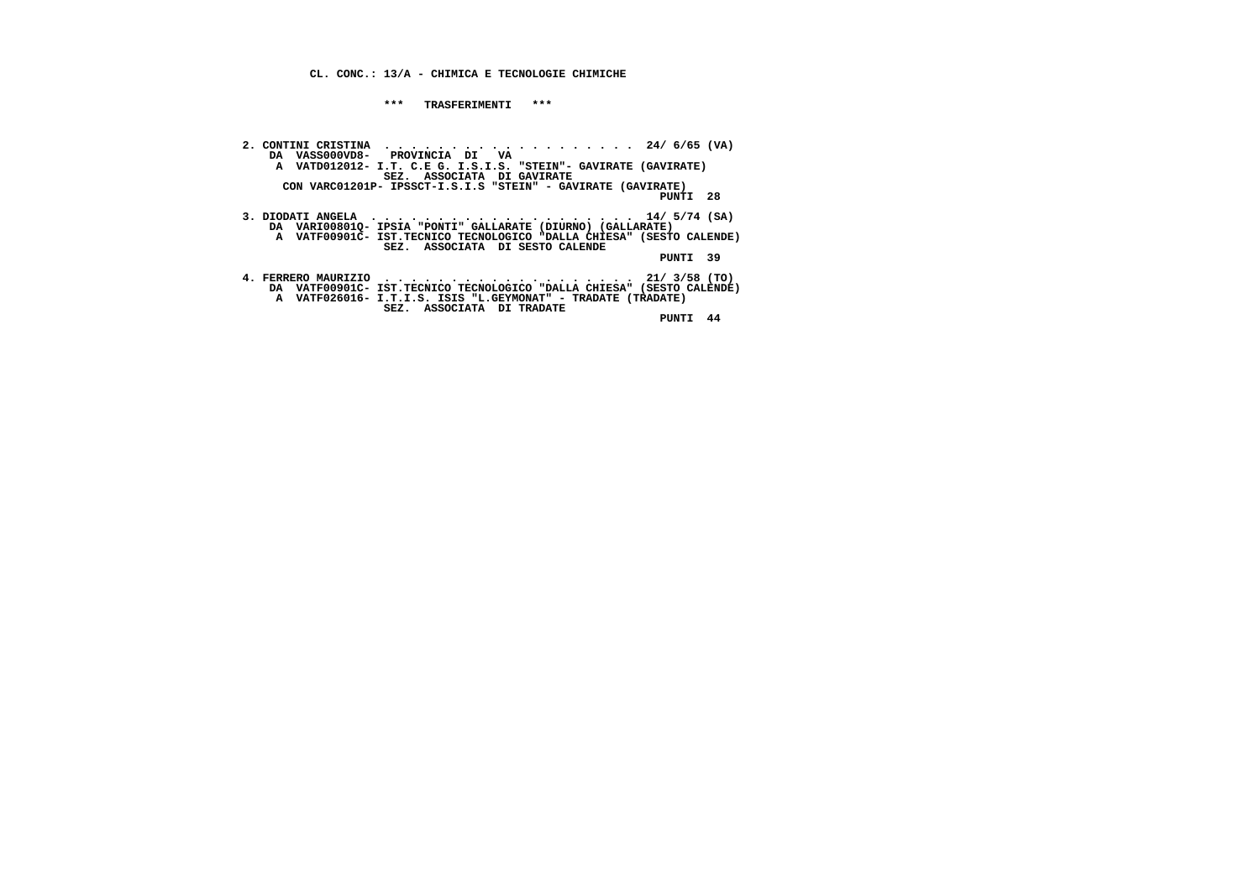## **CL. CONC.: 13/A - CHIMICA E TECNOLOGIE CHIMICHE**

## **\*\*\* TRASFERIMENTI \*\*\***

2. CONTINI CRISTINA<br>DA VASSOOOVD8-PROVINCIA DI VA VANTOLOGIO DA VANDO12012- I.T. C.E G. I.S.I.S. "STEIN"- GAVIRATE (GAVIRATE)<br>A VATDO12012- I.T. C.E G. I.S.I.S. "STEIN"- GAVIRATE (GAVIRATE)<br>CON VARCO1201P- IPSSCT-I.S.I.S " PUNTI 28  **3. DIODATI ANGELA . . . . . . . . . . . . . . . . . . . . 14/ 5/74 (SA) DA VARI00801Q- IPSIA "PONTI" GALLARATE (DIURNO) (GALLARATE) A VATF00901C- IST.TECNICO TECNOLOGICO "DALLA CHIESA" (SESTO CALENDE) SEZ. ASSOCIATA DI SESTO CALENDE PUNTI 39 4. FERRERO MAURIZIO . . . . . . . . . . . . . . . . . . . 21/ 3/58 (TO) DA VATF00901C- IST.TECNICO TECNOLOGICO "DALLA CHIESA" (SESTO CALENDE) A VATF026016- I.T.I.S. ISIS "L.GEYMONAT" - TRADATE (TRADATE) SEZ. ASSOCIATA DI TRADATE PUNTI 44**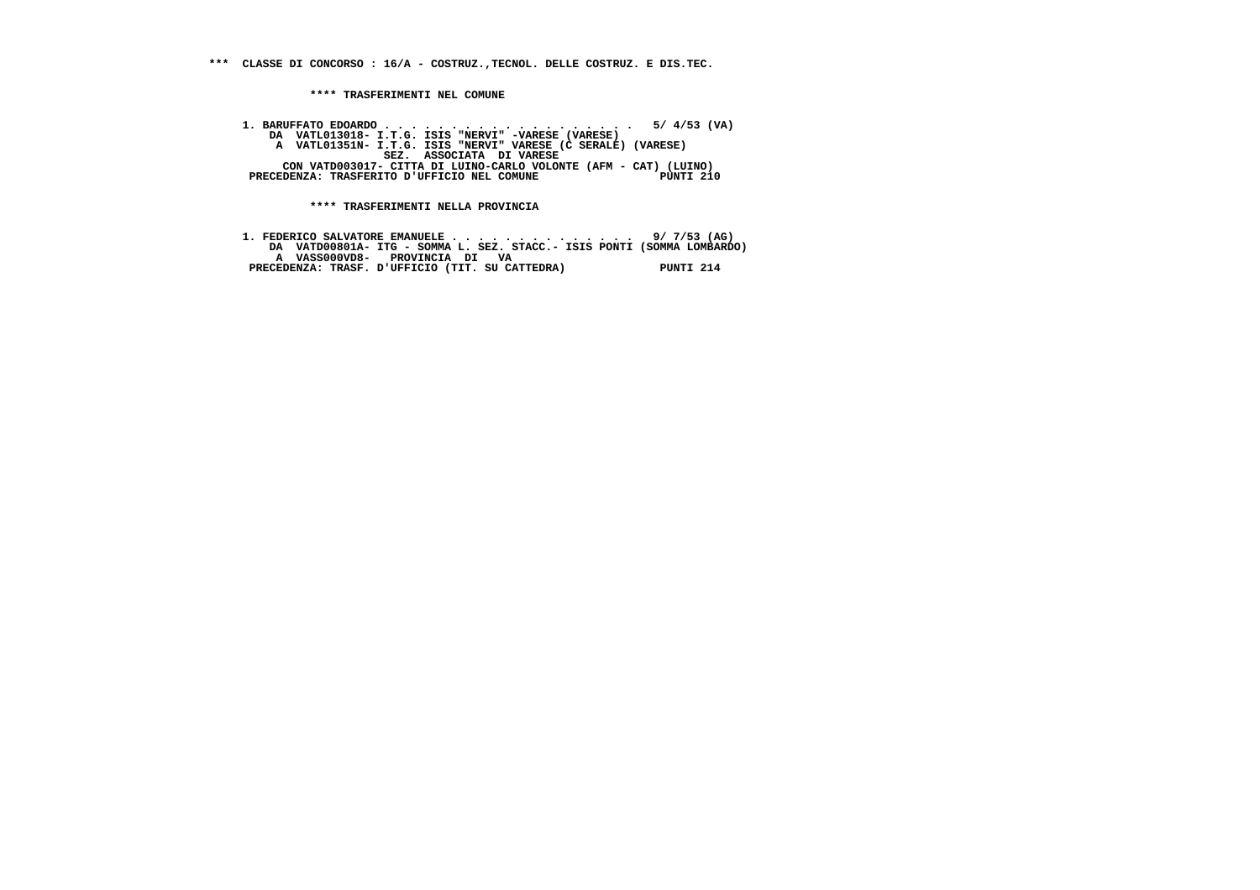**\*\*\* CLASSE DI CONCORSO : 16/A - COSTRUZ.,TECNOL. DELLE COSTRUZ. E DIS.TEC.**

 **\*\*\*\* TRASFERIMENTI NEL COMUNE**

 **1. BARUFFATO EDOARDO . . . . . . . . . . . . . . . . . . . 5/ 4/53 (VA) DA VATL013018- I.T.G. ISIS "NERVI" -VARESE (VARESE) A VATL01351N- I.T.G. ISIS "NERVI" VARESE (C SERALE) (VARESE) SEZ. ASSOCIATA DI VARESE CON VATD003017- CITTA DI LUINO-CARLO VOLONTE (AFM - CAT) (LUINO) PRECEDENZA: TRASFERITO D'UFFICIO NEL COMUNE PUNTI 210**

 **\*\*\*\* TRASFERIMENTI NELLA PROVINCIA**

|                               | 1. FEDERICO SALVATORE EMANUELE 9/ 7/53 (AG)                            |           |
|-------------------------------|------------------------------------------------------------------------|-----------|
|                               | DA VATD00801A- ITG - SOMMA L. SEZ. STACC.- ISIS PONTI (SOMMA LOMBARDO) |           |
| A VASS000VD8- PROVINCIA DI VA |                                                                        |           |
|                               | PRECEDENZA: TRASF. D'UFFICIO (TIT. SU CATTEDRA)                        | PUNTI 214 |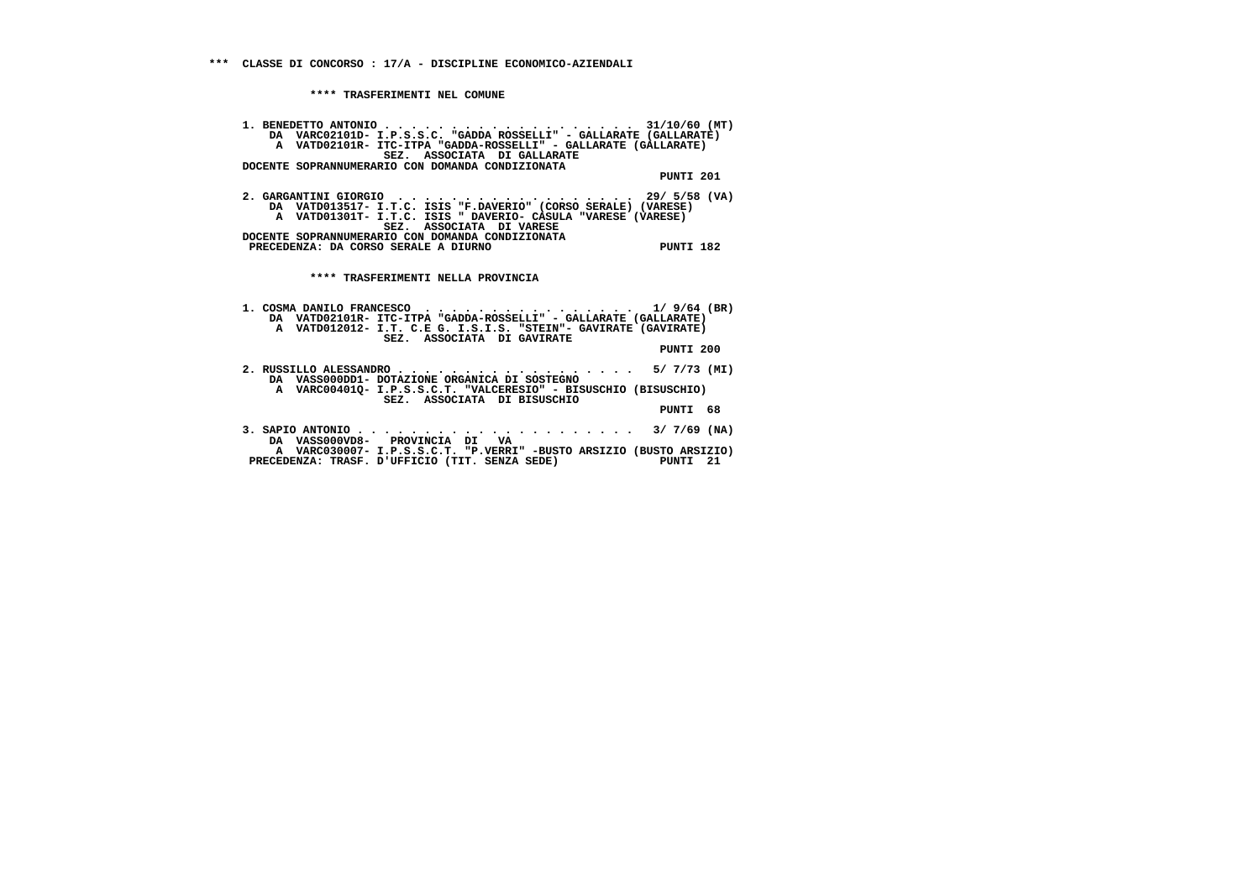| 1. BENEDETTO ANTONIO 31/10/60 (MT)<br>DA VARC02101D- I.P.S.S.C. "GADDA ROSSELLI" - GALLARATE (GALLARATE)<br>A VATD02101R- ITC-ITPA "GADDA-ROSSELLI" - GALLARATE (GALLARATE)<br>SEZ. ASSOCIATA DI GALLARATE  |           |    |
|-------------------------------------------------------------------------------------------------------------------------------------------------------------------------------------------------------------|-----------|----|
| DOCENTE SOPRANNUMERARIO CON DOMANDA CONDIZIONATA                                                                                                                                                            | PUNTI 201 |    |
| 2. GARGANTINI GIORGIO $\,$ 29/5/58 (VA)<br>DA VATD013517- I.T.C. ISIS "F.DAVERIO" (CORSO SERALE) (VARESE)<br>A VATD01301T- I.T.C. ISIS " DAVERIO- CASULA "VARESE (VARESE)<br>SEZ. ASSOCIATA DI VARESE       |           |    |
| DOCENTE SOPRANNUMERARIO CON DOMANDA CONDIZIONATA<br>PRECEDENZA: DA CORSO SERALE A DIURNO                                                                                                                    | PUNTI 182 |    |
| **** TRASFERIMENTI NELLA PROVINCIA                                                                                                                                                                          |           |    |
| 1. COSMA DANILO FRANCESCO 1/ 9/64 (BR)<br>DA VATD02101R- ITC-ITPA "GADDA-ROSSELLI" - GALLARATE (GALLARATE)<br>A VATD012012- I.T. C.E G. I.S.I.S. "STEIN"- GAVIRATE (GAVIRATE)<br>SEZ. ASSOCIATA DI GAVIRATE |           |    |
|                                                                                                                                                                                                             | PUNTI 200 |    |
| 2. RUSSILLO ALESSANDRO 5/ 7/73 (MI)<br>DA VASS000DD1- DOTAZIONE ORGANICA DI SOSTEGNO<br>A VARC004010- I.P.S.S.C.T. "VALCERESIO" - BISUSCHIO (BISUSCHIO)                                                     |           |    |
| SEZ. ASSOCIATA DI BISUSCHIO                                                                                                                                                                                 | PUNTI 68  |    |
| DA VASS000VD8- PROVINCIA DI VA                                                                                                                                                                              |           |    |
| A VARC030007- I.P.S.S.C.T. "P.VERRI" -BUSTO ARSIZIO (BUSTO ARSIZIO)<br>PRECEDENZA: TRASF. D'UFFICIO (TIT. SENZA SEDE)                                                                                       | PUNTI     | 21 |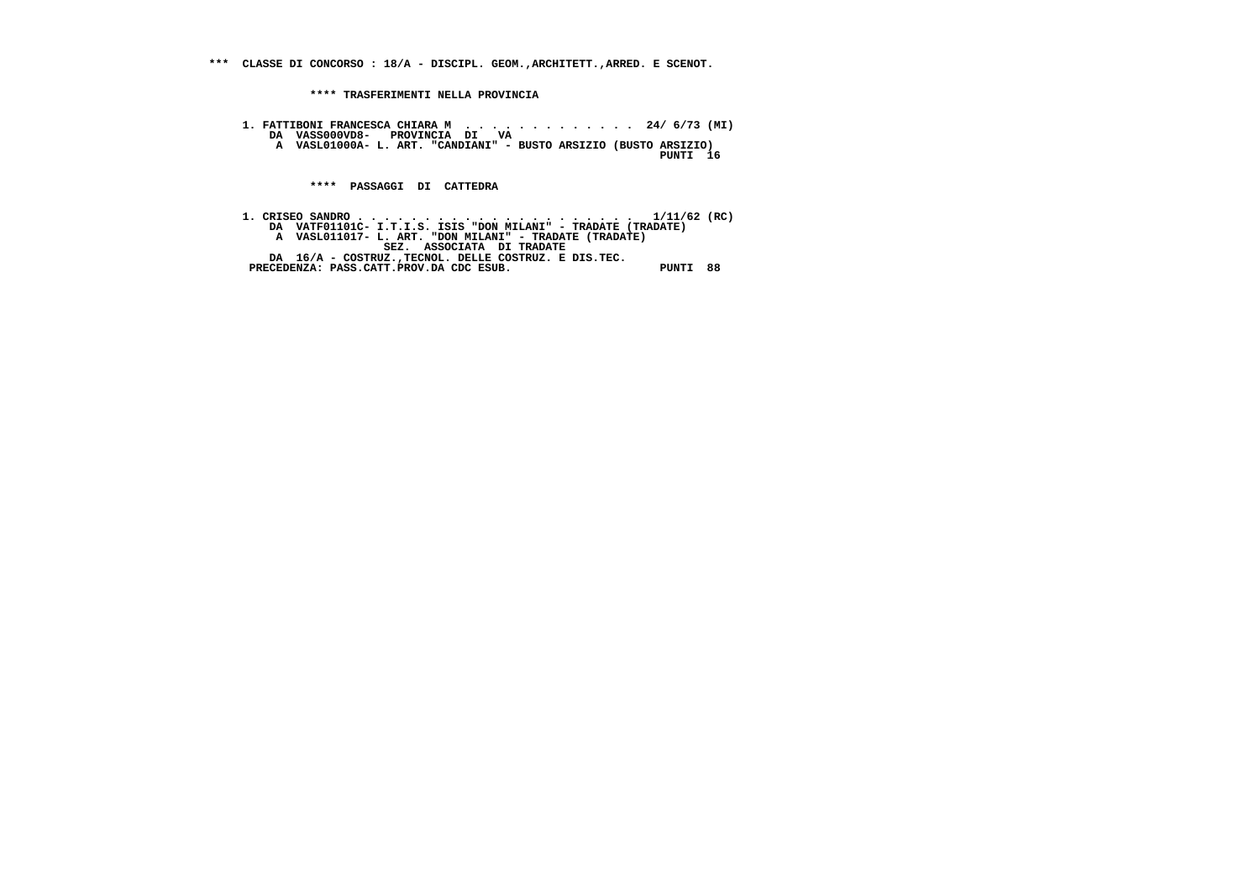**\*\*\* CLASSE DI CONCORSO : 18/A - DISCIPL. GEOM.,ARCHITETT.,ARRED. E SCENOT.**

 **\*\*\*\* TRASFERIMENTI NELLA PROVINCIA**

 **1. FATTIBONI FRANCESCA CHIARA M . . . . . . . . . . . . . 24/ 6/73 (MI) DA VASS000VD8- PROVINCIA DI VA A VASL01000A- L. ART. "CANDIANI" - BUSTO ARSIZIO (BUSTO ARSIZIO)**

 **PUNTI 16**

 **\*\*\*\* PASSAGGI DI CATTEDRA**

 **1. CRISEO SANDRO . . . . . . . . . . . . . . . . . . . . . 1/11/62 (RC) DA VATF01101C- I.T.I.S. ISIS "DON MILANI" - TRADATE (TRADATE) A VASL011017- L. ART. "DON MILANI" - TRADATE (TRADATE) SEZ. ASSOCIATA DI TRADATE DA 16/A - COSTRUZ.,TECNOL. DELLE COSTRUZ. E DIS.TEC. PRECEDENZA: PASS.CATT.PROV.DA CDC ESUB. PUNTI 88**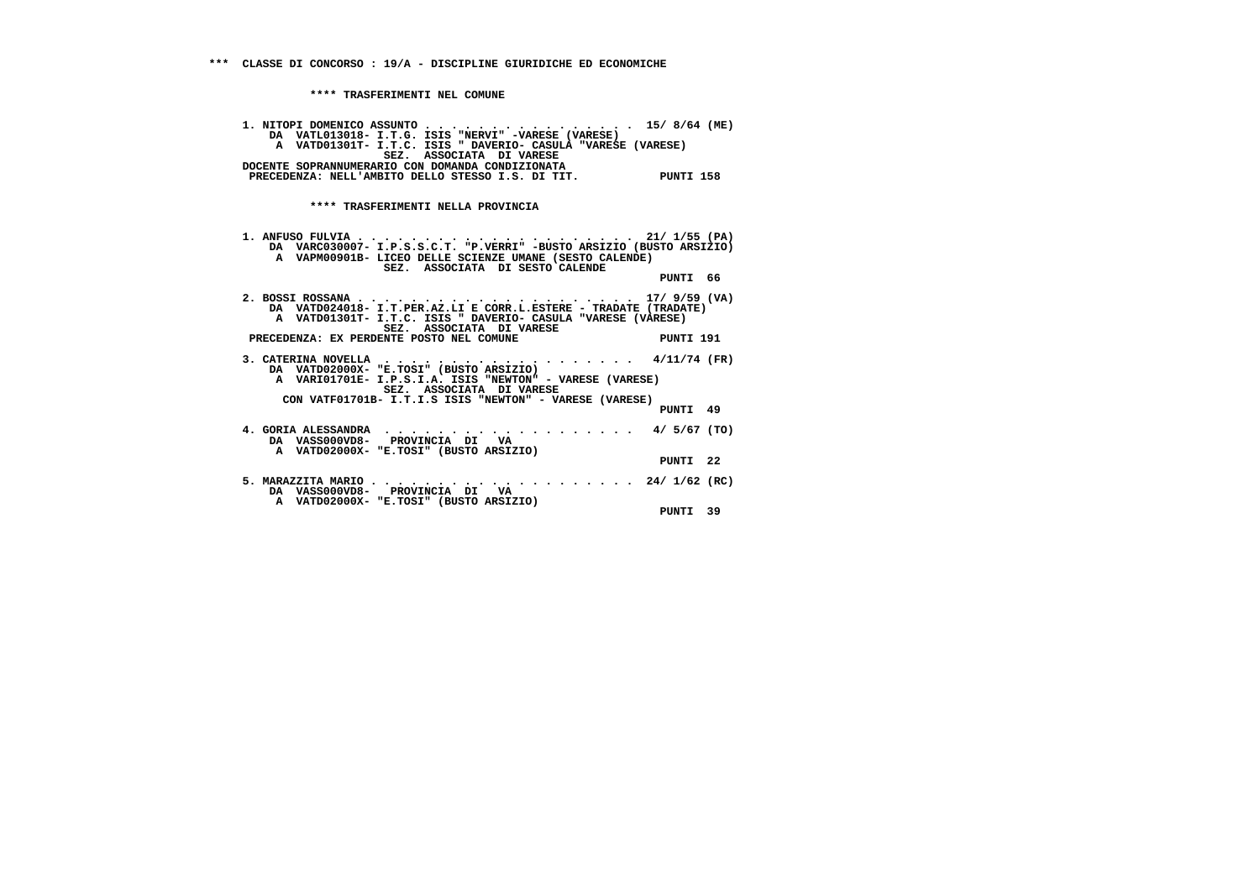| 1. NITOPI DOMENICO ASSUNTO 15/8/64 (ME)<br>DA VATL013018- I.T.G. ISIS "NERVI" -VARESE (VARESE)<br>A VATD01301T- I.T.C. ISIS " DAVERIO- CASULA "VARESE (VARESE)<br>SEZ. ASSOCIATA DI VARESE<br>DOCENTE SOPRANNUMERARIO CON DOMANDA CONDIZIONATA |           |  |
|------------------------------------------------------------------------------------------------------------------------------------------------------------------------------------------------------------------------------------------------|-----------|--|
| PRECEDENZA: NELL'AMBITO DELLO STESSO I.S. DI TIT. PUNTI 158                                                                                                                                                                                    |           |  |
|                                                                                                                                                                                                                                                |           |  |
| **** TRASFERIMENTI NELLA PROVINCIA                                                                                                                                                                                                             |           |  |
| DA VARC030007- I.P.S.S.C.T. "P.VERRI" -BUSTO ARSIZIO (BUSTO ARSIZIO)<br>A VAPM00901B- LICEO DELLE SCIENZE UMANE (SESTO CALENDE)<br>SEZ. ASSOCIATA DI SESTO CALENDE                                                                             | PUNTI 66  |  |
| DA VATD024018- I.T.PER.AZ.LI E CORR.L.ESTERE - TRADATE (TRADATE)<br>A VATD01301T- I.T.C. ISIS " DAVERIO- CASULA "VARESE (VARESE)<br>SEZ. ASSOCIATA DI VARESE<br>ENTE POSTO NEL COMUNE<br>PRECEDENZA: EX PERDENTE POSTO NEL COMUNE              | PUNTI 191 |  |
| DA VATD02000X- "E.TOSI" (BUSTO ARSIZIO)<br>A VARIO1701E- I.P.S.I.A. ISIS "NEWTON" - VARESE (VARESE)<br>SEZ. ASSOCIATA DI VARESE<br>CON VATF01701B- I.T.I.S ISIS "NEWTON" - VARESE (VARESE)                                                     | PUNTI 49  |  |
| DA VASS000VD8- PROVINCIA DI VA<br>A VATD02000X- "E.TOSI" (BUSTO ARSIZIO)                                                                                                                                                                       | PUNTI 22  |  |
| DA VASSOOOVD8- PROVINCIA DI VA<br>A VATD02000X- "E.TOSI" (BUSTO ARSIZIO)                                                                                                                                                                       |           |  |
|                                                                                                                                                                                                                                                | PUNTI 39  |  |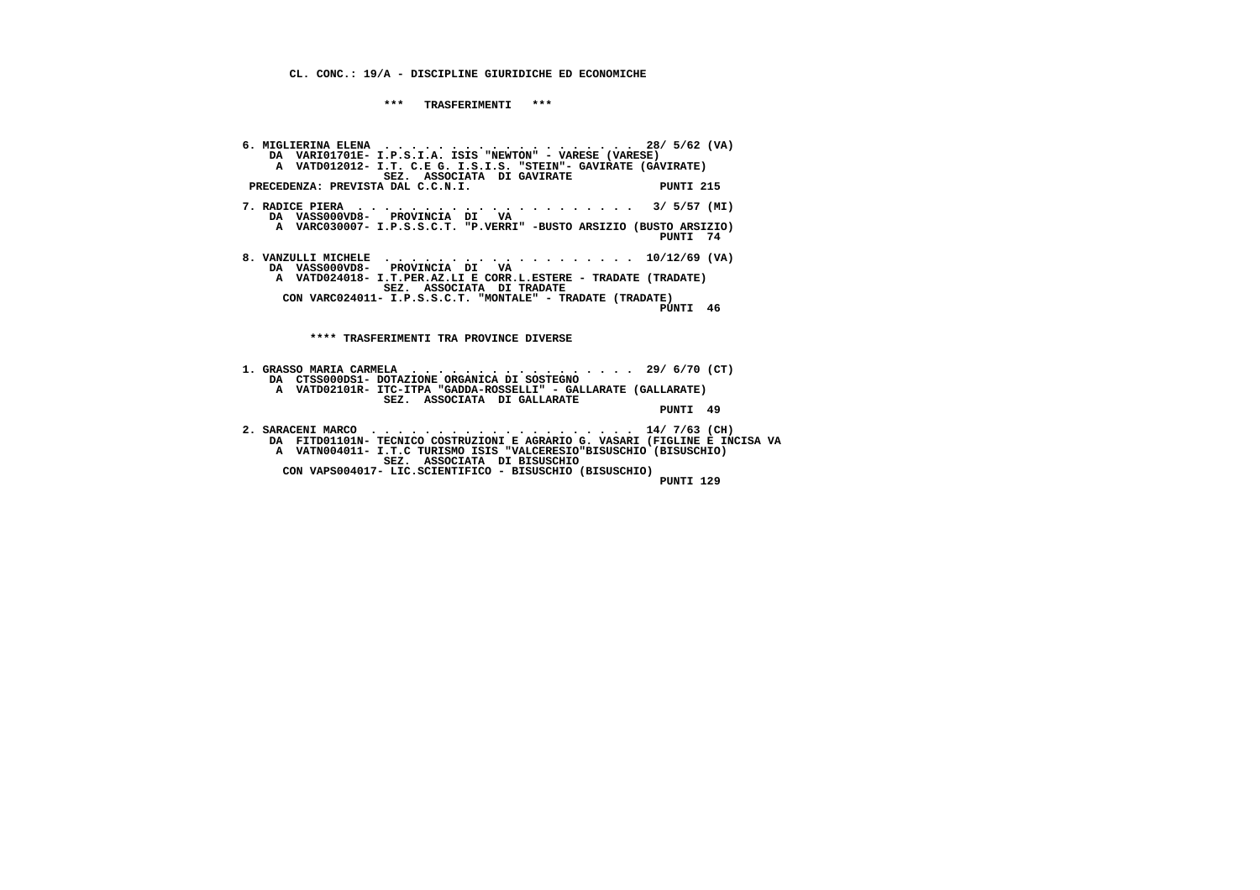**CL. CONC.: 19/A - DISCIPLINE GIURIDICHE ED ECONOMICHE**

 **\*\*\* TRASFERIMENTI \*\*\***

 **6. MIGLIERINA ELENA . . . . . . . . . . . . . . . . . . . 28/ 5/62 (VA) DA VARI01701E- I.P.S.I.A. ISIS "NEWTON" - VARESE (VARESE) A VATD012012- I.T. C.E G. I.S.I.S. "STEIN"- GAVIRATE (GAVIRATE) SEZ. ASSOCIATA DI GAVIRATEPRECEDENZA: PREVISTA DAL C.C.N.I.** PUNTI 215  **7. RADICE PIERA . . . . . . . . . . . . . . . . . . . . . 3/ 5/57 (MI) DA VASS000VD8- PROVINCIA DI VA A VARC030007- I.P.S.S.C.T. "P.VERRI" -BUSTO ARSIZIO (BUSTO ARSIZIO) PUNTI 74 8. VANZULLI MICHELE . . . . . . . . . . . . . . . . . . . 10/12/69 (VA) DA VASS000VD8- PROVINCIA DI VA A VATD024018- I.T.PER.AZ.LI E CORR.L.ESTERE - TRADATE (TRADATE) SEZ. ASSOCIATA DI TRADATE CON VARC024011- I.P.S.S.C.T. "MONTALE" - TRADATE (TRADATE) PUNTI 46 \*\*\*\* TRASFERIMENTI TRA PROVINCE DIVERSE 1. GRASSO MARIA CARMELA . . . . . . . . . . . . . . . . . 29/ 6/70 (CT) DA CTSS000DS1- DOTAZIONE ORGANICA DI SOSTEGNO A VATD02101R- ITC-ITPA "GADDA-ROSSELLI" - GALLARATE (GALLARATE) SEZ. ASSOCIATA DI GALLARATE PUNTI 49**

 **2. SARACENI MARCO . . . . . . . . . . . . . . . . . . . . 14/ 7/63 (CH) DA FITD01101N- TECNICO COSTRUZIONI E AGRARIO G. VASARI (FIGLINE E INCISA VA A VATN004011- I.T.C TURISMO ISIS "VALCERESIO"BISUSCHIO (BISUSCHIO) SEZ. ASSOCIATA DI BISUSCHIO CON VAPS004017- LIC.SCIENTIFICO - BISUSCHIO (BISUSCHIO) PUNTI 129**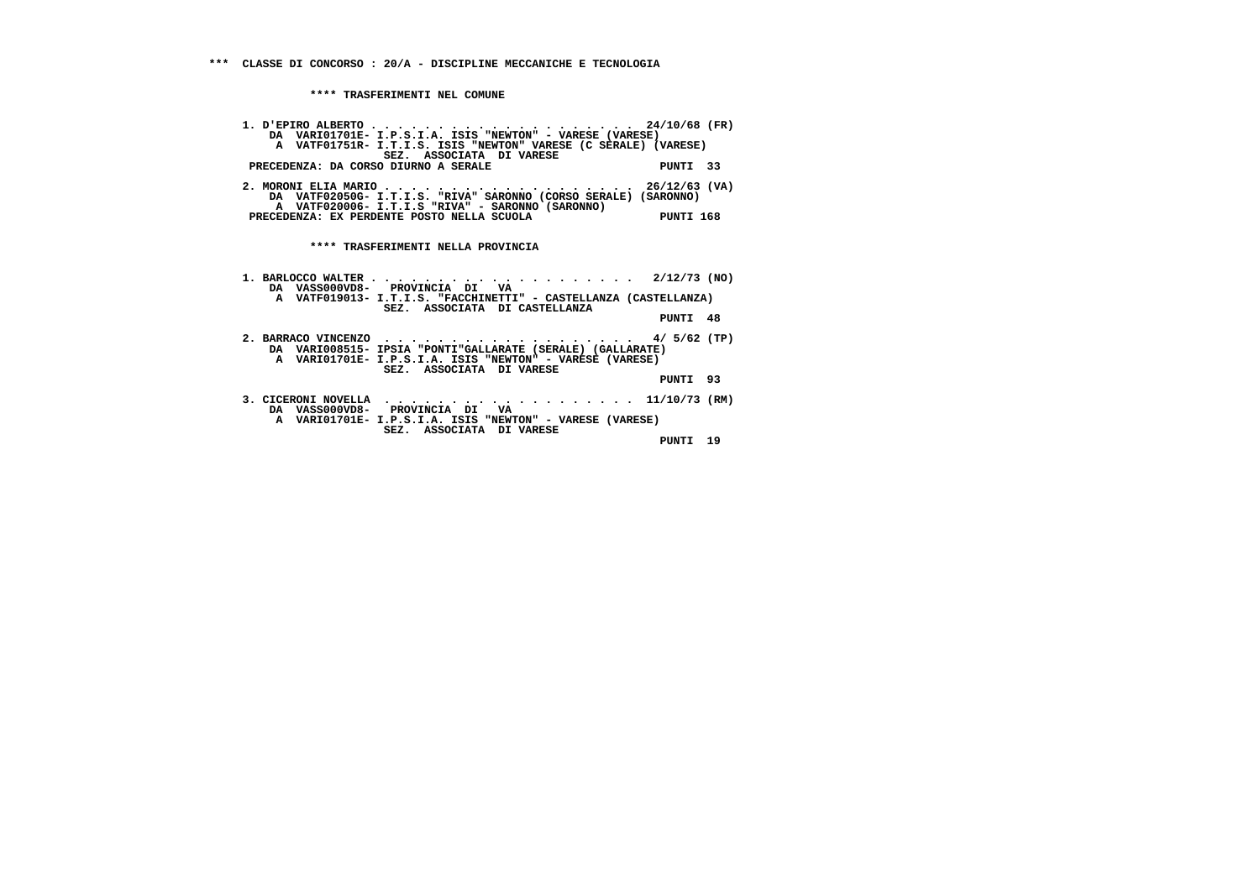| DA VARIO1701E- I.P.S.I.A. ISIS "NEWTON" - VARESE (VARESE)<br>A VATF01751R- I.T.I.S. ISIS "NEWTON" VARESE (C SERALE) (VARESE)<br>SEZ. ASSOCIATA DI VARESE<br>PUNTI 33<br>PRECEDENZA: DA CORSO DIURNO A SERALE          |  |
|-----------------------------------------------------------------------------------------------------------------------------------------------------------------------------------------------------------------------|--|
| 2. MORONI ELIA MARIO 26/12/63 (VA)<br>DA VATF02050G- I.T.I.S. "RIVA" SARONNO (CORSO SERALE) (SARONNO)<br>A VATF020006- I.T.I.S "RIVA" - SARONNO (SARONNO)<br>PRECEDENZA: EX PERDENTE POSTO NELLA SCUOLA<br>PUNTI 168  |  |
| **** TRASFERIMENTI NELLA PROVINCIA                                                                                                                                                                                    |  |
| DA VASS000VD8- PROVINCIA DI VA<br>A VATF019013- I.T.I.S. "FACCHINETTI" - CASTELLANZA (CASTELLANZA)<br>SEZ. ASSOCIATA DI CASTELLANZA<br>PUNTI 48                                                                       |  |
| 2. BARRACO VINCENZO 4/ $5/62$ (TP)<br>DA VARIO08515- IPSIA "PONTI"GALLARATE (SERALE) (GALLARATE)<br>A VARIO1701E- I.P.S.I.A. ISIS "NEWTON" - VARESE (VARESE)<br>SEZ. ASSOCIATA DI VARESE<br>PUNTI 93                  |  |
| 3. CICERONI NOVELLA $\ldots \ldots \ldots \ldots \ldots \ldots \ldots \ldots 11/10/73$ (RM)<br>DA VASS000VD8- PROVINCIA DI VA<br>A VARIO1701E- I.P.S.I.A. ISIS "NEWTON" - VARESE (VARESE)<br>SEZ. ASSOCIATA DI VARESE |  |
| PUNTI 19                                                                                                                                                                                                              |  |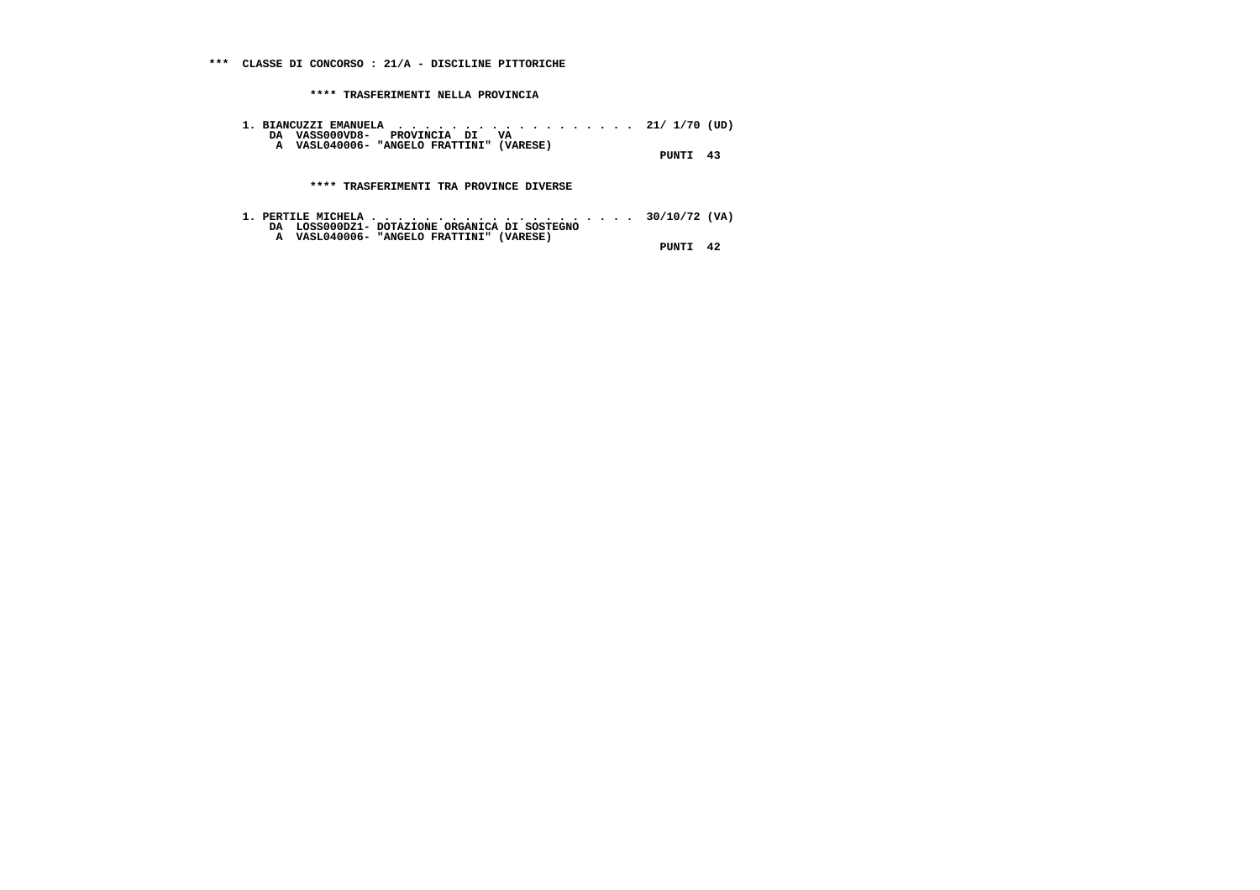**1. BIANCUZZI EMANUELA . . . . . . . . . . . . . . . . . . 21/ 1/70 (UD) DA VASS000VD8- PROVINCIA DI VA A VASL040006- "ANGELO FRATTINI" (VARESE)**

 **PUNTI 43**

 **\*\*\*\* TRASFERIMENTI TRA PROVINCE DIVERSE**

| 1. PERTILE MICHELA 30/10/72 (VA)              |  |          |
|-----------------------------------------------|--|----------|
| DA LOSS000DZ1- DOTAZIONE ORGANICA DI SOSTEGNO |  |          |
| A VASL040006- "ANGELO FRATTINI" (VARESE)      |  |          |
|                                               |  | PUNTI 42 |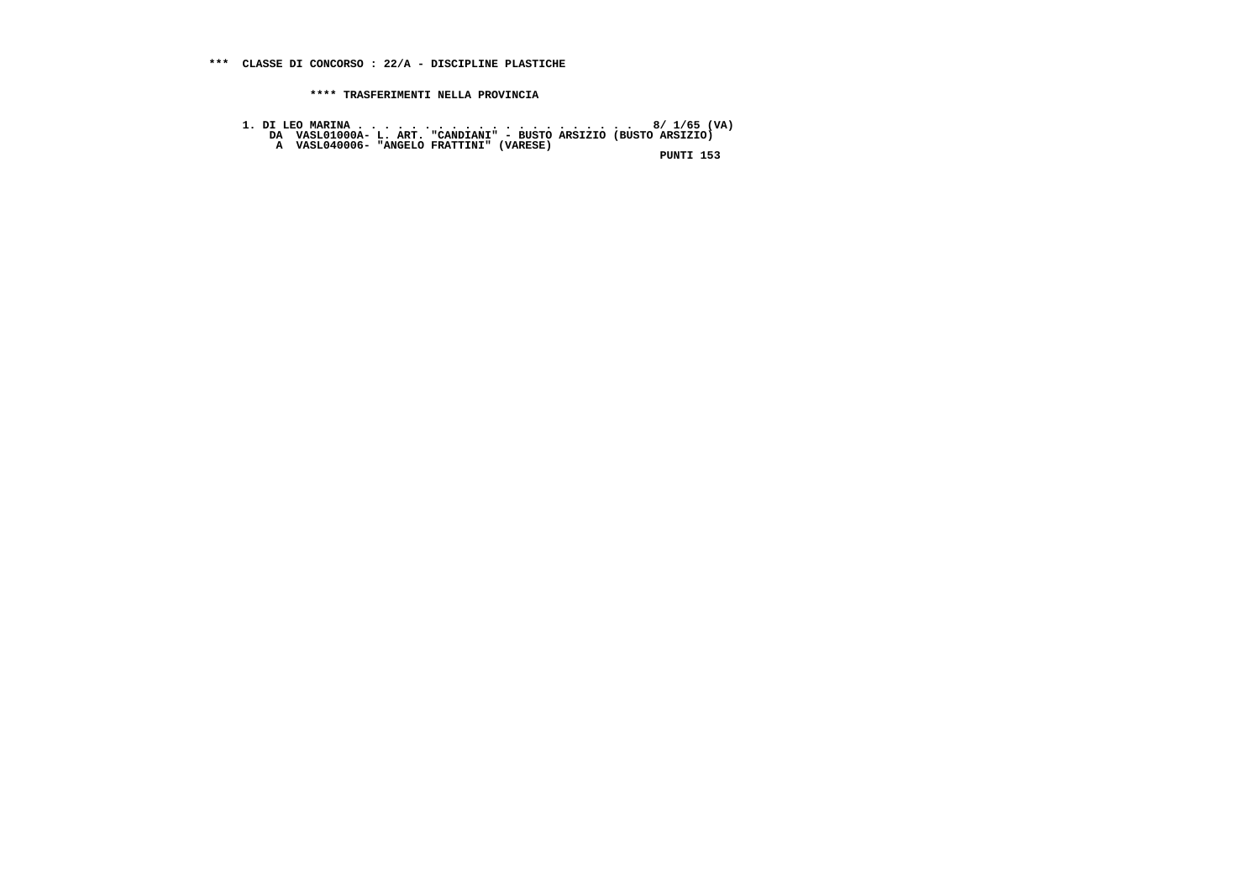**1. DI LEO MARINA . . . . . . . . . . . . . . . . . . . . . 8/ 1/65 (VA) DA VASL01000A- L. ART. "CANDIANI" - BUSTO ARSIZIO (BUSTO ARSIZIO) A VASL040006- "ANGELO FRATTINI" (VARESE)**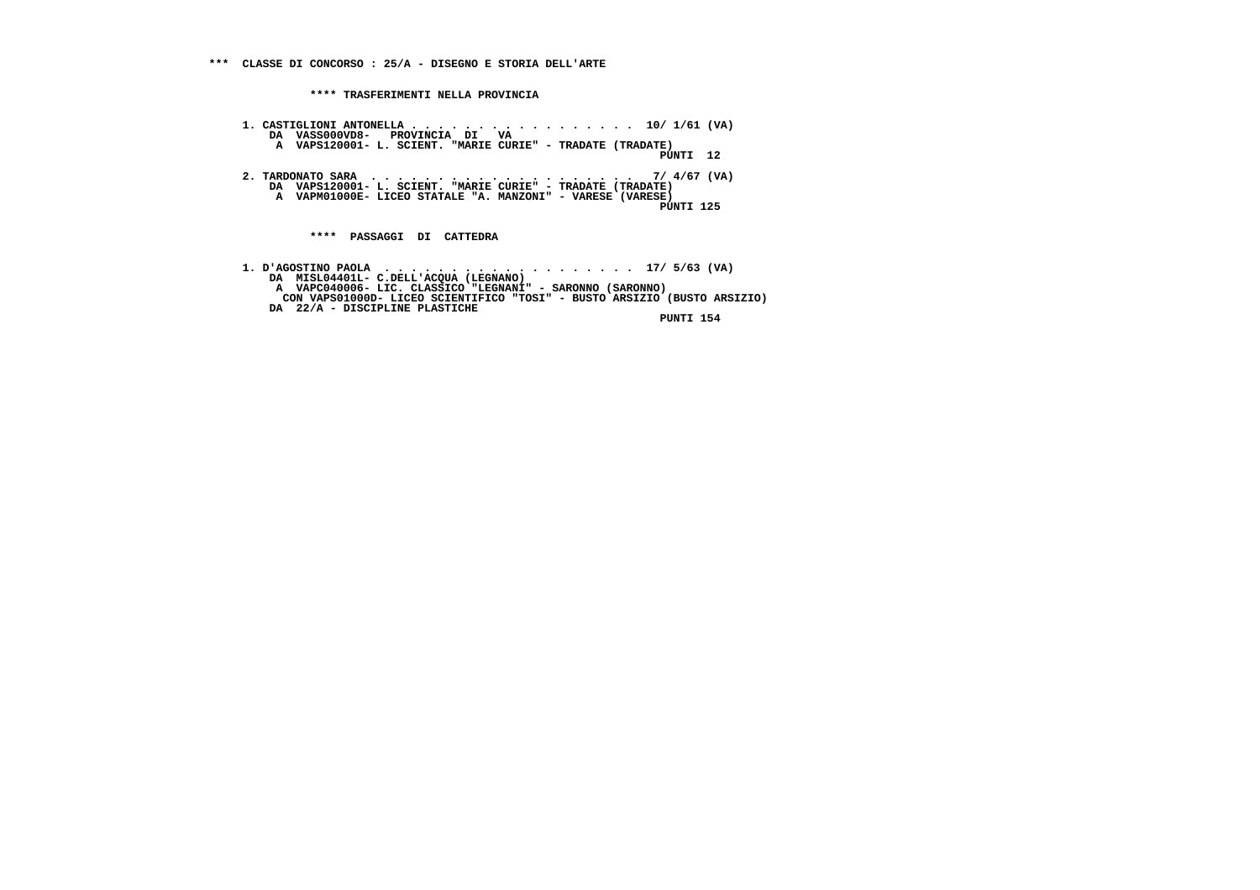**1. CASTIGLIONI ANTONELLA . . . . . . . . . . . . . . . . . 10/ 1/61 (VA) DA VASS000VD8- PROVINCIA DI VA A VAPS120001- L. SCIENT. "MARIE CURIE" - TRADATE (TRADATE) PUNTI 12 2. TARDONATO SARA . . . . . . . . . . . . . . . . . . . . 7/ 4/67 (VA) DA VAPS120001- L. SCIENT. "MARIE CURIE" - TRADATE (TRADATE) A VAPM01000E- LICEO STATALE "A. MANZONI" - VARESE (VARESE) PUNTI 125 \*\*\*\* PASSAGGI DI CATTEDRA**

 **1. D'AGOSTINO PAOLA . . . . . . . . . . . . . . . . . . . 17/ 5/63 (VA) DA MISL04401L- C.DELL'ACQUA (LEGNANO) A VAPC040006- LIC. CLASSICO "LEGNANI" - SARONNO (SARONNO) CON VAPS01000D- LICEO SCIENTIFICO "TOSI" - BUSTO ARSIZIO (BUSTO ARSIZIO) DA 22/A - DISCIPLINE PLASTICHE**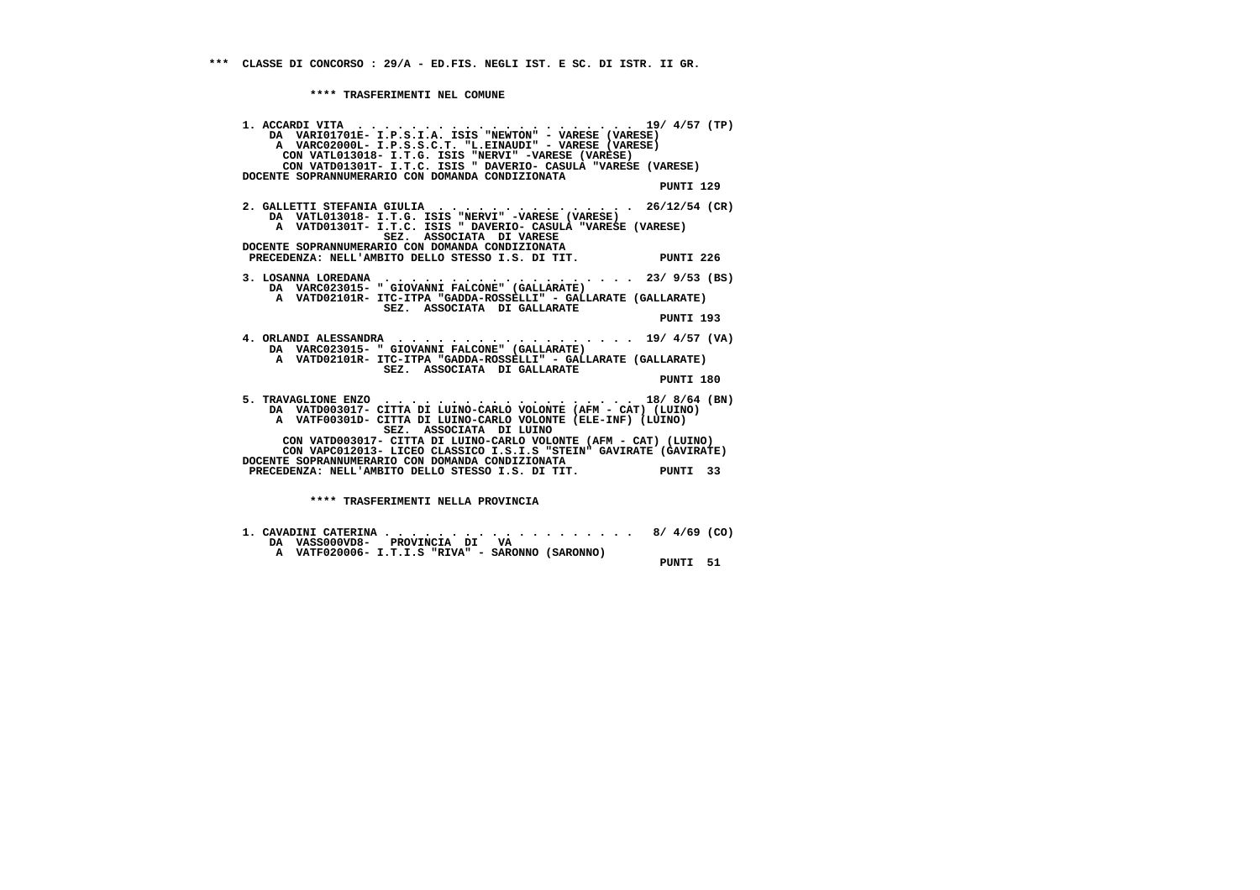| 1. ACCARDI VITA $\ldots \ldots \ldots \ldots \ldots \ldots \ldots \ldots \ldots \ldots 19/4/57$ (TP)<br>DA VARIO1701E- I.P.S.I.A. ISIS "NEWTON" - VARESE (VARESE)<br>A VARC02000L- I.P.S.S.C.T. "L.EINAUDI" - VARESE (VARESE)<br>CON VATL013018- I.T.G. ISIS "NERVI" -VARESE (VARESE)<br>CON VATD01301T- I.T.C. ISIS " DAVERIO- CASULA "VARESE (VARESE)                                      |           |  |
|----------------------------------------------------------------------------------------------------------------------------------------------------------------------------------------------------------------------------------------------------------------------------------------------------------------------------------------------------------------------------------------------|-----------|--|
| DOCENTE SOPRANNUMERARIO CON DOMANDA CONDIZIONATA                                                                                                                                                                                                                                                                                                                                             | PUNTI 129 |  |
| 2. GALLETTI STEFANIA GIULIA 26/12/54 (CR)<br>DA VATL013018- I.T.G. ISIS "NERVI" -VARESE (VARESE)<br>A VATD01301T- I.T.C. ISIS " DAVERIO- CASULA "VARESE (VARESE)<br>SEZ. ASSOCIATA DI VARESE                                                                                                                                                                                                 |           |  |
| DOCENTE SOPRANNUMERARIO CON DOMANDA CONDIZIONATA<br>PRECEDENZA: NELL'AMBITO DELLO STESSO I.S. DI TIT. PUNTI 226                                                                                                                                                                                                                                                                              |           |  |
| DA VARC023015- " GIOVANNI FALCONE" (GALLARATE)<br>A VATD02101R- ITC-ITPA "GADDA-ROSSELLI" - GALLARATE (GALLARATE)<br>SEZ. ASSOCIATA DI GALLARATE                                                                                                                                                                                                                                             | PUNTI 193 |  |
| 4. ORLANDI ALESSANDRA 19/ 4/57 (VA)<br>DA VARC023015- " GIOVANNI FALCONE" (GALLARATE)<br>A VATD02101R- ITC-ITPA "GADDA-ROSSELLI" - GALLARATE (GALLARATE)<br>SEZ. ASSOCIATA DI GALLARATE                                                                                                                                                                                                      | PUNTI 180 |  |
| 5. TRAVAGLIONE ENZO 18/8/64 (BN)<br>DA VATD003017- CITTA DI LUINO-CARLO VOLONTE (AFM - CAT) (LUINO)<br>A VATF00301D- CITTA DI LUINO-CARLO VOLONTE (ELE-INF) (LUINO)<br>SEZ. ASSOCIATA DI LUINO<br>CON VATD003017- CITTA DI LUINO-CARLO VOLONTE (AFM - CAT) (LUINO)<br>CON VAPC012013- LICEO CLASSICO I.S.I.S "STEIN" GAVIRATE (GAVIRATE)<br>DOCENTE SOPRANNUMERARIO CON DOMANDA CONDIZIONATA |           |  |
| PRECEDENZA: NELL'AMBITO DELLO STESSO I.S. DI TIT.<br>PRECEDENZA: NELL'AMBITO DELLO STESSO I.S. DI TIT.                                                                                                                                                                                                                                                                                       |           |  |
| **** TRASFERIMENTI NELLA PROVINCIA                                                                                                                                                                                                                                                                                                                                                           |           |  |

|  |                                |  |  | 1. CAVADINI CATERINA 8/ 4/69 (CO)                |  |  |          |  |
|--|--------------------------------|--|--|--------------------------------------------------|--|--|----------|--|
|  | DA VASS000VD8- PROVINCIA DI VA |  |  |                                                  |  |  |          |  |
|  |                                |  |  | A VATF020006- I.T.I.S "RIVA" - SARONNO (SARONNO) |  |  |          |  |
|  |                                |  |  |                                                  |  |  | PUNTI 51 |  |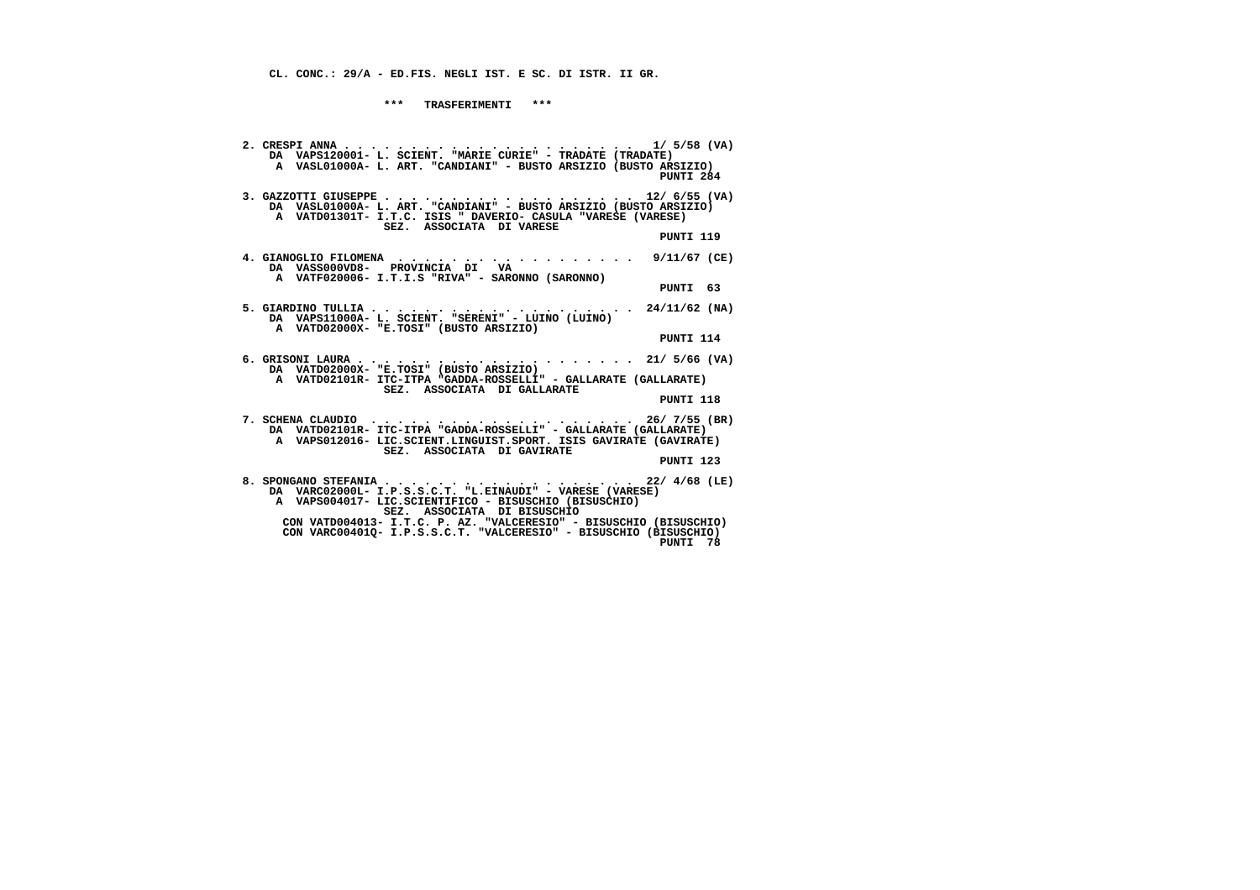**CL. CONC.: 29/A - ED.FIS. NEGLI IST. E SC. DI ISTR. II GR.**

 **\*\*\* TRASFERIMENTI \*\*\***

| DA VAPS120001- L. SCIENT. "MARIE CURIE" - TRADATE (TRADATE)<br>A VASL01000A- L. ART. "CANDIANI" - BUSTO ARSIZIO (BUSTO ARSIZIO)<br>PUNTI 284                                                                                                                                                                                                   |
|------------------------------------------------------------------------------------------------------------------------------------------------------------------------------------------------------------------------------------------------------------------------------------------------------------------------------------------------|
| A VATD01301T- I.T.C. ISIS " DAVERIO- CASULA "VARESE (VARESE)<br>SEZ. ASSOCIATA DI VARESE<br>PUNTI 119                                                                                                                                                                                                                                          |
| 4. GIANOGLIO FILOMENA 9/11/67 (CE)<br>DA VASS000VD8- PROVINCIA DI VA<br>A VATF020006- I.T.I.S "RIVA" - SARONNO (SARONNO)<br>PUNTI 63                                                                                                                                                                                                           |
| DA VAPS11000A- L. SCIENT. "SERENI" - LUINO (LUINO)<br>A VATD02000X- "E.TOSI" (BUSTO ARSIZIO)<br>PUNTI 114                                                                                                                                                                                                                                      |
| DA VATD02000X- "E.TOSI" (BUSTO ARSIZIO)<br>A VATD02101R- ITC-ITPA "GADDA-ROSSELLI" - GALLARATE (GALLARATE)<br>SEZ. ASSOCIATA DI GALLARATE<br>PUNTI 118                                                                                                                                                                                         |
| 7. SCHENA CLAUDIO $\cdots$ , 26/ 7/55 (BR)<br>DA VATD02101R- ITC-ITPA "GADDA-ROSSELLI" - GALLARATE (GALLARATE)<br>A VAPS012016- LIC.SCIENT.LINGUIST.SPORT. ISIS GAVIRATE (GAVIRATE)<br>SEZ. ASSOCIATA DI GAVIRATE<br>PUNTI 123                                                                                                                 |
| 8. SPONGANO STEFANIA 22/ 4/68 (LE)<br>DA VARC02000L- I.P.S.S.C.T. "L.EINAUDI" - VARESE (VARESE)<br>A VAPS004017- LIC.SCIENTIFICO - BISUSCHIO (BISUSCHIO)<br>SEZ. ASSOCIATA DI BISUSCHIO<br>CON VATD004013- I.T.C. P. AZ. "VALCERESIO" - BISUSCHIO (BISUSCHIO)<br>CON VARC00401Q- I.P.S.S.C.T. "VALCERESIO" - BISUSCHIO (BISUSCHIO)<br>PUNTI 78 |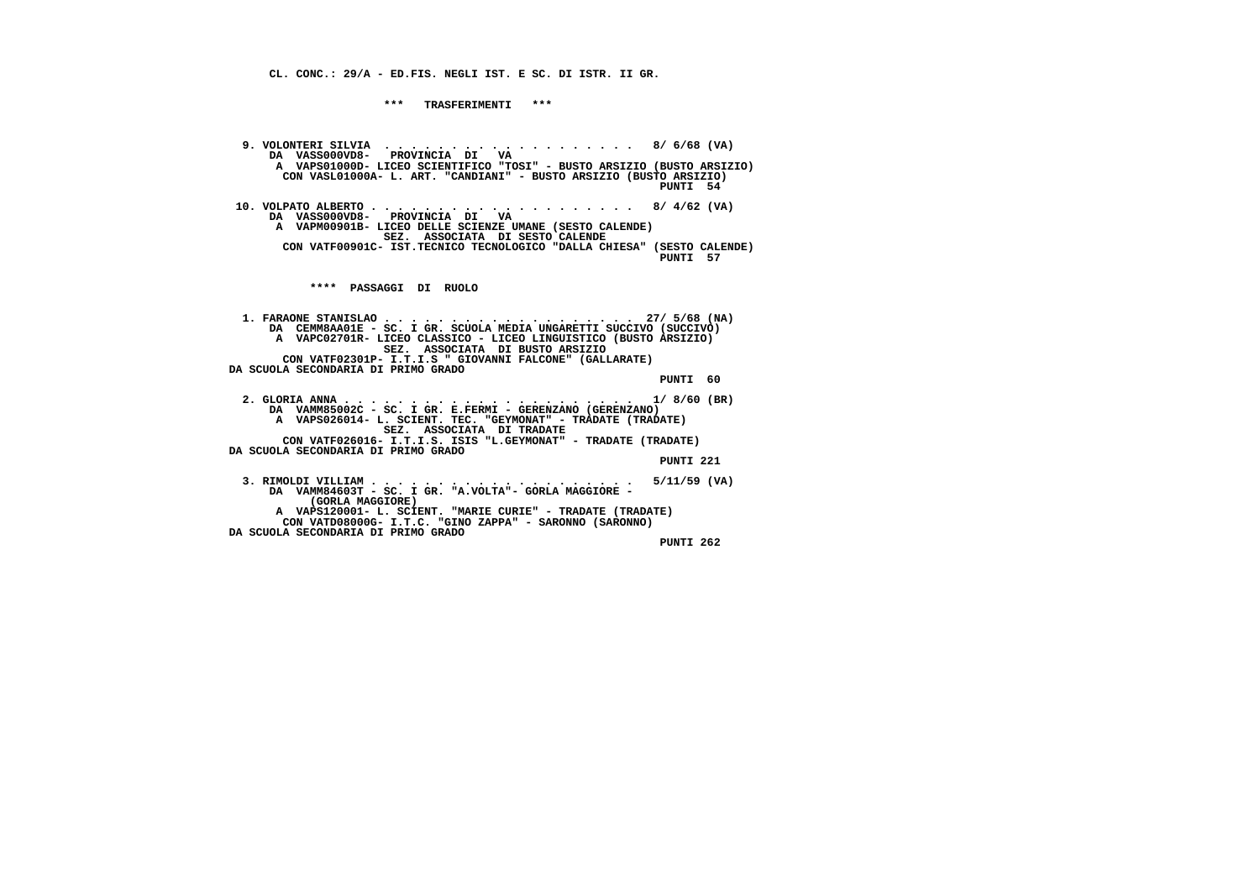**CL. CONC.: 29/A - ED.FIS. NEGLI IST. E SC. DI ISTR. II GR.**

 **\*\*\* TRASFERIMENTI \*\*\***

 **9. VOLONTERI SILVIA . . . . . . . . . . . . . . . . . . . 8/ 6/68 (VA) DA VASS000VD8- PROVINCIA DI VA A VAPS01000D- LICEO SCIENTIFICO "TOSI" - BUSTO ARSIZIO (BUSTO ARSIZIO) CON VASL01000A- L. ART. "CANDIANI" - BUSTO ARSIZIO (BUSTO ARSIZIO) PUNTI 54 10. VOLPATO ALBERTO . . . . . . . . . . . . . . . . . . . . 8/ 4/62 (VA) DA VASS000VD8- PROVINCIA DI VA A VAPM00901B- LICEO DELLE SCIENZE UMANE (SESTO CALENDE) SEZ. ASSOCIATA DI SESTO CALENDE CON VATF00901C- IST.TECNICO TECNOLOGICO "DALLA CHIESA" (SESTO CALENDE) PUNTI 57 \*\*\*\* PASSAGGI DI RUOLO 1. FARAONE STANISLAO . . . . . . . . . . . . . . . . . . . 27/ 5/68 (NA) DA CEMM8AA01E - SC. I GR. SCUOLA MEDIA UNGARETTI SUCCIVO (SUCCIVO) A VAPC02701R- LICEO CLASSICO - LICEO LINGUISTICO (BUSTO ARSIZIO) SEZ. ASSOCIATA DI BUSTO ARSIZIO CON VATF02301P- I.T.I.S " GIOVANNI FALCONE" (GALLARATE) DA SCUOLA SECONDARIA DI PRIMO GRADO PUNTI 60 2. GLORIA ANNA . . . . . . . . . . . . . . . . . . . . . . 1/ 8/60 (BR) DA VAMM85002C - SC. I GR. E.FERMI - GERENZANO (GERENZANO) A VAPS026014- L. SCIENT. TEC. "GEYMONAT" - TRADATE (TRADATE) SEZ. ASSOCIATA DI TRADATE CON VATF026016- I.T.I.S. ISIS "L.GEYMONAT" - TRADATE (TRADATE) DA SCUOLA SECONDARIA DI PRIMO GRADO PUNTI 221 3. RIMOLDI VILLIAM . . . . . . . . . . . . . . . . . . . . 5/11/59 (VA) DA VAMM84603T - SC. I GR. "A.VOLTA"- GORLA MAGGIORE - (GORLA MAGGIORE) A VAPS120001- L. SCIENT. "MARIE CURIE" - TRADATE (TRADATE) CON VATD08000G- I.T.C. "GINO ZAPPA" - SARONNO (SARONNO) DA SCUOLA SECONDARIA DI PRIMO GRADO**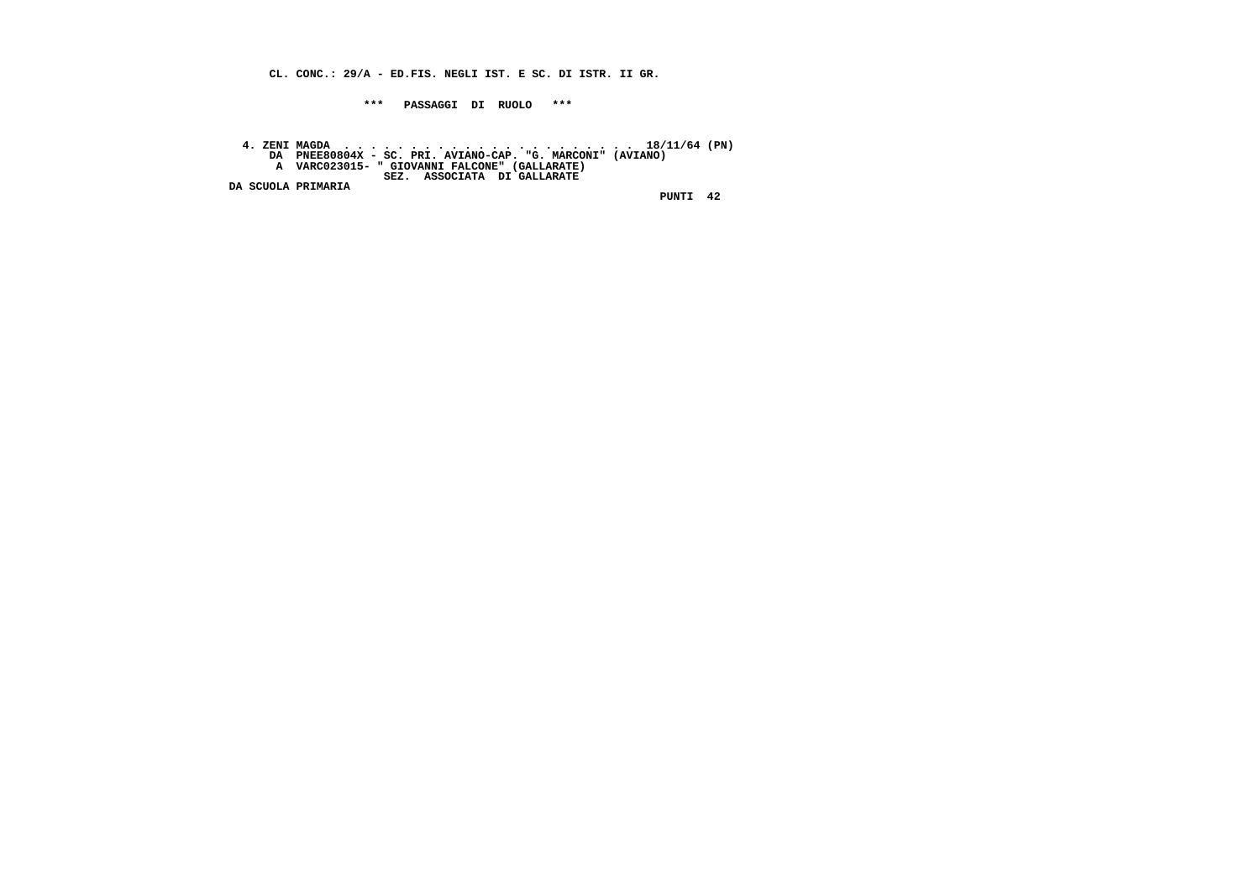**CL. CONC.: 29/A - ED.FIS. NEGLI IST. E SC. DI ISTR. II GR.**

 **\*\*\* PASSAGGI DI RUOLO \*\*\***

 **4. ZENI MAGDA . . . . . . . . . . . . . . . . . . . . . . 18/11/64 (PN) DA PNEE80804X - SC. PRI. AVIANO-CAP. "G. MARCONI" (AVIANO) A VARC023015- " GIOVANNI FALCONE" (GALLARATE) SEZ. ASSOCIATA DI GALLARATE DA SCUOLA PRIMARIA**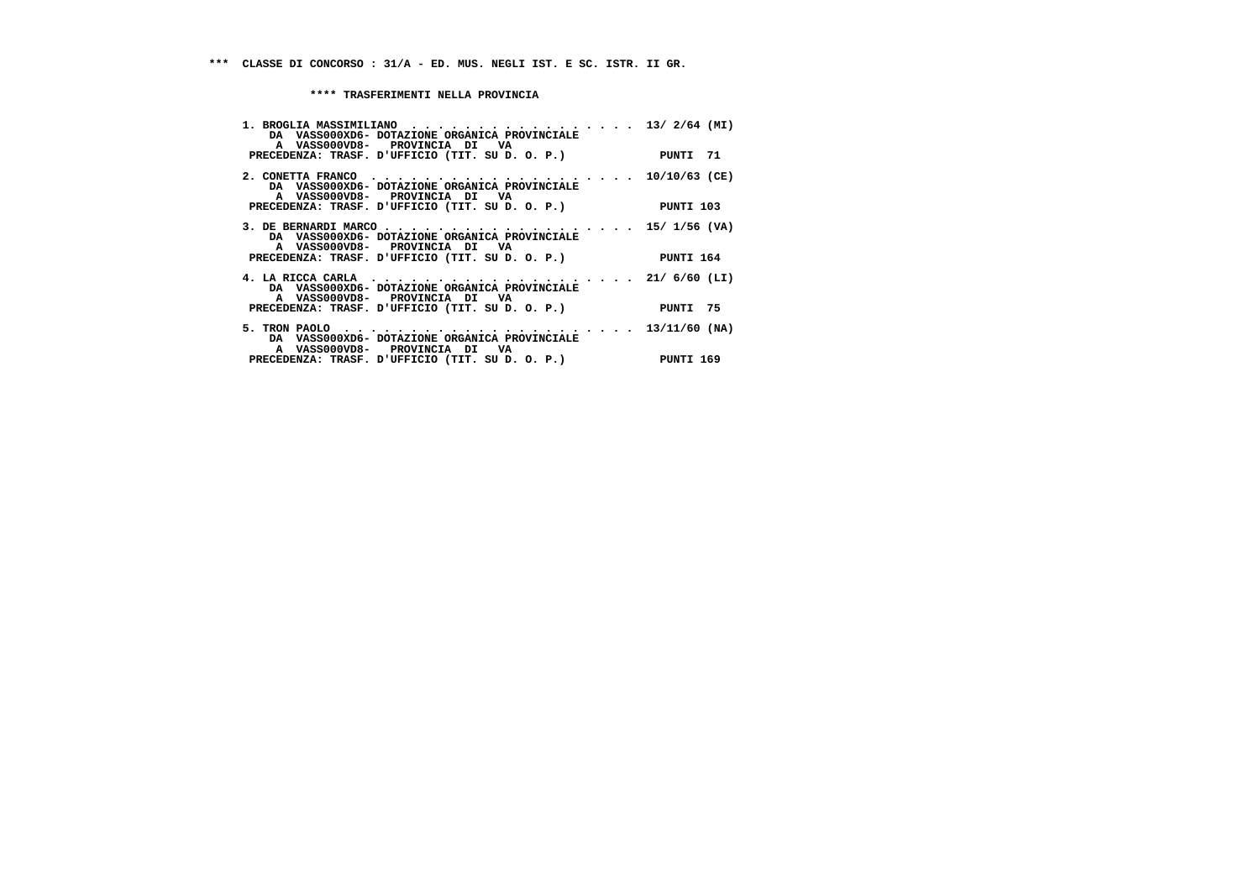| 1. BROGLIA MASSIMILIANO 13/ 2/64 (MI)<br>DA VASS000XD6- DOTAZIONE ORGANICA PROVINCIALE<br>A VASS000VD8- PROVINCIA DI VA<br>PRECEDENZA: TRASF. D'UFFICIO (TIT. SU D. O. P.) PUNTI 71 |           |
|-------------------------------------------------------------------------------------------------------------------------------------------------------------------------------------|-----------|
| DA VASS000XD6- DOTAZIONE ORGANICA PROVINCIALE<br>A VASS000VD8- PROVINCIA DI VA<br>PRECEDENZA: TRASF. D'UFFICIO (TIT. SU D. O. P.)                                                   | PUNTI 103 |
| 3. DE BERNARDI MARCO 15/ 1/56 (VA)<br>DA VASS000XD6- DOTAZIONE ORGANICA PROVINCIALE<br>A VASS000VD8- PROVINCIA DI VA<br>PRECEDENZA: TRASF. D'UFFICIO (TIT. SU D. O. P.) PUNTI 164   |           |
| DA VASS000XD6- DOTAZIONE ORGANICA PROVINCIALE<br>A VASS000VD8- PROVINCIA DI VA<br>PRECEDENZA: TRASF. D'UFFICIO (TIT. SU D. O. P.)                                                   | PUNTI 75  |
| DA VASS000XD6- DOTAZIONE ORGANICA PROVINCIALE<br>A VASS000VD8- PROVINCIA DI VA<br>PRECEDENZA: TRASF. D'UFFICIO (TIT. SU D. O. P.) PUNTI 169                                         |           |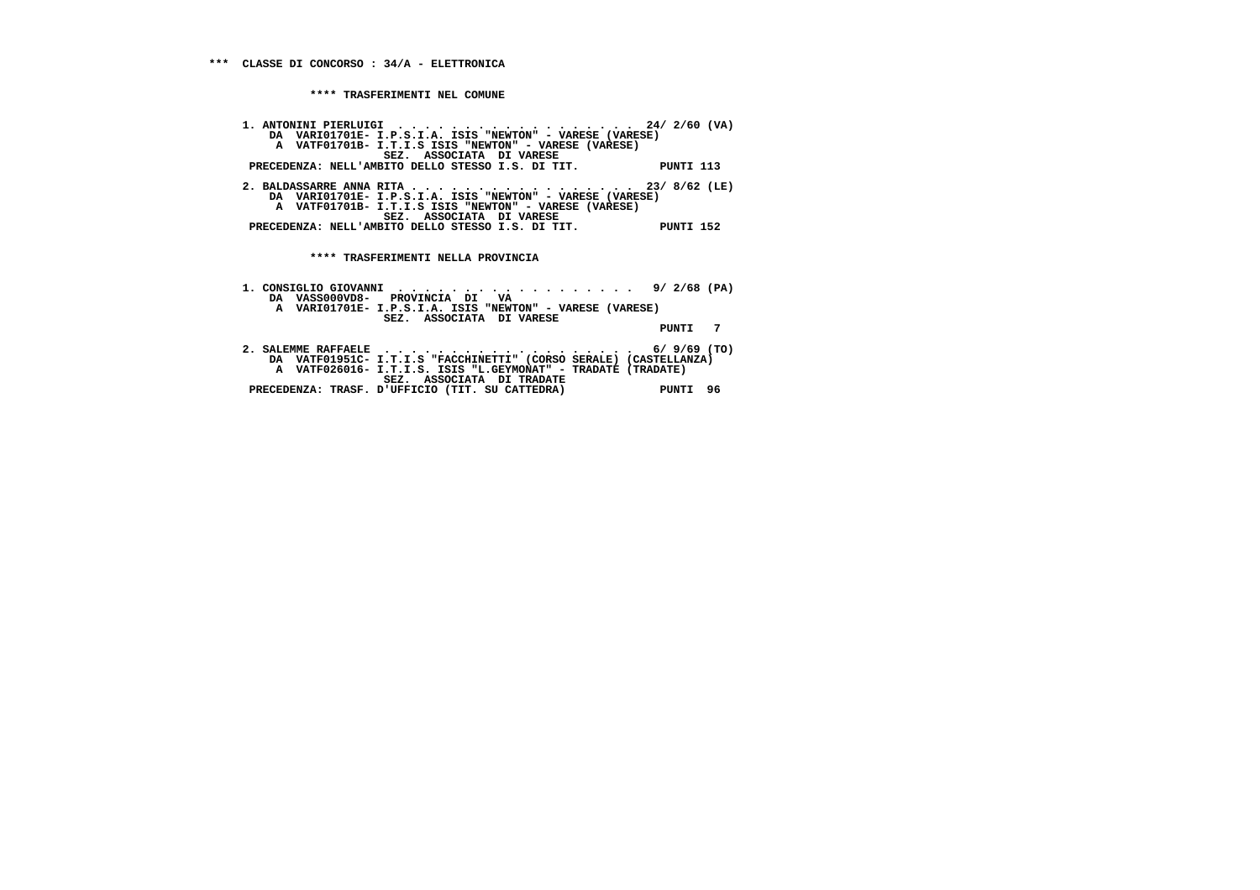**1. ANTONINI PIERLUIGI . . . . . . . . . . . . . . . . . . 24/ 2/60 (VA) DA VARI01701E- I.P.S.I.A. ISIS "NEWTON" - VARESE (VARESE) A VATF01701B- I.T.I.S ISIS "NEWTON" - VARESE (VARESE) SEZ. ASSOCIATA DI VARESE PRECEDENZA: NELL'AMBITO DELLO STESSO I.S. DI TIT. PUNTI 113 2. BALDASSARRE ANNA RITA . . . . . . . . . . . . . . . . . 23/ 8/62 (LE) DA VARI01701E- I.P.S.I.A. ISIS "NEWTON" - VARESE (VARESE) A VATF01701B- I.T.I.S ISIS "NEWTON" - VARESE (VARESE) SEZ. ASSOCIATA DI VARESE PRECEDENZA: NELL'AMBITO DELLO STESSO I.S. DI TIT. PUNTI 152 \*\*\*\* TRASFERIMENTI NELLA PROVINCIA 1. CONSIGLIO GIOVANNI . . . . . . . . . . . . . . . . . . 9/ 2/68 (PA)**

| 1. CUNSIGLIU GIUVANNI   9/ 2/00 (PA)                              |             |
|-------------------------------------------------------------------|-------------|
| DA VASS000VD8- PROVINCIA DI VA                                    |             |
| A VARIO1701E- I.P.S.I.A. ISIS "NEWTON" - VARESE (VARESE)          |             |
| SEZ. ASSOCIATA DI VARESE                                          |             |
|                                                                   | PUNTI 7     |
|                                                                   |             |
|                                                                   |             |
| DA VATF01951C- I.T.I.S "FACCHINETTI" (CORSO SERALE) (CASTELLANZA) |             |
| A VATF026016- I.T.I.S. ISIS "L.GEYMONAT" - TRADATE (TRADATE)      |             |
| SEZ. ASSOCIATA DI TRADATE                                         |             |
| PRECEDENZA: TRASF. D'UFFICIO (TIT. SU CATTEDRA)                   | 96<br>PUNTI |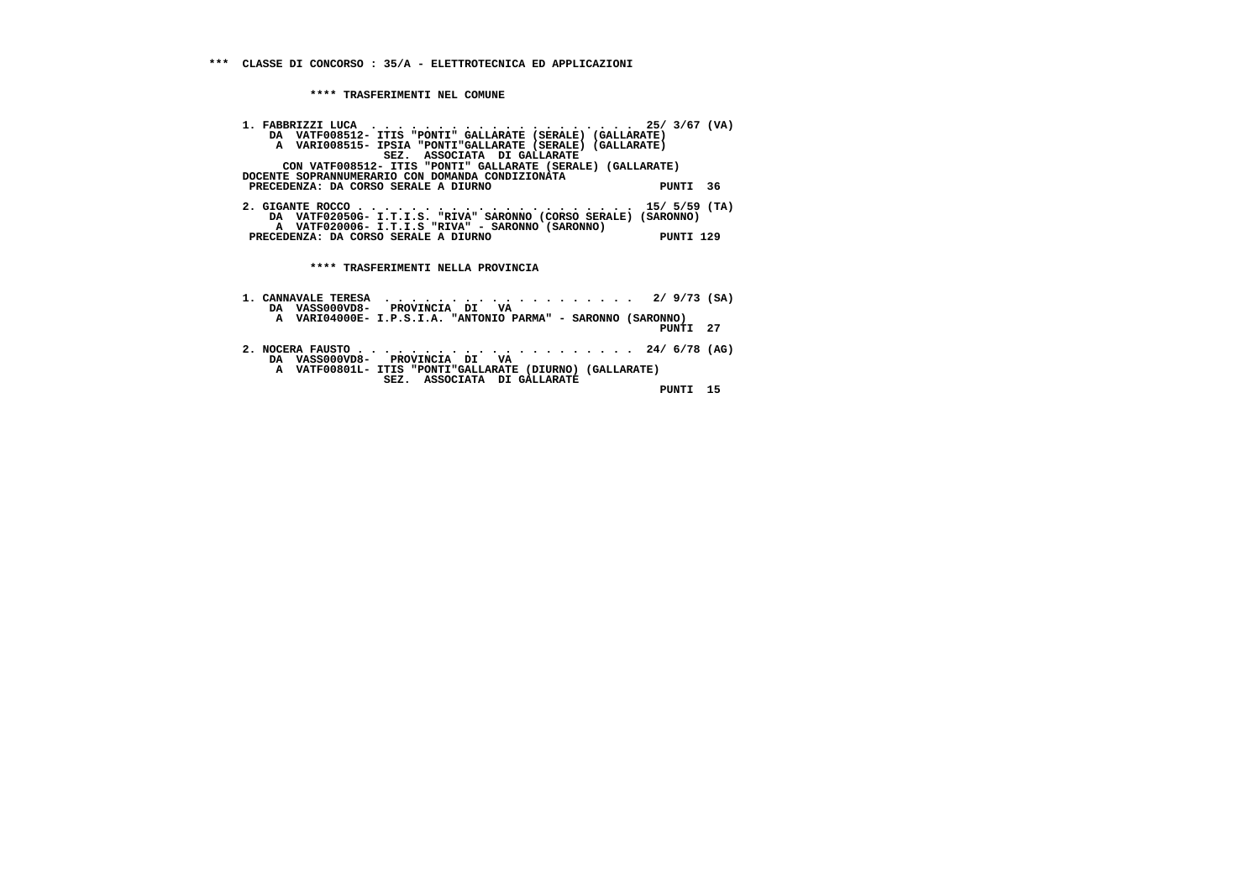| 1. FABBRIZZI LUCA  25/3/67 (VA)                                 |               |  |
|-----------------------------------------------------------------|---------------|--|
| DA VATF008512- ITIS "PONTI" GALLARATE (SERALE) (GALLARATE)      |               |  |
| A VARI008515- IPSIA "PONTI"GALLARATE (SERALE) (GALLARATE)       |               |  |
| SEZ. ASSOCIATA DI GALLARATE                                     |               |  |
| CON VATF008512- ITIS "PONTI" GALLARATE (SERALE) (GALLARATE)     |               |  |
| DOCENTE SOPRANNUMERARIO CON DOMANDA CONDIZIONATA                |               |  |
| PRECEDENZA: DA CORSO SERALE A DIURNO                            | PUNTI<br>36   |  |
|                                                                 |               |  |
|                                                                 |               |  |
| DA VATF02050G- I.T.I.S. "RIVA" SARONNO (CORSO SERALE) (SARONNO) |               |  |
| A VATF020006- I.T.I.S "RIVA" - SARONNO (SARONNO)                |               |  |
| PRECEDENZA: DA CORSO SERALE A DIURNO                            | PUNTI 129     |  |
|                                                                 |               |  |
|                                                                 |               |  |
| **** TRASFERIMENTI NELLA PROVINCIA                              |               |  |
|                                                                 |               |  |
| 1. CANNAVALE TERESA $\ldots \ldots \ldots \ldots \ldots \ldots$ | $2/9/73$ (SA) |  |
|                                                                 |               |  |

| DA VASS000VD8- PROVINCIA DI VA<br>A VARI04000E- I.P.S.I.A. "ANTONIO PARMA" - SARONNO (SARONNO)                            |  |
|---------------------------------------------------------------------------------------------------------------------------|--|
| PUNTI 27                                                                                                                  |  |
| DA VASS000VD8- PROVINCIA DI VA<br>A VATF00801L- ITIS "PONTI"GALLARATE (DIURNO) (GALLARATE)<br>SEZ. ASSOCIATA DI GALLARATE |  |
| PINTT<br>- 15                                                                                                             |  |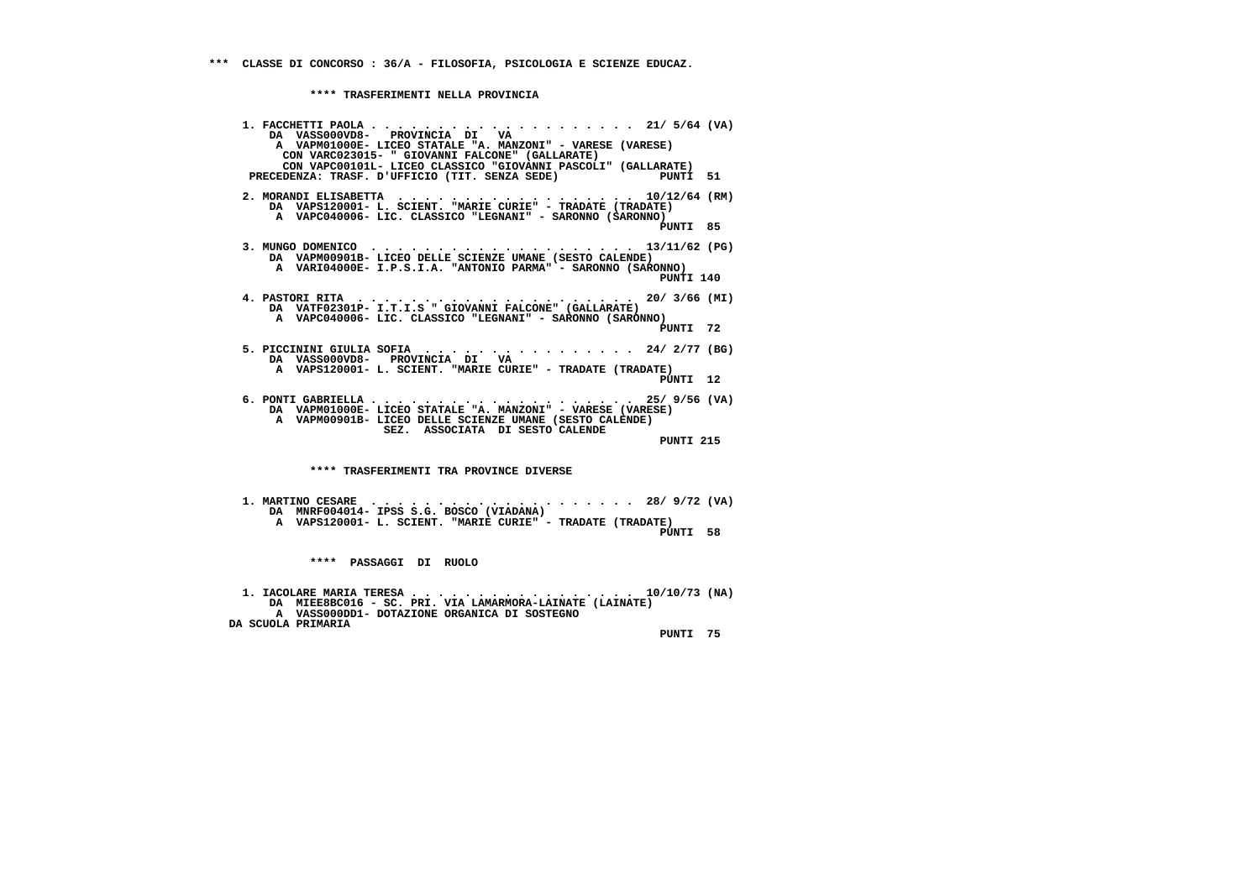**1. FACCHETTI PAOLA . . . . . . . . . . . . . . . . . . . . 21/ 5/64 (VA) DA VASS000VD8- PROVINCIA DI VA A VAPM01000E- LICEO STATALE "A. MANZONI" - VARESE (VARESE) CON VARC023015- " GIOVANNI FALCONE" (GALLARATE) CON VAPC00101L- LICEO CLASSICO "GIOVANNI PASCOLI" (GALLARATE)**-------------<br>PIINTT 51 **PRECEDENZA: TRASF. D'UFFICIO (TIT. SENZA SEDE) 2. MORANDI ELISABETTA . . . . . . . . . . . . . . . . . . 10/12/64 (RM) DA VAPS120001- L. SCIENT. "MARIE CURIE" - TRADATE (TRADATE) A VAPC040006- LIC. CLASSICO "LEGNANI" - SARONNO (SARONNO)**PINTT 85  **PUNTI 85 3. MUNGO DOMENICO . . . . . . . . . . . . . . . . . . . . 13/11/62 (PG) DA VAPM00901B- LICEO DELLE SCIENZE UMANE (SESTO CALENDE) A VARI04000E- I.P.S.I.A. "ANTONIO PARMA" - SARONNO (SARONNO)PINTT 140 PUNTI 140 4. PASTORI RITA . . . . . . . . . . . . . . . . . . . . . 20/ 3/66 (MI) DA VATF02301P- I.T.I.S " GIOVANNI FALCONE" (GALLARATE) A VAPC040006- LIC. CLASSICO "LEGNANI" - SARONNO (SARONNO) PUNTI 72 5. PICCININI GIULIA SOFIA . . . . . . . . . . . . . . . . 24/ 2/77 (BG) DA VASS000VD8- PROVINCIA DI VA A VAPS120001- L. SCIENT. "MARIE CURIE" - TRADATE (TRADATE) PUNTI 12 6. PONTI GABRIELLA . . . . . . . . . . . . . . . . . . . . 25/ 9/56 (VA) DA VAPM01000E- LICEO STATALE "A. MANZONI" - VARESE (VARESE) A VAPM00901B- LICEO DELLE SCIENZE UMANE (SESTO CALENDE) SEZ. ASSOCIATA DI SESTO CALENDE PUNTI 215 \*\*\*\* TRASFERIMENTI TRA PROVINCE DIVERSE 1. MARTINO CESARE . . . . . . . . . . . . . . . . . . . . 28/ 9/72 (VA) DA MNRF004014- IPSS S.G. BOSCO (VIADANA) A VAPS120001- L. SCIENT. "MARIE CURIE" - TRADATE (TRADATE) PUNTI 58 \*\*\*\* PASSAGGI DI RUOLO 1. IACOLARE MARIA TERESA . . . . . . . . . . . . . . . . . 10/10/73 (NA) DA MIEE8BC016 - SC. PRI. VIA LAMARMORA-LAINATE (LAINATE)**

 **A VASS000DD1- DOTAZIONE ORGANICA DI SOSTEGNO DA SCUOLA PRIMARIA**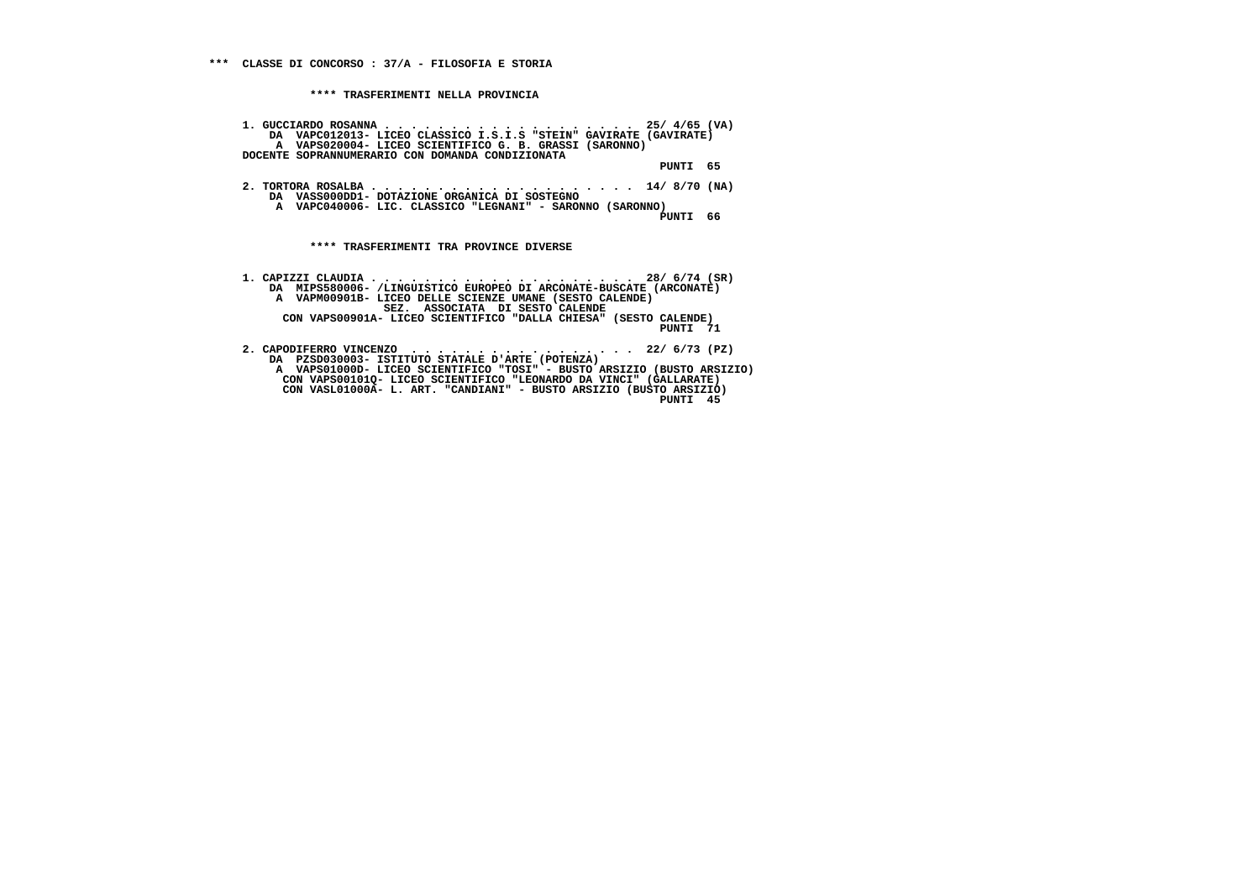**1. GUCCIARDO ROSANNA . . . . . . . . . . . . . . . . . . . 25/ 4/65 (VA) DA VAPC012013- LICEO CLASSICO I.S.I.S "STEIN" GAVIRATE (GAVIRATE) A VAPS020004- LICEO SCIENTIFICO G. B. GRASSI (SARONNO) DOCENTE SOPRANNUMERARIO CON DOMANDA CONDIZIONATA PUNTI 65 2. TORTORA ROSALBA . . . . . . . . . . . . . . . . . . . . 14/ 8/70 (NA) DA VASS000DD1- DOTAZIONE ORGANICA DI SOSTEGNO A VAPC040006- LIC. CLASSICO "LEGNANI" - SARONNO (SARONNO) PUNTI 66 \*\*\*\* TRASFERIMENTI TRA PROVINCE DIVERSE 1. CAPIZZI CLAUDIA . . . . . . . . . . . . . . . . . . . . 28/ 6/74 (SR) DA MIPS580006- /LINGUISTICO EUROPEO DI ARCONATE-BUSCATE (ARCONATE) A VAPM00901B- LICEO DELLE SCIENZE UMANE (SESTO CALENDE) SEZ. ASSOCIATA DI SESTO CALENDE CON VAPS00901A- LICEO SCIENTIFICO "DALLA CHIESA" (SESTO CALENDE)**

- **2. CAPODIFERRO VINCENZO . . . . . . . . . . . . . . . . . 22/ 6/73 (PZ) DA PZSD030003- ISTITUTO STATALE D'ARTE (POTENZA) A VAPS01000D- LICEO SCIENTIFICO "TOSI" - BUSTO ARSIZIO (BUSTO ARSIZIO) CON VAPS00101Q- LICEO SCIENTIFICO "LEONARDO DA VINCI" (GALLARATE) CON VASL01000A- L. ART. "CANDIANI" - BUSTO ARSIZIO (BUSTO ARSIZIO)**
- **PUNTI 45**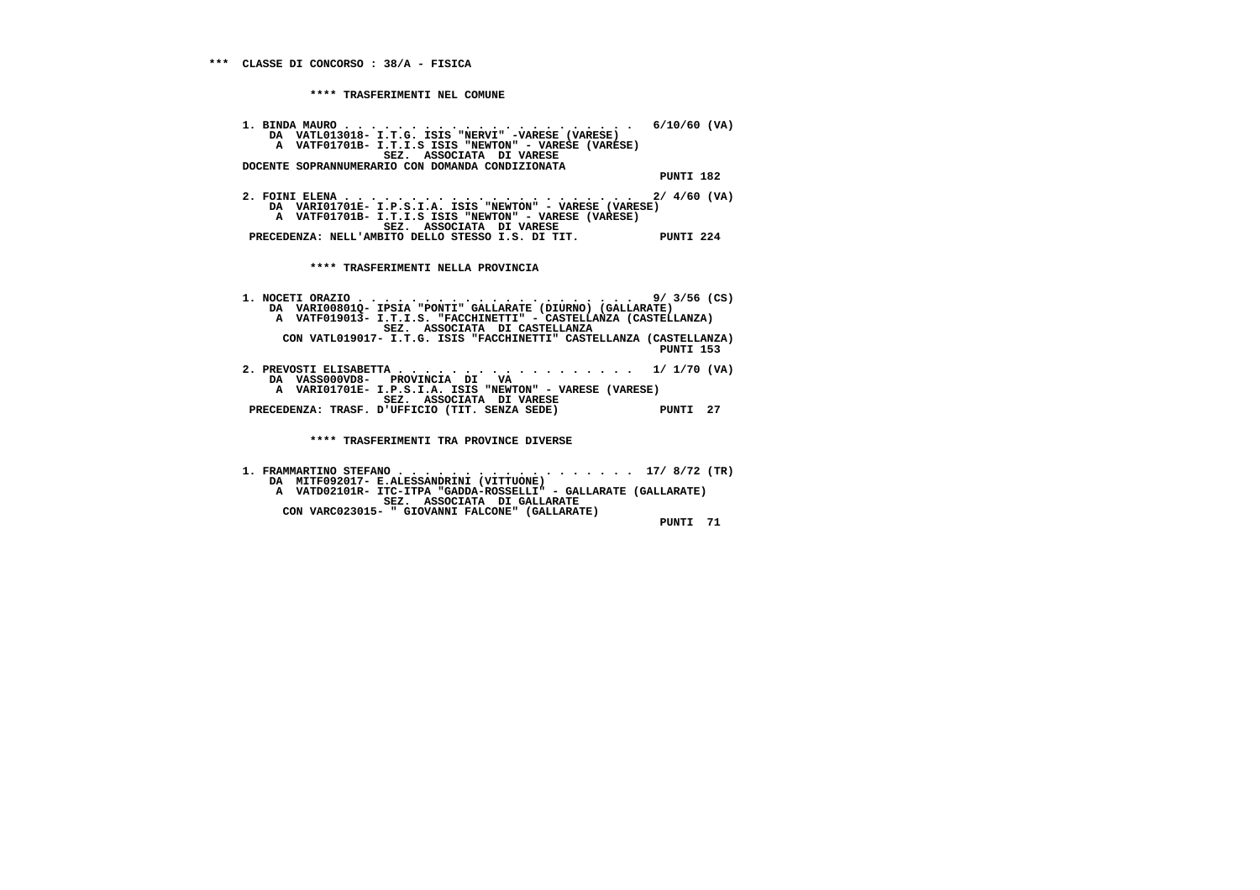**1. BINDA MAURO . . . . . . . . . . . . . . . . . . . . . . 6/10/60 (VA) DA VATL013018- I.T.G. ISIS "NERVI" -VARESE (VARESE) A VATF01701B- I.T.I.S ISIS "NEWTON" - VARESE (VARESE) SEZ. ASSOCIATA DI VARESE DOCENTE SOPRANNUMERARIO CON DOMANDA CONDIZIONATA PUNTI 182 2. FOINI ELENA . . . . . . . . . . . . . . . . . . . . . . 2/ 4/60 (VA) DA VARI01701E- I.P.S.I.A. ISIS "NEWTON" - VARESE (VARESE) A VATF01701B- I.T.I.S ISIS "NEWTON" - VARESE (VARESE) SEZ. ASSOCIATA DI VARESE**

 **\*\*\*\* TRASFERIMENTI NELLA PROVINCIA**

 **PRECEDENZA: NELL'AMBITO DELLO STESSO I.S. DI TIT. PUNTI 224**

 **1. NOCETI ORAZIO . . . . . . . . . . . . . . . . . . . . . 9/ 3/56 (CS) DA VARI00801Q- IPSIA "PONTI" GALLARATE (DIURNO) (GALLARATE) A VATF019013- I.T.I.S. "FACCHINETTI" - CASTELLANZA (CASTELLANZA) SEZ. ASSOCIATA DI CASTELLANZA CON VATL019017- I.T.G. ISIS "FACCHINETTI" CASTELLANZA (CASTELLANZA) PUNTI 153**

 **2. PREVOSTI ELISABETTA . . . . . . . . . . . . . . . . . . 1/ 1/70 (VA) DA VASS000VD8- PROVINCIA DI VA A VARI01701E- I.P.S.I.A. ISIS "NEWTON" - VARESE (VARESE) SEZ. ASSOCIATA DI VARESE PRECEDENZA: TRASF. D'UFFICIO (TIT. SENZA SEDE) PUNTI 27**

 **\*\*\*\* TRASFERIMENTI TRA PROVINCE DIVERSE**

 **1. FRAMMARTINO STEFANO . . . . . . . . . . . . . . . . . . 17/ 8/72 (TR) DA MITF092017- E.ALESSANDRINI (VITTUONE) A VATD02101R- ITC-ITPA "GADDA-ROSSELLI" - GALLARATE (GALLARATE) SEZ. ASSOCIATA DI GALLARATE CON VARC023015- " GIOVANNI FALCONE" (GALLARATE) PUNTI 71**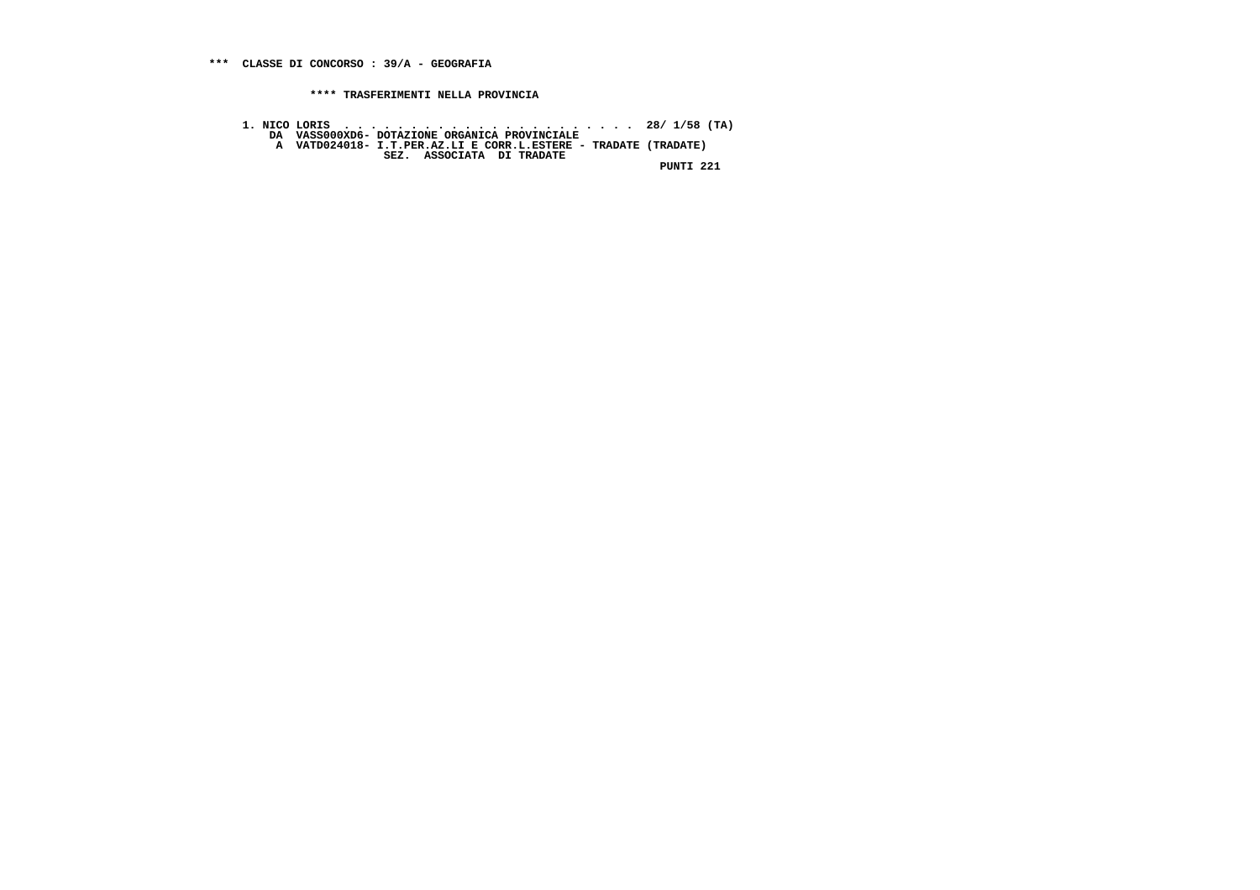- 
- **1. NICO LORIS . . . . . . . . . . . . . . . . . . . . . . 28/ 1/58 (TA) DA VASS000XD6- DOTAZIONE ORGANICA PROVINCIALE**
	-
- **A VATD024018- I.T.PER.AZ.LI E CORR.L.ESTERE TRADATE (TRADATE) SEZ. ASSOCIATA DI TRADATE**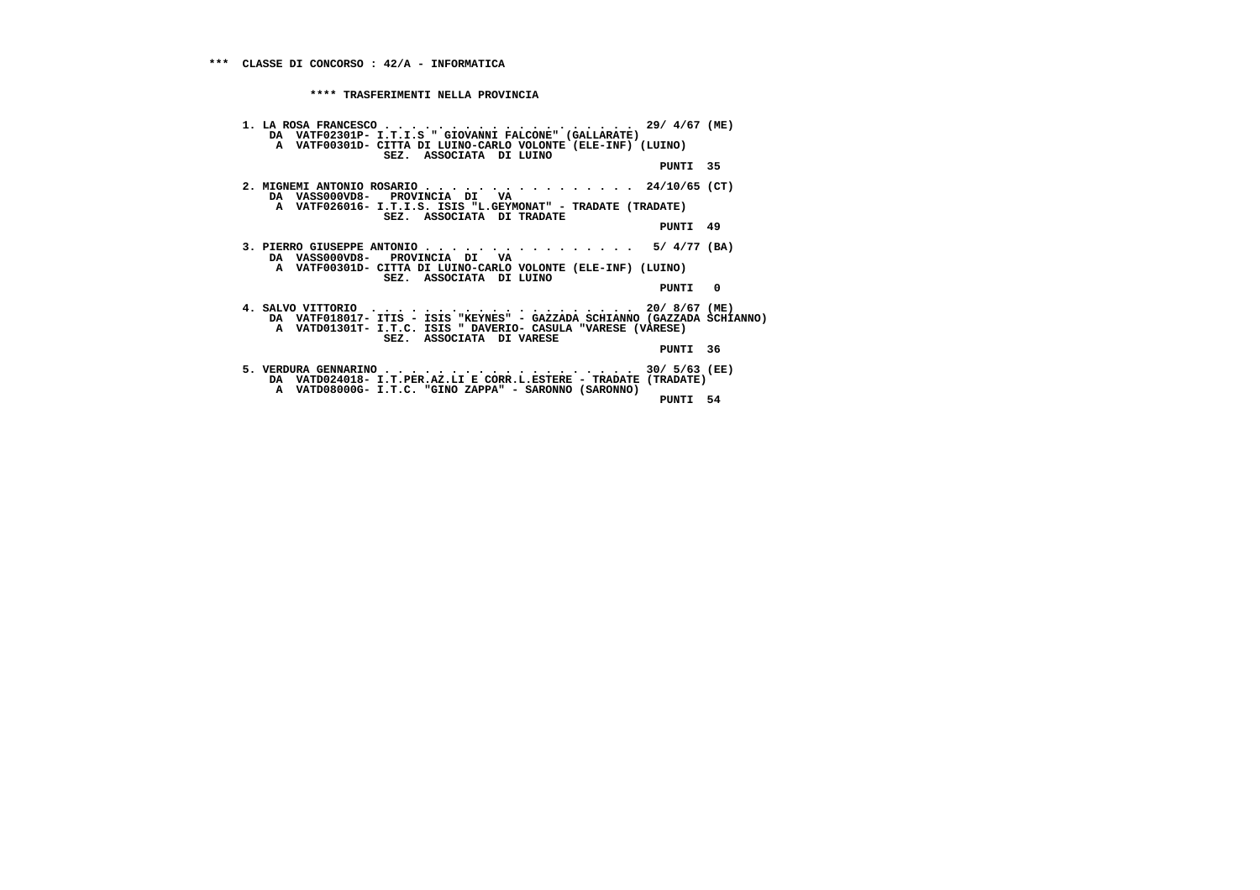| 1. LA ROSA FRANCESCO 29/ 4/67 (ME)<br>DA VATF02301P- I.T.I.S " GIOVANNI FALCONE" (GALLARATE)<br>A VATF00301D- CITTA DI LUINO-CARLO VOLONTE (ELE-INF) (LUINO) |          |  |
|--------------------------------------------------------------------------------------------------------------------------------------------------------------|----------|--|
| SEZ. ASSOCIATA DI LUINO                                                                                                                                      | PUNTI 35 |  |
| 2. MIGNEMI ANTONIO ROSARIO 24/10/65 (CT)<br>DA VASS000VD8- PROVINCIA DI VA                                                                                   |          |  |
| A VATF026016- I.T.I.S. ISIS "L.GEYMONAT" - TRADATE (TRADATE)<br>SEZ. ASSOCIATA DI TRADATE                                                                    | PUNTI 49 |  |
| 3. PIERRO GIUSEPPE ANTONIO 5/ $4/77$ (BA)<br>DA VASS000VD8- PROVINCIA DI VA                                                                                  |          |  |
| A VATF00301D- CITTA DI LUINO-CARLO VOLONTE (ELE-INF) (LUINO)<br>SEZ. ASSOCIATA DI LUINO                                                                      |          |  |
|                                                                                                                                                              | PUNTI 0  |  |
| DA VATF018017- ITIS - ISIS "KEYNES" - GAZZADA SCHIANNO (GAZZADA SCHIANNO)<br>A VATD01301T- I.T.C. ISIS " DAVERIO- CASULA "VARESE (VARESE)                    |          |  |
| SEZ. ASSOCIATA DI VARESE                                                                                                                                     | PUNTI 36 |  |
| 5. VERDURA GENNARINO 30/ 5/63 (EE)<br>DA VATD024018- I.T.PER.AZ.LI E CORR.L.ESTERE - TRADATE (TRADATE)                                                       |          |  |
| A VATD08000G- I.T.C. "GINO ZAPPA" - SARONNO (SARONNO)                                                                                                        | PUNTI 54 |  |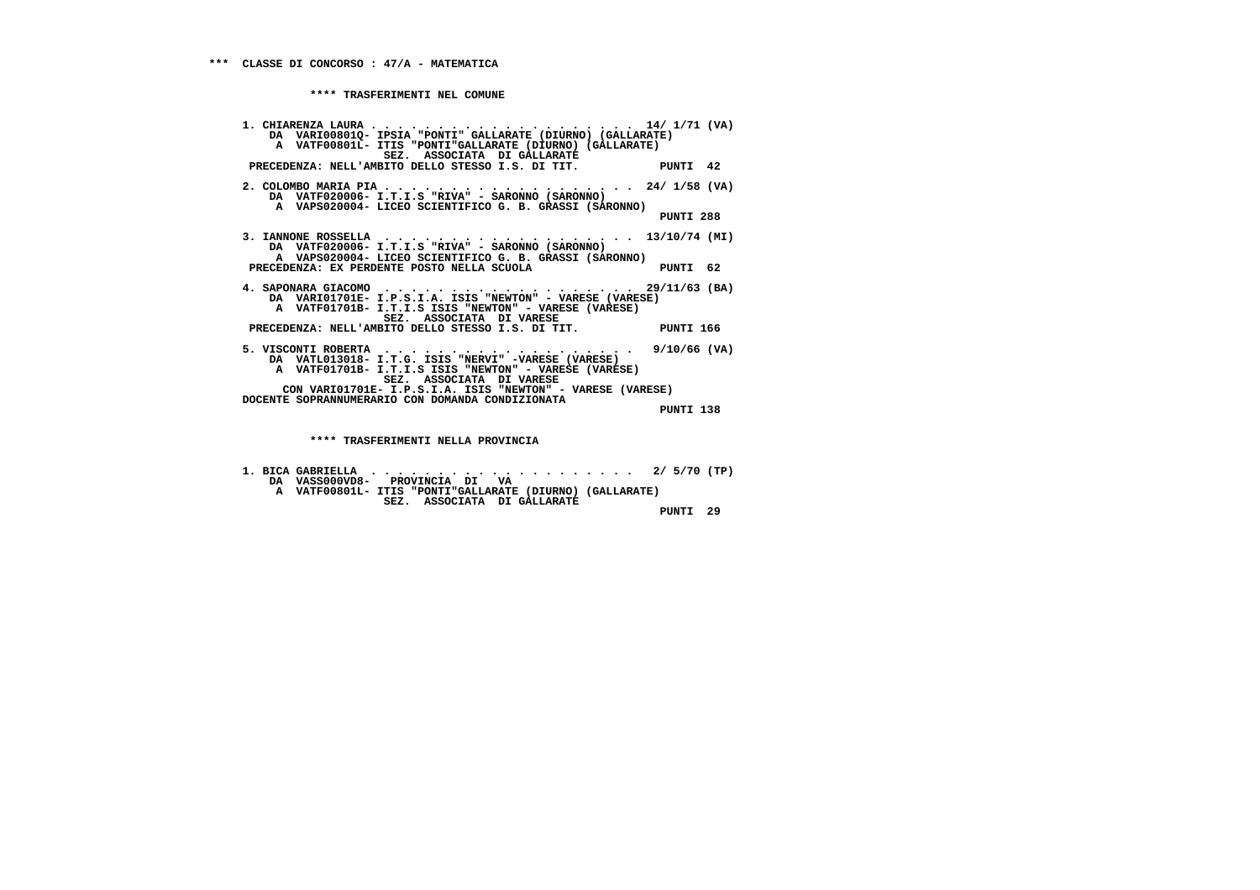**1. CHIARENZA LAURA . . . . . . . . . . . . . . . . . . . . 14/ 1/71 (VA) DA VARI00801Q- IPSIA "PONTI" GALLARATE (DIURNO) (GALLARATE) A VATF00801L- ITIS "PONTI"GALLARATE (DIURNO) (GALLARATE) SEZ. ASSOCIATA DI GALLARATE PRECEDENZA: NELL'AMBITO DELLO STESSO I.S. DI TIT. PUNTI 42 2. COLOMBO MARIA PIA . . . . . . . . . . . . . . . . . . . 24/ 1/58 (VA) DA VATF020006- I.T.I.S "RIVA" - SARONNO (SARONNO) A VAPS020004- LICEO SCIENTIFICO G. B. GRASSI (SARONNO) PUNTI 288 3. IANNONE ROSSELLA . . . . . . . . . . . . . . . . . . . 13/10/74 (MI) DA VATF020006- I.T.I.S "RIVA" - SARONNO (SARONNO) A VAPS020004- LICEO SCIENTIFICO G. B. GRASSI (SARONNO) PRECEDENZA: EX PERDENTE POSTO NELLA SCUOLA PUNTI 62 4. SAPONARA GIACOMO . . . . . . . . . . . . . . . . . . . 29/11/63 (BA) DA VARI01701E- I.P.S.I.A. ISIS "NEWTON" - VARESE (VARESE) A VATF01701B- I.T.I.S ISIS "NEWTON" - VARESE (VARESE) SEZ. ASSOCIATA DI VARESE PRECEDENZA: NELL'AMBITO DELLO STESSO I.S. DI TIT. PUNTI 166 5. VISCONTI ROBERTA . . . . . . . . . . . . . . . . . . . 9/10/66 (VA) DA VATL013018- I.T.G. ISIS "NERVI" -VARESE (VARESE) A VATF01701B- I.T.I.S ISIS "NEWTON" - VARESE (VARESE) SEZ. ASSOCIATA DI VARESE CON VARI01701E- I.P.S.I.A. ISIS "NEWTON" - VARESE (VARESE) DOCENTE SOPRANNUMERARIO CON DOMANDA CONDIZIONATA PUNTI 138 \*\*\*\* TRASFERIMENTI NELLA PROVINCIA**

 **1. BICA GABRIELLA . . . . . . . . . . . . . . . . . . . . 2/ 5/70 (TP) DA VASS000VD8- PROVINCIA DI VA A VATF00801L- ITIS "PONTI"GALLARATE (DIURNO) (GALLARATE) SEZ. ASSOCIATA DI GALLARATE PUNTI 29**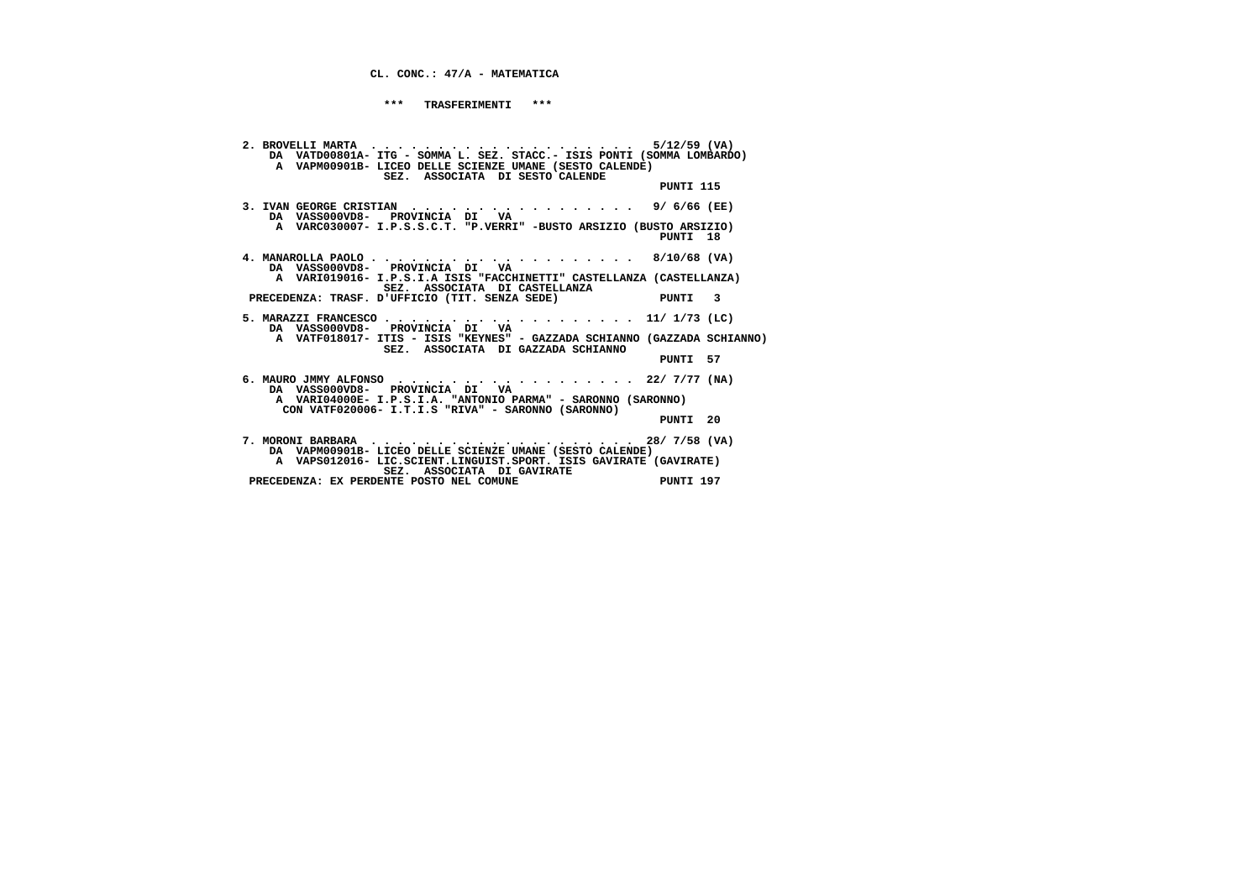**CL. CONC.: 47/A - MATEMATICA**

 **\*\*\* TRASFERIMENTI \*\*\***

 **2. BROVELLI MARTA . . . . . . . . . . . . . . . . . . . . 5/12/59 (VA) DA VATD00801A- ITG - SOMMA L. SEZ. STACC.- ISIS PONTI (SOMMA LOMBARDO) A VAPM00901B- LICEO DELLE SCIENZE UMANE (SESTO CALENDE) SEZ. ASSOCIATA DI SESTO CALENDE PUNTI 115 3. IVAN GEORGE CRISTIAN . . . . . . . . . . . . . . . . . 9/ 6/66 (EE) DA VASS000VD8- PROVINCIA DI VA A VARC030007- I.P.S.S.C.T. "P.VERRI" -BUSTO ARSIZIO (BUSTO ARSIZIO) PUNTI 18 4. MANAROLLA PAOLO . . . . . . . . . . . . . . . . . . . . 8/10/68 (VA) DA VASS000VD8- PROVINCIA DI VA A VARI019016- I.P.S.I.A ISIS "FACCHINETTI" CASTELLANZA (CASTELLANZA) SEZ. ASSOCIATA DI CASTELLANZA PRECEDENZA: TRASF. D'UFFICIO (TIT. SENZA SEDE) PUNTI 3 5. MARAZZI FRANCESCO . . . . . . . . . . . . . . . . . . . 11/ 1/73 (LC) DA VASS000VD8- PROVINCIA DI VA A VATF018017- ITIS - ISIS "KEYNES" - GAZZADA SCHIANNO (GAZZADA SCHIANNO) SEZ. ASSOCIATA DI GAZZADA SCHIANNO PUNTI 57 6. MAURO JMMY ALFONSO . . . . . . . . . . . . . . . . . . 22/ 7/77 (NA) DA VASS000VD8- PROVINCIA DI VA A VARI04000E- I.P.S.I.A. "ANTONIO PARMA" - SARONNO (SARONNO) CON VATF020006- I.T.I.S "RIVA" - SARONNO (SARONNO) PUNTI 20 7. MORONI BARBARA . . . . . . . . . . . . . . . . . . . . 28/ 7/58 (VA) DA VAPM00901B- LICEO DELLE SCIENZE UMANE (SESTO CALENDE) A VAPS012016- LIC.SCIENT.LINGUIST.SPORT. ISIS GAVIRATE (GAVIRATE) SEZ. ASSOCIATA DI GAVIRATE PRECEDENZA: EX PERDENTE POSTO NEL COMUNE PUNTI 197**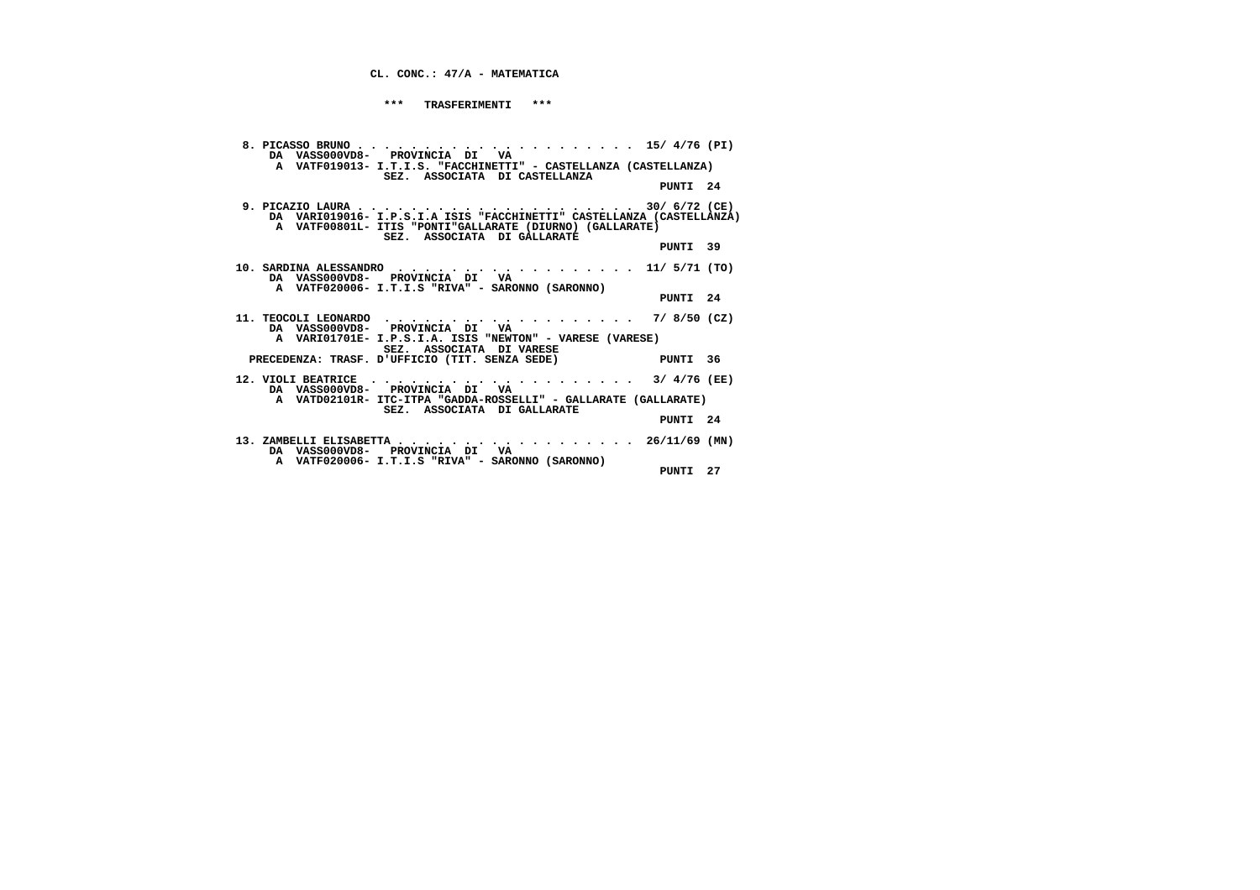## **CL. CONC.: 47/A - MATEMATICA**

 **\*\*\* TRASFERIMENTI \*\*\***

| DA VASS000VD8- PROVINCIA DI VA<br>A VATF019013- I.T.I.S. "FACCHINETTI" - CASTELLANZA (CASTELLANZA)<br>SEZ. ASSOCIATA DI CASTELLANZA       |  |
|-------------------------------------------------------------------------------------------------------------------------------------------|--|
| PUNTI 24                                                                                                                                  |  |
| A VATF00801L- ITIS "PONTI"GALLARATE (DIURNO) (GALLARATE)<br>SEZ. ASSOCIATA DI GALLARATE                                                   |  |
| PUNTI 39                                                                                                                                  |  |
| 10. SARDINA ALESSANDRO 11/ 5/71 (TO)<br>DA VASS000VD8- PROVINCIA DI VA<br>A VATF020006- I.T.I.S "RIVA" - SARONNO (SARONNO)                |  |
| PUNTI 24                                                                                                                                  |  |
| 11. TEOCOLI LEONARDO 7/ 8/50 (CZ)<br>DA VASS000VD8- PROVINCIA DI VA<br>A VARIO1701E- I.P.S.I.A. ISIS "NEWTON" - VARESE (VARESE)           |  |
| SEZ. ASSOCIATA DI VARESE                                                                                                                  |  |
| PRECEDENZA: TRASF. D'UFFICIO (TIT. SENZA SEDE) PUNTI 36                                                                                   |  |
| 12. VIOLI BEATRICE $\ldots \ldots \ldots \ldots \ldots \ldots \ldots \ldots \ldots \qquad$ 3/ 4/76 (EE)<br>DA VASS000VD8- PROVINCIA DI VA |  |
| A VATD02101R- ITC-ITPA "GADDA-ROSSELLI" - GALLARATE (GALLARATE)<br>SEZ. ASSOCIATA DI GALLARATE                                            |  |
| PUNTI 24                                                                                                                                  |  |
| 13. ZAMBELLI ELISABETTA 26/11/69 (MN)<br>DA VASSOOOVD8- PROVINCIA DI VA                                                                   |  |
| A VATF020006- I.T.I.S "RIVA" - SARONNO (SARONNO)<br>PUNTI 27                                                                              |  |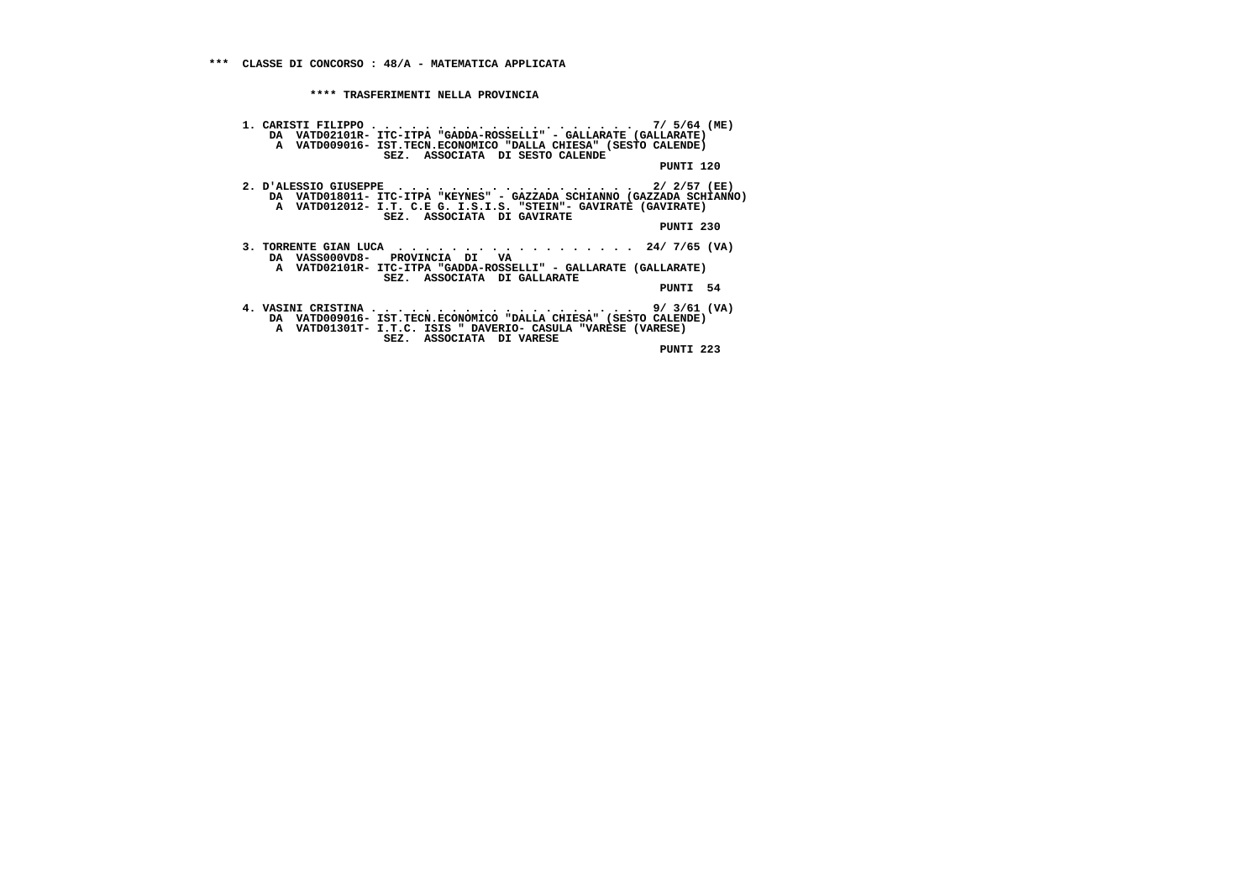**1. CARISTI FILIPPO . . . . . . . . . . . . . . . . . . . . 7/ 5/64 (ME) DA VATD02101R- ITC-ITPA "GADDA-ROSSELLI" - GALLARATE (GALLARATE) A VATD009016- IST.TECN.ECONOMICO "DALLA CHIESA" (SESTO CALENDE) SEZ. ASSOCIATA DI SESTO CALENDE PUNTI 120 2. D'ALESSIO GIUSEPPE . . . . . . . . . . . . . . . . . . 2/ 2/57 (EE) DA VATD018011- ITC-ITPA "KEYNES" - GAZZADA SCHIANNO (GAZZADA SCHIANNO) A VATD012012- I.T. C.E G. I.S.I.S. "STEIN"- GAVIRATE (GAVIRATE) SEZ. ASSOCIATA DI GAVIRATE PUNTI 230 3. TORRENTE GIAN LUCA . . . . . . . . . . . . . . . . . . 24/ 7/65 (VA) DA VASS000VD8- PROVINCIA DI VA A VATD02101R- ITC-ITPA "GADDA-ROSSELLI" - GALLARATE (GALLARATE) SEZ. ASSOCIATA DI GALLARATE PUNTI 54 4. VASINI CRISTINA . . . . . . . . . . . . . . . . . . . . 9/ 3/61 (VA) DA VATD009016- IST.TECN.ECONOMICO "DALLA CHIESA" (SESTO CALENDE) A VATD01301T- I.T.C. ISIS " DAVERIO- CASULA "VARESE (VARESE) SEZ. ASSOCIATA DI VARESE PUNTI 223**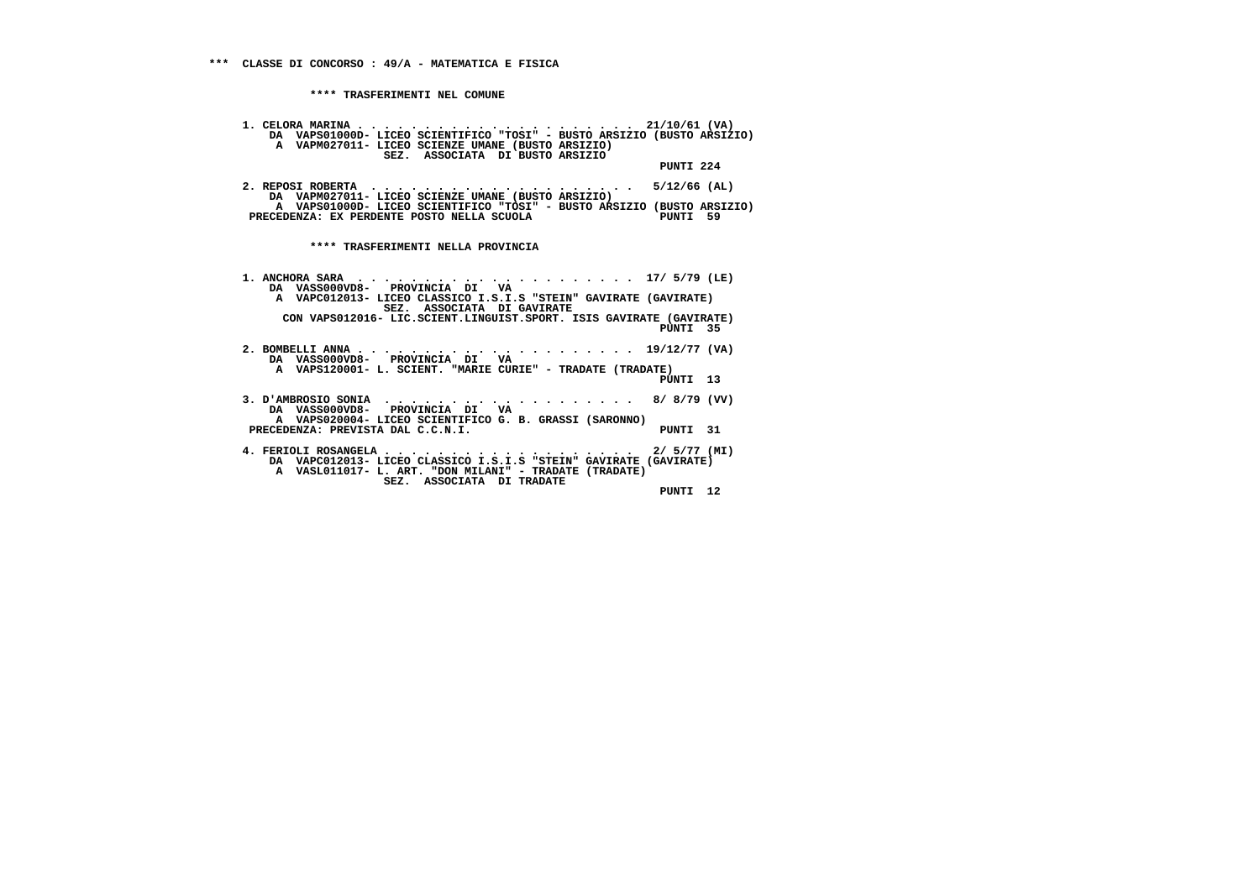**1. CELORA MARINA . . . . . . . . . . . . . . . . . . . . . 21/10/61 (VA) DA VAPS01000D- LICEO SCIENTIFICO "TOSI" - BUSTO ARSIZIO (BUSTO ARSIZIO) A VAPM027011- LICEO SCIENZE UMANE (BUSTO ARSIZIO) SEZ. ASSOCIATA DI BUSTO ARSIZIO PUNTI 224 2. REPOSI ROBERTA . . . . . . . . . . . . . . . . . . . . 5/12/66 (AL) DA VAPM027011- LICEO SCIENZE UMANE (BUSTO ARSIZIO) A VAPS01000D- LICEO SCIENTIFICO "TOSI" - BUSTO ARSIZIO (BUSTO ARSIZIO)**PRECEDENZA: EX PERDENTE POSTO NELLA SCUOLA **PUNTI 59 \*\*\*\* TRASFERIMENTI NELLA PROVINCIA 1. ANCHORA SARA . . . . . . . . . . . . . . . . . . . . . 17/ 5/79 (LE) DA VASS000VD8- PROVINCIA DI VA A VAPC012013- LICEO CLASSICO I.S.I.S "STEIN" GAVIRATE (GAVIRATE) SEZ. ASSOCIATA DI GAVIRATE CON VAPS012016- LIC.SCIENT.LINGUIST.SPORT. ISIS GAVIRATE (GAVIRATE) PUNTI 35 2. BOMBELLI ANNA . . . . . . . . . . . . . . . . . . . . . 19/12/77 (VA) DA VASS000VD8- PROVINCIA DI VA A VAPS120001- L. SCIENT. "MARIE CURIE" - TRADATE (TRADATE) PUNTI 13 3. D'AMBROSIO SONIA . . . . . . . . . . . . . . . . . . . 8/ 8/79 (VV) DA VASS000VD8- PROVINCIA DI VA A VAPS020004- LICEO SCIENTIFICO G. B. GRASSI (SARONNO)**PRECEDENZA: PREVISTA DAL C.C.N.I.<br>PRECEDENZA: PREVISTA DAL C.C.N.I.  **4. FERIOLI ROSANGELA . . . . . . . . . . . . . . . . . . . 2/ 5/77 (MI) DA VAPC012013- LICEO CLASSICO I.S.I.S "STEIN" GAVIRATE (GAVIRATE) A VASL011017- L. ART. "DON MILANI" - TRADATE (TRADATE) SEZ. ASSOCIATA DI TRADATE PUNTI 12**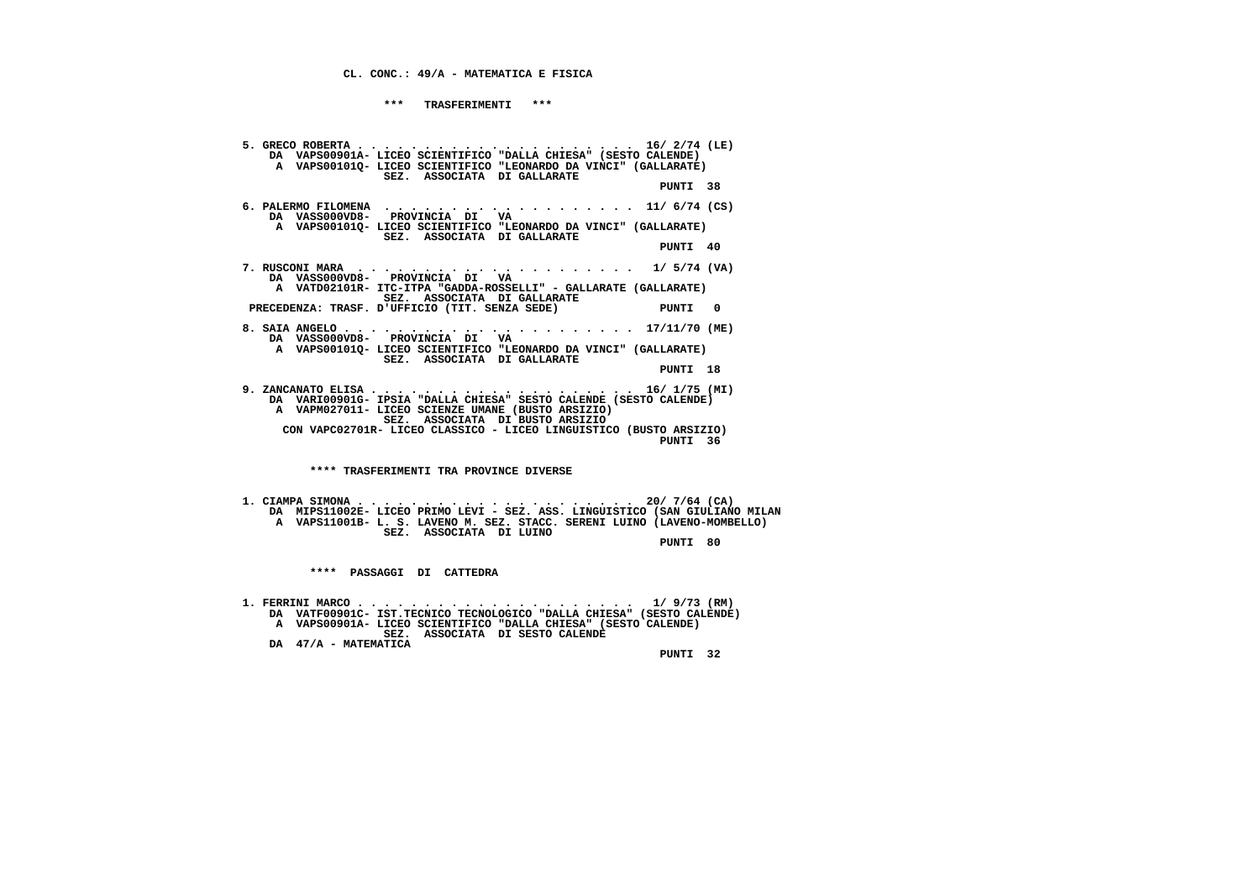**CL. CONC.: 49/A - MATEMATICA E FISICA**

 **\*\*\* TRASFERIMENTI \*\*\***

 **5. GRECO ROBERTA . . . . . . . . . . . . . . . . . . . . . 16/ 2/74 (LE) DA VAPS00901A- LICEO SCIENTIFICO "DALLA CHIESA" (SESTO CALENDE) A VAPS00101Q- LICEO SCIENTIFICO "LEONARDO DA VINCI" (GALLARATE) SEZ. ASSOCIATA DI GALLARATE PUNTI 38 6. PALERMO FILOMENA . . . . . . . . . . . . . . . . . . . 11/ 6/74 (CS) DA VASS000VD8- PROVINCIA DI VA A VAPS00101Q- LICEO SCIENTIFICO "LEONARDO DA VINCI" (GALLARATE) SEZ. ASSOCIATA DI GALLARATE PUNTI 40 7. RUSCONI MARA . . . . . . . . . . . . . . . . . . . . . 1/ 5/74 (VA) DA VASS000VD8- PROVINCIA DI VA A VATD02101R- ITC-ITPA "GADDA-ROSSELLI" - GALLARATE (GALLARATE) SEZ. ASSOCIATA DI GALLARATE PRECEDENZA: TRASF. D'UFFICIO (TIT. SENZA SEDE) PUNTI 0 8. SAIA ANGELO . . . . . . . . . . . . . . . . . . . . . . 17/11/70 (ME) DA VASS000VD8- PROVINCIA DI VA A VAPS00101Q- LICEO SCIENTIFICO "LEONARDO DA VINCI" (GALLARATE) SEZ. ASSOCIATA DI GALLARATE PUNTI 18 9. ZANCANATO ELISA . . . . . . . . . . . . . . . . . . . . 16/ 1/75 (MI) DA VARI00901G- IPSIA "DALLA CHIESA" SESTO CALENDE (SESTO CALENDE) A VAPM027011- LICEO SCIENZE UMANE (BUSTO ARSIZIO) SEZ. ASSOCIATA DI BUSTO ARSIZIO CON VAPC02701R- LICEO CLASSICO - LICEO LINGUISTICO (BUSTO ARSIZIO)** $PINTIT 36$  **PUNTI 36 \*\*\*\* TRASFERIMENTI TRA PROVINCE DIVERSE 1. CIAMPA SIMONA . . . . . . . . . . . . . . . . . . . . . 20/ 7/64 (CA) DA MIPS11002E- LICEO PRIMO LEVI - SEZ. ASS. LINGUISTICO (SAN GIULIANO MILAN A VAPS11001B- L. S. LAVENO M. SEZ. STACC. SERENI LUINO (LAVENO-MOMBELLO) SEZ. ASSOCIATA DI LUINO PUNTI 80 \*\*\*\* PASSAGGI DI CATTEDRA**

 **1. FERRINI MARCO . . . . . . . . . . . . . . . . . . . . . 1/ 9/73 (RM) DA VATF00901C- IST.TECNICO TECNOLOGICO "DALLA CHIESA" (SESTO CALENDE) A VAPS00901A- LICEO SCIENTIFICO "DALLA CHIESA" (SESTO CALENDE) SEZ. ASSOCIATA DI SESTO CALENDE DA 47/A - MATEMATICA**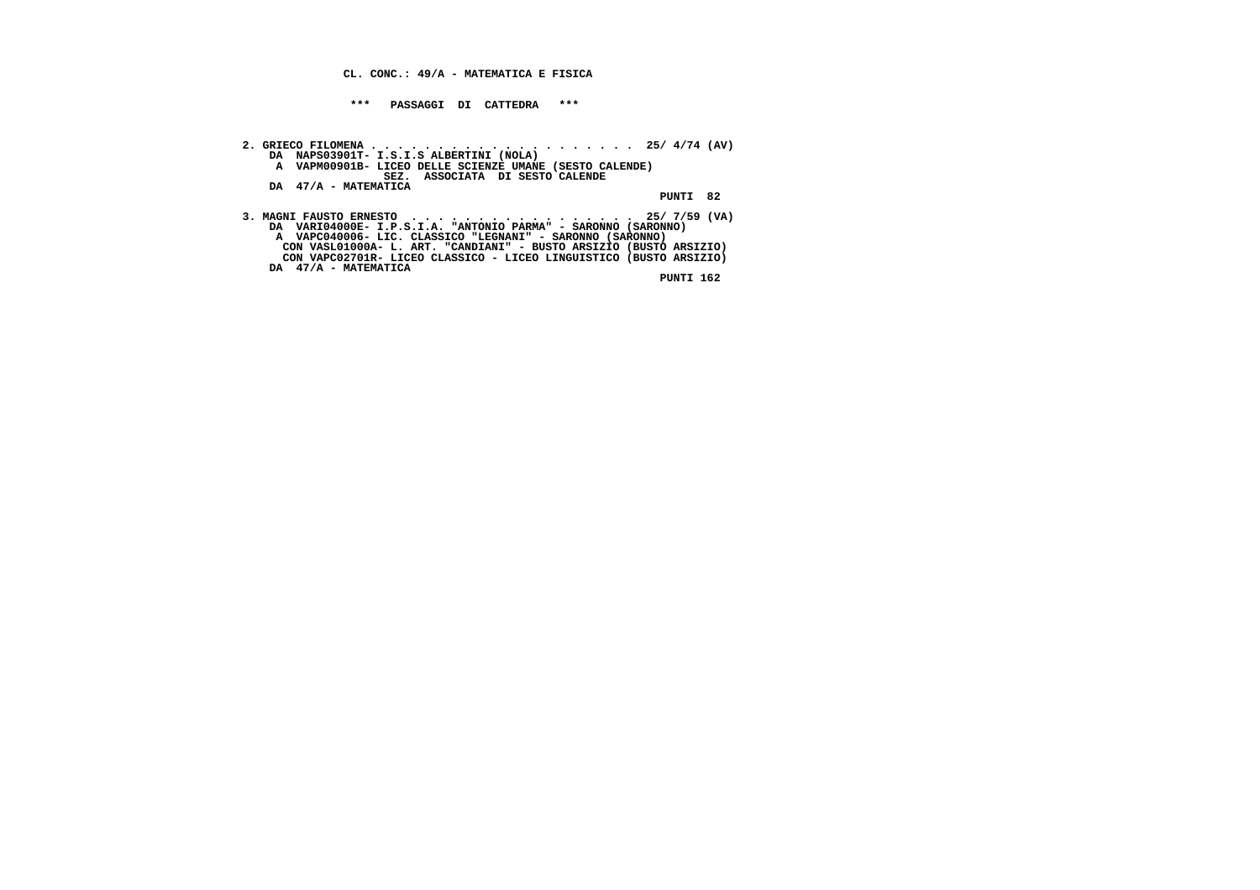**CL. CONC.: 49/A - MATEMATICA E FISICA**

 **\*\*\* PASSAGGI DI CATTEDRA \*\*\***

- **2. GRIECO FILOMENA . . . . . . . . . . . . . . . . . . . . 25/ 4/74 (AV) DA NAPS03901T- I.S.I.S ALBERTINI (NOLA) A VAPM00901B- LICEO DELLE SCIENZE UMANE (SESTO CALENDE) SEZ. ASSOCIATA DI SESTO CALENDE DA 47/A - MATEMATICA PUNTI 82**
- **3. MAGNI FAUSTO ERNESTO . . . . . . . . . . . . . . . . . 25/ 7/59 (VA) DA VARI04000E- I.P.S.I.A. "ANTONIO PARMA" SARONNO (SARONNO) A VAPC040006- LIC. CLASSICO "LEGNANI" - SARONNO (SARONNO) CON VASL01000A- L. ART. "CANDIANI" - BUSTO ARSIZIO (BUSTO ARSIZIO) CON VAPC02701R- LICEO CLASSICO - LICEO LINGUISTICO (BUSTO ARSIZIO) DA 47/A - MATEMATICA**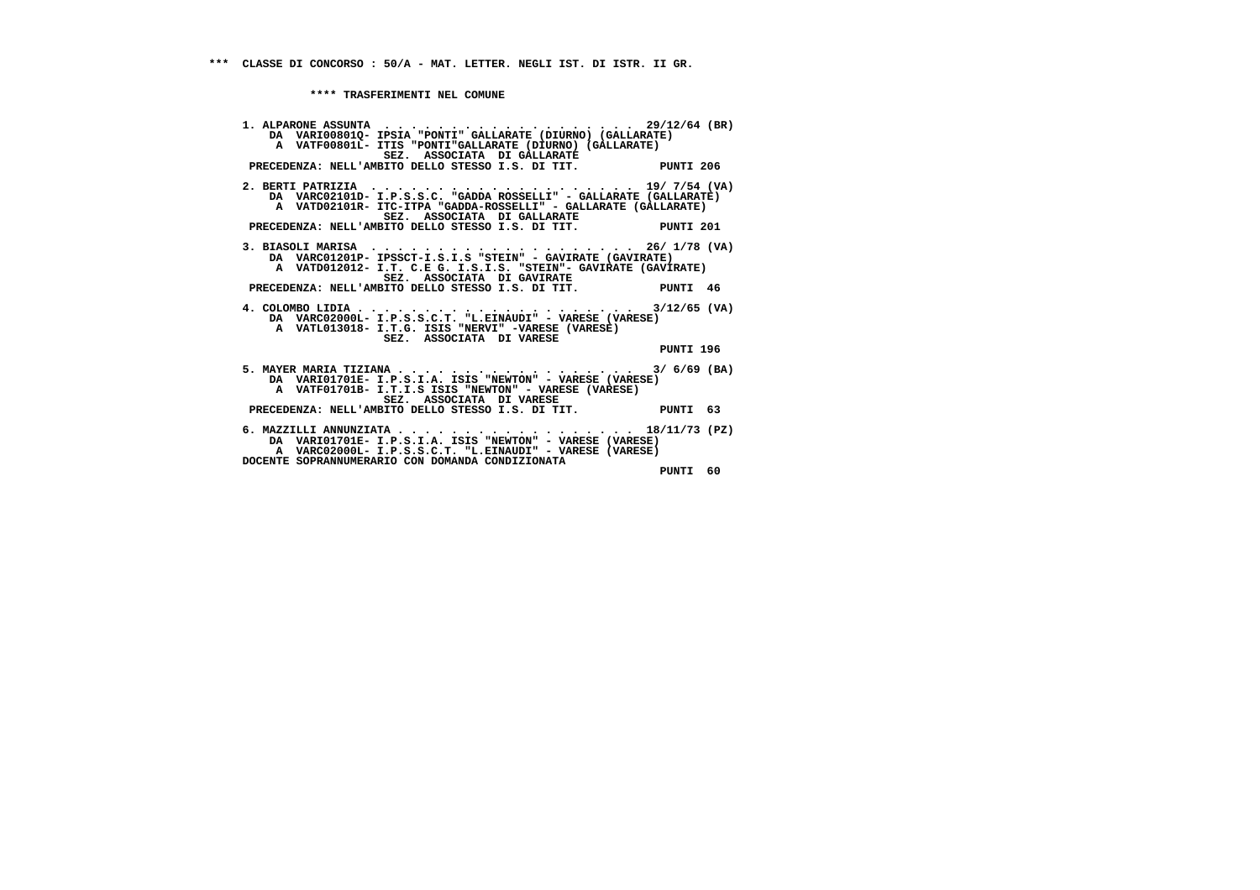**1. ALPARONE ASSUNTA . . . . . . . . . . . . . . . . . . . 29/12/64 (BR) DA VARI00801Q- IPSIA "PONTI" GALLARATE (DIURNO) (GALLARATE) A VATF00801L- ITIS "PONTI"GALLARATE (DIURNO) (GALLARATE) SEZ. ASSOCIATA DI GALLARATE PRECEDENZA: NELL'AMBITO DELLO STESSO I.S. DI TIT. PUNTI 206 2. BERTI PATRIZIA . . . . . . . . . . . . . . . . . . . . 19/ 7/54 (VA) DA VARC02101D- I.P.S.S.C. "GADDA ROSSELLI" - GALLARATE (GALLARATE) A VATD02101R- ITC-ITPA "GADDA-ROSSELLI" - GALLARATE (GALLARATE) SEZ. ASSOCIATA DI GALLARATE PRECEDENZA: NELL'AMBITO DELLO STESSO I.S. DI TIT. PUNTI 201 3. BIASOLI MARISA . . . . . . . . . . . . . . . . . . . . 26/ 1/78 (VA) DA VARC01201P- IPSSCT-I.S.I.S "STEIN" - GAVIRATE (GAVIRATE) A VATD012012- I.T. C.E G. I.S.I.S. "STEIN"- GAVIRATE (GAVIRATE) SEZ. ASSOCIATA DI GAVIRATE PRECEDENZA: NELL'AMBITO DELLO STESSO I.S. DI TIT. PUNTI 46 4. COLOMBO LIDIA . . . . . . . . . . . . . . . . . . . . . 3/12/65 (VA) DA VARC02000L- I.P.S.S.C.T. "L.EINAUDI" - VARESE (VARESE) A VATL013018- I.T.G. ISIS "NERVI" -VARESE (VARESE) SEZ. ASSOCIATA DI VARESE PUNTI 196 5. MAYER MARIA TIZIANA . . . . . . . . . . . . . . . . . . 3/ 6/69 (BA) DA VARI01701E- I.P.S.I.A. ISIS "NEWTON" - VARESE (VARESE) A VATF01701B- I.T.I.S ISIS "NEWTON" - VARESE (VARESE) SEZ. ASSOCIATA DI VARESE PRECEDENZA: NELL'AMBITO DELLO STESSO I.S. DI TIT. PUNTI 63 6. MAZZILLI ANNUNZIATA . . . . . . . . . . . . . . . . . . 18/11/73 (PZ) DA VARI01701E- I.P.S.I.A. ISIS "NEWTON" - VARESE (VARESE) A VARC02000L- I.P.S.S.C.T. "L.EINAUDI" - VARESE (VARESE) DOCENTE SOPRANNUMERARIO CON DOMANDA CONDIZIONATA PUNTI 60**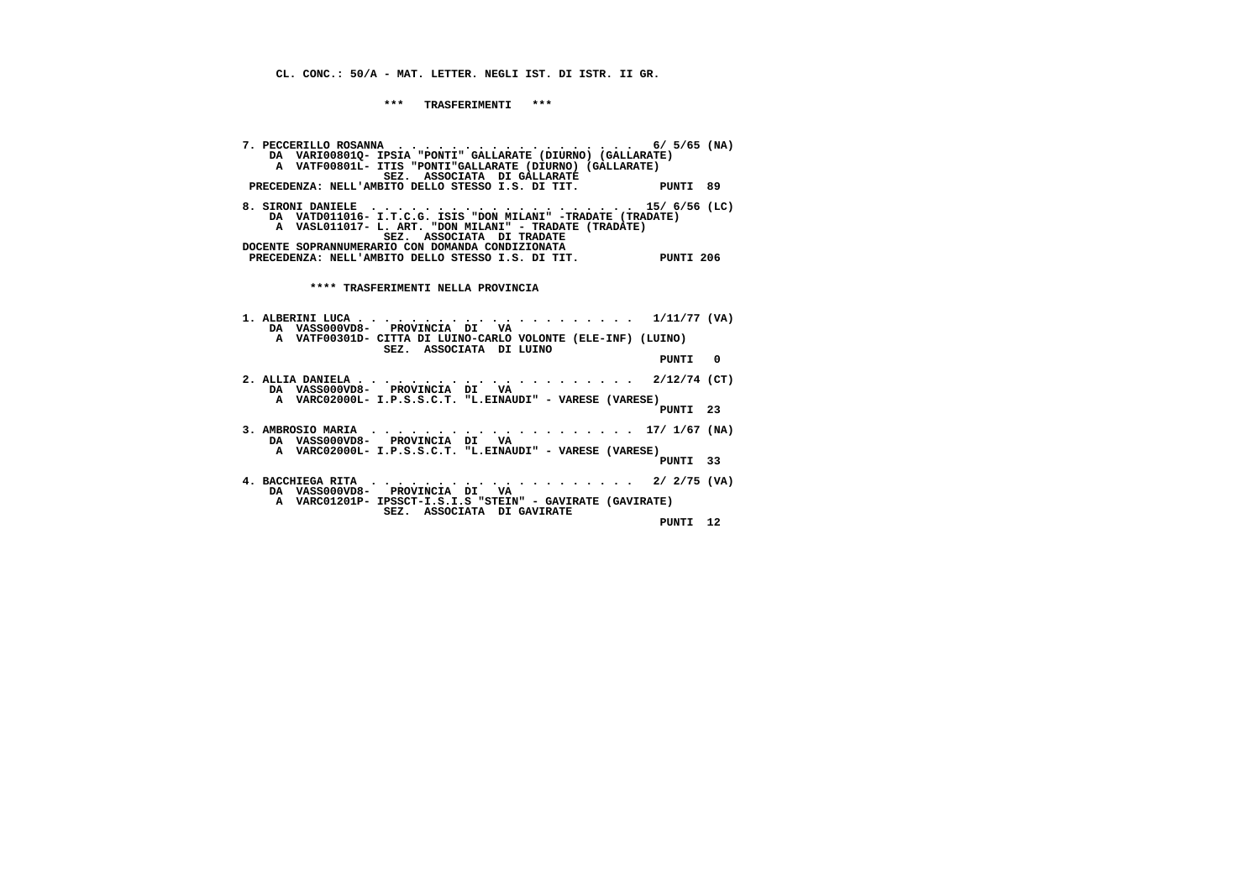**CL. CONC.: 50/A - MAT. LETTER. NEGLI IST. DI ISTR. II GR.**

 **\*\*\* TRASFERIMENTI \*\*\***

 **7. PECCERILLO ROSANNA . . . . . . . . . . . . . . . . . . 6/ 5/65 (NA) DA VARI00801Q- IPSIA "PONTI" GALLARATE (DIURNO) (GALLARATE) A VATF00801L- ITIS "PONTI"GALLARATE (DIURNO) (GALLARATE) SEZ. ASSOCIATA DI GALLARATE PRECEDENZA: NELL'AMBITO DELLO STESSO I.S. DI TIT. PUNTI 89 8. SIRONI DANIELE . . . . . . . . . . . . . . . . . . . . 15/ 6/56 (LC) DA VATD011016- I.T.C.G. ISIS "DON MILANI" -TRADATE (TRADATE) A VASL011017- L. ART. "DON MILANI" - TRADATE (TRADATE) SEZ. ASSOCIATA DI TRADATE DOCENTE SOPRANNUMERARIO CON DOMANDA CONDIZIONATA PRECEDENZA: NELL'AMBITO DELLO STESSO I.S. DI TIT. PUNTI 206 \*\*\*\* TRASFERIMENTI NELLA PROVINCIA 1. ALBERINI LUCA . . . . . . . . . . . . . . . . . . . . . 1/11/77 (VA) DA VASS000VD8- PROVINCIA DI VA A VATF00301D- CITTA DI LUINO-CARLO VOLONTE (ELE-INF) (LUINO) SEZ. ASSOCIATA DI LUINO PUNTI 0 2. ALLIA DANIELA . . . . . . . . . . . . . . . . . . . . . 2/12/74 (CT) DA VASS000VD8- PROVINCIA DI VA A VARC02000L- I.P.S.S.C.T. "L.EINAUDI" - VARESE (VARESE) PUNTI 23 3. AMBROSIO MARIA . . . . . . . . . . . . . . . . . . . . 17/ 1/67 (NA) DA VASS000VD8- PROVINCIA DI VA A VARC02000L- I.P.S.S.C.T. "L.EINAUDI" - VARESE (VARESE) PUNTI 33 4. BACCHIEGA RITA . . . . . . . . . . . . . . . . . . . . 2/ 2/75 (VA) DA VASS000VD8- PROVINCIA DI VA A VARC01201P- IPSSCT-I.S.I.S "STEIN" - GAVIRATE (GAVIRATE) SEZ. ASSOCIATA DI GAVIRATE PUNTI 12**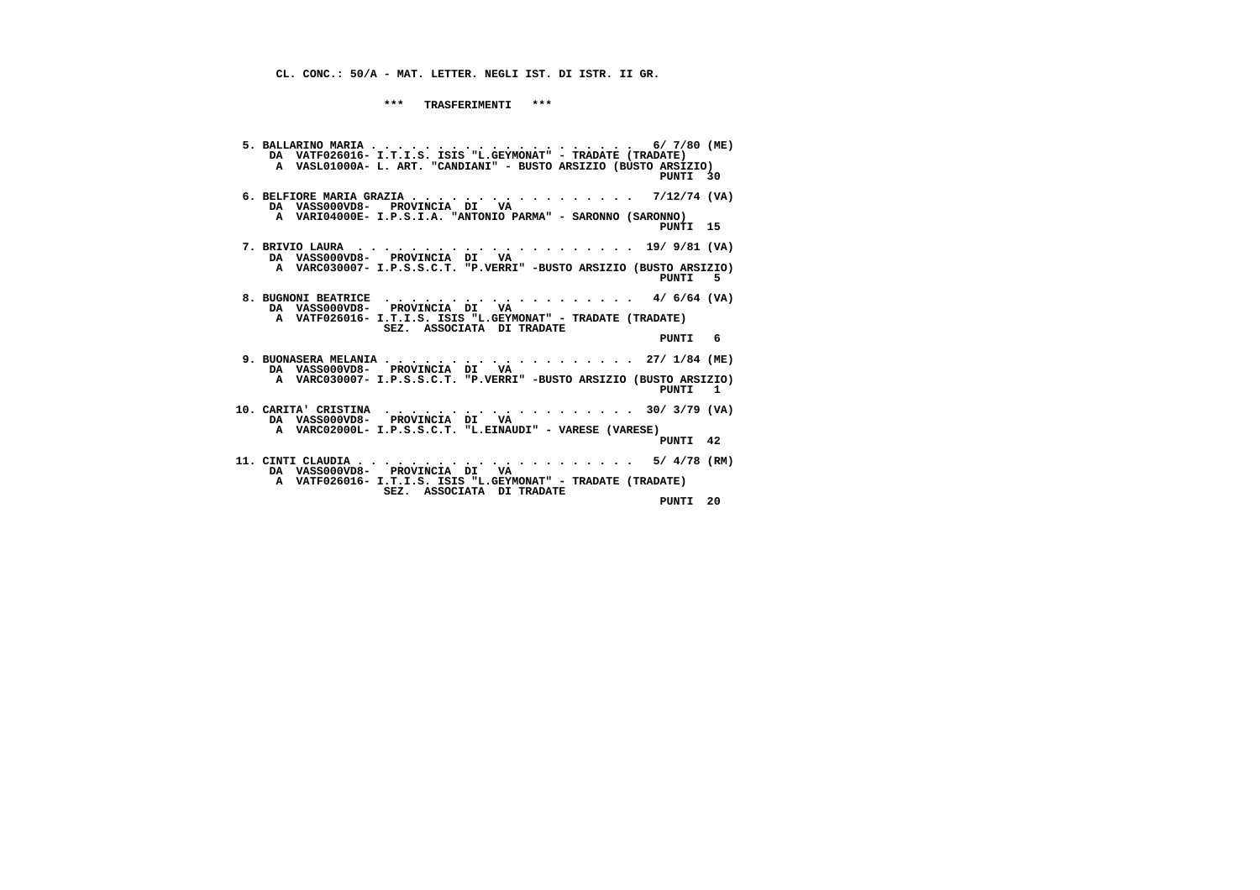**CL. CONC.: 50/A - MAT. LETTER. NEGLI IST. DI ISTR. II GR.**

 **\*\*\* TRASFERIMENTI \*\*\***

| DA VATF026016- I.T.I.S. ISIS "L.GEYMONAT" - TRADATE (TRADATE)<br>A VASL01000A- L. ART. "CANDIANI" - BUSTO ARSIZIO (BUSTO ARSIZIO)<br>PUNTI 30                              |    |
|----------------------------------------------------------------------------------------------------------------------------------------------------------------------------|----|
| 6. BELFIORE MARIA GRAZIA 7/12/74 (VA)<br>DA VASS000VD8- PROVINCIA DI VA<br>A VARI04000E- I.P.S.I.A. "ANTONIO PARMA" - SARONNO (SARONNO)<br>PUNTI 15                        |    |
| DA VASS000VD8- PROVINCIA DI VA<br>A VARC030007- I.P.S.S.C.T. "P.VERRI" -BUSTO ARSIZIO (BUSTO ARSIZIO)<br>PUNTI<br>- 5                                                      |    |
| 8. BUGNONI BEATRICE 4/ $6/64$ (VA)<br>DA VASS000VD8- PROVINCIA DI VA<br>A VATF026016- I.T.I.S. ISIS "L.GEYMONAT" - TRADATE (TRADATE)<br>SEZ. ASSOCIATA DI TRADATE<br>PUNTI | -6 |
| 9. BUONASERA MELANIA 27/ $1/84$ (ME)<br>DA VASSOOOVD8- PROVINCIA DI VA<br>A VARC030007- I.P.S.S.C.T. "P.VERRI" -BUSTO ARSIZIO (BUSTO ARSIZIO)<br>PUNTI 1                   |    |
| DA VASS000VD8- PROVINCIA DI VA<br>A VARC02000L- I.P.S.S.C.T. "L.EINAUDI" - VARESE (VARESE)<br>PUNTI 42                                                                     |    |
| DA VASSOOOVD8- PROVINCIA DI VA<br>A VATF026016- I.T.I.S. ISIS "L.GEYMONAT" - TRADATE (TRADATE)<br>SEZ. ASSOCIATA DI TRADATE<br>PUNTI 20                                    |    |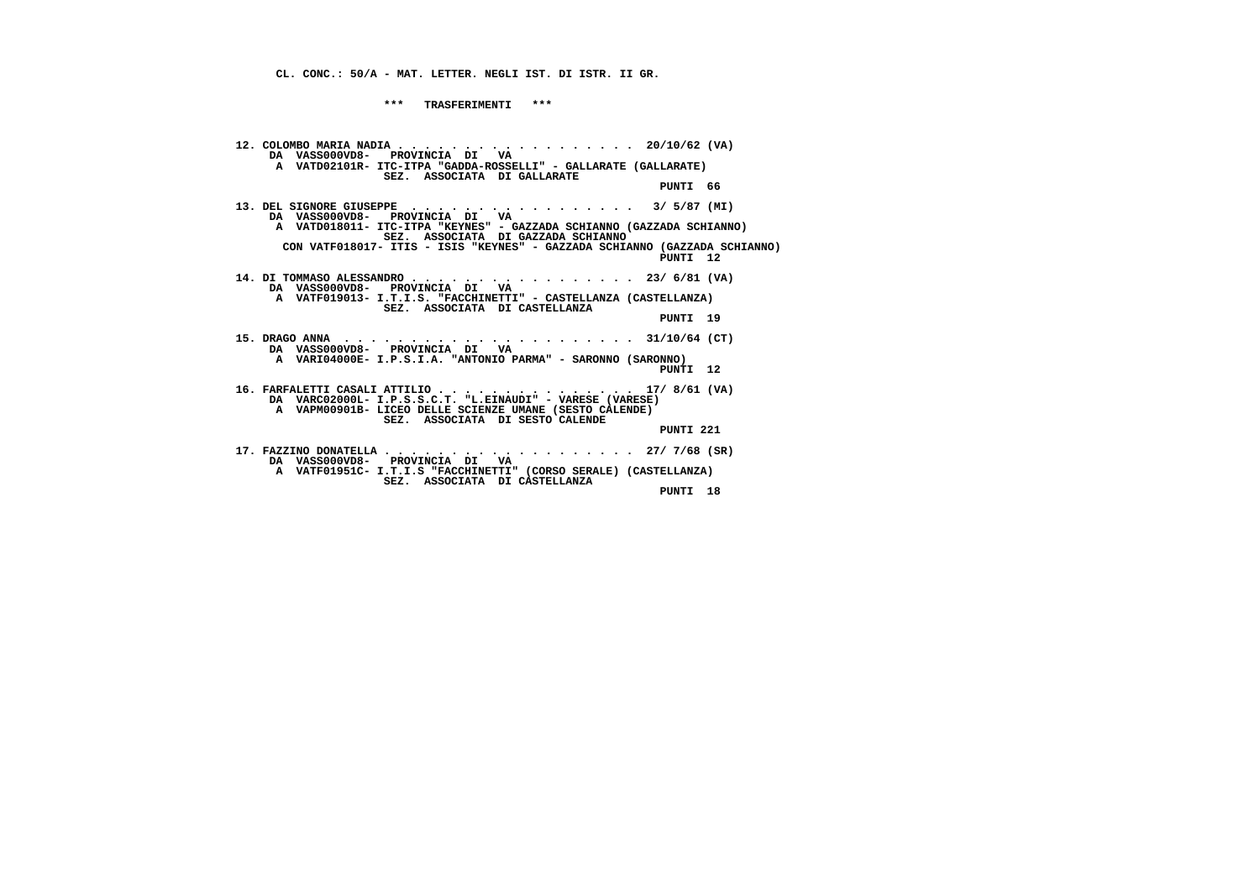**CL. CONC.: 50/A - MAT. LETTER. NEGLI IST. DI ISTR. II GR.**

 **\*\*\* TRASFERIMENTI \*\*\***

 **12. COLOMBO MARIA NADIA . . . . . . . . . . . . . . . . . . 20/10/62 (VA) DA VASS000VD8- PROVINCIA DI VA A VATD02101R- ITC-ITPA "GADDA-ROSSELLI" - GALLARATE (GALLARATE) SEZ. ASSOCIATA DI GALLARATE PUNTI 66 13. DEL SIGNORE GIUSEPPE . . . . . . . . . . . . . . . . . 3/ 5/87 (MI) DA VASS000VD8- PROVINCIA DI VA A VATD018011- ITC-ITPA "KEYNES" - GAZZADA SCHIANNO (GAZZADA SCHIANNO) SEZ. ASSOCIATA DI GAZZADA SCHIANNO CON VATF018017- ITIS - ISIS "KEYNES" - GAZZADA SCHIANNO (GAZZADA SCHIANNO) PUNTI 12 14. DI TOMMASO ALESSANDRO . . . . . . . . . . . . . . . . . 23/ 6/81 (VA) DA VASS000VD8- PROVINCIA DI VA A VATF019013- I.T.I.S. "FACCHINETTI" - CASTELLANZA (CASTELLANZA) SEZ. ASSOCIATA DI CASTELLANZA PUNTI 19 15. DRAGO ANNA . . . . . . . . . . . . . . . . . . . . . . 31/10/64 (CT) DA VASS000VD8- PROVINCIA DI VA A VARI04000E- I.P.S.I.A. "ANTONIO PARMA" - SARONNO (SARONNO) PUNTI 12 16. FARFALETTI CASALI ATTILIO . . . . . . . . . . . . . . . 17/ 8/61 (VA) DA VARC02000L- I.P.S.S.C.T. "L.EINAUDI" - VARESE (VARESE) A VAPM00901B- LICEO DELLE SCIENZE UMANE (SESTO CALENDE) SEZ. ASSOCIATA DI SESTO CALENDE PUNTI 221 17. FAZZINO DONATELLA . . . . . . . . . . . . . . . . . . . 27/ 7/68 (SR) DA VASS000VD8- PROVINCIA DI VA A VATF01951C- I.T.I.S "FACCHINETTI" (CORSO SERALE) (CASTELLANZA) SEZ. ASSOCIATA DI CASTELLANZA PUNTI 18**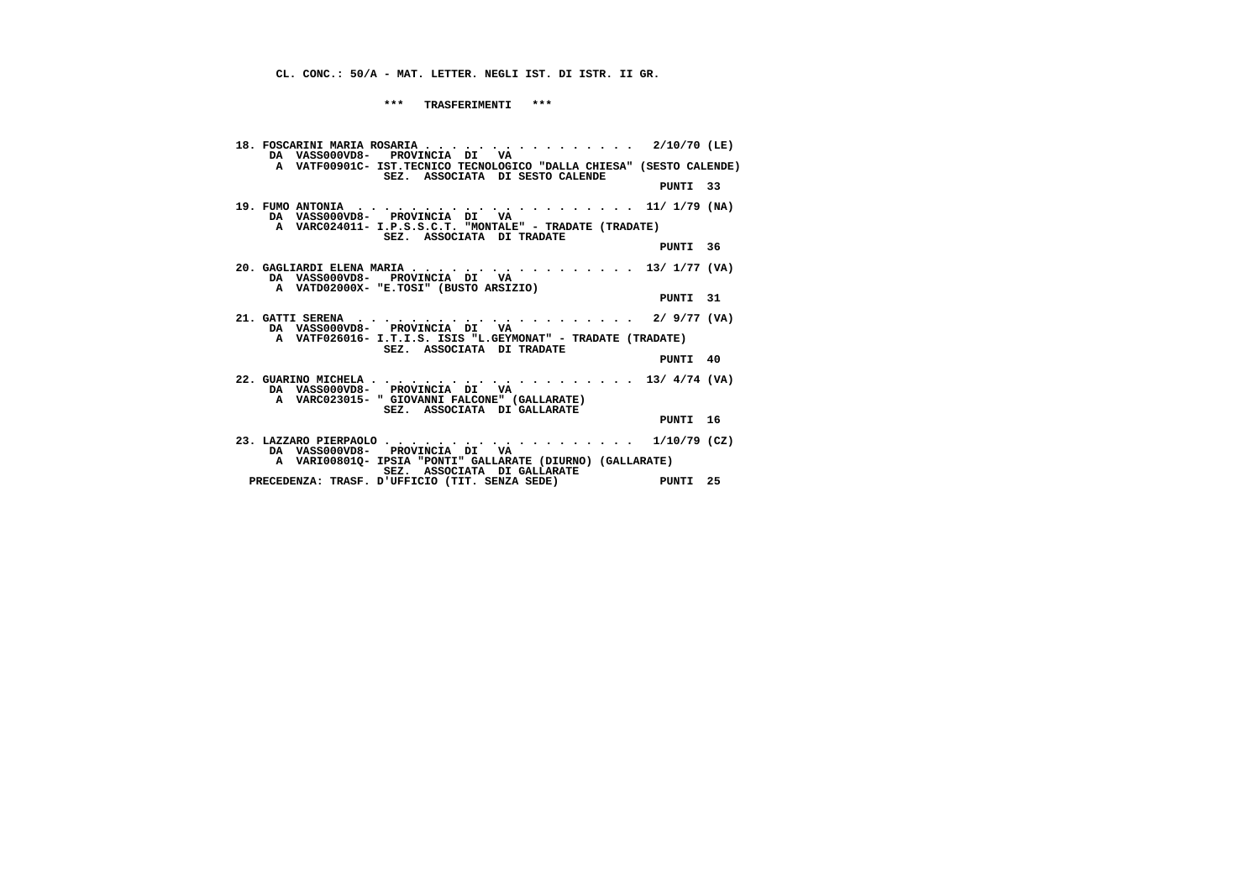**\*\*\* TRASFERIMENTI \*\*\***

| SEZ. ASSOCIATA DI SESTO CALENDE |                                                                                                                                                                                                                                              |                                                                                                                                                                                                                                                                                                                                                                                                                                                                                              |
|---------------------------------|----------------------------------------------------------------------------------------------------------------------------------------------------------------------------------------------------------------------------------------------|----------------------------------------------------------------------------------------------------------------------------------------------------------------------------------------------------------------------------------------------------------------------------------------------------------------------------------------------------------------------------------------------------------------------------------------------------------------------------------------------|
|                                 |                                                                                                                                                                                                                                              |                                                                                                                                                                                                                                                                                                                                                                                                                                                                                              |
| DA VASS000VD8- PROVINCIA DI VA  |                                                                                                                                                                                                                                              |                                                                                                                                                                                                                                                                                                                                                                                                                                                                                              |
| SEZ. ASSOCIATA DI TRADATE       |                                                                                                                                                                                                                                              |                                                                                                                                                                                                                                                                                                                                                                                                                                                                                              |
|                                 |                                                                                                                                                                                                                                              |                                                                                                                                                                                                                                                                                                                                                                                                                                                                                              |
| DA VASSOOOVD8- PROVINCIA DI VA  |                                                                                                                                                                                                                                              |                                                                                                                                                                                                                                                                                                                                                                                                                                                                                              |
|                                 |                                                                                                                                                                                                                                              |                                                                                                                                                                                                                                                                                                                                                                                                                                                                                              |
|                                 |                                                                                                                                                                                                                                              |                                                                                                                                                                                                                                                                                                                                                                                                                                                                                              |
| SEZ. ASSOCIATA DI TRADATE       |                                                                                                                                                                                                                                              |                                                                                                                                                                                                                                                                                                                                                                                                                                                                                              |
|                                 |                                                                                                                                                                                                                                              |                                                                                                                                                                                                                                                                                                                                                                                                                                                                                              |
| DA VASS000VD8- PROVINCIA DI VA  |                                                                                                                                                                                                                                              |                                                                                                                                                                                                                                                                                                                                                                                                                                                                                              |
| SEZ. ASSOCIATA DI GALLARATE     |                                                                                                                                                                                                                                              |                                                                                                                                                                                                                                                                                                                                                                                                                                                                                              |
|                                 |                                                                                                                                                                                                                                              |                                                                                                                                                                                                                                                                                                                                                                                                                                                                                              |
| DA VASS000VD8- PROVINCIA DI VA  |                                                                                                                                                                                                                                              |                                                                                                                                                                                                                                                                                                                                                                                                                                                                                              |
|                                 |                                                                                                                                                                                                                                              |                                                                                                                                                                                                                                                                                                                                                                                                                                                                                              |
|                                 |                                                                                                                                                                                                                                              |                                                                                                                                                                                                                                                                                                                                                                                                                                                                                              |
|                                 | DA VASS000VD8- PROVINCIA DI VA<br>A VATD02000X- "E.TOSI" (BUSTO ARSIZIO)<br>DA VASSOOOVD8- PROVINCIA DI VA<br>A VARC023015- " GIOVANNI FALCONE" (GALLARATE)<br>SEZ. ASSOCIATA DI GALLARATE<br>PRECEDENZA: TRASF. D'UFFICIO (TIT. SENZA SEDE) | 18. FOSCARINI MARIA ROSARIA 2/10/70 (LE)<br>A VATF00901C- IST.TECNICO TECNOLOGICO "DALLA CHIESA" (SESTO CALENDE)<br>PUNTI 33<br>19. FUMO ANTONIA $\ldots$ , 11/ 1/79 (NA)<br>A VARC024011- I.P.S.S.C.T. "MONTALE" - TRADATE (TRADATE)<br>PUNTI 36<br>20. GAGLIARDI ELENA MARIA 13/ 1/77 (VA)<br>PUNTI 31<br>A VATF026016- I.T.I.S. ISIS "L.GEYMONAT" - TRADATE (TRADATE)<br>PUNTI 40<br>PUNTI 16<br>$1/10/79$ (CZ)<br>A VARI00801Q- IPSIA "PONTI" GALLARATE (DIURNO) (GALLARATE)<br>PUNTI 25 |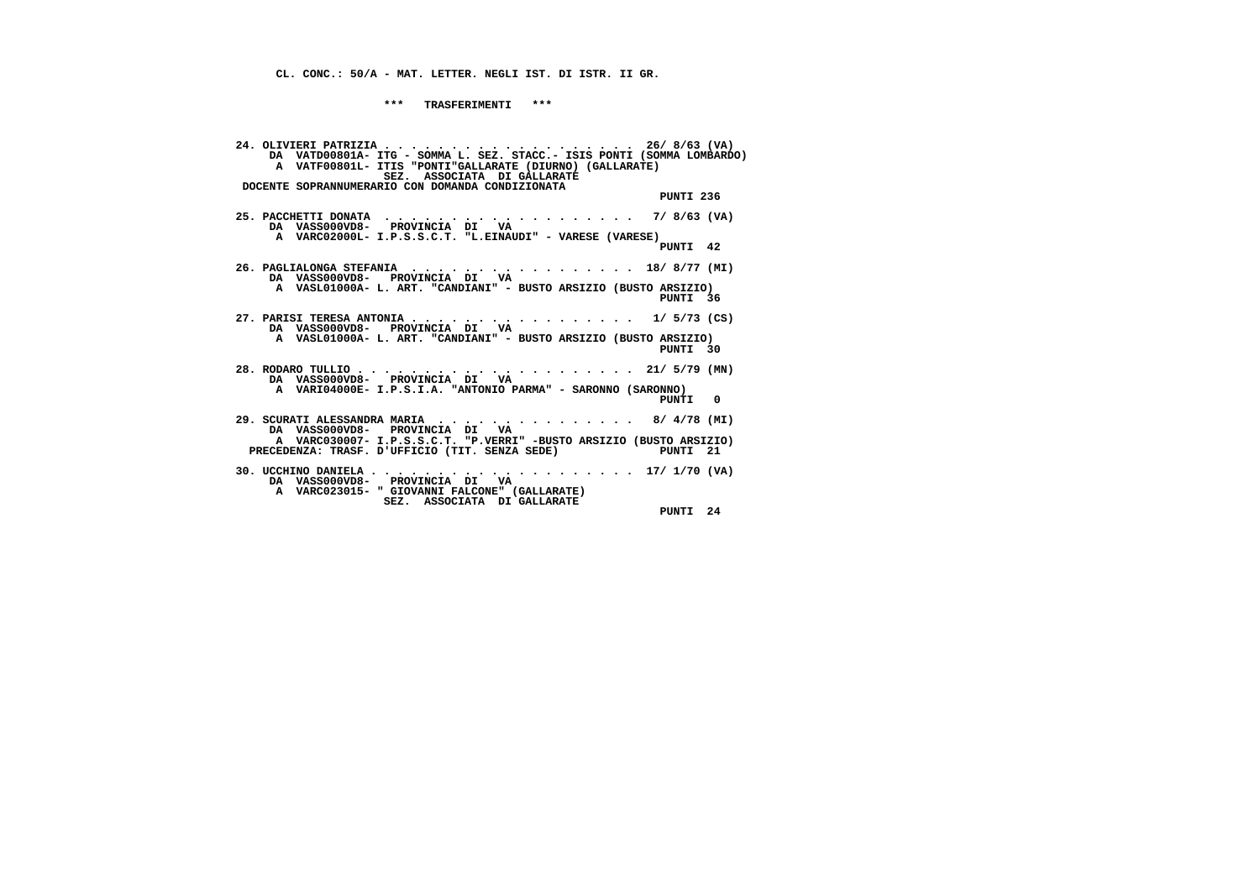**\*\*\* TRASFERIMENTI \*\*\***

 **24. OLIVIERI PATRIZIA . . . . . . . . . . . . . . . . . . . 26/ 8/63 (VA) DA VATD00801A- ITG - SOMMA L. SEZ. STACC.- ISIS PONTI (SOMMA LOMBARDO) A VATF00801L- ITIS "PONTI"GALLARATE (DIURNO) (GALLARATE) SEZ. ASSOCIATA DI GALLARATE DOCENTE SOPRANNUMERARIO CON DOMANDA CONDIZIONATA PUNTI 236 25. PACCHETTI DONATA . . . . . . . . . . . . . . . . . . . 7/ 8/63 (VA) DA VASS000VD8- PROVINCIA DI VA A VARC02000L- I.P.S.S.C.T. "L.EINAUDI" - VARESE (VARESE) PUNTI 42 26. PAGLIALONGA STEFANIA . . . . . . . . . . . . . . . . . 18/ 8/77 (MI) DA VASS000VD8- PROVINCIA DI VA A VASL01000A- L. ART. "CANDIANI" - BUSTO ARSIZIO (BUSTO ARSIZIO) PUNTI 36 27. PARISI TERESA ANTONIA . . . . . . . . . . . . . . . . . 1/ 5/73 (CS) DA VASS000VD8- PROVINCIA DI VA A VASL01000A- L. ART. "CANDIANI" - BUSTO ARSIZIO (BUSTO ARSIZIO) PUNTI 30 28. RODARO TULLIO . . . . . . . . . . . . . . . . . . . . . 21/ 5/79 (MN) DA VASS000VD8- PROVINCIA DI VA A VARI04000E- I.P.S.I.A. "ANTONIO PARMA" - SARONNO (SARONNO) PUNTI 0 29. SCURATI ALESSANDRA MARIA . . . . . . . . . . . . . . . 8/ 4/78 (MI) DA VASS000VD8- PROVINCIA DI VA A VARC030007- I.P.S.S.C.T. "P.VERRI" -BUSTO ARSIZIO (BUSTO ARSIZIO) PRECEDENZA: TRASF. D'UFFICIO (TIT. SENZA SEDE) PUNTI 21 30. UCCHINO DANIELA . . . . . . . . . . . . . . . . . . . . 17/ 1/70 (VA) DA VASS000VD8- PROVINCIA DI VA A VARC023015- " GIOVANNI FALCONE" (GALLARATE) SEZ. ASSOCIATA DI GALLARATE PUNTI 24**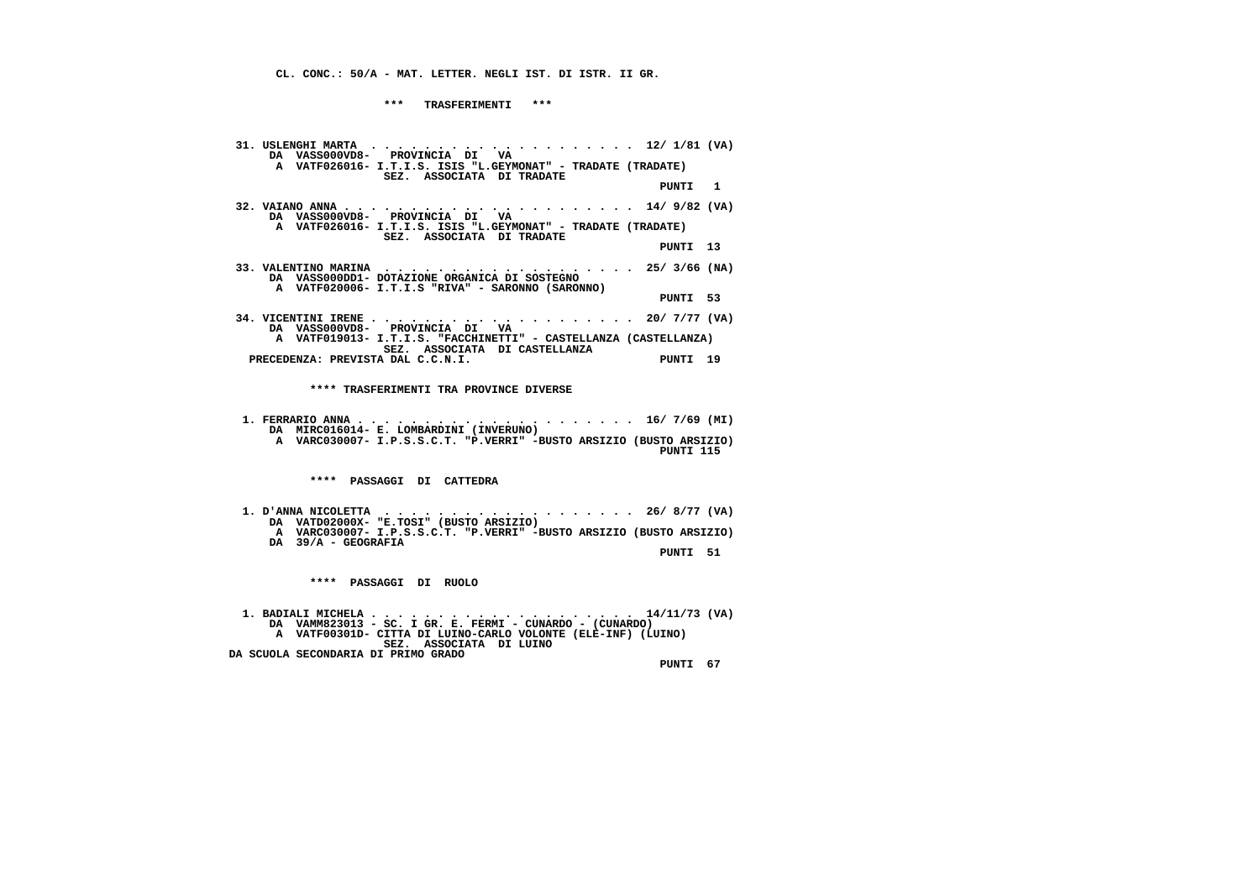**\*\*\* TRASFERIMENTI \*\*\***

 **31. USLENGHI MARTA . . . . . . . . . . . . . . . . . . . . 12/ 1/81 (VA) DA VASS000VD8- PROVINCIA DI VA A VATF026016- I.T.I.S. ISIS "L.GEYMONAT" - TRADATE (TRADATE) SEZ. ASSOCIATA DI TRADATE PUNTI 1 32. VAIANO ANNA . . . . . . . . . . . . . . . . . . . . . . 14/ 9/82 (VA) DA VASS000VD8- PROVINCIA DI VA A VATF026016- I.T.I.S. ISIS "L.GEYMONAT" - TRADATE (TRADATE) SEZ. ASSOCIATA DI TRADATE PUNTI 13 33. VALENTINO MARINA . . . . . . . . . . . . . . . . . . . 25/ 3/66 (NA) DA VASS000DD1- DOTAZIONE ORGANICA DI SOSTEGNO A VATF020006- I.T.I.S "RIVA" - SARONNO (SARONNO) PUNTI 53 34. VICENTINI IRENE . . . . . . . . . . . . . . . . . . . . 20/ 7/77 (VA) DA VASS000VD8- PROVINCIA DI VA A VATF019013- I.T.I.S. "FACCHINETTI" - CASTELLANZA (CASTELLANZA) SEZ. ASSOCIATA DI CASTELLANZA PRECEDENZA: PREVISTA DAL C.C.N.I. PUNTI 19 \*\*\*\* TRASFERIMENTI TRA PROVINCE DIVERSE 1. FERRARIO ANNA . . . . . . . . . . . . . . . . . . . . . 16/ 7/69 (MI) DA MIRC016014- E. LOMBARDINI (INVERUNO) A VARC030007- I.P.S.S.C.T. "P.VERRI" -BUSTO ARSIZIO (BUSTO ARSIZIO) PUNTI 115 \*\*\*\* PASSAGGI DI CATTEDRA 1. D'ANNA NICOLETTA . . . . . . . . . . . . . . . . . . . 26/ 8/77 (VA) DA VATD02000X- "E.TOSI" (BUSTO ARSIZIO) A VARC030007- I.P.S.S.C.T. "P.VERRI" -BUSTO ARSIZIO (BUSTO ARSIZIO) DA 39/A - GEOGRAFIA PUNTI 51 \*\*\*\* PASSAGGI DI RUOLO 1. BADIALI MICHELA . . . . . . . . . . . . . . . . . . . . 14/11/73 (VA) DA VAMM823013 - SC. I GR. E. FERMI - CUNARDO - (CUNARDO) A VATF00301D- CITTA DI LUINO-CARLO VOLONTE (ELE-INF) (LUINO) SEZ. ASSOCIATA DI LUINO DA SCUOLA SECONDARIA DI PRIMO GRADO PUNTI 67**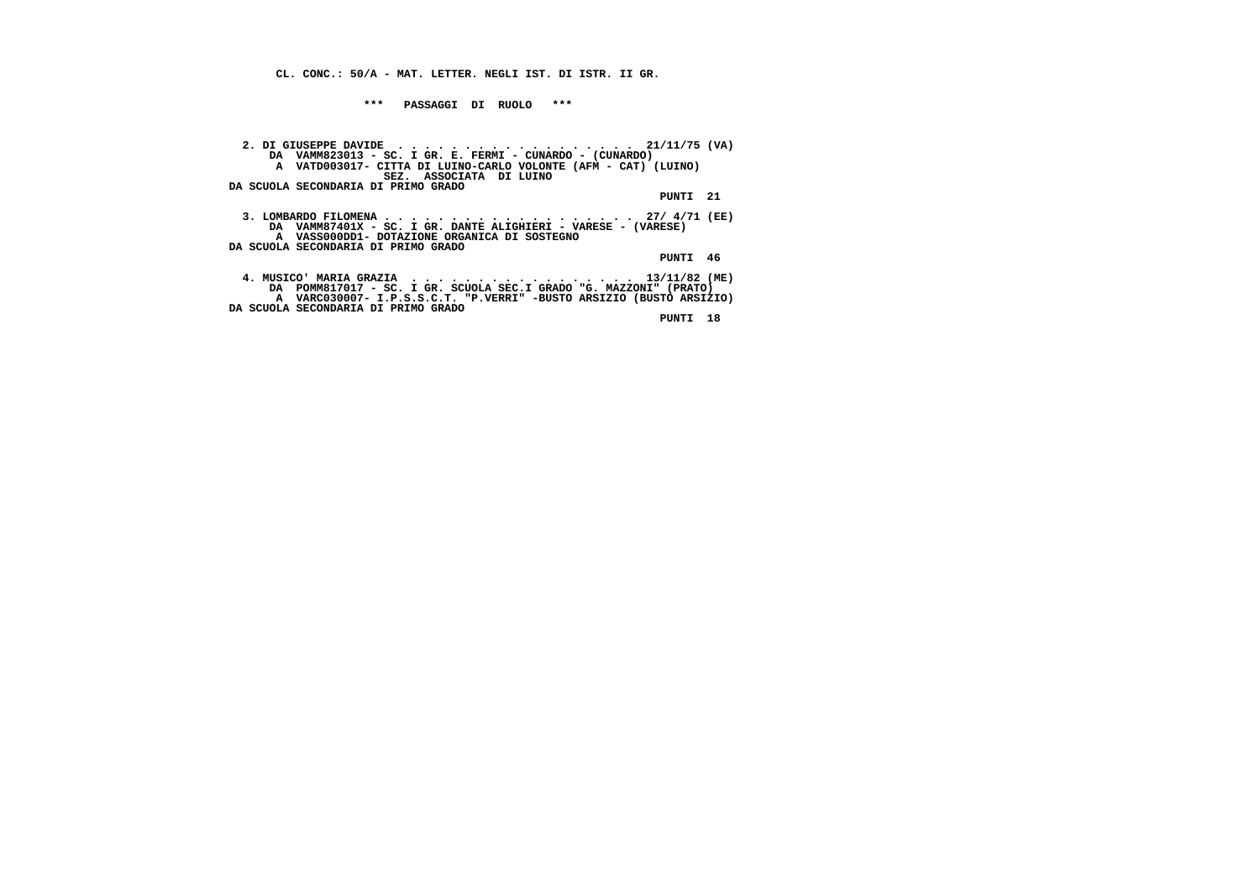**\*\*\* PASSAGGI DI RUOLO \*\*\***

 **2. DI GIUSEPPE DAVIDE . . . . . . . . . . . . . . . . . . 21/11/75 (VA) DA VAMM823013 - SC. I GR. E. FERMI - CUNARDO - (CUNARDO) A VATD003017- CITTA DI LUINO-CARLO VOLONTE (AFM - CAT) (LUINO) SEZ. ASSOCIATA DI LUINO DA SCUOLA SECONDARIA DI PRIMO GRADO PUNTI 21 3. LOMBARDO FILOMENA . . . . . . . . . . . . . . . . . . . 27/ 4/71 (EE) DA VAMM87401X - SC. I GR. DANTE ALIGHIERI - VARESE - (VARESE) A VASS000DD1- DOTAZIONE ORGANICA DI SOSTEGNO DA SCUOLA SECONDARIA DI PRIMO GRADO PUNTI 46 4. MUSICO' MARIA GRAZIA . . . . . . . . . . . . . . . . . 13/11/82 (ME) DA POMM817017 - SC. I GR. SCUOLA SEC.I GRADO "G. MAZZONI" (PRATO) A VARC030007- I.P.S.S.C.T. "P.VERRI" -BUSTO ARSIZIO (BUSTO ARSIZIO) DA SCUOLA SECONDARIA DI PRIMO GRADO**

 **PUNTI 18**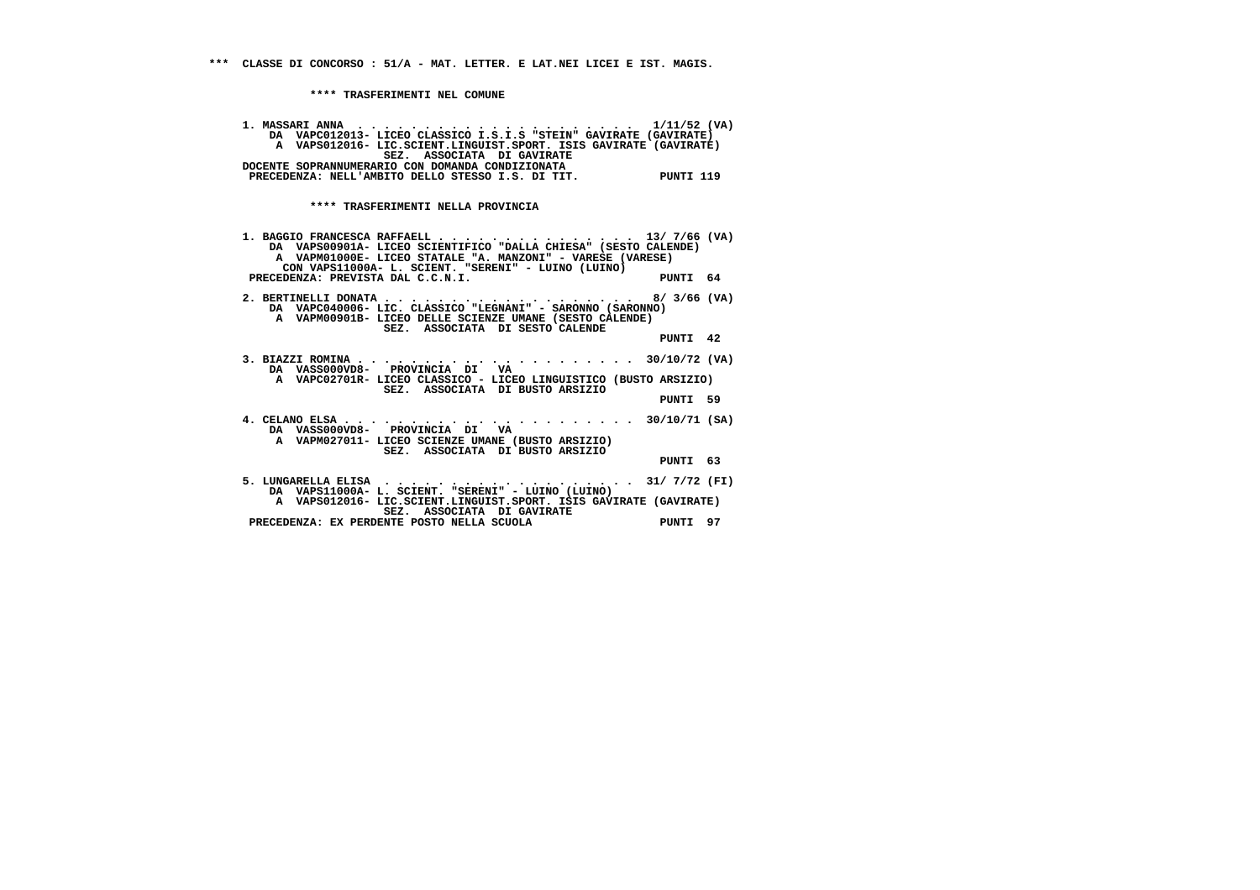**\*\*\*\* TRASFERIMENTI NEL COMUNE**

| DA VAPC012013- LICEO CLASSICO I.S.I.S "STEIN" GAVIRATE (GAVIRATE)<br>A VAPS012016- LIC.SCIENT.LINGUIST.SPORT. ISIS GAVIRATE (GAVIRATE)<br>SEZ. ASSOCIATA DI GAVIRATE<br>DOCENTE SOPRANNUMERARIO CON DOMANDA CONDIZIONATA           |          |  |
|------------------------------------------------------------------------------------------------------------------------------------------------------------------------------------------------------------------------------------|----------|--|
| PRECEDENZA: NELL'AMBITO DELLO STESSO I.S. DI TIT. PUNTI 119                                                                                                                                                                        |          |  |
| **** TRASFERIMENTI NELLA PROVINCIA                                                                                                                                                                                                 |          |  |
| 1. BAGGIO FRANCESCA RAFFAELL 13/ 7/66 (VA)<br>DA VAPS00901A- LICEO SCIENTIFICO "DALLA CHIESA" (SESTO CALENDE)<br>A VAPM01000E- LICEO STATALE "A. MANZONI" - VARESE (VARESE)<br>CON VAPS11000A- L. SCIENT. "SERENI" - LUINO (LUINO) |          |  |
| PRECEDENZA: PREVISTA DAL C.C.N.I.                                                                                                                                                                                                  | PUNTI 64 |  |
| DA VAPC040006- LIC. CLASSICO "LEGNANI" - SARONNO (SARONNO)<br>A VAPM00901B- LICEO DELLE SCIENZE UMANE (SESTO CALENDE)<br>SEZ. ASSOCIATA DI SESTO CALENDE                                                                           |          |  |
|                                                                                                                                                                                                                                    | PUNTI 42 |  |
| DA VASS000VD8- PROVINCIA DI VA<br>A VAPC02701R- LICEO CLASSICO - LICEO LINGUISTICO (BUSTO ARSIZIO)                                                                                                                                 |          |  |
| SEZ. ASSOCIATA DI BUSTO ARSIZIO                                                                                                                                                                                                    | PUNTI 59 |  |
| DA VASS000VD8- PROVINCIA DI VA<br>A VAPM027011- LICEO SCIENZE UMANE (BUSTO ARSIZIO)                                                                                                                                                |          |  |
| SEZ. ASSOCIATA DI BUSTO ARSIZIO                                                                                                                                                                                                    | PUNTI 63 |  |
| 5. LUNGARELLA ELISA $\cdots$ , 31/ 7/72 (FI)<br>DA VAPS11000A- L. SCIENT. "SERENI" - LUINO (LUINO)                                                                                                                                 |          |  |
| A VAPS012016- LIC.SCIENT.LINGUIST.SPORT. ISIS GAVIRATE (GAVIRATE)<br>SEZ. ASSOCIATA DI GAVIRATE                                                                                                                                    |          |  |
| PRECEDENZA: EX PERDENTE POSTO NELLA SCUOLA                                                                                                                                                                                         | PUNTI 97 |  |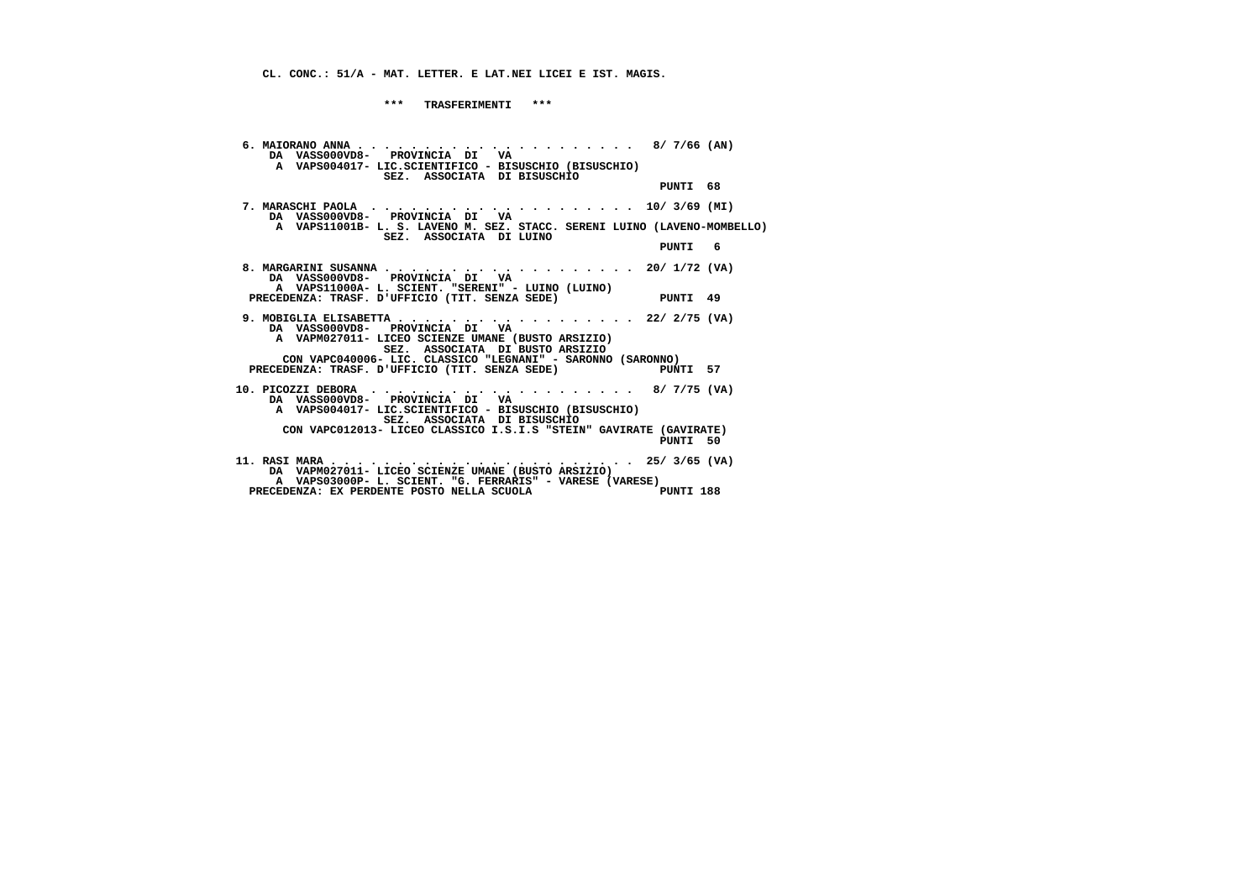**CL. CONC.: 51/A - MAT. LETTER. E LAT.NEI LICEI E IST. MAGIS.**

 **\*\*\* TRASFERIMENTI \*\*\***

 **6. MAIORANO ANNA . . . . . . . . . . . . . . . . . . . . . 8/ 7/66 (AN) DA VASS000VD8- PROVINCIA DI VA A VAPS004017- LIC.SCIENTIFICO - BISUSCHIO (BISUSCHIO) SEZ. ASSOCIATA DI BISUSCHIO PUNTI 68 7. MARASCHI PAOLA . . . . . . . . . . . . . . . . . . . . 10/ 3/69 (MI) DA VASS000VD8- PROVINCIA DI VA A VAPS11001B- L. S. LAVENO M. SEZ. STACC. SERENI LUINO (LAVENO-MOMBELLO) SEZ. ASSOCIATA DI LUINO PUNTI 6 8. MARGARINI SUSANNA . . . . . . . . . . . . . . . . . . . 20/ 1/72 (VA) DA VASS000VD8- PROVINCIA DI VA A VAPS11000A- L. SCIENT. "SERENI" - LUINO (LUINO) PRECEDENZA: TRASF. D'UFFICIO (TIT. SENZA SEDE) PUNTI 49 9. MOBIGLIA ELISABETTA . . . . . . . . . . . . . . . . . . 22/ 2/75 (VA) DA VASS000VD8- PROVINCIA DI VA A VAPM027011- LICEO SCIENZE UMANE (BUSTO ARSIZIO) SEZ. ASSOCIATA DI BUSTO ARSIZIO CON VAPC040006- LIC. CLASSICO "LEGNANI" - SARONNO (SARONNO)**PINTT 57 **PRECEDENZA: TRASF. D'UFFICIO (TIT. SENZA SEDE) 10. PICOZZI DEBORA . . . . . . . . . . . . . . . . . . . . 8/ 7/75 (VA) DA VASS000VD8- PROVINCIA DI VA A VAPS004017- LIC.SCIENTIFICO - BISUSCHIO (BISUSCHIO) SEZ. ASSOCIATA DI BISUSCHIO CON VAPC012013- LICEO CLASSICO I.S.I.S "STEIN" GAVIRATE (GAVIRATE) PUNTI 50 11. RASI MARA . . . . . . . . . . . . . . . . . . . . . . . 25/ 3/65 (VA) DA VAPM027011- LICEO SCIENZE UMANE (BUSTO ARSIZIO) A VAPS03000P- L. SCIENT. "G. FERRARIS" - VARESE (VARESE)**PUNTI 188 PRECEDENZA: EX PERDENTE POSTO NELLA SCUOLA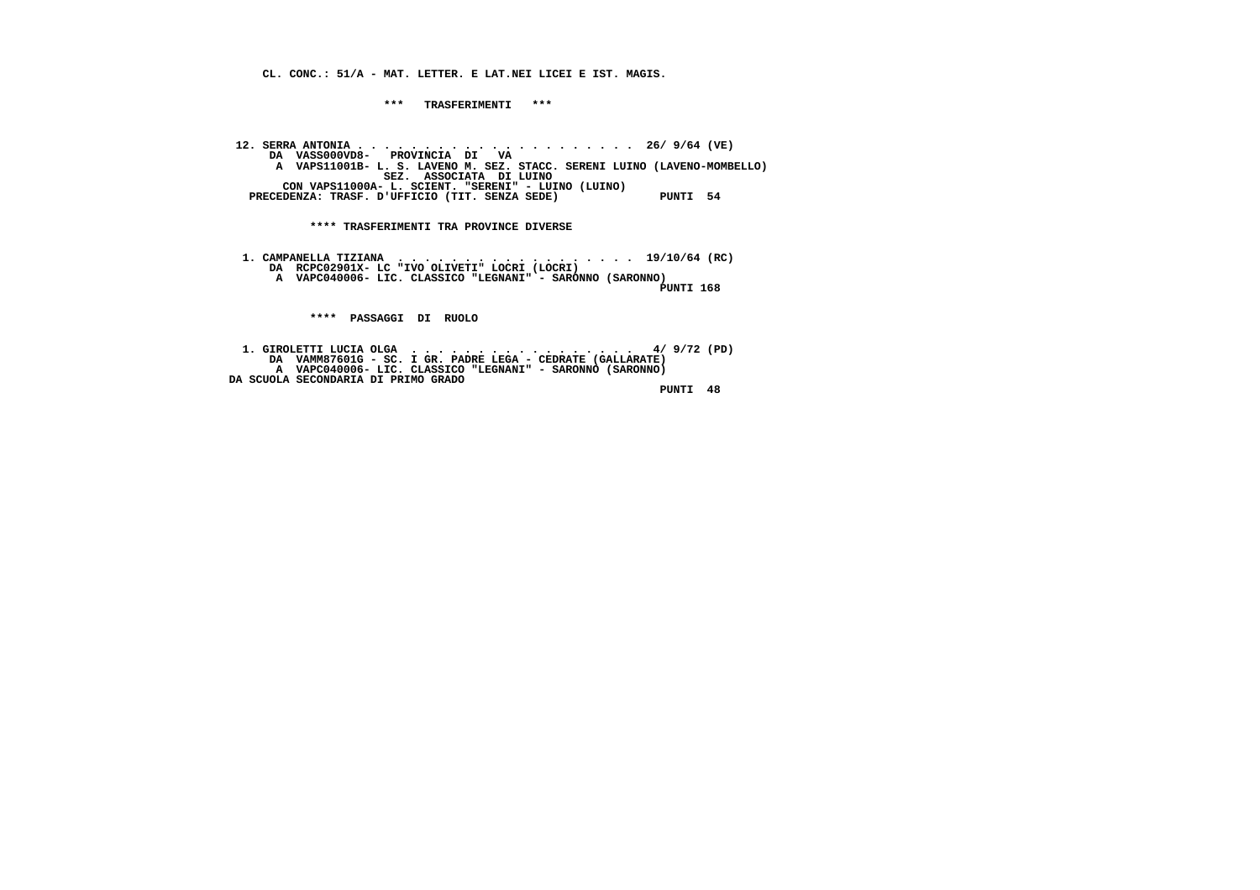**CL. CONC.: 51/A - MAT. LETTER. E LAT.NEI LICEI E IST. MAGIS.**

 **\*\*\* TRASFERIMENTI \*\*\***

 **12. SERRA ANTONIA . . . . . . . . . . . . . . . . . . . . . 26/ 9/64 (VE) DA VASS000VD8- PROVINCIA DI VA A VAPS11001B- L. S. LAVENO M. SEZ. STACC. SERENI LUINO (LAVENO-MOMBELLO) SEZ. ASSOCIATA DI LUINO CON VAPS11000A- L. SCIENT. "SERENI" - LUINO (LUINO)**PRECEDENZA: TRASF. D'UFFICIO (TIT. SENZA SEDE) PUNTI 54

 **\*\*\*\* TRASFERIMENTI TRA PROVINCE DIVERSE**

 **1. CAMPANELLA TIZIANA . . . . . . . . . . . . . . . . . . 19/10/64 (RC) DA RCPC02901X- LC "IVO OLIVETI" LOCRI (LOCRI) A VAPC040006- LIC. CLASSICO "LEGNANI" - SARONNO (SARONNO)**

 **PUNTI 168**

 **\*\*\*\* PASSAGGI DI RUOLO**

 **1. GIROLETTI LUCIA OLGA . . . . . . . . . . . . . . . . . 4/ 9/72 (PD) DA VAMM87601G - SC. I GR. PADRE LEGA - CEDRATE (GALLARATE) A VAPC040006- LIC. CLASSICO "LEGNANI" - SARONNO (SARONNO) DA SCUOLA SECONDARIA DI PRIMO GRADO**

 **PUNTI 48**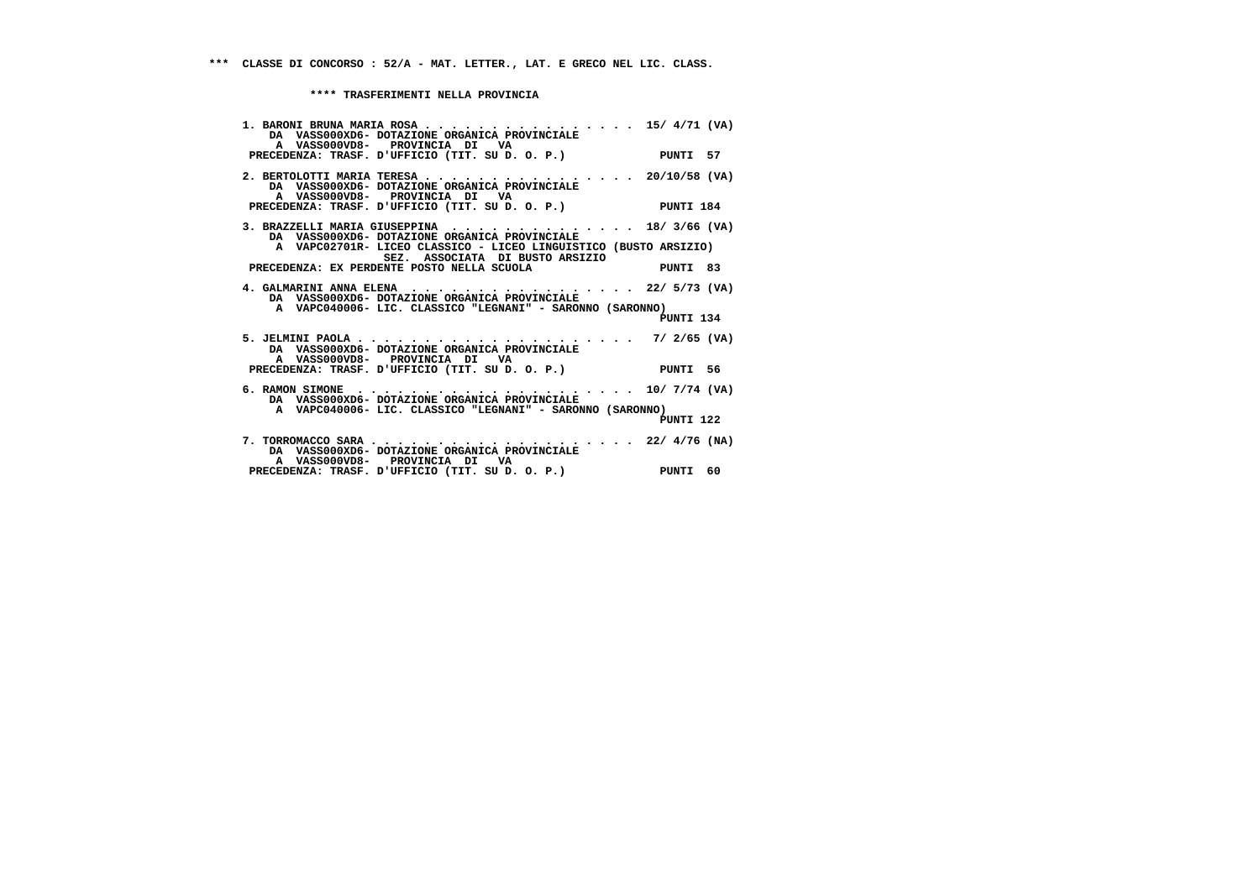| 1. BARONI BRUNA MARIA ROSA 15/4/71 (VA)<br>DA VASS000XD6- DOTAZIONE ORGANICA PROVINCIALE<br>A VASS000VD8- PROVINCIA DI VA                                                  |           |  |
|----------------------------------------------------------------------------------------------------------------------------------------------------------------------------|-----------|--|
| PRECEDENZA: TRASF. D'UFFICIO (TIT. SU D. O. P.) PUNTI 57                                                                                                                   |           |  |
| 2. BERTOLOTTI MARIA TERESA 20/10/58 (VA)<br>DA VASS000XD6- DOTAZIONE ORGANICA PROVINCIALE<br>A VASS000VD8- PROVINCIA DI VA                                                 |           |  |
| PRECEDENZA: TRASF. D'UFFICIO (TIT. SU D. O. P.) PUNTI 184                                                                                                                  |           |  |
| 3. BRAZZELLI MARIA GIUSEPPINA $\cdots$ , 18/3/66 (VA)<br>DA VASS000XD6- DOTAZIONE ORGANICA PROVINCIALE<br>A VAPC02701R- LICEO CLASSICO - LICEO LINGUISTICO (BUSTO ARSIZIO) |           |  |
| SEZ. ASSOCIATA DI BUSTO ARSIZIO                                                                                                                                            |           |  |
| PRECEDENZA: EX PERDENTE POSTO NELLA SCUOLA PUNTI 83                                                                                                                        |           |  |
| 4. GALMARINI ANNA ELENA 22/ 5/73 (VA)<br>DA VASS000XD6- DOTAZIONE ORGANICA PROVINCIALE                                                                                     |           |  |
| A VAPC040006- LIC. CLASSICO "LEGNANI" - SARONNO (SARONNO)                                                                                                                  | PUNTI 134 |  |
| 5. JELMINI PAOLA 7/ 2/65 (VA)<br>DA VASS000XD6- DOTAZIONE ORGANICA PROVINCIALE<br>A VASS000VD8- PROVINCIA DI VA                                                            |           |  |
| PRECEDENZA: TRASF. D'UFFICIO (TIT. SU D. O. P.) PUNTI 56                                                                                                                   |           |  |
| 6. RAMON SIMONE $\ldots$ 10/ 7/74 (VA)<br>DA VASS000XD6- DOTAZIONE ORGANICA PROVINCIALE                                                                                    |           |  |
| A VAPC040006- LIC. CLASSICO "LEGNANI" - SARONNO (SARONNO)                                                                                                                  | PUNTI 122 |  |
| DA VASS000XD6- DOTAZIONE ORGANICA PROVINCIALE<br>A VASS000VD8- PROVINCIA DI VA                                                                                             |           |  |
| PRECEDENZA: TRASF. D'UFFICIO (TIT. SU D. O. P.) PUNTI 60                                                                                                                   |           |  |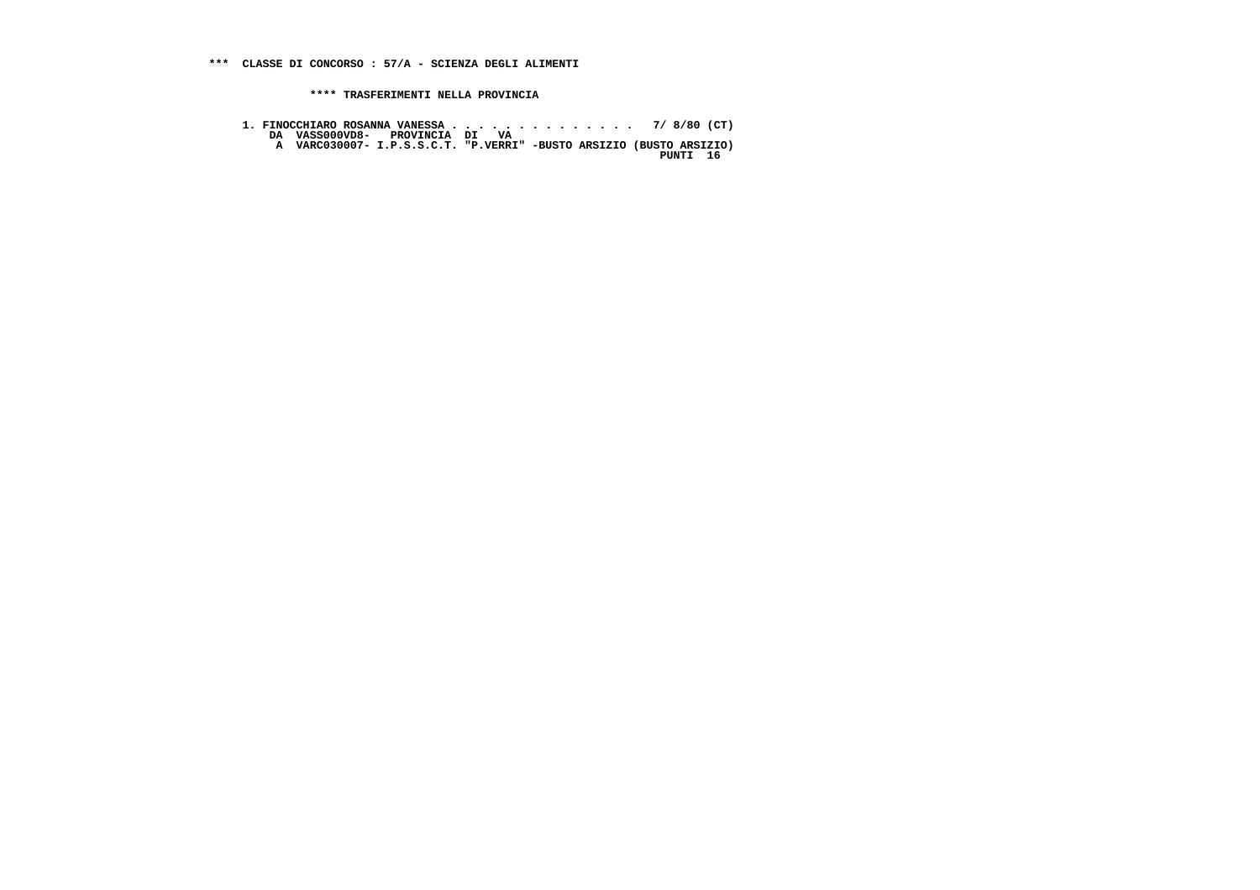- 
- **1. FINOCCHIARO ROSANNA VANESSA . . . . . . . . . . . . . . 7/ 8/80 (CT) DA VASS000VD8- PROVINCIA DI VA A VARC030007- I.P.S.S.C.T. "P.VERRI" -BUSTO ARSIZIO (BUSTO ARSIZIO) PUNTI 16**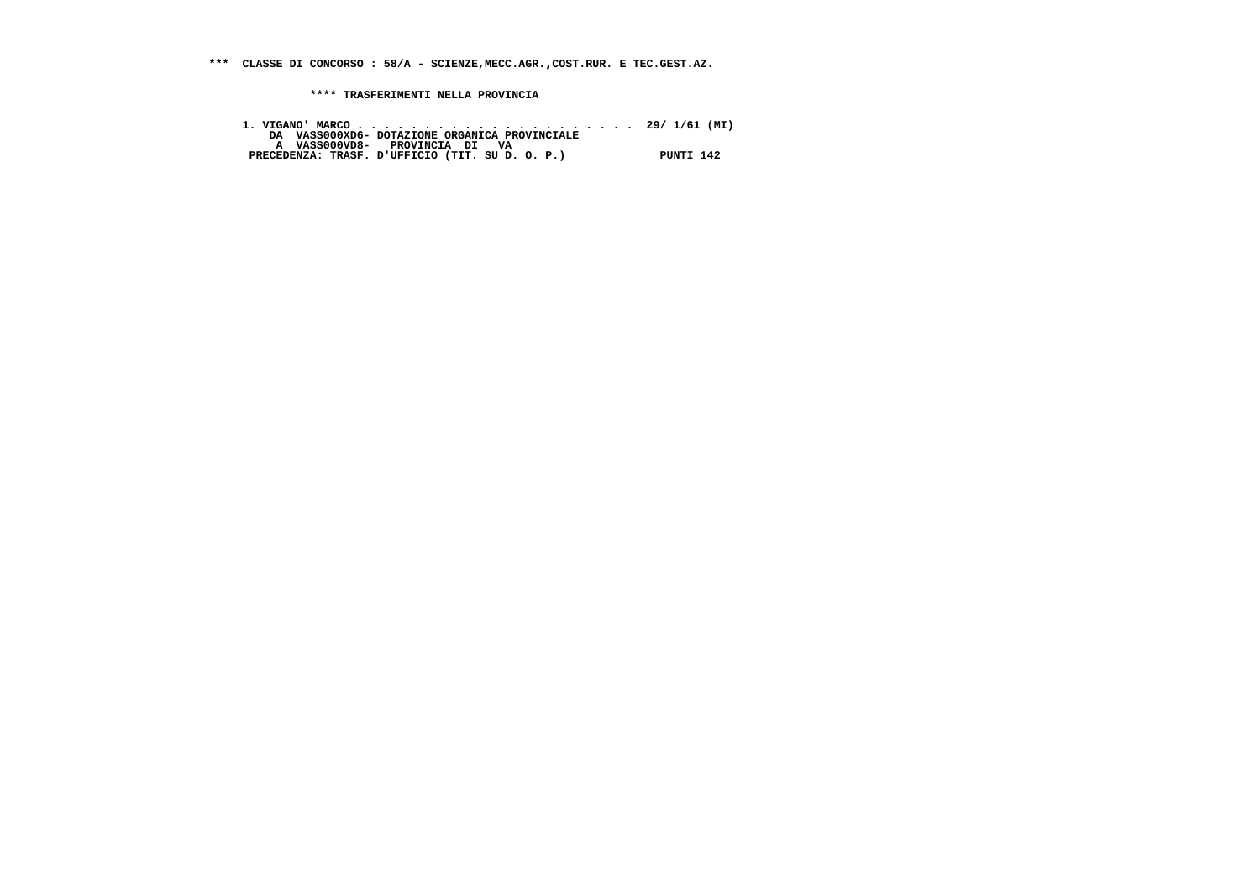**\*\*\* CLASSE DI CONCORSO : 58/A - SCIENZE,MECC.AGR.,COST.RUR. E TEC.GEST.AZ.**

 **\*\*\*\* TRASFERIMENTI NELLA PROVINCIA**

 **1. VIGANO' MARCO . . . . . . . . . . . . . . . . . . . . . 29/ 1/61 (MI) DA VASS000XD6- DOTAZIONE ORGANICA PROVINCIALE A VASS000VD8- PROVINCIA DI VA PRECEDENZA: TRASF. D'UFFICIO (TIT. SU D. O. P.) PUNTI 142**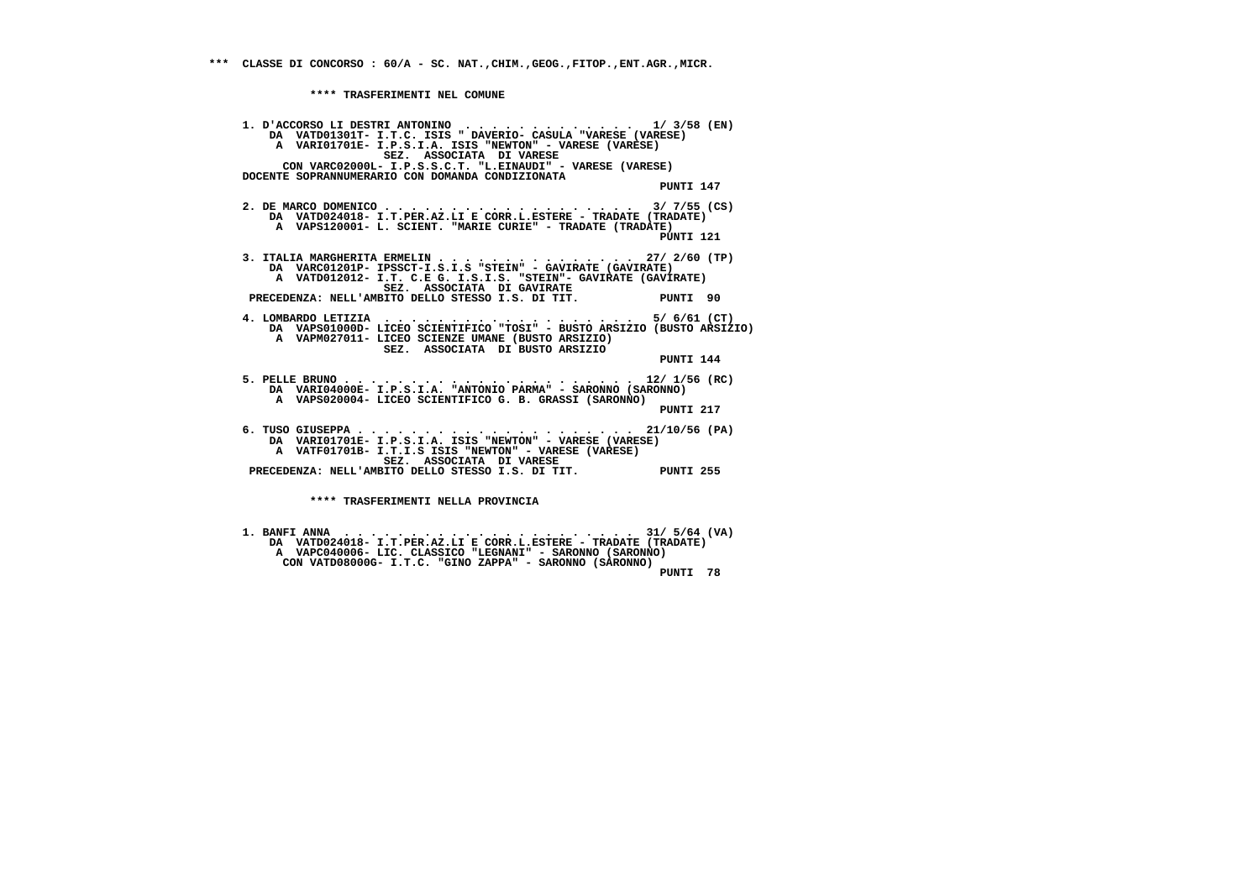**\*\*\*\* TRASFERIMENTI NEL COMUNE**

 **1. D'ACCORSO LI DESTRI ANTONINO . . . . . . . . . . . . . 1/ 3/58 (EN) DA VATD01301T- I.T.C. ISIS " DAVERIO- CASULA "VARESE (VARESE) A VARI01701E- I.P.S.I.A. ISIS "NEWTON" - VARESE (VARESE) SEZ. ASSOCIATA DI VARESE CON VARC02000L- I.P.S.S.C.T. "L.EINAUDI" - VARESE (VARESE) DOCENTE SOPRANNUMERARIO CON DOMANDA CONDIZIONATA PUNTI 147 2. DE MARCO DOMENICO . . . . . . . . . . . . . . . . . . . 3/ 7/55 (CS) DA VATD024018- I.T.PER.AZ.LI E CORR.L.ESTERE - TRADATE (TRADATE) A VAPS120001- L. SCIENT. "MARIE CURIE" - TRADATE (TRADATE)PINTT 121 PUNTI 121 3. ITALIA MARGHERITA ERMELIN . . . . . . . . . . . . . . . 27/ 2/60 (TP) DA VARC01201P- IPSSCT-I.S.I.S "STEIN" - GAVIRATE (GAVIRATE) A VATD012012- I.T. C.E G. I.S.I.S. "STEIN"- GAVIRATE (GAVIRATE) SEZ. ASSOCIATA DI GAVIRATE PRECEDENZA: NELL'AMBITO DELLO STESSO I.S. DI TIT. PUNTI 90 4. LOMBARDO LETIZIA . . . . . . . . . . . . . . . . . . . 5/ 6/61 (CT) DA VAPS01000D- LICEO SCIENTIFICO "TOSI" - BUSTO ARSIZIO (BUSTO ARSIZIO) A VAPM027011- LICEO SCIENZE UMANE (BUSTO ARSIZIO) SEZ. ASSOCIATA DI BUSTO ARSIZIO PUNTI 144 5. PELLE BRUNO . . . . . . . . . . . . . . . . . . . . . . 12/ 1/56 (RC) DA VARI04000E- I.P.S.I.A. "ANTONIO PARMA" - SARONNO (SARONNO) A VAPS020004- LICEO SCIENTIFICO G. B. GRASSI (SARONNO) PUNTI 217 6. TUSO GIUSEPPA . . . . . . . . . . . . . . . . . . . . . 21/10/56 (PA) DA VARI01701E- I.P.S.I.A. ISIS "NEWTON" - VARESE (VARESE) A VATF01701B- I.T.I.S ISIS "NEWTON" - VARESE (VARESE) SEZ. ASSOCIATA DI VARESE PRECEDENZA: NELL'AMBITO DELLO STESSO I.S. DI TIT. PUNTI 255 \*\*\*\* TRASFERIMENTI NELLA PROVINCIA**

 **1. BANFI ANNA . . . . . . . . . . . . . . . . . . . . . . 31/ 5/64 (VA) DA VATD024018- I.T.PER.AZ.LI E CORR.L.ESTERE - TRADATE (TRADATE) A VAPC040006- LIC. CLASSICO "LEGNANI" - SARONNO (SARONNO) CON VATD08000G- I.T.C. "GINO ZAPPA" - SARONNO (SARONNO) PUNTI 78**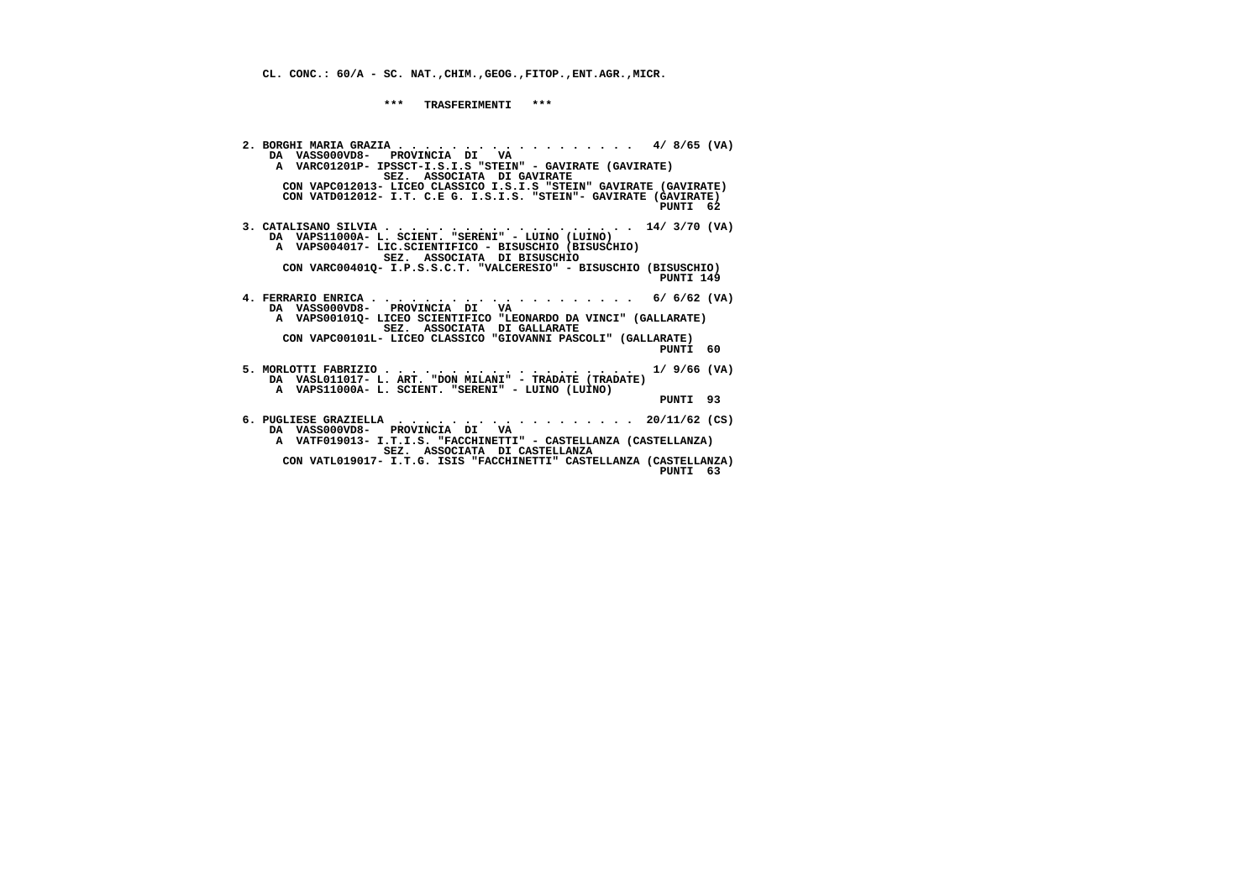**CL. CONC.: 60/A - SC. NAT.,CHIM.,GEOG.,FITOP.,ENT.AGR.,MICR.**

 **\*\*\* TRASFERIMENTI \*\*\***

 **2. BORGHI MARIA GRAZIA . . . . . . . . . . . . . . . . . . 4/ 8/65 (VA) DA VASS000VD8- PROVINCIA DI VA A VARC01201P- IPSSCT-I.S.I.S "STEIN" - GAVIRATE (GAVIRATE) SEZ. ASSOCIATA DI GAVIRATE CON VAPC012013- LICEO CLASSICO I.S.I.S "STEIN" GAVIRATE (GAVIRATE) CON VATD012012- I.T. C.E G. I.S.I.S. "STEIN"- GAVIRATE (GAVIRATE) PUNTI 62 3. CATALISANO SILVIA . . . . . . . . . . . . . . . . . . . 14/ 3/70 (VA) DA VAPS11000A- L. SCIENT. "SERENI" - LUINO (LUINO) A VAPS004017- LIC.SCIENTIFICO - BISUSCHIO (BISUSCHIO) SEZ. ASSOCIATA DI BISUSCHIO CON VARC00401Q- I.P.S.S.C.T. "VALCERESIO" - BISUSCHIO (BISUSCHIO) PUNTI 149 4. FERRARIO ENRICA . . . . . . . . . . . . . . . . . . . . 6/ 6/62 (VA) DA VASS000VD8- PROVINCIA DI VA A VAPS00101Q- LICEO SCIENTIFICO "LEONARDO DA VINCI" (GALLARATE) SEZ. ASSOCIATA DI GALLARATE CON VAPC00101L- LICEO CLASSICO "GIOVANNI PASCOLI" (GALLARATE) PUNTI 60 5. MORLOTTI FABRIZIO . . . . . . . . . . . . . . . . . . . 1/ 9/66 (VA) DA VASL011017- L. ART. "DON MILANI" - TRADATE (TRADATE) A VAPS11000A- L. SCIENT. "SERENI" - LUINO (LUINO) PUNTI 93 6. PUGLIESE GRAZIELLA . . . . . . . . . . . . . . . . . . 20/11/62 (CS) DA VASS000VD8- PROVINCIA DI VA A VATF019013- I.T.I.S. "FACCHINETTI" - CASTELLANZA (CASTELLANZA) SEZ. ASSOCIATA DI CASTELLANZA CON VATL019017- I.T.G. ISIS "FACCHINETTI" CASTELLANZA (CASTELLANZA) PUNTI 63**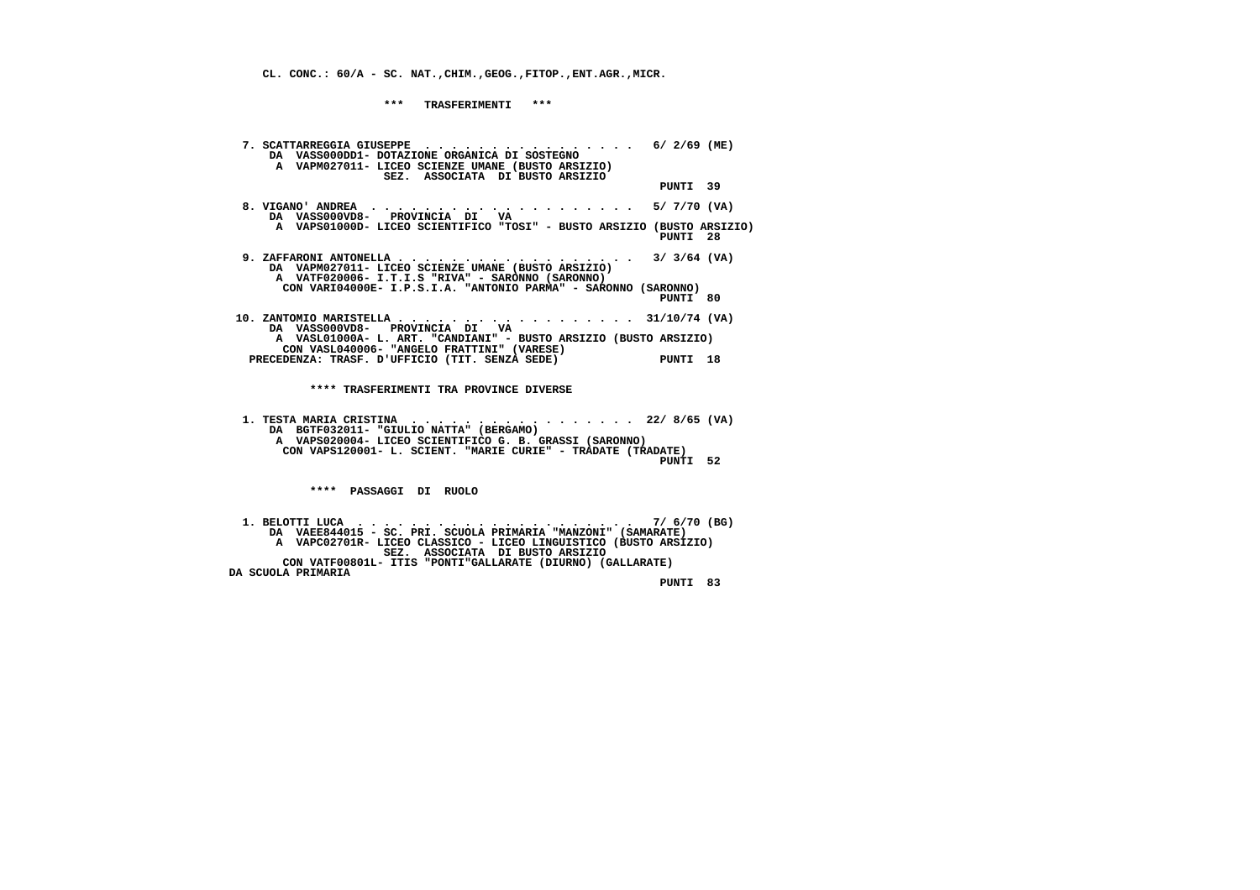**CL. CONC.: 60/A - SC. NAT.,CHIM.,GEOG.,FITOP.,ENT.AGR.,MICR.**

 **\*\*\* TRASFERIMENTI \*\*\***

| 7. SCATTARREGGIA GIUSEPPE $\ldots$ ,,,,,,,,,,,,,,,,,,,6/2/69 (ME)<br>DA VASS000DD1- DOTAZIONE ORGANICA DI SOSTEGNO<br>A VAPM027011- LICEO SCIENZE UMANE (BUSTO ARSIZIO)<br>SEZ. ASSOCIATA DI BUSTO ARSIZIO |          |  |
|------------------------------------------------------------------------------------------------------------------------------------------------------------------------------------------------------------|----------|--|
|                                                                                                                                                                                                            | PUNTI 39 |  |
| DA VASS000VD8- PROVINCIA DI VA                                                                                                                                                                             |          |  |
| A VAPS01000D- LICEO SCIENTIFICO "TOSI" - BUSTO ARSIZIO (BUSTO ARSIZIO)                                                                                                                                     | PUNTI 28 |  |
| $\ldots$ 3/ 3/64 (VA)<br>9. ZAFFARONI ANTONELLA<br>DA VAPM027011- LICEO SCIENZE UMANE (BUSTO ARSIZIO)<br>A VATF020006- I.T.I.S "RIVA" - SARONNO (SARONNO)                                                  |          |  |
| CON VARI04000E- I.P.S.I.A. "ANTONIO PARMA" - SARONNO (SARONNO)                                                                                                                                             | PUNTI 80 |  |
| 10. ZANTOMIO MARISTELLA 31/10/74 (VA)<br>DA VASS000VD8- PROVINCIA DI VA                                                                                                                                    |          |  |
| A VASL01000A- L. ART. "CANDIANI" - BUSTO ARSIZIO (BUSTO ARSIZIO)                                                                                                                                           |          |  |
| CON VASL040006- "ANGELO FRATTINI" (VARESE)                                                                                                                                                                 |          |  |
| PRECEDENZA: TRASF. D'UFFICIO (TIT. SENZA SEDE)                                                                                                                                                             | PUNTI 18 |  |
| **** TRASFERIMENTI TRA PROVINCE DIVERSE                                                                                                                                                                    |          |  |
| 1. TESTA MARIA CRISTINA 22/ 8/65 (VA)<br>DA BGTF032011- "GIULIO NATTA" (BERGAMO)<br>A VAPS020004- LICEO SCIENTIFICO G. B. GRASSI (SARONNO)                                                                 |          |  |
| CON VAPS120001- L. SCIENT. "MARIE CURIE" - TRADATE (TRADATE)                                                                                                                                               | PUNTI 52 |  |
| **** PASSAGGI DI RUOLO                                                                                                                                                                                     |          |  |
| DA VAEE844015 - SC. PRI. SCUOLA PRIMARIA "MANZONI" (SAMARATE)                                                                                                                                              |          |  |
| A VAPC02701R- LICEO CLASSICO - LICEO LINGUISTICO (BUSTO ARSIZIO)<br>SEZ. ASSOCIATA DI BUSTO ARSIZIO                                                                                                        |          |  |
| CON VATF00801L- ITIS "PONTI"GALLARATE (DIURNO) (GALLARATE)<br>DA SCUOLA PRIMARIA                                                                                                                           |          |  |

 **PUNTI 83**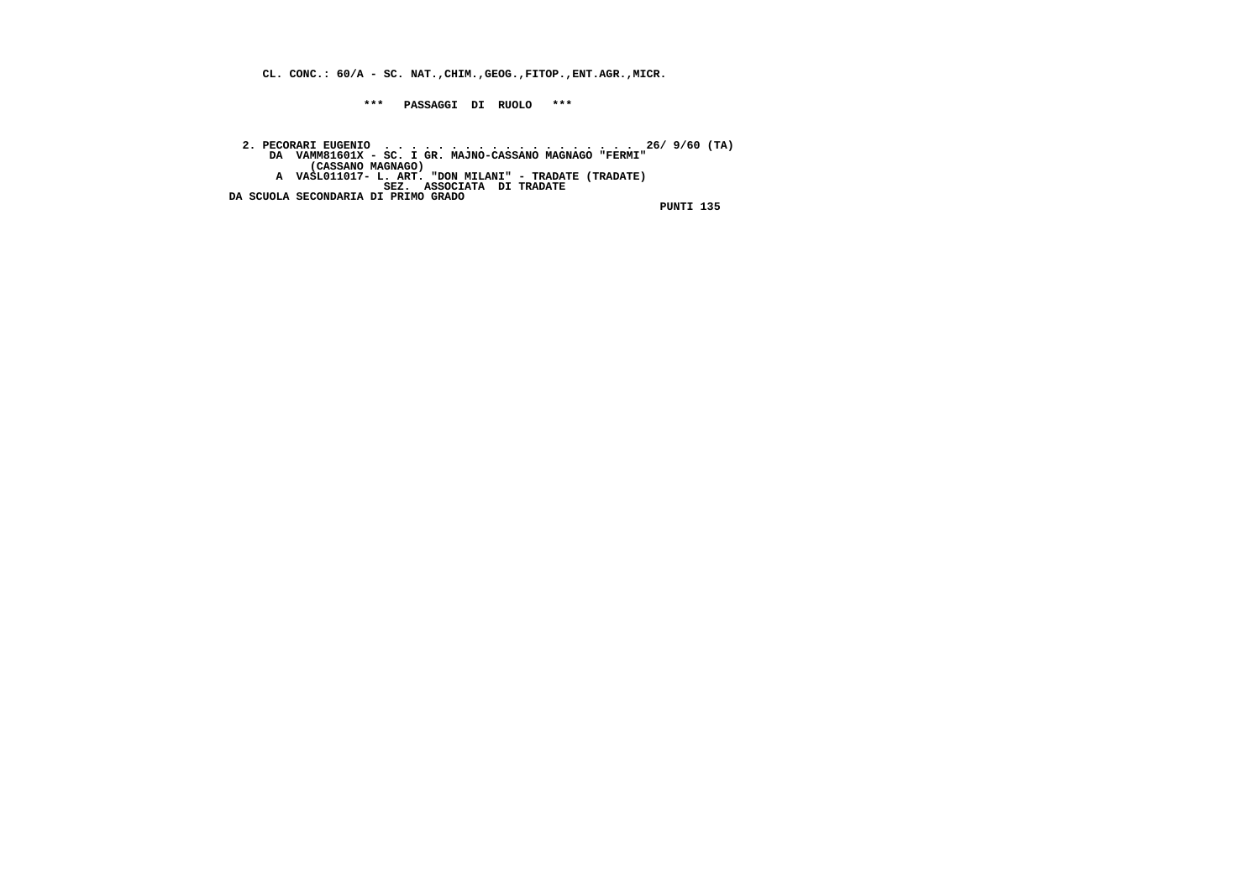**CL. CONC.: 60/A - SC. NAT.,CHIM.,GEOG.,FITOP.,ENT.AGR.,MICR.**

 **\*\*\* PASSAGGI DI RUOLO \*\*\***

2. PECORARI EUGENIO<br>DA VAMM81601X - SC. I GR. MAJNO-CASSANO MAGNAGO "FERMI"<br>(CASSANO MAGNAGO) - L. ART. "DON MILANI" - TRADATE (TRADATE)<br>A VASLO11017- L. ART. "DON MILANI" - TRADATE (TRADATE)<br>SEZ. ASSOCIATA DI TRADATE  **DA SCUOLA SECONDARIA DI PRIMO GRADO**

 **PUNTI 135**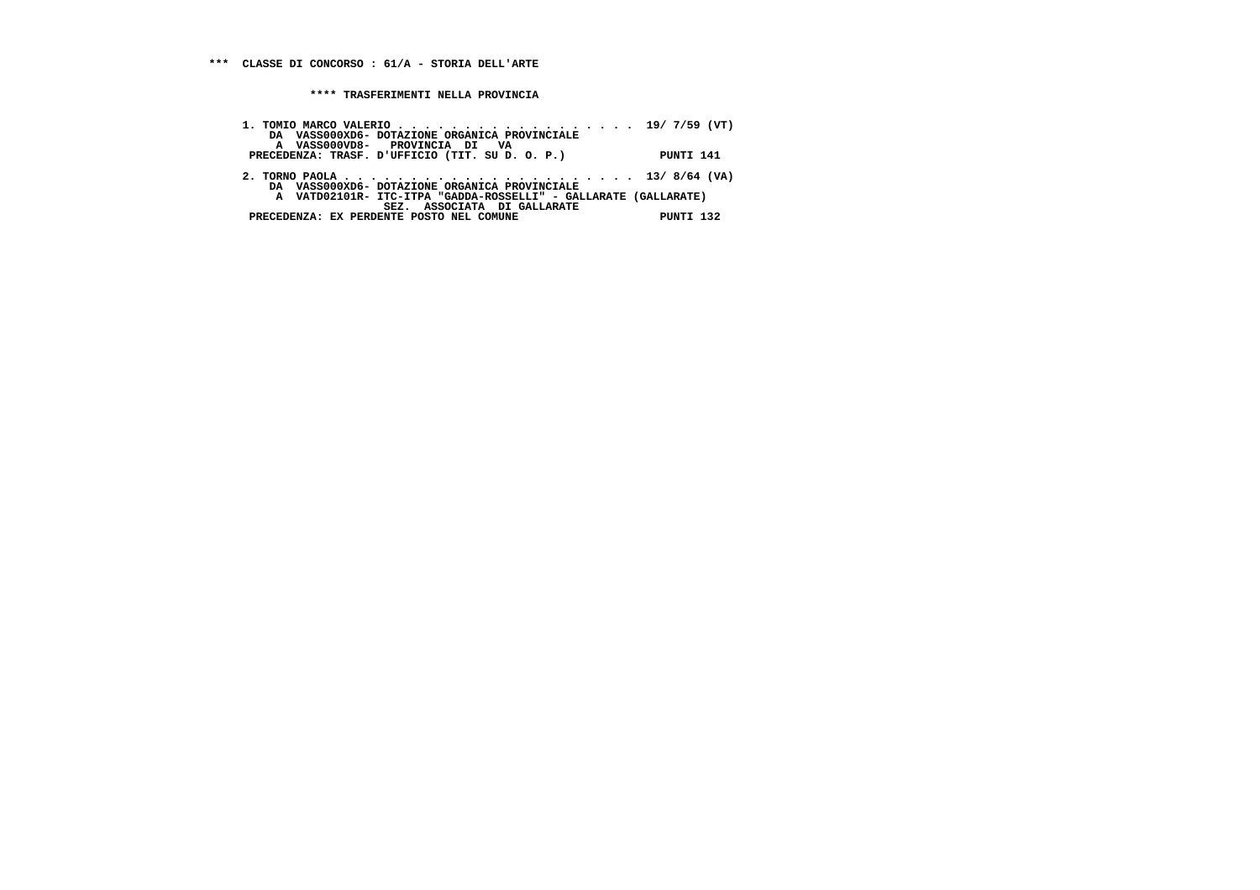| 1. TOMIO MARCO VALERIO 19/ 7/59 (VT)<br>DA VASS000XD6- DOTAZIONE ORGANICA PROVINCIALE<br>A VASS000VD8- PROVINCIA DI VA                                                                      |           |
|---------------------------------------------------------------------------------------------------------------------------------------------------------------------------------------------|-----------|
| PRECEDENZA: TRASF. D'UFFICIO (TIT. SU D. O. P.)                                                                                                                                             | PUNTI 141 |
| DA VASS000XD6- DOTAZIONE ORGANICA PROVINCIALE<br>A VATD02101R- ITC-ITPA "GADDA-ROSSELLI" - GALLARATE (GALLARATE)<br>SEZ. ASSOCIATA DI GALLARATE<br>PRECEDENZA: EX PERDENTE POSTO NEL COMUNE | PUNTI 132 |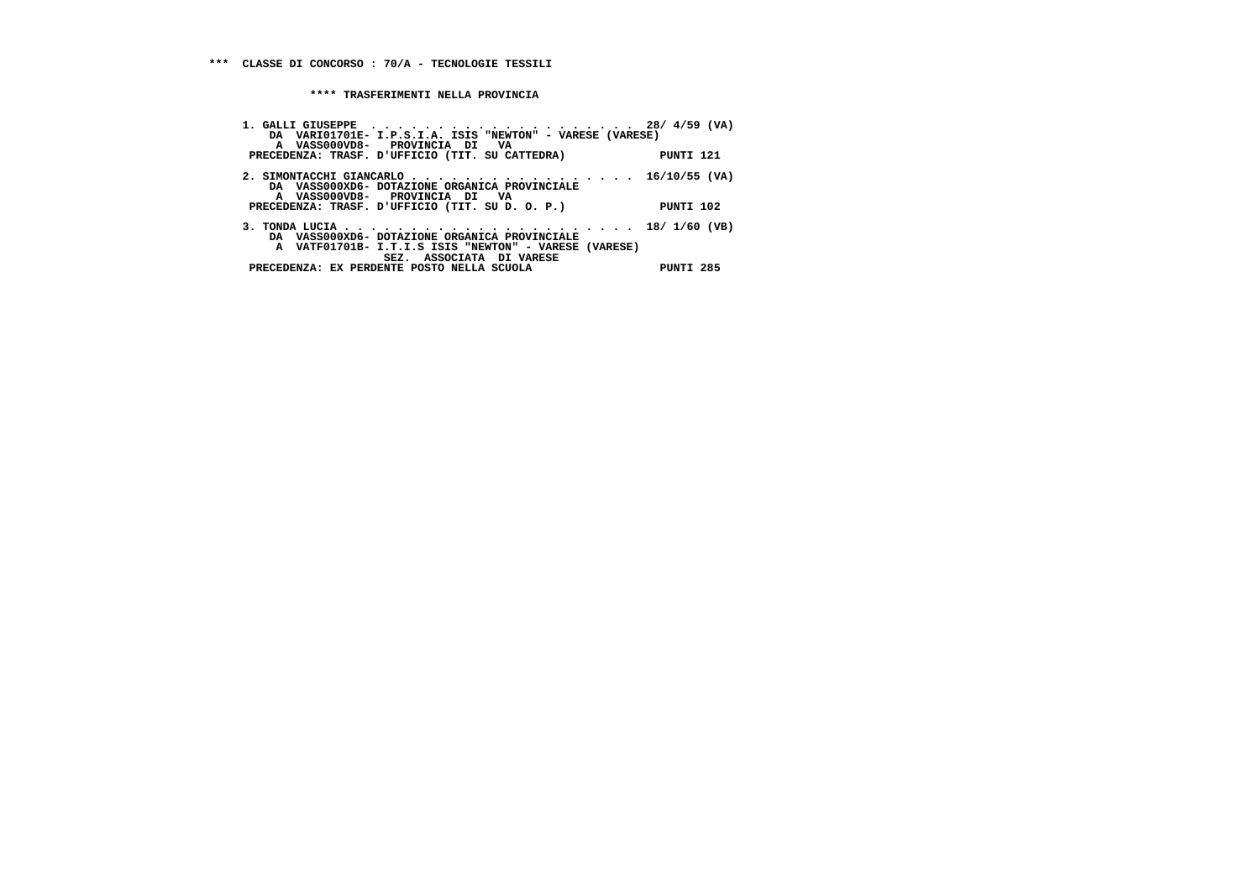| DA VARIO1701E- I.P.S.I.A. ISIS "NEWTON" - VARESE (VARESE) |
|-----------------------------------------------------------|
|                                                           |
| PUNTI 121                                                 |
|                                                           |
| 2. SIMONTACCHI GIANCARLO 16/10/55 (VA)                    |
|                                                           |
|                                                           |
| PUNTI 102                                                 |
|                                                           |
|                                                           |
| A VATF01701B- I.T.I.S ISIS "NEWTON" - VARESE (VARESE)     |
|                                                           |
|                                                           |
| PUNTI 285                                                 |
|                                                           |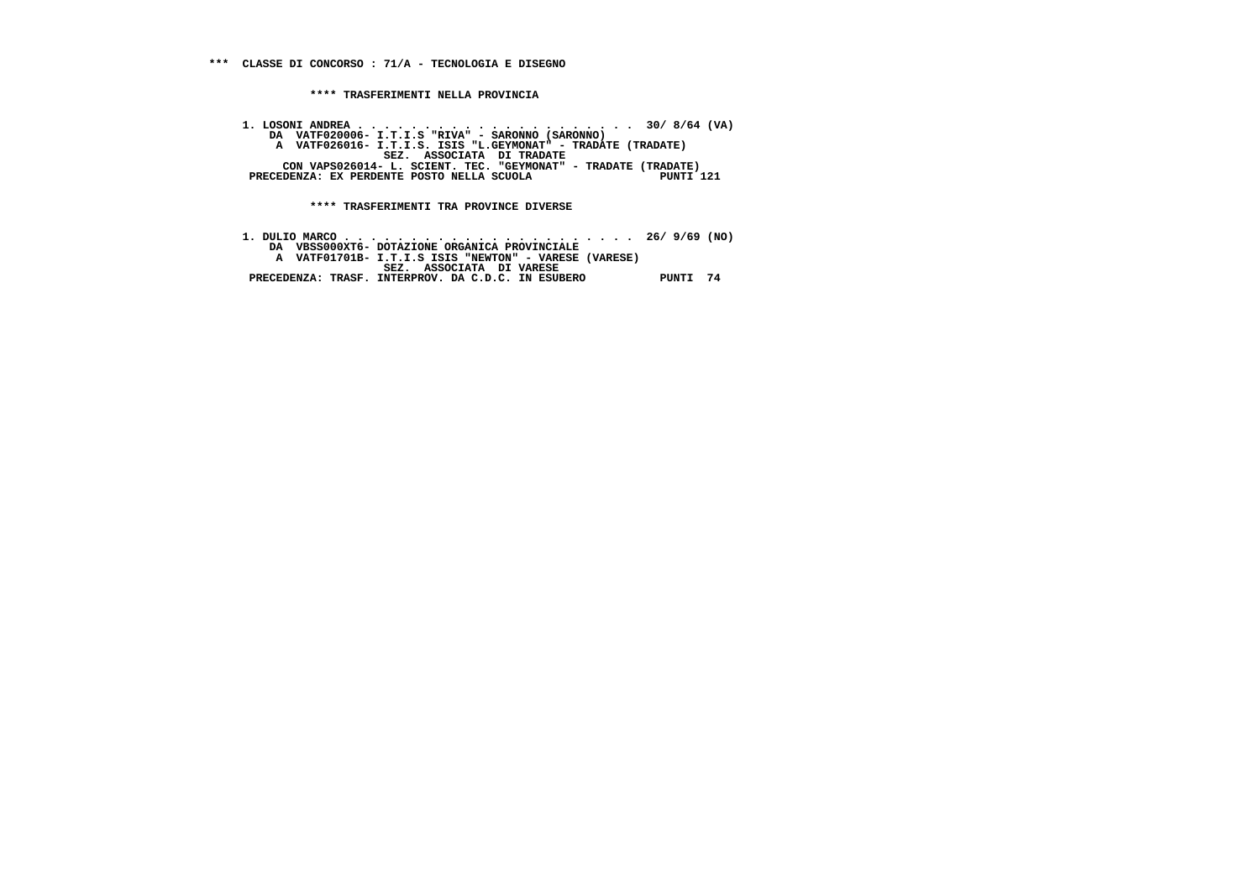**1. LOSONI ANDREA . . . . . . . . . . . . . . . . . . . . . 30/ 8/64 (VA) DA VATF020006- I.T.I.S "RIVA" - SARONNO (SARONNO) A VATF026016- I.T.I.S. ISIS "L.GEYMONAT" - TRADATE (TRADATE) SEZ. ASSOCIATA DI TRADATE CON VAPS026014- L. SCIENT. TEC. "GEYMONAT" - TRADATE (TRADATE) PRECEDENZA: EX PERDENTE POSTO NELLA SCUOLA PUNTI 121**

 **\*\*\*\* TRASFERIMENTI TRA PROVINCE DIVERSE**

 **1. DULIO MARCO . . . . . . . . . . . . . . . . . . . . . . 26/ 9/69 (NO) DA VBSS000XT6- DOTAZIONE ORGANICA PROVINCIALE A VATF01701B- I.T.I.S ISIS "NEWTON" - VARESE (VARESE) SEZ. ASSOCIATA DI VARESE PRECEDENZA: TRASF. INTERPROV. DA C.D.C. IN ESUBERO PUNTI 74**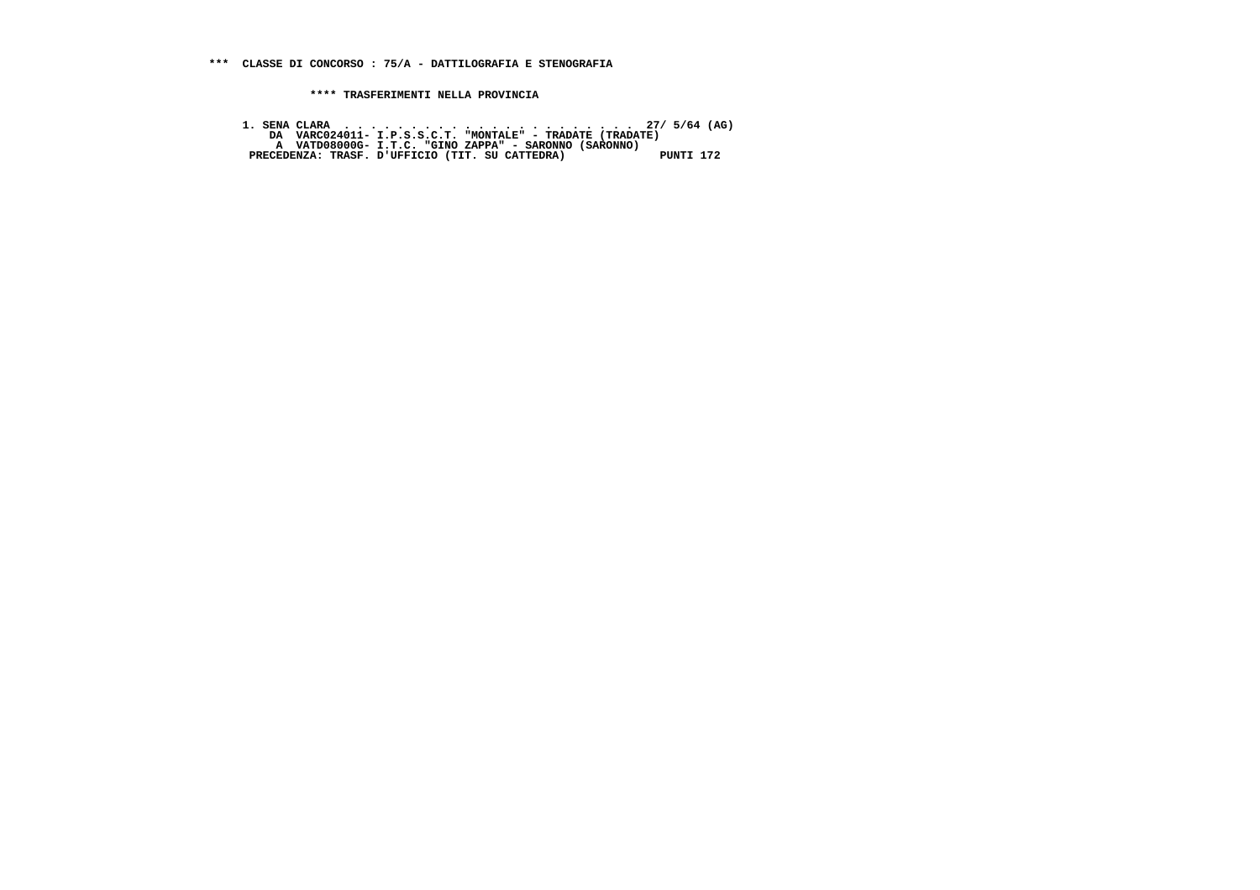**1. SENA CLARA . . . . . . . . . . . . . . . . . . . . . . 27/ 5/64 (AG) DA VARC024011- I.P.S.S.C.T. "MONTALE" - TRADATE (TRADATE) A VATD08000G- I.T.C. "GINO ZAPPA" - SARONNO (SARONNO) PRECEDENZA: TRASF. D'UFFICIO (TIT. SU CATTEDRA) PUNTI 172**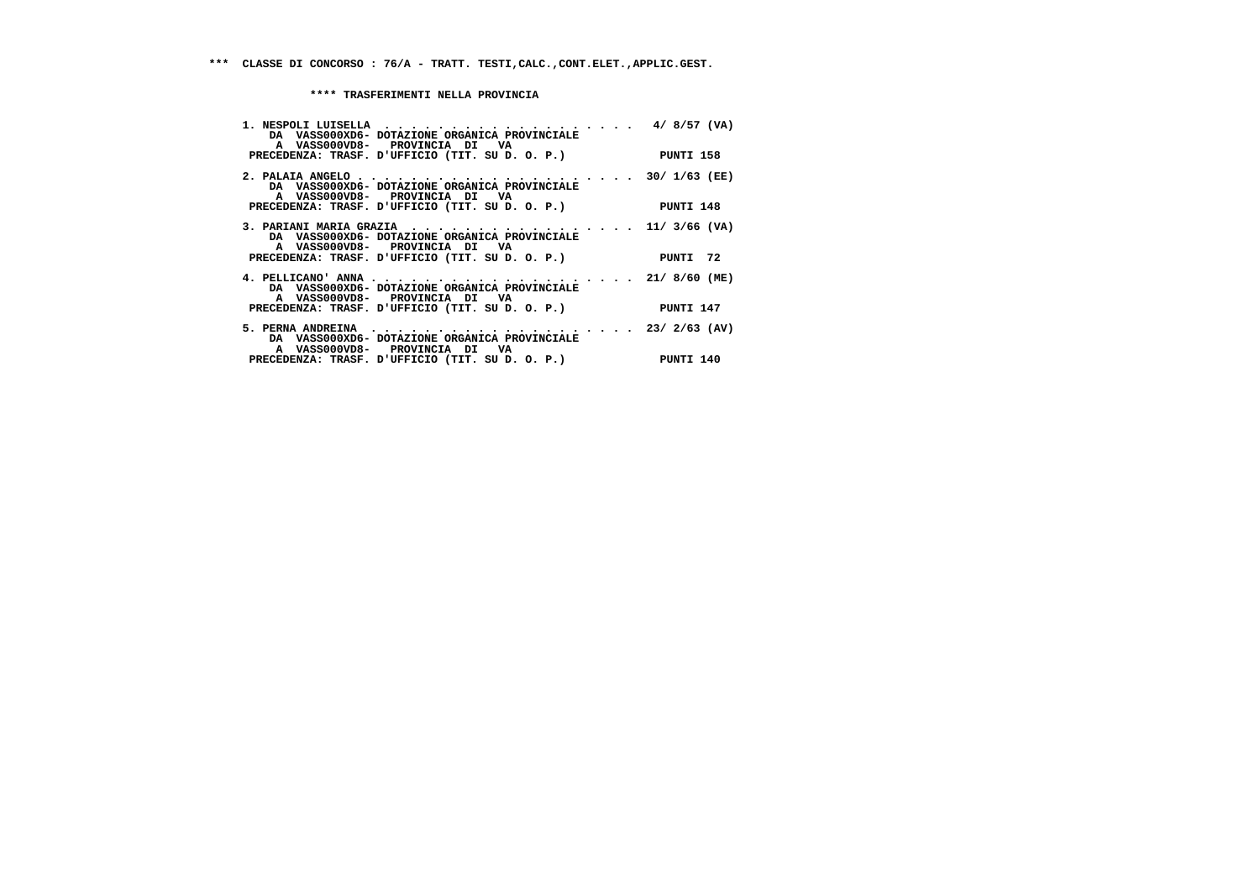| DA VASS000XD6- DOTAZIONE ORGANICA PROVINCIALE<br>A VASS000VD8- PROVINCIA DI VA<br>PRECEDENZA: TRASF. D'UFFICIO (TIT. SU D. O. P.) PUNTI 158                                         |  |
|-------------------------------------------------------------------------------------------------------------------------------------------------------------------------------------|--|
| DA VASS000XD6- DOTAZIONE ORGANICA PROVINCIALE<br>A VASS000VD8- PROVINCIA DI VA<br>PRECEDENZA: TRASF. D'UFFICIO (TIT. SU D. O. P.) PUNTI 148                                         |  |
| 3. PARIANI MARIA GRAZIA 11/ 3/66 (VA)<br>DA VASS000XD6- DOTAZIONE ORGANICA PROVINCIALE<br>A VASS000VD8- PROVINCIA DI VA<br>PRECEDENZA: TRASF. D'UFFICIO (TIT. SU D. O. P.) PUNTI 72 |  |
| DA VASS000XD6- DOTAZIONE ORGANICA PROVINCIALE<br>A VASS000VD8- PROVINCIA DI VA<br>PRECEDENZA: TRASF. D'UFFICIO (TIT. SU D. O. P.) PUNTI 147                                         |  |
| DA VASS000XD6- DOTAZIONE ORGANICA PROVINCIALE<br>A VASS000VD8- PROVINCIA DI VA<br>PRECEDENZA: TRASF. D'UFFICIO (TIT. SU D. O. P.) PUNTI 140                                         |  |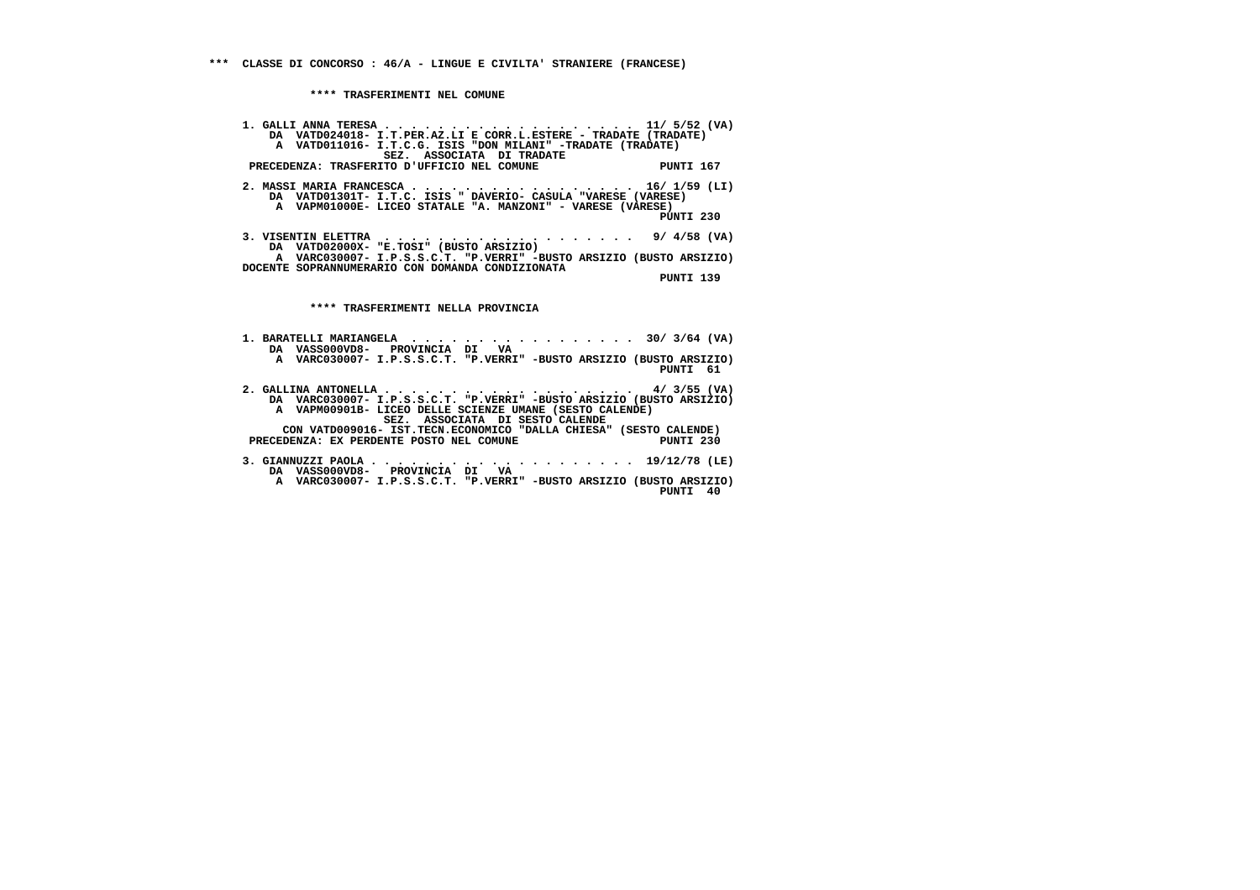**\*\*\*\* TRASFERIMENTI NEL COMUNE**

 **1. GALLI ANNA TERESA . . . . . . . . . . . . . . . . . . . 11/ 5/52 (VA) DA VATD024018- I.T.PER.AZ.LI E CORR.L.ESTERE - TRADATE (TRADATE) A VATD011016- I.T.C.G. ISIS "DON MILANI" -TRADATE (TRADATE) SEZ. ASSOCIATA DI TRADATE PRECEDENZA: TRASFERITO D'UFFICIO NEL COMUNE PUNTI 167 2. MASSI MARIA FRANCESCA . . . . . . . . . . . . . . . . . 16/ 1/59 (LI) DA VATD01301T- I.T.C. ISIS " DAVERIO- CASULA "VARESE (VARESE) A VAPM01000E- LICEO STATALE "A. MANZONI" - VARESE (VARESE) PUNTI 230 3. VISENTIN ELETTRA . . . . . . . . . . . . . . . . . . . 9/ 4/58 (VA) DA VATD02000X- "E.TOSI" (BUSTO ARSIZIO) A VARC030007- I.P.S.S.C.T. "P.VERRI" -BUSTO ARSIZIO (BUSTO ARSIZIO) DOCENTE SOPRANNUMERARIO CON DOMANDA CONDIZIONATA PUNTI 139**

 **\*\*\*\* TRASFERIMENTI NELLA PROVINCIA**

- **1. BARATELLI MARIANGELA . . . . . . . . . . . . . . . . . 30/ 3/64 (VA) DA VASS000VD8- PROVINCIA DI VA A VARC030007- I.P.S.S.C.T. "P.VERRI" -BUSTO ARSIZIO (BUSTO ARSIZIO) PUNTI 61**
- **2. GALLINA ANTONELLA . . . . . . . . . . . . . . . . . . . 4/ 3/55 (VA) DA VARC030007- I.P.S.S.C.T. "P.VERRI" -BUSTO ARSIZIO (BUSTO ARSIZIO) A VAPM00901B- LICEO DELLE SCIENZE UMANE (SESTO CALENDE)**SEZ. ASSOCIATA DI SESTO CALENDE  **CON VATD009016- IST.TECN.ECONOMICO "DALLA CHIESA" (SESTO CALENDE)**

PUNTI 230 **PRECEDENZA: EX PERDENTE POSTO NEL COMUNE** 

- **3. GIANNUZZI PAOLA . . . . . . . . . . . . . . . . . . . . 19/12/78 (LE) DA VASS000VD8- PROVINCIA DI VA A VARC030007- I.P.S.S.C.T. "P.VERRI" -BUSTO ARSIZIO (BUSTO ARSIZIO)**
	- **PUNTI 40**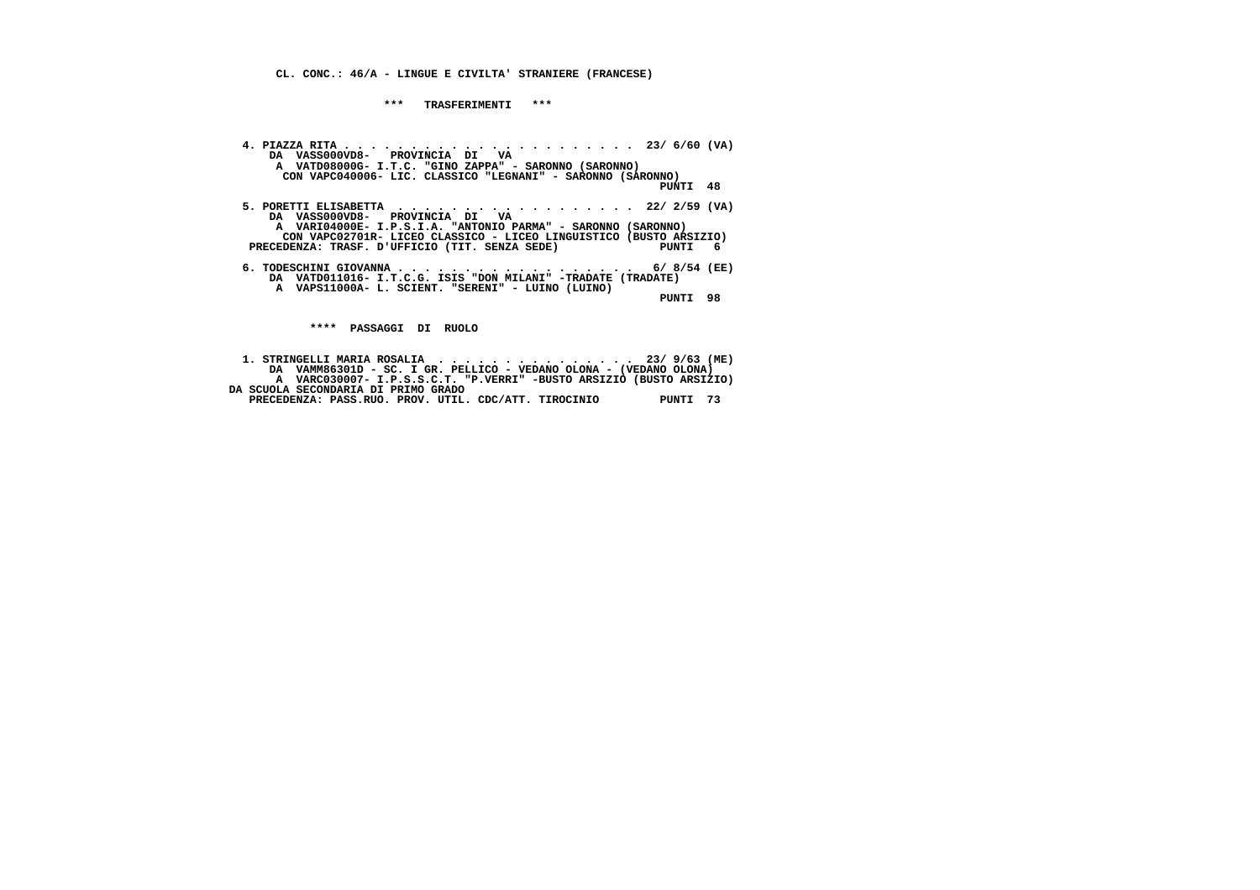**\*\*\* TRASFERIMENTI \*\*\***

 **4. PIAZZA RITA . . . . . . . . . . . . . . . . . . . . . . 23/ 6/60 (VA) DA VASS000VD8- PROVINCIA DI VA A VATD08000G- I.T.C. "GINO ZAPPA" - SARONNO (SARONNO) CON VAPC040006- LIC. CLASSICO "LEGNANI" - SARONNO (SARONNO) PUNTI 48 5. PORETTI ELISABETTA . . . . . . . . . . . . . . . . . . 22/ 2/59 (VA) DA VASS000VD8- PROVINCIA DI VA A VARI04000E- I.P.S.I.A. "ANTONIO PARMA" - SARONNO (SARONNO) CON VAPC02701R- LICEO CLASSICO - LICEO LINGUISTICO (BUSTO ARSIZIO)** $PUNTI$  6 **PRECEDENZA: TRASF. D'UFFICIO (TIT. SENZA SEDE) 6. TODESCHINI GIOVANNA . . . . . . . . . . . . . . . . . . 6/ 8/54 (EE) DA VATD011016- I.T.C.G. ISIS "DON MILANI" -TRADATE (TRADATE) A VAPS11000A- L. SCIENT. "SERENI" - LUINO (LUINO) PUNTI 98 \*\*\*\* PASSAGGI DI RUOLO**

 **1. STRINGELLI MARIA ROSALIA . . . . . . . . . . . . . . . 23/ 9/63 (ME) DA VAMM86301D - SC. I GR. PELLICO - VEDANO OLONA - (VEDANO OLONA) A VARC030007- I.P.S.S.C.T. "P.VERRI" -BUSTO ARSIZIO (BUSTO ARSIZIO) DA SCUOLA SECONDARIA DI PRIMO GRADO**

```

PRECEDENZA: PASS.RUO. PROV. UTIL. CDC/ATT. TIROCINIO PUNTI 73
```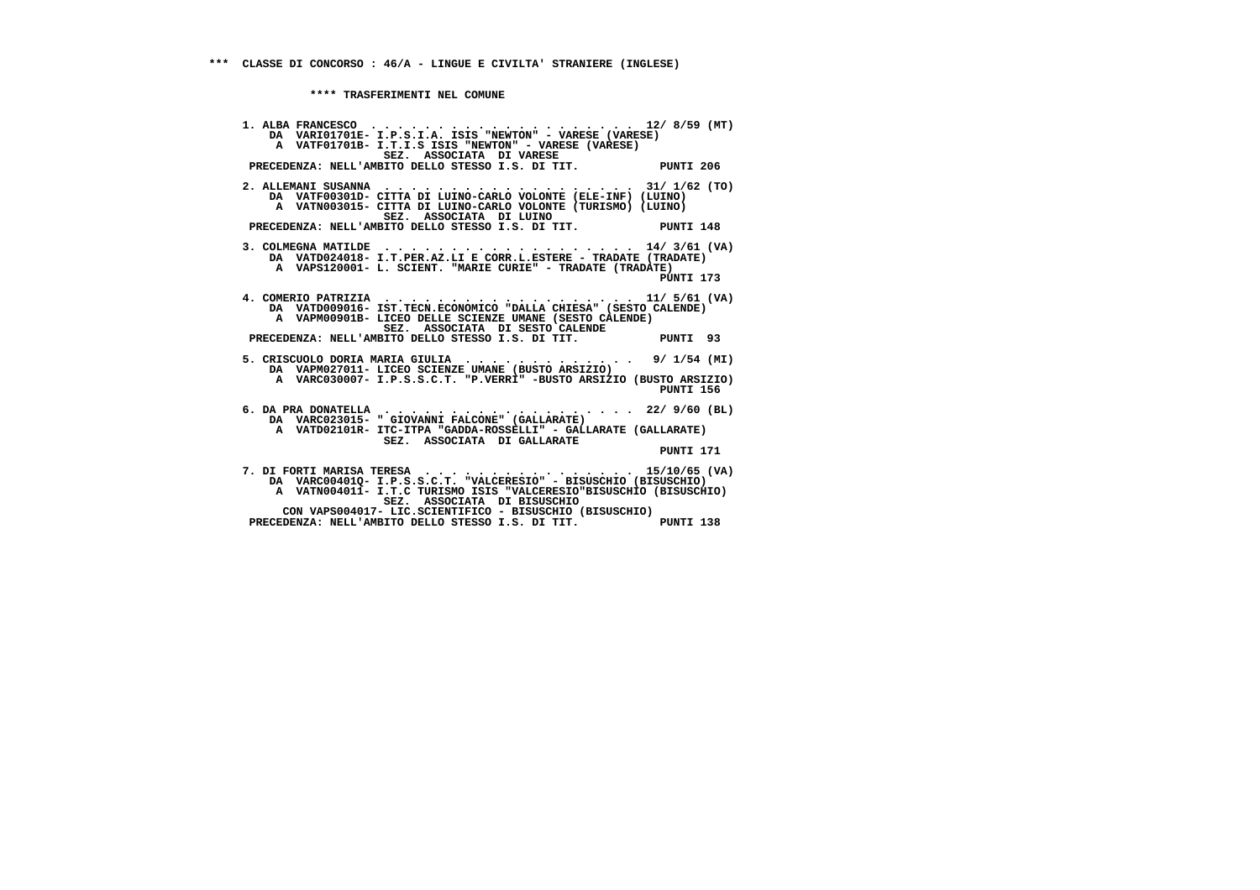**\*\*\*\* TRASFERIMENTI NEL COMUNE**

 **1. ALBA FRANCESCO . . . . . . . . . . . . . . . . . . . . 12/ 8/59 (MT) DA VARI01701E- I.P.S.I.A. ISIS "NEWTON" - VARESE (VARESE) A VATF01701B- I.T.I.S ISIS "NEWTON" - VARESE (VARESE) SEZ. ASSOCIATA DI VARESE PRECEDENZA: NELL'AMBITO DELLO STESSO I.S. DI TIT. PUNTI 206 2. ALLEMANI SUSANNA . . . . . . . . . . . . . . . . . . . 31/ 1/62 (TO) DA VATF00301D- CITTA DI LUINO-CARLO VOLONTE (ELE-INF) (LUINO) A VATN003015- CITTA DI LUINO-CARLO VOLONTE (TURISMO) (LUINO) SEZ. ASSOCIATA DI LUINO PRECEDENZA: NELL'AMBITO DELLO STESSO I.S. DI TIT. PUNTI 148 3. COLMEGNA MATILDE . . . . . . . . . . . . . . . . . . . 14/ 3/61 (VA) DA VATD024018- I.T.PER.AZ.LI E CORR.L.ESTERE - TRADATE (TRADATE) A VAPS120001- L. SCIENT. "MARIE CURIE" - TRADATE (TRADATE)**PINTT 173  **PUNTI 173 4. COMERIO PATRIZIA . . . . . . . . . . . . . . . . . . . 11/ 5/61 (VA) DA VATD009016- IST.TECN.ECONOMICO "DALLA CHIESA" (SESTO CALENDE) A VAPM00901B- LICEO DELLE SCIENZE UMANE (SESTO CALENDE) SEZ. ASSOCIATA DI SESTO CALENDE PRECEDENZA: NELL'AMBITO DELLO STESSO I.S. DI TIT. PUNTI 93 5. CRISCUOLO DORIA MARIA GIULIA . . . . . . . . . . . . . 9/ 1/54 (MI) DA VAPM027011- LICEO SCIENZE UMANE (BUSTO ARSIZIO) A VARC030007- I.P.S.S.C.T. "P.VERRI" -BUSTO ARSIZIO (BUSTO ARSIZIO) PUNTI 156 6. DA PRA DONATELLA . . . . . . . . . . . . . . . . . . . 22/ 9/60 (BL) DA VARC023015- " GIOVANNI FALCONE" (GALLARATE) A VATD02101R- ITC-ITPA "GADDA-ROSSELLI" - GALLARATE (GALLARATE) SEZ. ASSOCIATA DI GALLARATE PUNTI 171 7. DI FORTI MARISA TERESA . . . . . . . . . . . . . . . . 15/10/65 (VA) DA VARC00401Q- I.P.S.S.C.T. "VALCERESIO" - BISUSCHIO (BISUSCHIO) A VATN004011- I.T.C TURISMO ISIS "VALCERESIO"BISUSCHIO (BISUSCHIO) SEZ. ASSOCIATA DI BISUSCHIO CON VAPS004017- LIC.SCIENTIFICO - BISUSCHIO (BISUSCHIO) PRECEDENZA: NELL'AMBITO DELLO STESSO I.S. DI TIT. PUNTI 138**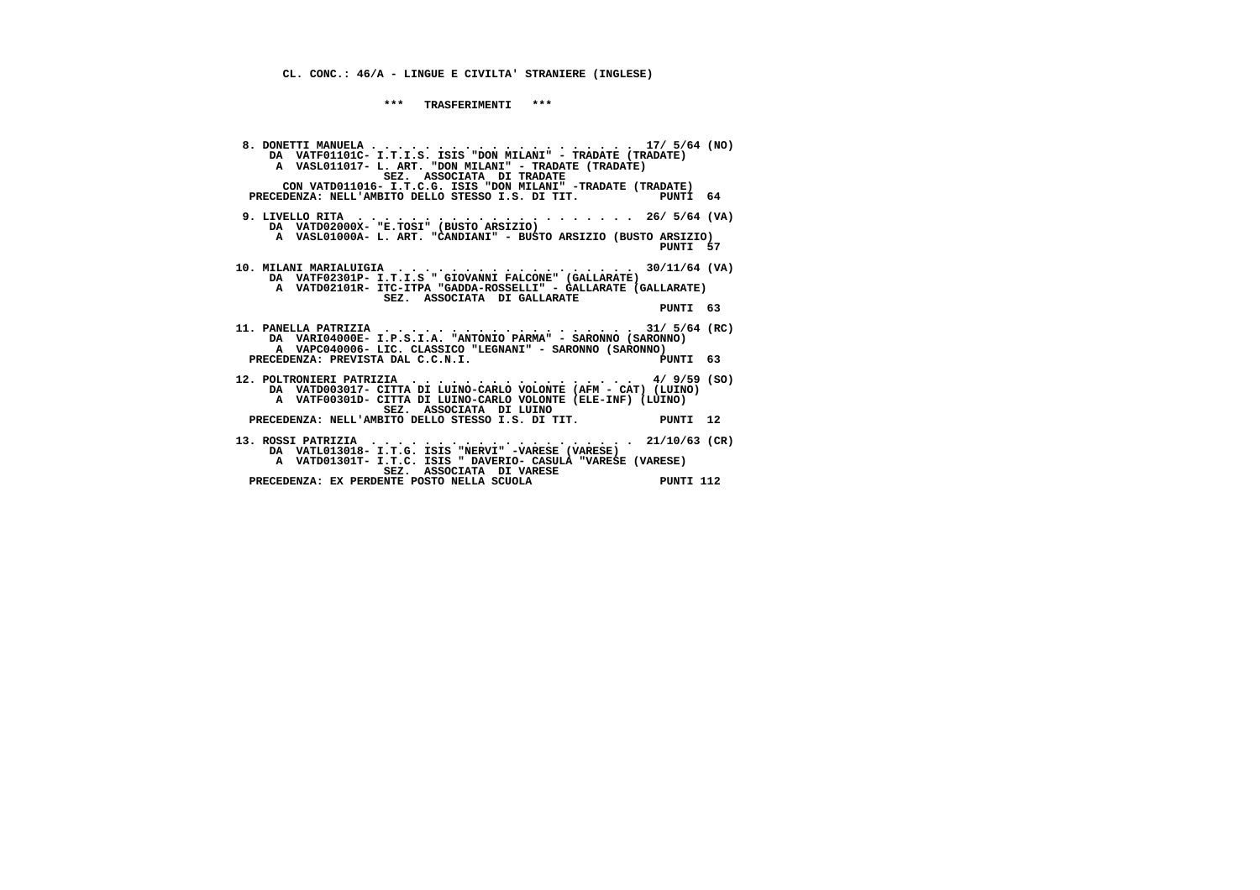**\*\*\* TRASFERIMENTI \*\*\***

| DA VATFO1101C- I.T.I.S. ISIS "DON MILANI" - TRADATE (TRADATE)<br>A VASL011017- L. ART. "DON MILANI" - TRADATE (TRADATE)<br>SEZ. ASSOCIATA DI TRADATE<br>CON VATD011016- I.T.C.G. ISIS "DON MILANI" -TRADATE (TRADATE)                  |  |
|----------------------------------------------------------------------------------------------------------------------------------------------------------------------------------------------------------------------------------------|--|
| PRECEDENZA: NELL'AMBITO DELLO STESSO I.S. DI TIT. PUNTI 64                                                                                                                                                                             |  |
| 9. LIVELLO RITA $\ldots \ldots \ldots \ldots \ldots \ldots \ldots \ldots \ldots \ldots \ldots$ 26/5/64 (VA)<br>DA VATD02000X- "E.TOSI" (BUSTO ARSIZIO)<br>A VASL01000A- L. ART. "CANDIANI" - BUSTO ARSIZIO (BUSTO ARSIZIO)<br>PUNTI 57 |  |
| 10. MILANI MARIALUIGIA 30/11/64 (VA)<br>DA VATF02301P- I.T.I.S " GIOVANNI FALCONE" (GALLARATE)<br>A VATD02101R- ITC-ITPA "GADDA-ROSSELLI" - GALLARATE (GALLARATE)<br>SEZ. ASSOCIATA DI GALLARATE                                       |  |
| PUNTI 63                                                                                                                                                                                                                               |  |
| 11. PANELLA PATRIZIA 31/ $5/64$ (RC)<br>DA VARI04000E- I.P.S.I.A. "ANTONIO PARMA" - SARONNO (SARONNO)<br>A VAPC040006- LIC. CLASSICO "LEGNANI" - SARONNO (SARONNO)                                                                     |  |
| PRECEDENZA: PREVISTA DAL C.C.N.I.<br>PUNTI 63                                                                                                                                                                                          |  |
| 12. POLTRONIERI PATRIZIA 4/ 9/59 (SO)<br>DA VATD003017- CITTA DI LUINO-CARLO VOLONTE (AFM - CAT) (LUINO)<br>A VATF00301D- CITTA DI LUINO-CARLO VOLONTE (ELE-INF) (LUINO)<br>SEZ. ASSOCIATA DI LUINO                                    |  |
| PRECEDENZA: NELL'AMBITO DELLO STESSO I.S. DI TIT. PUNTI 12                                                                                                                                                                             |  |
| 13. ROSSI PATRIZIA 21/10/63 (CR)<br>DA VATL013018- I.T.G. ISIS "NERVI" -VARESE (VARESE)<br>A VATD01301T- I.T.C. ISIS " DAVERIO- CASULA "VARESE (VARESE)                                                                                |  |
| SEZ. ASSOCIATA DI VARESE<br>PRECEDENZA: EX PERDENTE POSTO NELLA SCUOLA<br>PUNTI 112                                                                                                                                                    |  |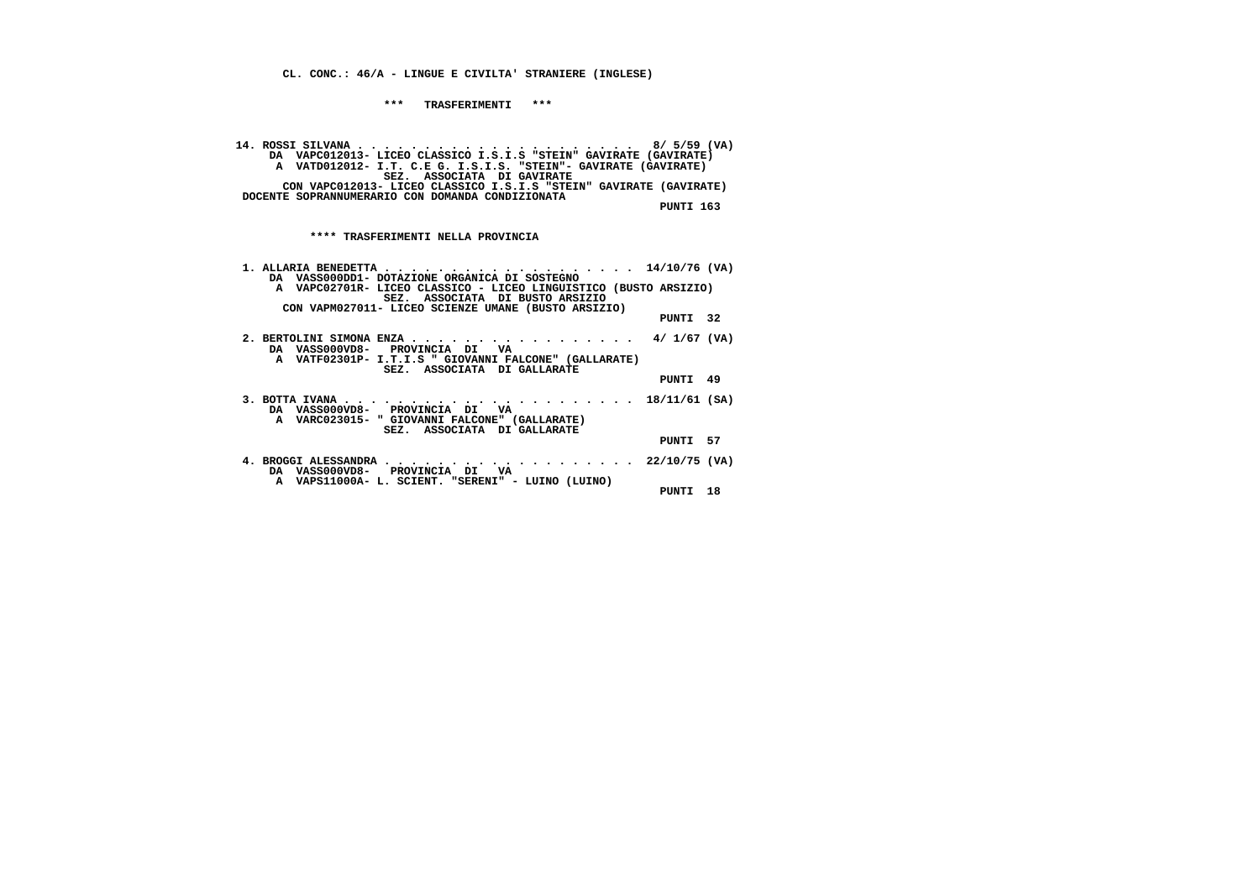**\*\*\* TRASFERIMENTI \*\*\***

 **14. ROSSI SILVANA . . . . . . . . . . . . . . . . . . . . . 8/ 5/59 (VA) DA VAPC012013- LICEO CLASSICO I.S.I.S "STEIN" GAVIRATE (GAVIRATE) A VATD012012- I.T. C.E G. I.S.I.S. "STEIN"- GAVIRATE (GAVIRATE) SEZ. ASSOCIATA DI GAVIRATE CON VAPC012013- LICEO CLASSICO I.S.I.S "STEIN" GAVIRATE (GAVIRATE) DOCENTE SOPRANNUMERARIO CON DOMANDA CONDIZIONATA**

 **PUNTI 163**

| DA VASS000DD1- DOTAZIONE ORGANICA DI SOSTEGNO                                                                                   |          |  |
|---------------------------------------------------------------------------------------------------------------------------------|----------|--|
| A VAPC02701R- LICEO CLASSICO - LICEO LINGUISTICO (BUSTO ARSIZIO)                                                                |          |  |
| SEZ. ASSOCIATA DI BUSTO ARSIZIO                                                                                                 |          |  |
| CON VAPM027011- LICEO SCIENZE UMANE (BUSTO ARSIZIO)                                                                             |          |  |
|                                                                                                                                 | PUNTI 32 |  |
| 2. BERTOLINI SIMONA ENZA 4/1/67 (VA)<br>DA VASS000VD8- PROVINCIA DI VA<br>A VATF02301P- I.T.I.S " GIOVANNI FALCONE" (GALLARATE) |          |  |
| SEZ. ASSOCIATA DI GALLARATE                                                                                                     | PUNTI 49 |  |
| DA VASS000VD8- PROVINCIA DI VA<br>A VARC023015- " GIOVANNI FALCONE" (GALLARATE)                                                 |          |  |
| SEZ. ASSOCIATA DI GALLARATE                                                                                                     | PUNTI 57 |  |
| 4. BROGGI ALESSANDRA 22/10/75 (VA)<br>DA VASS000VD8- PROVINCIA DI VA                                                            |          |  |
| A VAPS11000A- L. SCIENT. "SERENI" - LUINO (LUINO)                                                                               | PUNTI 18 |  |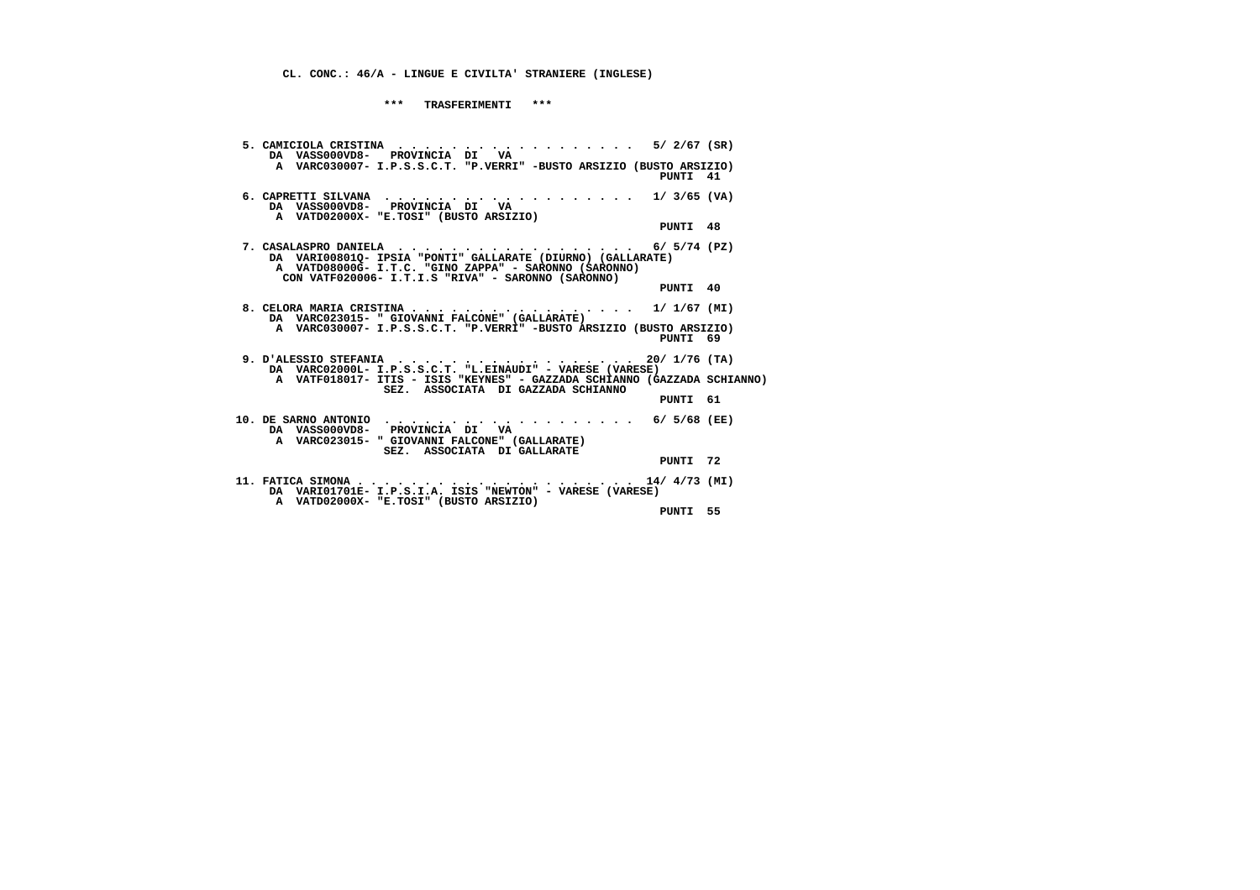**\*\*\* TRASFERIMENTI \*\*\***

| 5. CAMICIOLA CRISTINA $\ldots \ldots \ldots \ldots \ldots \ldots \ldots \ldots \quad$ 5/ 2/67 (SR)<br>DA VASS000VD8- PROVINCIA DI VA                                                                                                                               |                                    |          |
|--------------------------------------------------------------------------------------------------------------------------------------------------------------------------------------------------------------------------------------------------------------------|------------------------------------|----------|
| A VARC030007- I.P.S.S.C.T. "P.VERRI" -BUSTO ARSIZIO (BUSTO ARSIZIO)                                                                                                                                                                                                |                                    | PUNTI 41 |
| DA VASS000VD8- PROVINCIA DI VA<br>A VATD02000X- "E.TOSI" (BUSTO ARSIZIO)                                                                                                                                                                                           |                                    |          |
|                                                                                                                                                                                                                                                                    |                                    | PUNTI 48 |
| 7. CASALASPRO DANIELA $\ldots \ldots \ldots \ldots \ldots \ldots \ldots$ 6/5/74 (PZ)<br>DA VARI00801Q- IPSIA "PONTI" GALLARATE (DIURNO) (GALLARATE)<br>A VATD08000G- I.T.C. "GINO ZAPPA" - SARONNO (SARONNO)<br>CON VATF020006- I.T.I.S "RIVA" - SARONNO (SARONNO) |                                    |          |
|                                                                                                                                                                                                                                                                    |                                    | PUNTI 40 |
| 8. CELORA MARIA CRISTINA 1/ 1/67 (MI)<br>DA VARC023015- " GIOVANNI FALCONE" (GALLARATE)                                                                                                                                                                            |                                    |          |
| A VARC030007- I.P.S.S.C.T. "P.VERRI" -BUSTO ARSIZIO (BUSTO ARSIZIO)                                                                                                                                                                                                |                                    | PUNTI 69 |
| 9. D'ALESSIO STEFANIA 20/ 1/76 (TA)<br>DA VARC02000L- I.P.S.S.C.T. "L.EINAUDI" - VARESE (VARESE)                                                                                                                                                                   |                                    |          |
| A VATF018017- ITIS - ISIS "KEYNES" - GAZZADA SCHIANNO (GAZZADA SCHIANNO)                                                                                                                                                                                           | SEZ. ASSOCIATA DI GAZZADA SCHIANNO |          |
|                                                                                                                                                                                                                                                                    |                                    | PUNTI 61 |
| 10. DE SARNO ANTONIO 6/ 5/68 (EE)<br>DA VASS000VD8- PROVINCIA DI VA<br>A VARC023015- " GIOVANNI FALCONE" (GALLARATE)                                                                                                                                               |                                    |          |
| SEZ. ASSOCIATA DI GALLARATE                                                                                                                                                                                                                                        |                                    | PUNTI 72 |
| A VATD02000X- "E.TOSI" (BUSTO ARSIZIO)                                                                                                                                                                                                                             |                                    |          |
|                                                                                                                                                                                                                                                                    |                                    | PUNTI 55 |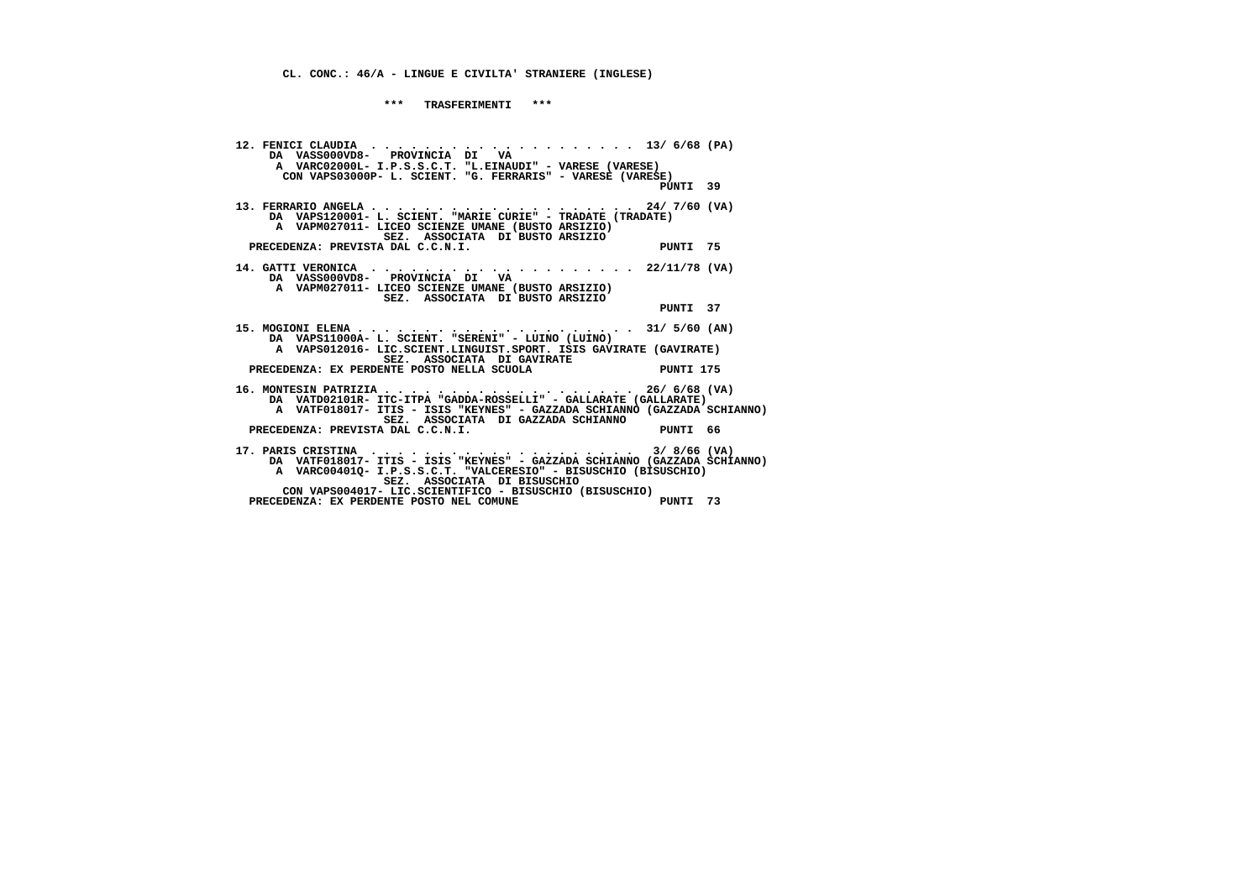**\*\*\* TRASFERIMENTI \*\*\***

 **12. FENICI CLAUDIA . . . . . . . . . . . . . . . . . . . . 13/ 6/68 (PA) DA VASS000VD8- PROVINCIA DI VA A VARC02000L- I.P.S.S.C.T. "L.EINAUDI" - VARESE (VARESE) CON VAPS03000P- L. SCIENT. "G. FERRARIS" - VARESE (VARESE) PUNTI 39 13. FERRARIO ANGELA . . . . . . . . . . . . . . . . . . . . 24/ 7/60 (VA) DA VAPS120001- L. SCIENT. "MARIE CURIE" - TRADATE (TRADATE) A VAPM027011- LICEO SCIENZE UMANE (BUSTO ARSIZIO) SEZ. ASSOCIATA DI BUSTO ARSIZIOPRECEDENZA: PREVISTA DAL C.C.N.I.** PUNTI 75  **14. GATTI VERONICA . . . . . . . . . . . . . . . . . . . . 22/11/78 (VA) DA VASS000VD8- PROVINCIA DI VA A VAPM027011- LICEO SCIENZE UMANE (BUSTO ARSIZIO) SEZ. ASSOCIATA DI BUSTO ARSIZIO PUNTI 37 15. MOGIONI ELENA . . . . . . . . . . . . . . . . . . . . . 31/ 5/60 (AN) DA VAPS11000A- L. SCIENT. "SERENI" - LUINO (LUINO) A VAPS012016- LIC.SCIENT.LINGUIST.SPORT. ISIS GAVIRATE (GAVIRATE) SEZ. ASSOCIATA DI GAVIRATE PRECEDENZA: EX PERDENTE POSTO NELLA SCUOLA PUNTI 175 16. MONTESIN PATRIZIA . . . . . . . . . . . . . . . . . . . 26/ 6/68 (VA) DA VATD02101R- ITC-ITPA "GADDA-ROSSELLI" - GALLARATE (GALLARATE) A VATF018017- ITIS - ISIS "KEYNES" - GAZZADA SCHIANNO (GAZZADA SCHIANNO) SEZ. ASSOCIATA DI GAZZADA SCHIANNO**PRECEDENZA: PREVISTA DAL C.C.N.I.<br>PUNTI 66  **17. PARIS CRISTINA . . . . . . . . . . . . . . . . . . . . 3/ 8/66 (VA) DA VATF018017- ITIS - ISIS "KEYNES" - GAZZADA SCHIANNO (GAZZADA SCHIANNO) A VARC00401Q- I.P.S.S.C.T. "VALCERESIO" - BISUSCHIO (BISUSCHIO) SEZ. ASSOCIATA DI BISUSCHIO CON VAPS004017- LIC.SCIENTIFICO - BISUSCHIO (BISUSCHIO) PRECEDENZA: EX PERDENTE POSTO NEL COMUNE PUNTI 73**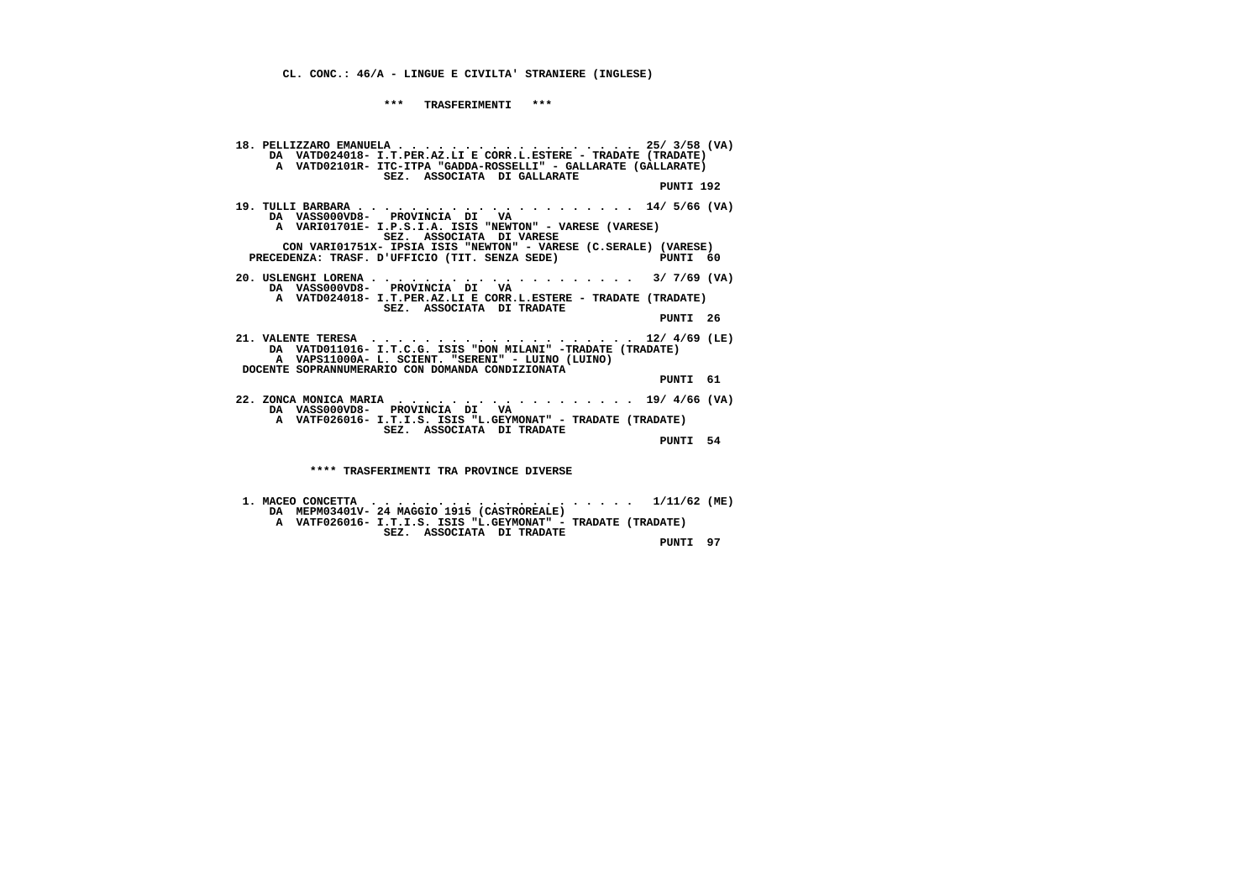**\*\*\* TRASFERIMENTI \*\*\***

 **18. PELLIZZARO EMANUELA . . . . . . . . . . . . . . . . . . 25/ 3/58 (VA) DA VATD024018- I.T.PER.AZ.LI E CORR.L.ESTERE - TRADATE (TRADATE) A VATD02101R- ITC-ITPA "GADDA-ROSSELLI" - GALLARATE (GALLARATE) SEZ. ASSOCIATA DI GALLARATE PUNTI 192 19. TULLI BARBARA . . . . . . . . . . . . . . . . . . . . . 14/ 5/66 (VA) DA VASS000VD8- PROVINCIA DI VA A VARI01701E- I.P.S.I.A. ISIS "NEWTON" - VARESE (VARESE) SEZ. ASSOCIATA DI VARESE CON VARI01751X- IPSIA ISIS "NEWTON" - VARESE (C.SERALE) (VARESE)**PUNTI 60 **PRECEDENZA: TRASF. D'UFFICIO (TIT. SENZA SEDE) 20. USLENGHI LORENA . . . . . . . . . . . . . . . . . . . . 3/ 7/69 (VA) DA VASS000VD8- PROVINCIA DI VA A VATD024018- I.T.PER.AZ.LI E CORR.L.ESTERE - TRADATE (TRADATE) SEZ. ASSOCIATA DI TRADATE PUNTI 26 21. VALENTE TERESA . . . . . . . . . . . . . . . . . . . . 12/ 4/69 (LE) DA VATD011016- I.T.C.G. ISIS "DON MILANI" -TRADATE (TRADATE) A VAPS11000A- L. SCIENT. "SERENI" - LUINO (LUINO) DOCENTE SOPRANNUMERARIO CON DOMANDA CONDIZIONATA PUNTI 61 22. ZONCA MONICA MARIA . . . . . . . . . . . . . . . . . . 19/ 4/66 (VA) DA VASS000VD8- PROVINCIA DI VA A VATF026016- I.T.I.S. ISIS "L.GEYMONAT" - TRADATE (TRADATE) SEZ. ASSOCIATA DI TRADATE PUNTI 54 \*\*\*\* TRASFERIMENTI TRA PROVINCE DIVERSE**

 **1. MACEO CONCETTA . . . . . . . . . . . . . . . . . . . . 1/11/62 (ME) DA MEPM03401V- 24 MAGGIO 1915 (CASTROREALE) A VATF026016- I.T.I.S. ISIS "L.GEYMONAT" - TRADATE (TRADATE) SEZ. ASSOCIATA DI TRADATE PUNTI 97**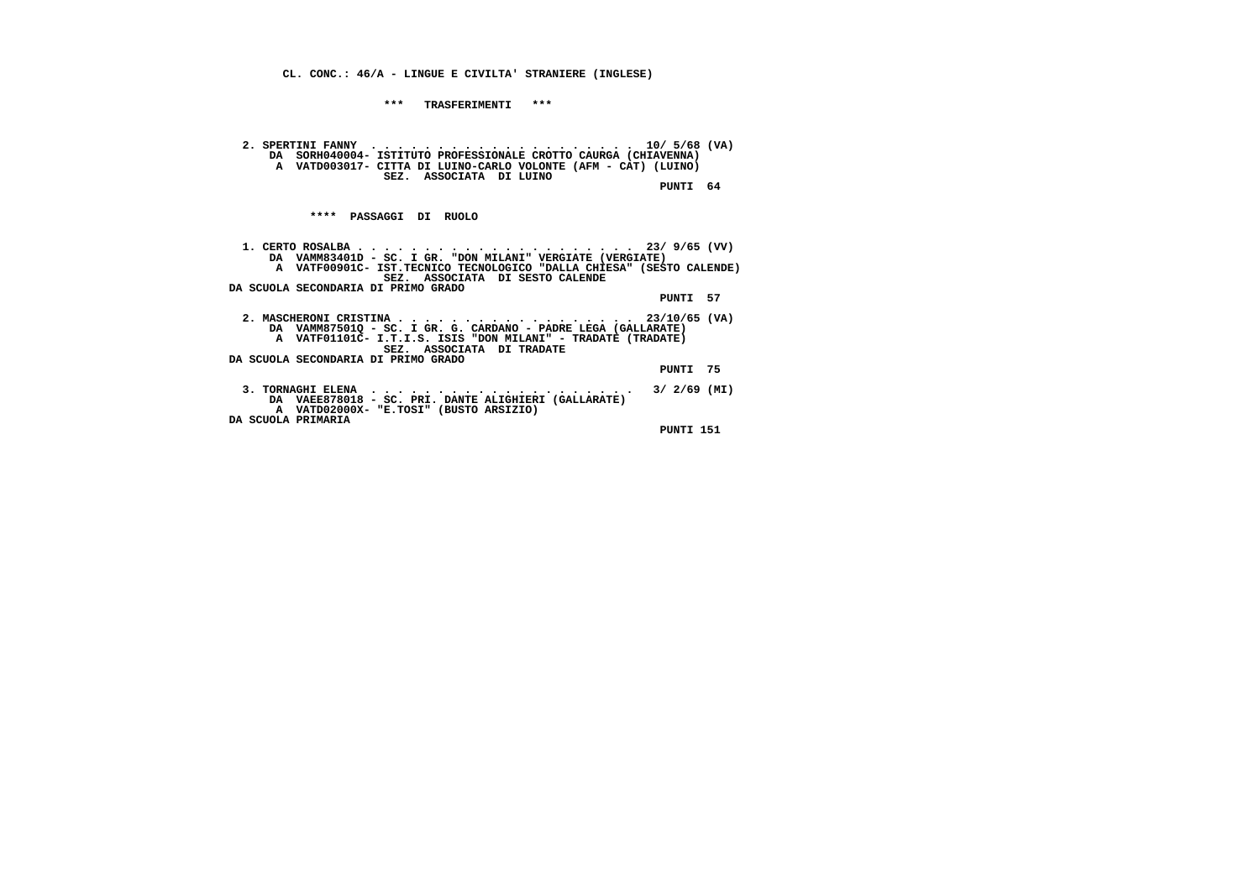**\*\*\* TRASFERIMENTI \*\*\***

 **2. SPERTINI FANNY . . . . . . . . . . . . . . . . . . . . 10/ 5/68 (VA) DA SORH040004- ISTITUTO PROFESSIONALE CROTTO CAURGA (CHIAVENNA) A VATD003017- CITTA DI LUINO-CARLO VOLONTE (AFM - CAT) (LUINO) SEZ. ASSOCIATA DI LUINO PUNTI 64**

 **\*\*\*\* PASSAGGI DI RUOLO**

 **1. CERTO ROSALBA . . . . . . . . . . . . . . . . . . . . . 23/ 9/65 (VV) DA VAMM83401D - SC. I GR. "DON MILANI" VERGIATE (VERGIATE) A VATF00901C- IST.TECNICO TECNOLOGICO "DALLA CHIESA" (SESTO CALENDE) SEZ. ASSOCIATA DI SESTO CALENDE DA SCUOLA SECONDARIA DI PRIMO GRADO PUNTI 57 2. MASCHERONI CRISTINA . . . . . . . . . . . . . . . . . . 23/10/65 (VA) DA VAMM87501Q - SC. I GR. G. CARDANO - PADRE LEGA (GALLARATE) A VATF01101C- I.T.I.S. ISIS "DON MILANI" - TRADATE (TRADATE) SEZ. ASSOCIATA DI TRADATE DA SCUOLA SECONDARIA DI PRIMO GRADO PUNTI 75 3. TORNAGHI ELENA . . . . . . . . . . . . . . . . . . . . 3/ 2/69 (MI) DA VAEE878018 - SC. PRI. DANTE ALIGHIERI (GALLARATE) A VATD02000X- "E.TOSI" (BUSTO ARSIZIO) DA SCUOLA PRIMARIA PUNTI 151**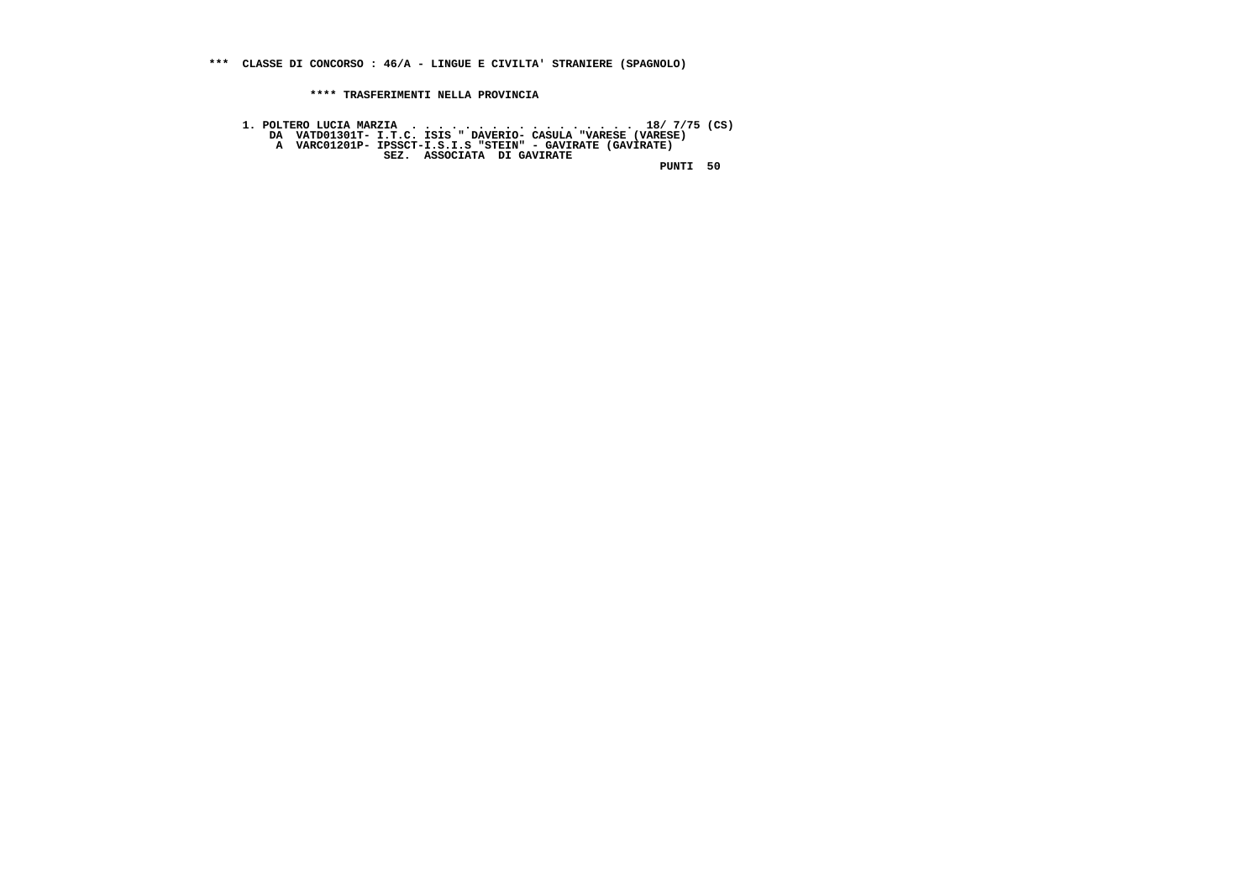**\*\*\* CLASSE DI CONCORSO : 46/A - LINGUE E CIVILTA' STRANIERE (SPAGNOLO)**

 **\*\*\*\* TRASFERIMENTI NELLA PROVINCIA**

 **1. POLTERO LUCIA MARZIA . . . . . . . . . . . . . . . . . 18/ 7/75 (CS) DA VATD01301T- I.T.C. ISIS " DAVERIO- CASULA "VARESE (VARESE) A VARC01201P- IPSSCT-I.S.I.S "STEIN" - GAVIRATE (GAVIRATE) SEZ. ASSOCIATA DI GAVIRATE PUNTI 50**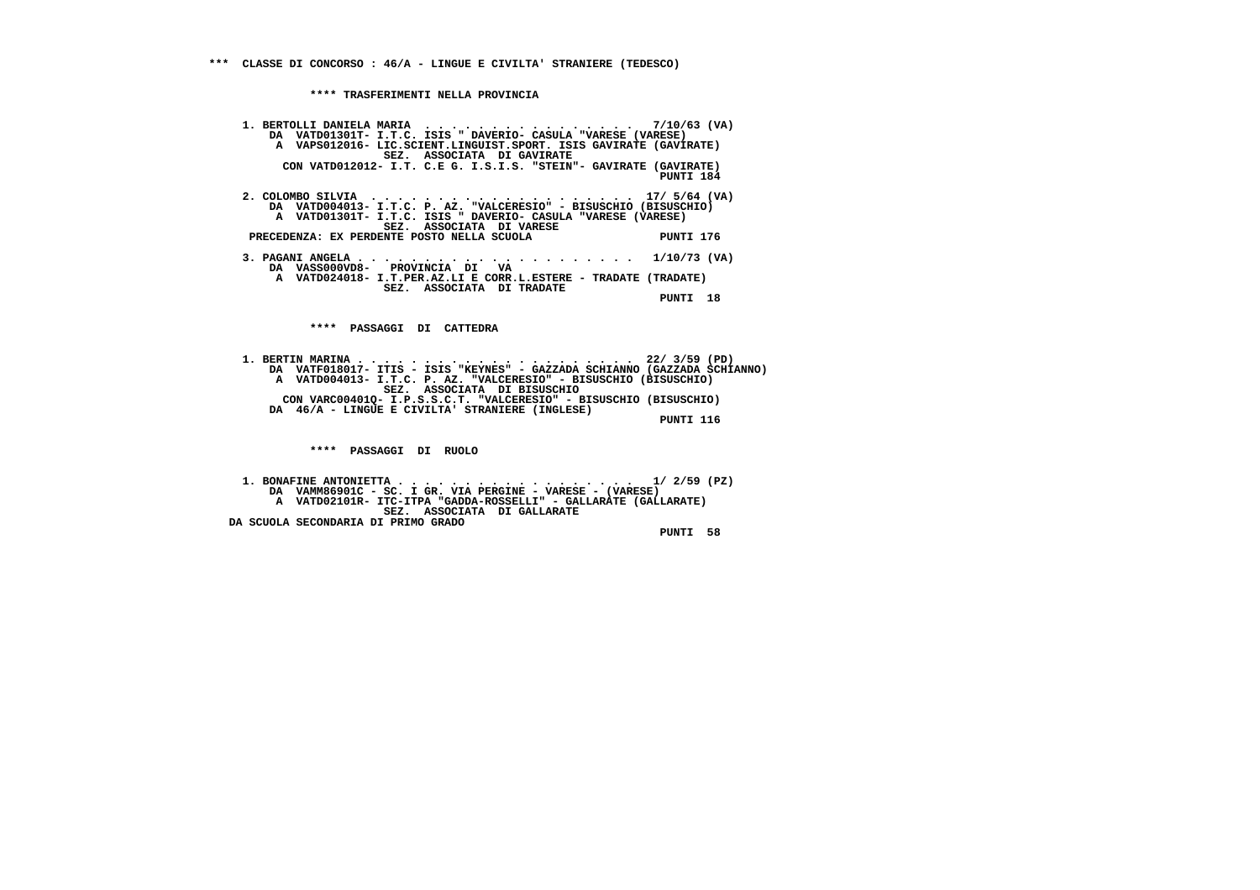**1. BERTOLLI DANIELA MARIA . . . . . . . . . . . . . . . . 7/10/63 (VA) DA VATD01301T- I.T.C. ISIS " DAVERIO- CASULA "VARESE (VARESE) A VAPS012016- LIC.SCIENT.LINGUIST.SPORT. ISIS GAVIRATE (GAVIRATE) SEZ. ASSOCIATA DI GAVIRATE CON VATD012012- I.T. C.E G. I.S.I.S. "STEIN"- GAVIRATE (GAVIRATE) PUNTI 184 2. COLOMBO SILVIA . . . . . . . . . . . . . . . . . . . . 17/ 5/64 (VA) DA VATD004013- I.T.C. P. AZ. "VALCERESIO" - BISUSCHIO (BISUSCHIO) A VATD01301T- I.T.C. ISIS " DAVERIO- CASULA "VARESE (VARESE) SEZ. ASSOCIATA DI VARESE**

 **PRECEDENZA: EX PERDENTE POSTO NELLA SCUOLA PUNTI 176**

 **3. PAGANI ANGELA . . . . . . . . . . . . . . . . . . . . . 1/10/73 (VA) DA VASS000VD8- PROVINCIA DI VA A VATD024018- I.T.PER.AZ.LI E CORR.L.ESTERE - TRADATE (TRADATE) SEZ. ASSOCIATA DI TRADATE PUNTI 18**

 **\*\*\*\* PASSAGGI DI CATTEDRA**

 **1. BERTIN MARINA . . . . . . . . . . . . . . . . . . . . . 22/ 3/59 (PD) DA VATF018017- ITIS - ISIS "KEYNES" - GAZZADA SCHIANNO (GAZZADA SCHIANNO) A VATD004013- I.T.C. P. AZ. "VALCERESIO" - BISUSCHIO (BISUSCHIO) SEZ. ASSOCIATA DI BISUSCHIO CON VARC00401Q- I.P.S.S.C.T. "VALCERESIO" - BISUSCHIO (BISUSCHIO) DA 46/A - LINGUE E CIVILTA' STRANIERE (INGLESE)**

 **PUNTI 116**

 **\*\*\*\* PASSAGGI DI RUOLO**

 **1. BONAFINE ANTONIETTA . . . . . . . . . . . . . . . . . . 1/ 2/59 (PZ) DA VAMM86901C - SC. I GR. VIA PERGINE - VARESE - (VARESE) A VATD02101R- ITC-ITPA "GADDA-ROSSELLI" - GALLARATE (GALLARATE) SEZ. ASSOCIATA DI GALLARATE DA SCUOLA SECONDARIA DI PRIMO GRADO PUNTI 58**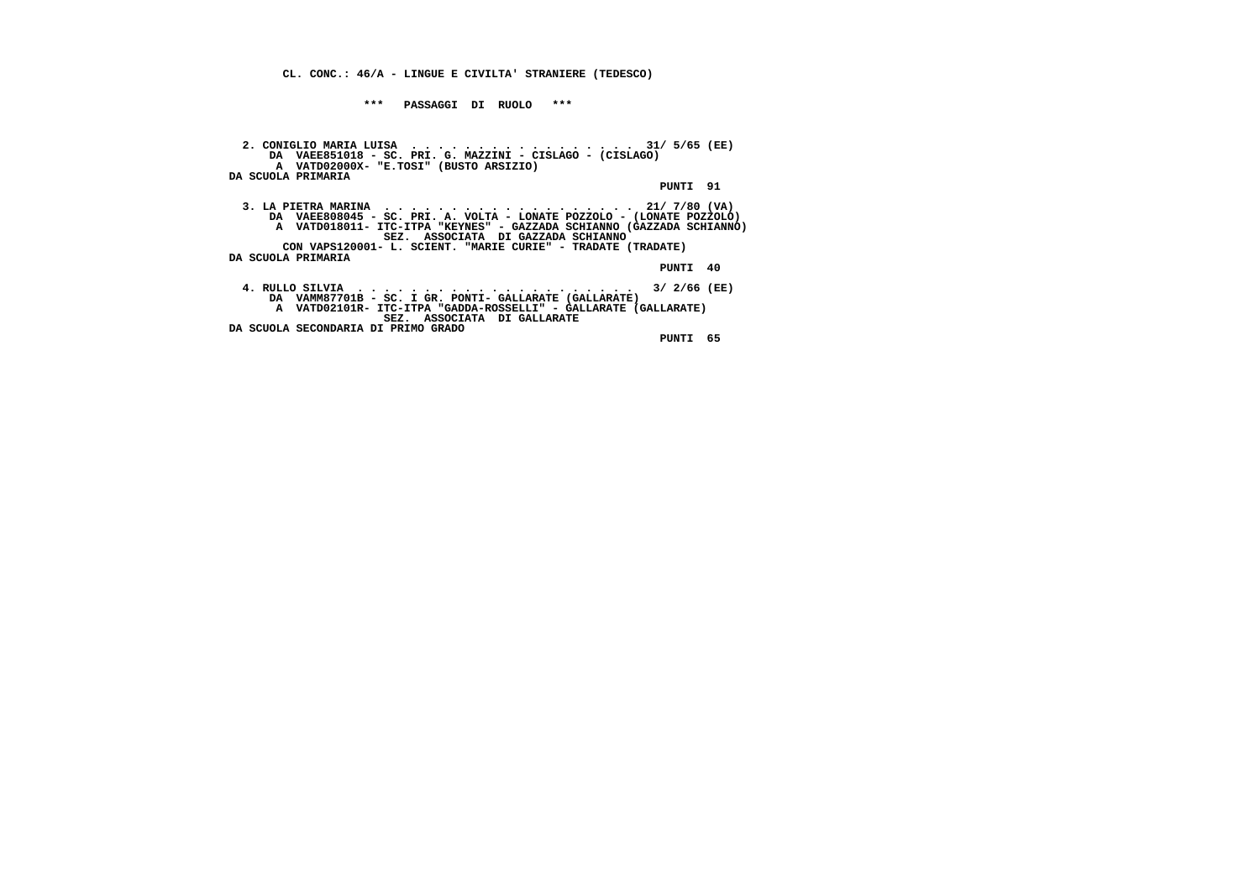**\*\*\* PASSAGGI DI RUOLO \*\*\***

 **2. CONIGLIO MARIA LUISA . . . . . . . . . . . . . . . . . 31/ 5/65 (EE) DA VAEE851018 - SC. PRI. G. MAZZINI - CISLAGO - (CISLAGO) A VATD02000X- "E.TOSI" (BUSTO ARSIZIO) DA SCUOLA PRIMARIA PUNTI 91 3. LA PIETRA MARINA . . . . . . . . . . . . . . . . . . . 21/ 7/80 (VA) DA VAEE808045 - SC. PRI. A. VOLTA - LONATE POZZOLO - (LONATE POZZOLO) A VATD018011- ITC-ITPA "KEYNES" - GAZZADA SCHIANNO (GAZZADA SCHIANNO) SEZ. ASSOCIATA DI GAZZADA SCHIANNO CON VAPS120001- L. SCIENT. "MARIE CURIE" - TRADATE (TRADATE) DA SCUOLA PRIMARIA PUNTI 40 4. RULLO SILVIA . . . . . . . . . . . . . . . . . . . . . 3/ 2/66 (EE) DA VAMM87701B - SC. I GR. PONTI- GALLARATE (GALLARATE) A VATD02101R- ITC-ITPA "GADDA-ROSSELLI" - GALLARATE (GALLARATE) SEZ. ASSOCIATA DI GALLARATE DA SCUOLA SECONDARIA DI PRIMO GRADO PUNTI 65**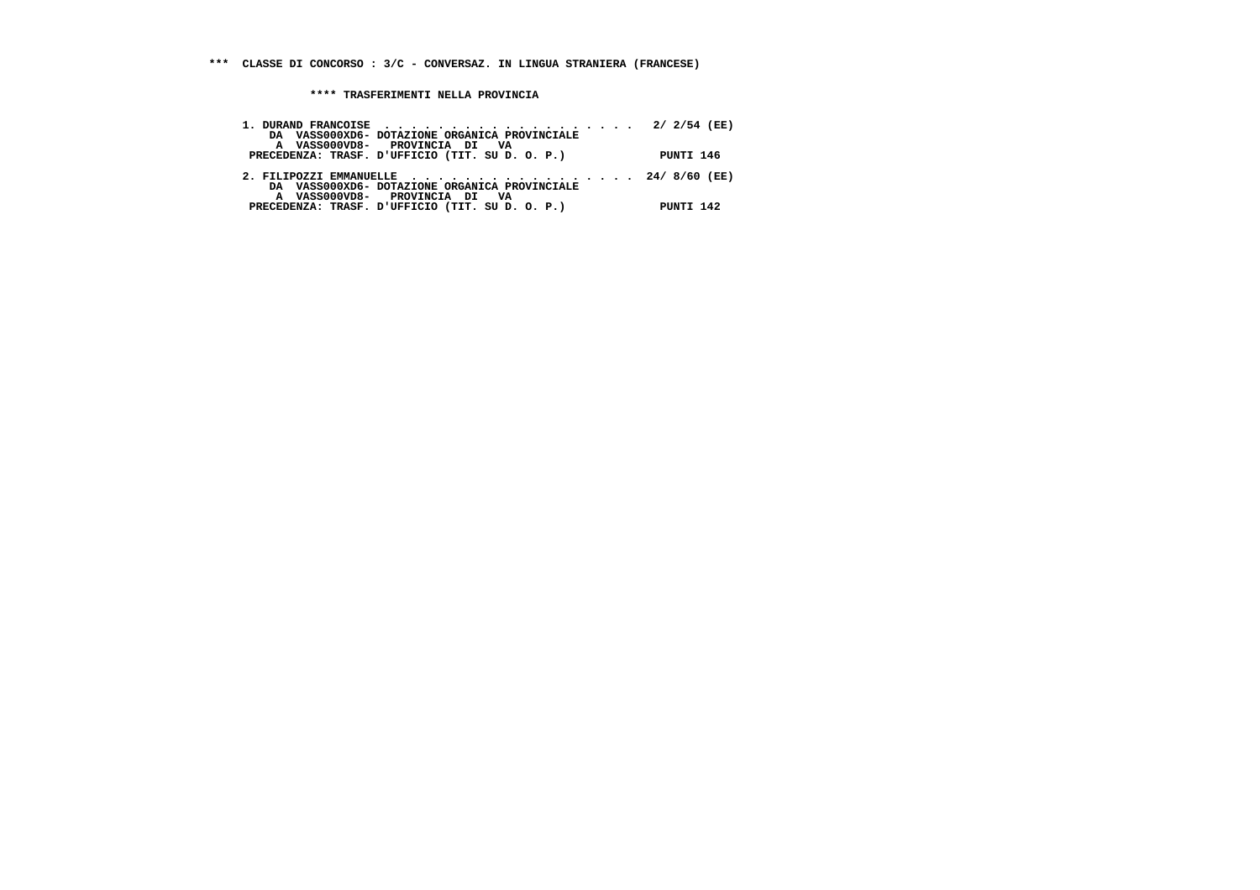| DA VASS000XD6- DOTAZIONE ORGANICA PROVINCIALE<br>A VASS000VD8- PROVINCIA DI VA        |           |
|---------------------------------------------------------------------------------------|-----------|
| PRECEDENZA: TRASF. D'UFFICIO (TIT. SU D. O. P.)                                       | PUNTI 146 |
| 2. FILIPOZZI EMMANUELLE 24/8/60 (EE)<br>DA VASS000XD6- DOTAZIONE ORGANICA PROVINCIALE |           |
| A VASS000VD8- PROVINCIA DI VA<br>PRECEDENZA: TRASF. D'UFFICIO (TIT. SU D. O. P.)      | PUNTI 142 |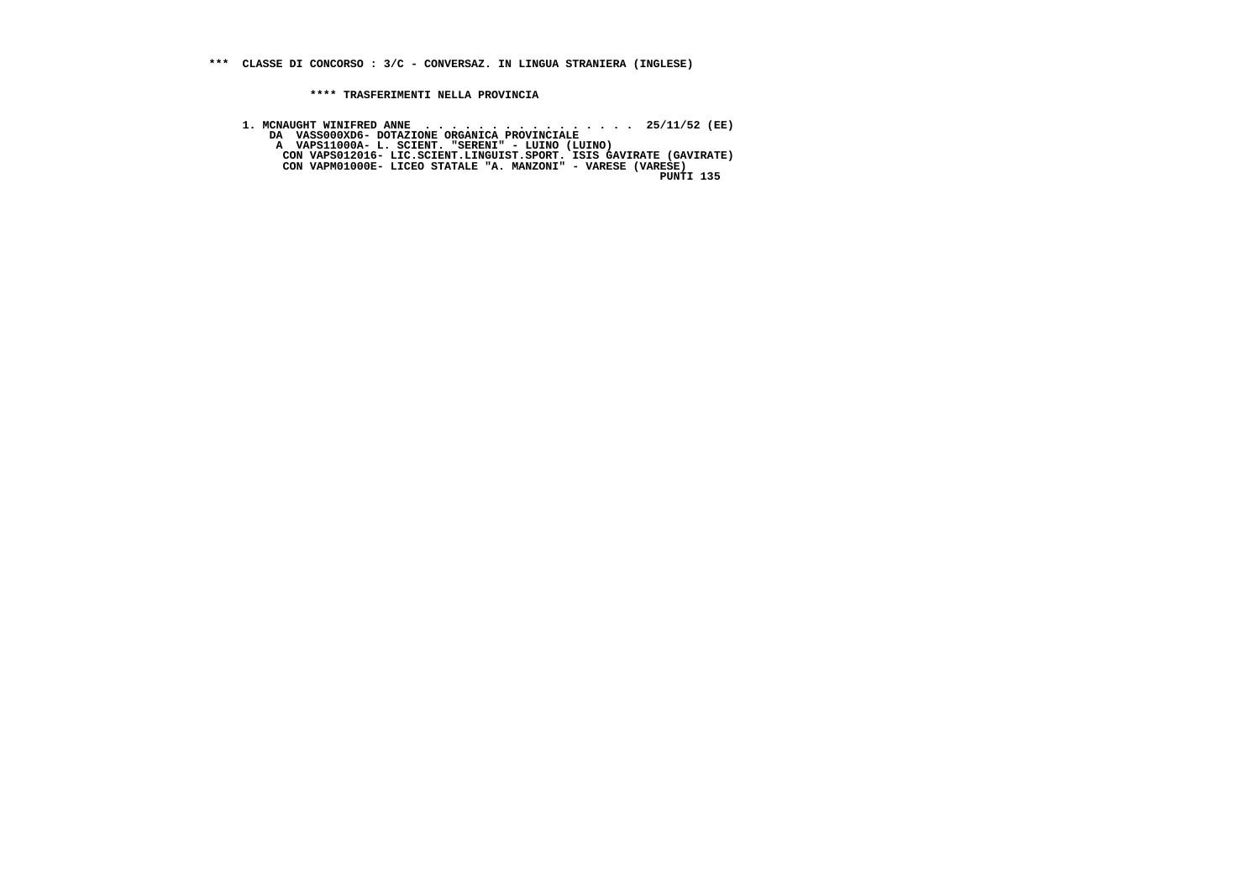**1. MCNAUGHT WINIFRED ANNE . . . . . . . . . . . . . . . . 25/11/52 (EE) DA VASS000XD6- DOTAZIONE ORGANICA PROVINCIALE A VAPS11000A- L. SCIENT. "SERENI" - LUINO (LUINO) CON VAPS012016- LIC.SCIENT.LINGUIST.SPORT. ISIS GAVIRATE (GAVIRATE) CON VAPM01000E- LICEO STATALE "A. MANZONI" - VARESE (VARESE) PUNTI 135**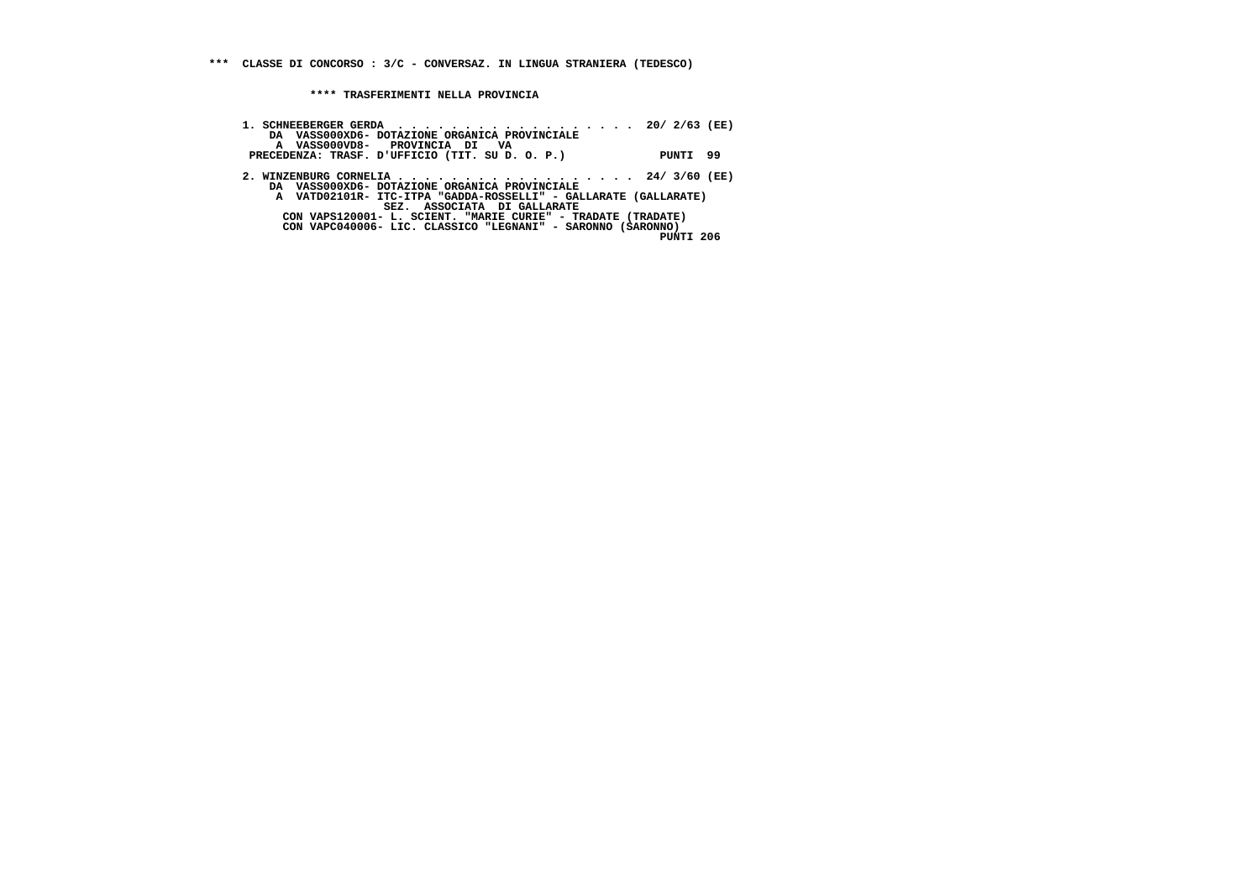| 1. SCHNEEBERGER GERDA 20/2/63 (EE)<br>DA VASS000XD6- DOTAZIONE ORGANICA PROVINCIALE                                                      |  |
|------------------------------------------------------------------------------------------------------------------------------------------|--|
| A VASS000VD8- PROVINCIA DI VA<br>PRECEDENZA: TRASF. D'UFFICIO (TIT. SU D. O. P.)<br>PUNTI 99                                             |  |
| 2. WINZENBURG CORNELIA 24/3/60 (EE)<br>DA VASS000XD6- DOTAZIONE ORGANICA PROVINCIALE                                                     |  |
| A VATD02101R- ITC-ITPA "GADDA-ROSSELLI" - GALLARATE (GALLARATE)<br>SEZ. ASSOCIATA DI GALLARATE                                           |  |
| CON VAPS120001- L. SCIENT. "MARIE CURIE" - TRADATE (TRADATE)<br>CON VAPC040006- LIC. CLASSICO "LEGNANI" - SARONNO (SARONNO)<br>PUNTI 206 |  |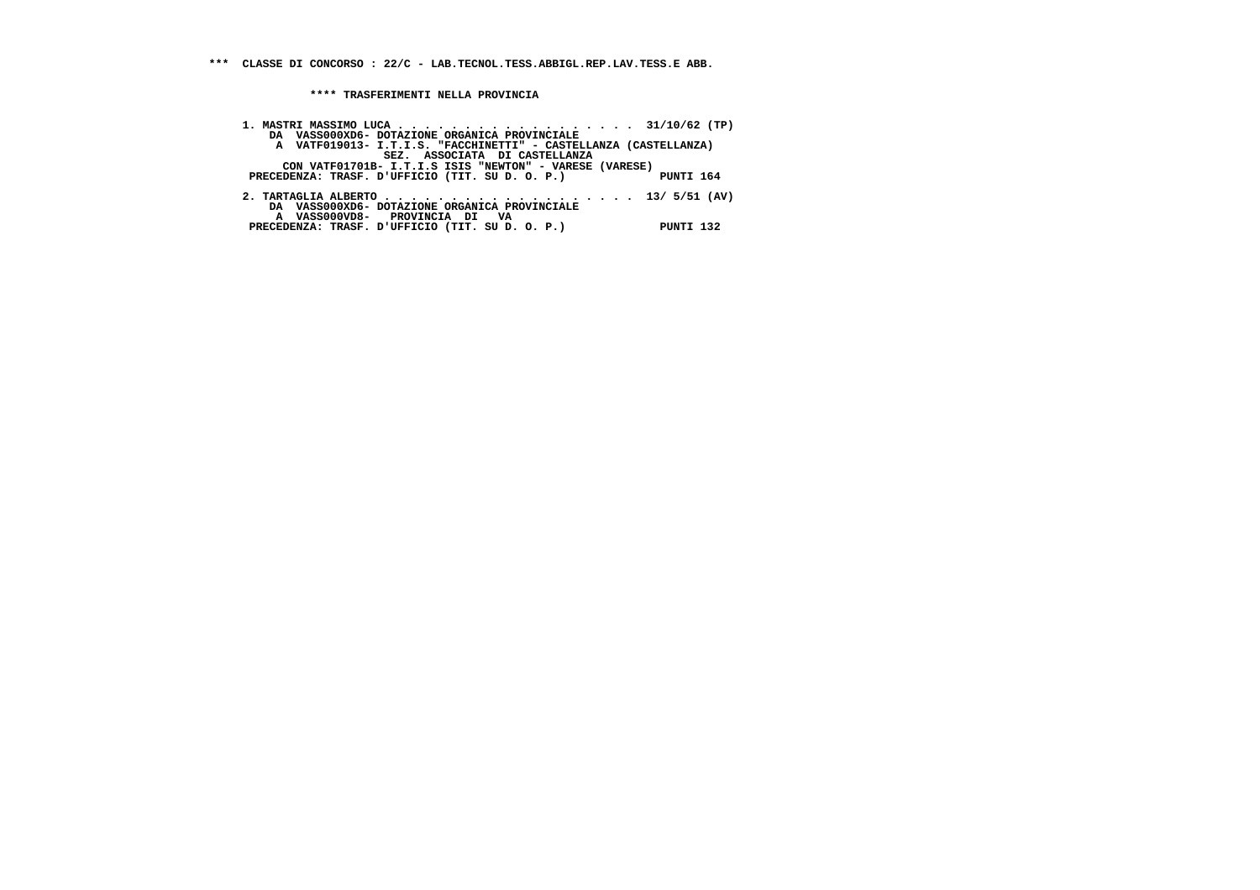**\*\*\* CLASSE DI CONCORSO : 22/C - LAB.TECNOL.TESS.ABBIGL.REP.LAV.TESS.E ABB.**

| 1. MASTRI MASSIMO LUCA 31/10/62 (TP)                                                                                   |           |
|------------------------------------------------------------------------------------------------------------------------|-----------|
| DA VASS000XD6- DOTAZIONE ORGANICA PROVINCIALE                                                                          |           |
| A VATF019013- I.T.I.S. "FACCHINETTI" - CASTELLANZA (CASTELLANZA)                                                       |           |
| SEZ. ASSOCIATA DI CASTELLANZA                                                                                          |           |
| CON VATF01701B- I.T.I.S ISIS "NEWTON" - VARESE (VARESE)                                                                |           |
| PRECEDENZA: TRASF. D'UFFICIO (TIT. SU D. O. P.) PUNTI 164                                                              |           |
| 2. TARTAGLIA ALBERTO 13/ $5/51$ (AV)<br>DA VASS000XD6- DOTAZIONE ORGANICA PROVINCIALE<br>A VASS000VD8- PROVINCIA DI VA |           |
| PRECEDENZA: TRASF. D'UFFICIO (TIT. SU D. O. P.)                                                                        | PUNTI 132 |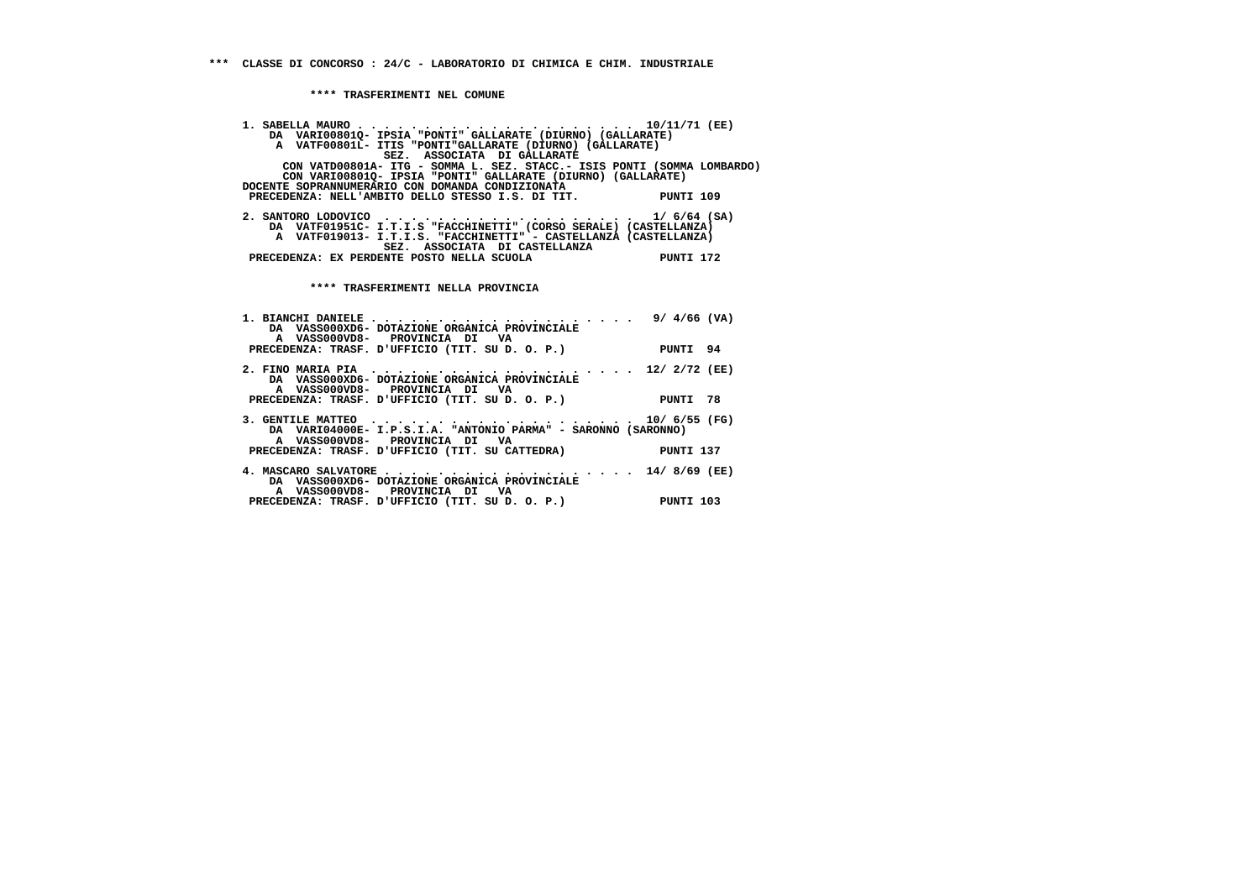**\*\*\*\* TRASFERIMENTI NEL COMUNE**

| DA VARIO0801Q- IPSIA "PONTI" GALLARATE (DIURNO) (GALLARATE)                                      |                 |
|--------------------------------------------------------------------------------------------------|-----------------|
| A VATF00801L- ITIS "PONTI"GALLARATE (DIURNO) (GALLARATE)<br>SEZ. ASSOCIATA DI GALLARATE          |                 |
| CON VATD00801A- ITG - SOMMA L. SEZ. STACC.- ISIS PONTI (SOMMA LOMBARDO)                          |                 |
| CON VARI00801Q- IPSIA "PONTI" GALLARATE (DIURNO) (GALLARATE)                                     |                 |
| DOCENTE SOPRANNUMERARIO CON DOMANDA CONDIZIONATA                                                 |                 |
| PRECEDENZA: NELL'AMBITO DELLO STESSO I.S. DI TIT. PUNTI 109                                      |                 |
| 2. SANTORO LODOVICO $\ldots \ldots \ldots \ldots \ldots \ldots \ldots \ldots \ldots 1/6/64$ (SA) |                 |
| DA VATF01951C- I.T.I.S "FACCHINETTI" (CORSO SERALE) (CASTELLANZA)                                |                 |
| A VATF019013- I.T.I.S. "FACCHINETTI" - CASTELLANZA (CASTELLANZA)                                 |                 |
| SEZ. ASSOCIATA DI CASTELLANZA                                                                    |                 |
| PRECEDENZA: EX PERDENTE POSTO NELLA SCUOLA CONTENTI 172                                          |                 |
|                                                                                                  |                 |
| **** TRASFERIMENTI NELLA PROVINCIA                                                               |                 |
|                                                                                                  |                 |
|                                                                                                  |                 |
| DA VASS000XD6- DOTAZIONE ORGANICA PROVINCIALE                                                    |                 |
| A VASS000VD8- PROVINCIA DI VA                                                                    |                 |
| PRECEDENZA: TRASF. D'UFFICIO (TIT. SU D. O. P.)                                                  | PUNTI 94        |
| 2. FINO MARIA PIA  12/ 2/72 (EE)                                                                 |                 |
| DA VASS000XD6- DOTAZIONE ORGANICA PROVINCIALE                                                    |                 |
| A VASS000VD8- PROVINCIA DI VA                                                                    |                 |
| PRECEDENZA: TRASF. D'UFFICIO (TIT. SU D. O. P.) PUNTI 78                                         |                 |
| O                                                                                                | $10 / CLE$ (ma) |

| 3. GENTILE MATTEO $\cdots \cdots \cdots$                      |           |
|---------------------------------------------------------------|-----------|
| DA VARI04000E- I.P.S.I.A. "ANTONIO PARMA" - SARONNO (SARONNO) |           |
| A VASS000VD8- PROVINCIA DI VA                                 |           |
| PRECEDENZA: TRASF. D'UFFICIO (TIT. SU CATTEDRA)               | PUNTI 137 |
|                                                               |           |
| 4. MASCARO SALVATORE 14/8/69 (EE)                             |           |
| DA VASS000XD6- DOTAZIONE ORGANICA PROVINCIALE                 |           |
| A VASS000VD8- PROVINCIA DI VA                                 |           |
| PRECEDENZA: TRASF. D'UFFICIO (TIT. SU D. O. P.)               | PUNTI 103 |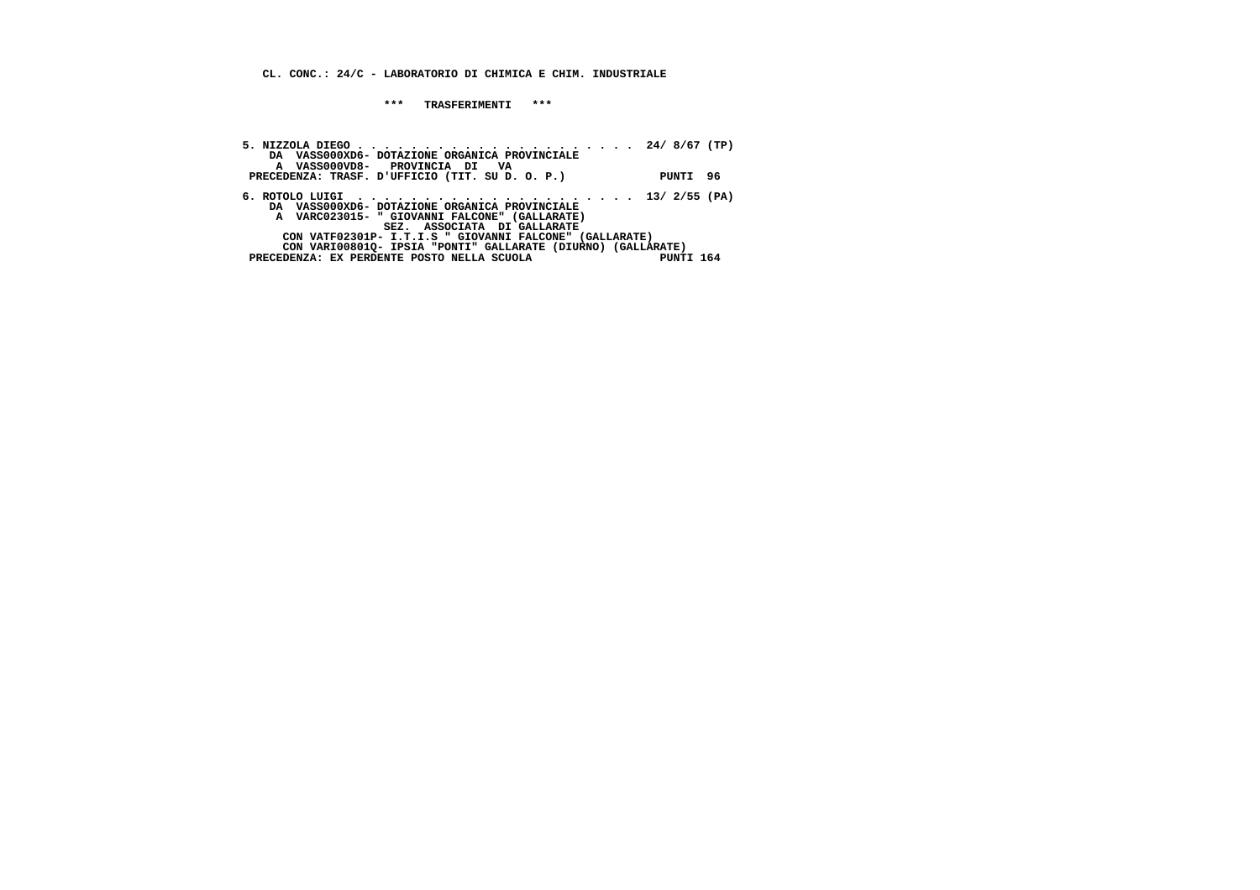**CL. CONC.: 24/C - LABORATORIO DI CHIMICA E CHIM. INDUSTRIALE**

 **\*\*\* TRASFERIMENTI \*\*\***

| DA VASS000XD6- DOTAZIONE ORGANICA PROVINCIALE                                                                |           |  |
|--------------------------------------------------------------------------------------------------------------|-----------|--|
| A VASS000VD8- PROVINCIA DI VA<br>PRECEDENZA: TRASF. D'UFFICIO (TIT. SU D. O. P.)                             | PUNTI 96  |  |
| 6. ROTOLO LUIGI $\ldots \ldots \ldots \ldots \ldots \ldots \ldots \ldots \ldots \ldots \ldots$ 13/ 2/55 (PA) |           |  |
| DA VASS000XD6- DOTAZIONE ORGANICA PROVINCIALE<br>A VARC023015- " GIOVANNI FALCONE" (GALLARATE)               |           |  |
| SEZ. ASSOCIATA DI GALLARATE<br>CON VATF02301P- I.T.I.S " GIOVANNI FALCONE" (GALLARATE)                       |           |  |
| CON VARI008010- IPSIA "PONTI" GALLARATE (DIURNO) (GALLARATE)<br>PRECEDENZA: EX PERDENTE POSTO NELLA SCUOLA   | PUNTI 164 |  |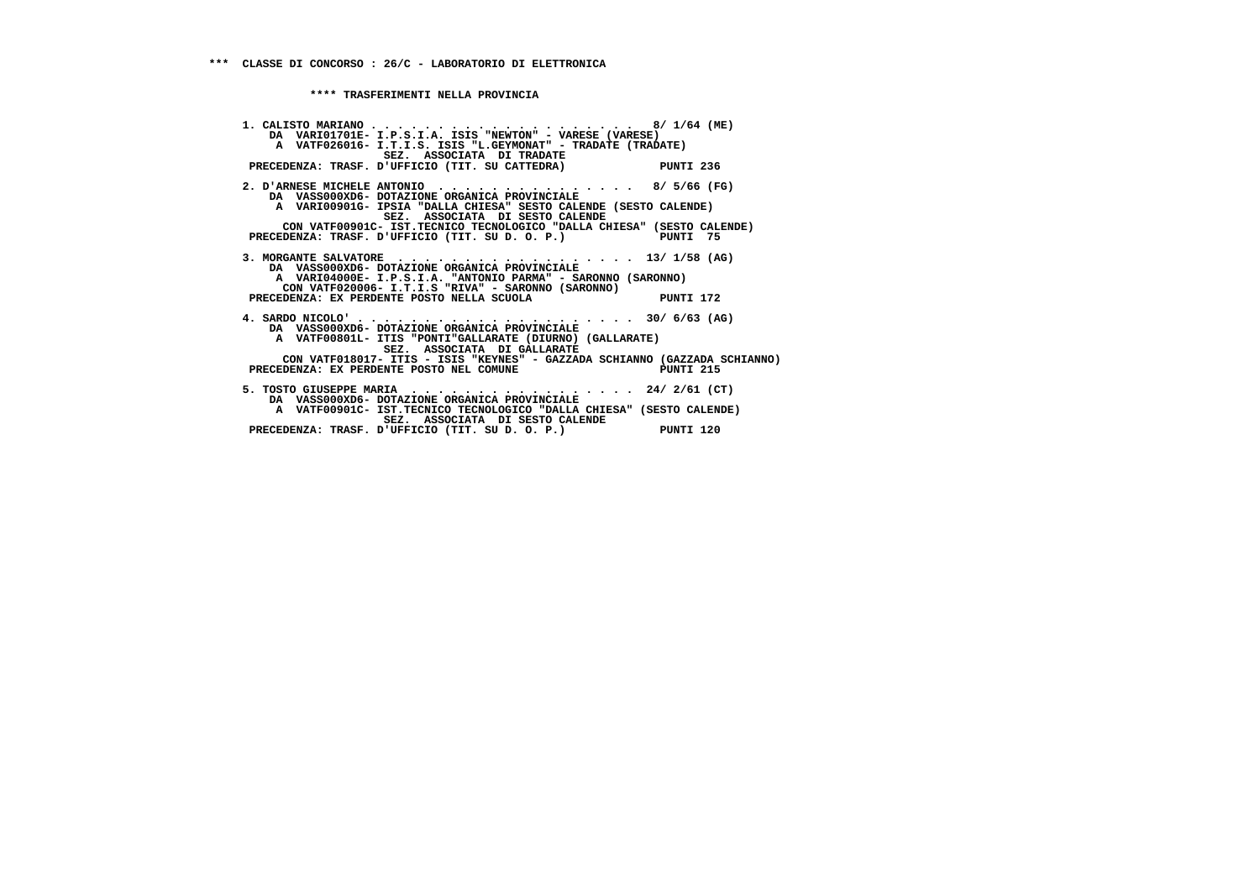**\*\*\*\* TRASFERIMENTI NELLA PROVINCIA**

 **1. CALISTO MARIANO . . . . . . . . . . . . . . . . . . . . 8/ 1/64 (ME) DA VARI01701E- I.P.S.I.A. ISIS "NEWTON" - VARESE (VARESE) A VATF026016- I.T.I.S. ISIS "L.GEYMONAT" - TRADATE (TRADATE) SEZ. ASSOCIATA DI TRADATE PRECEDENZA: TRASF. D'UFFICIO (TIT. SU CATTEDRA) PUNTI 236 2. D'ARNESE MICHELE ANTONIO . . . . . . . . . . . . . . . 8/ 5/66 (FG) DA VASS000XD6- DOTAZIONE ORGANICA PROVINCIALE A VARI00901G- IPSIA "DALLA CHIESA" SESTO CALENDE (SESTO CALENDE) SEZ. ASSOCIATA DI SESTO CALENDE CON VATF00901C- IST.TECNICO TECNOLOGICO "DALLA CHIESA" (SESTO CALENDE)**PRECEDENZA: TRASF. D'UFFICIO (TIT. SU D. O. P.) PUNTI 75  **3. MORGANTE SALVATORE . . . . . . . . . . . . . . . . . . 13/ 1/58 (AG) DA VASS000XD6- DOTAZIONE ORGANICA PROVINCIALE A VARI04000E- I.P.S.I.A. "ANTONIO PARMA" - SARONNO (SARONNO) CON VATF020006- I.T.I.S "RIVA" - SARONNO (SARONNO) PRECEDENZA: EX PERDENTE POSTO NELLA SCUOLA PUNTI 172 4. SARDO NICOLO' . . . . . . . . . . . . . . . . . . . . . 30/ 6/63 (AG) DA VASS000XD6- DOTAZIONE ORGANICA PROVINCIALE A VATF00801L- ITIS "PONTI"GALLARATE (DIURNO) (GALLARATE) SEZ. ASSOCIATA DI GALLARATE CON VATF018017- ITIS - ISIS "KEYNES" - GAZZADA SCHIANNO (GAZZADA SCHIANNO) PRECEDENZA: EX PERDENTE POSTO NEL COMUNE PUNTI 215 5. TOSTO GIUSEPPE MARIA . . . . . . . . . . . . . . . . . 24/ 2/61 (CT) DA VASS000XD6- DOTAZIONE ORGANICA PROVINCIALE A VATF00901C- IST.TECNICO TECNOLOGICO "DALLA CHIESA" (SESTO CALENDE) SEZ. ASSOCIATA DI SESTO CALENDE PRECEDENZA: TRASF. D'UFFICIO (TIT. SU D. O. P.) PUNTI 120**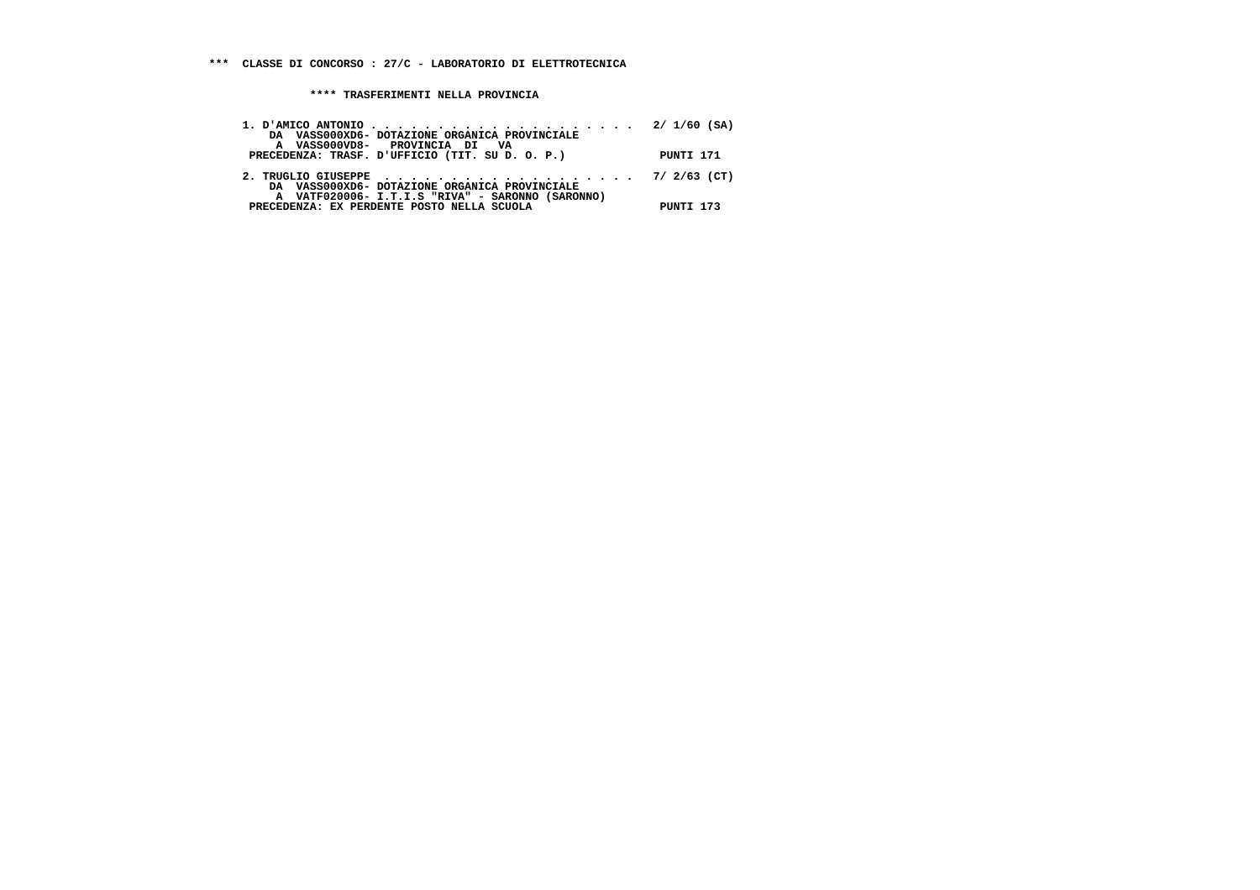**\*\*\*\* TRASFERIMENTI NELLA PROVINCIA**

| DA VASS000XD6- DOTAZIONE ORGANICA PROVINCIALE<br>A VASS000VD8- PROVINCIA DI VA                                                                   |           |
|--------------------------------------------------------------------------------------------------------------------------------------------------|-----------|
| PRECEDENZA: TRASF. D'UFFICIO (TIT. SU D. O. P.)                                                                                                  | PUNTI 171 |
| 2. TRUGLIO GIUSEPPE $\cdots$ , 7/ 2/63 (CT)<br>DA VASS000XD6- DOTAZIONE ORGANICA PROVINCIALE<br>A VATF020006- I.T.I.S "RIVA" - SARONNO (SARONNO) |           |
| PRECEDENZA: EX PERDENTE POSTO NELLA SCUOLA                                                                                                       | PUNTI 173 |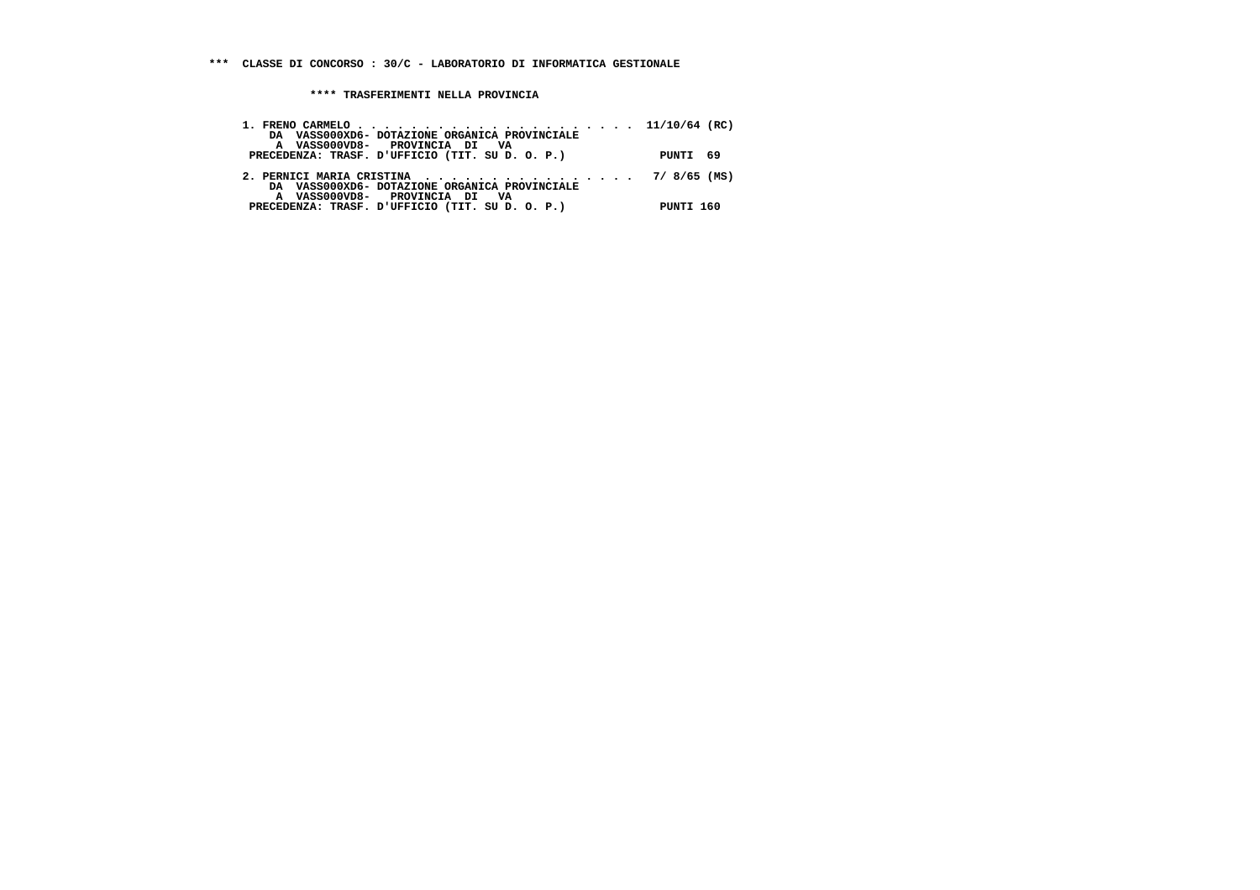**\*\*\*\* TRASFERIMENTI NELLA PROVINCIA**

| DA VASS000XD6- DOTAZIONE ORGANICA PROVINCIALE<br>A VASS000VD8- PROVINCIA DI VA                                                     |           |
|------------------------------------------------------------------------------------------------------------------------------------|-----------|
| PRECEDENZA: TRASF. D'UFFICIO (TIT. SU D. O. P.)                                                                                    | PUNTI 69  |
| 2. PERNICI MARIA CRISTINA $\cdots$ , 7/8/65 (MS)<br>DA VASS000XD6- DOTAZIONE ORGANICA PROVINCIALE<br>A VASS000VD8- PROVINCIA DI VA |           |
| PRECEDENZA: TRASF. D'UFFICIO (TIT. SU D. O. P.)                                                                                    | PUNTI 160 |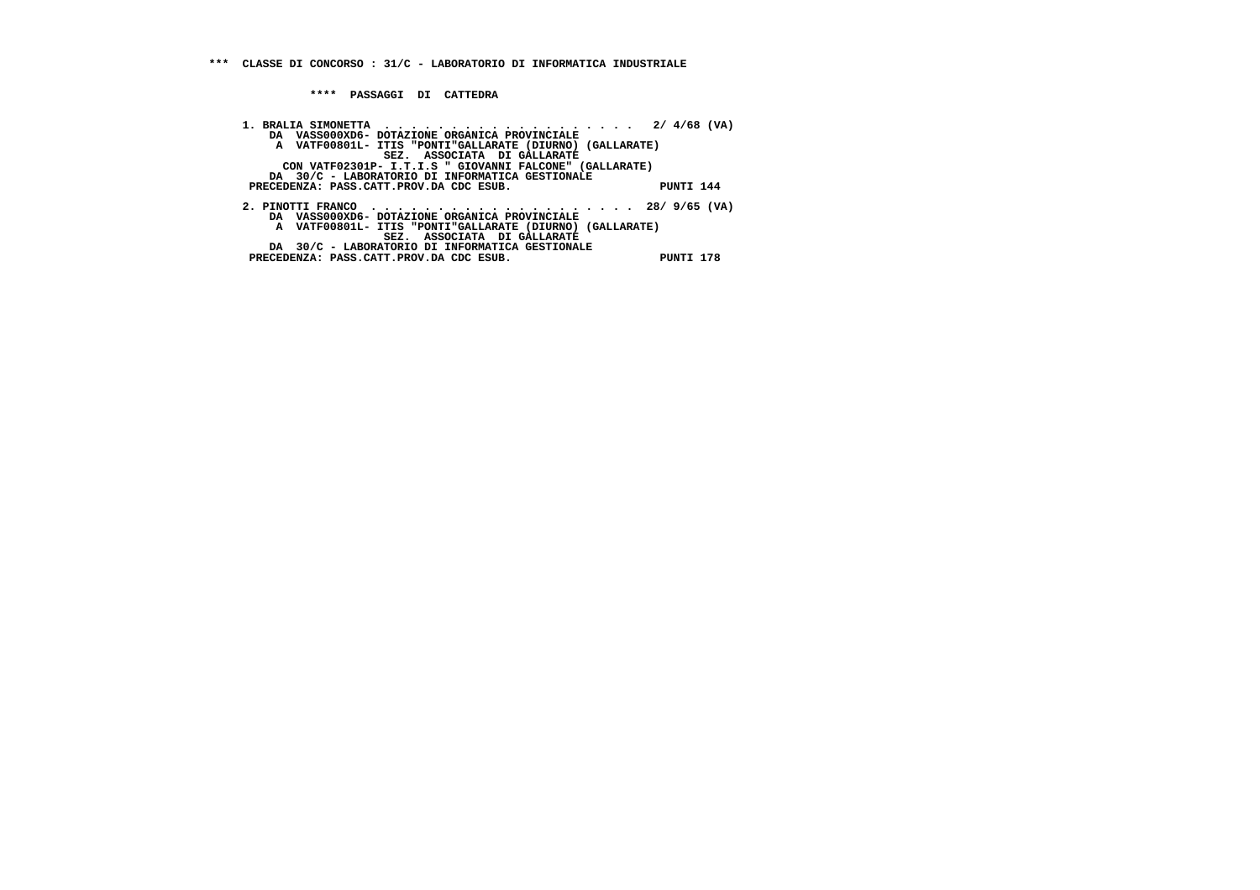**\*\*\*\* PASSAGGI DI CATTEDRA**

 **1. BRALIA SIMONETTA . . . . . . . . . . . . . . . . . . . 2/ 4/68 (VA) DA VASS000XD6- DOTAZIONE ORGANICA PROVINCIALE A VATF00801L- ITIS "PONTI"GALLARATE (DIURNO) (GALLARATE) SEZ. ASSOCIATA DI GALLARATE CON VATF02301P- I.T.I.S " GIOVANNI FALCONE" (GALLARATE) DA 30/C - LABORATORIO DI INFORMATICA GESTIONALE PRECEDENZA: PASS.CATT.PROV.DA CDC ESUB. PUNTI 144 2. PINOTTI FRANCO . . . . . . . . . . . . . . . . . . . . 28/ 9/65 (VA) DA VASS000XD6- DOTAZIONE ORGANICA PROVINCIALE A VATF00801L- ITIS "PONTI"GALLARATE (DIURNO) (GALLARATE) SEZ. ASSOCIATA DI GALLARATE DA 30/C - LABORATORIO DI INFORMATICA GESTIONALE PRECEDENZA: PASS.CATT.PROV.DA CDC ESUB. PUNTI 178**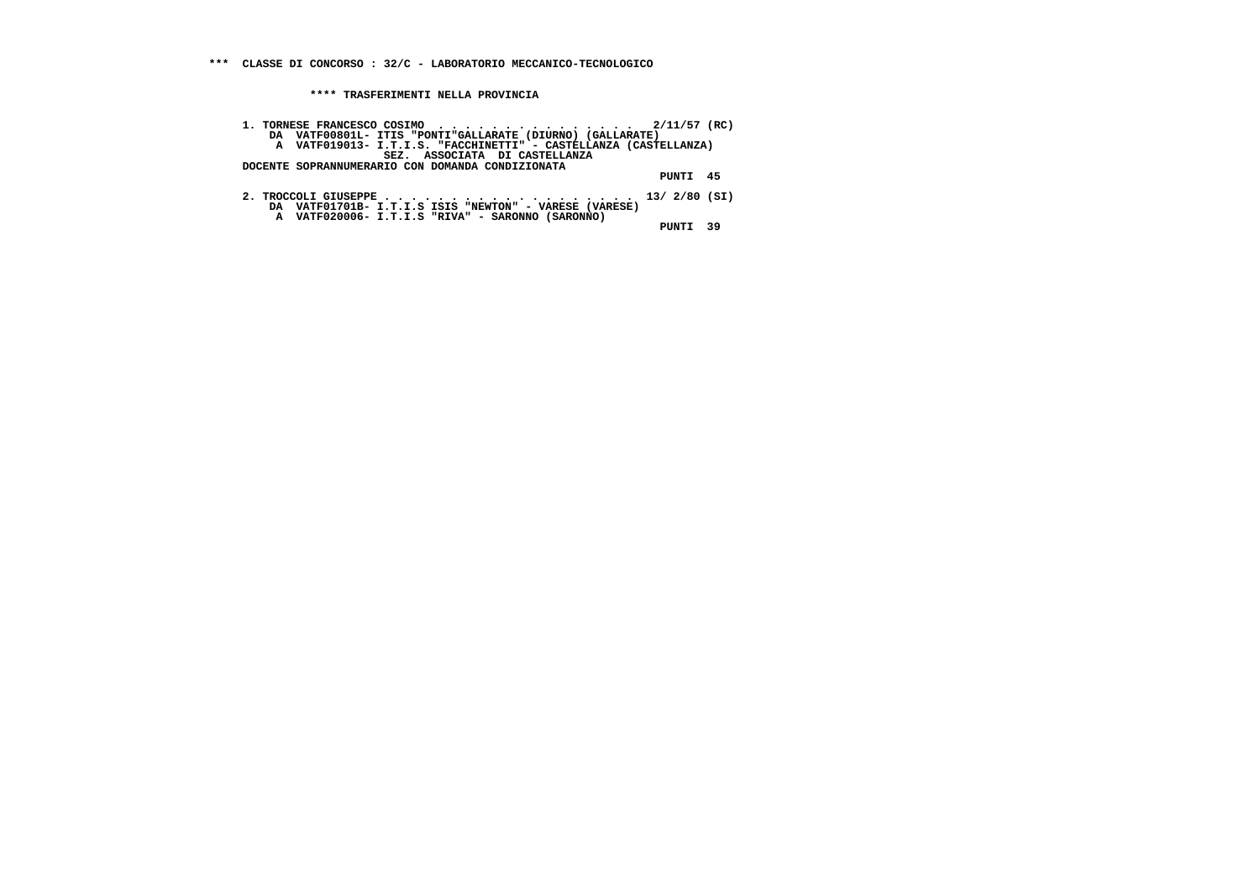**\*\*\* CLASSE DI CONCORSO : 32/C - LABORATORIO MECCANICO-TECNOLOGICO**

 **\*\*\*\* TRASFERIMENTI NELLA PROVINCIA**

| 1. TORNESE FRANCESCO COSIMO $\cdots$ , 2/11/57 (RC)              |          |  |
|------------------------------------------------------------------|----------|--|
| DA VATF00801L- ITIS "PONTI"GALLARATE (DIURNO) (GALLARATE)        |          |  |
| A VATF019013- I.T.I.S. "FACCHINETTI" - CASTELLANZA (CASTELLANZA) |          |  |
| SEZ. ASSOCIATA DI CASTELLANZA                                    |          |  |
| DOCENTE SOPRANNUMERARIO CON DOMANDA CONDIZIONATA                 |          |  |
|                                                                  | PUNTI 45 |  |
| DA VATF01701B- I.T.I.S ISIS "NEWTON" - VARESE (VARESE)           |          |  |
| A VATF020006- I.T.I.S "RIVA" - SARONNO (SARONNO)                 | PINTT 39 |  |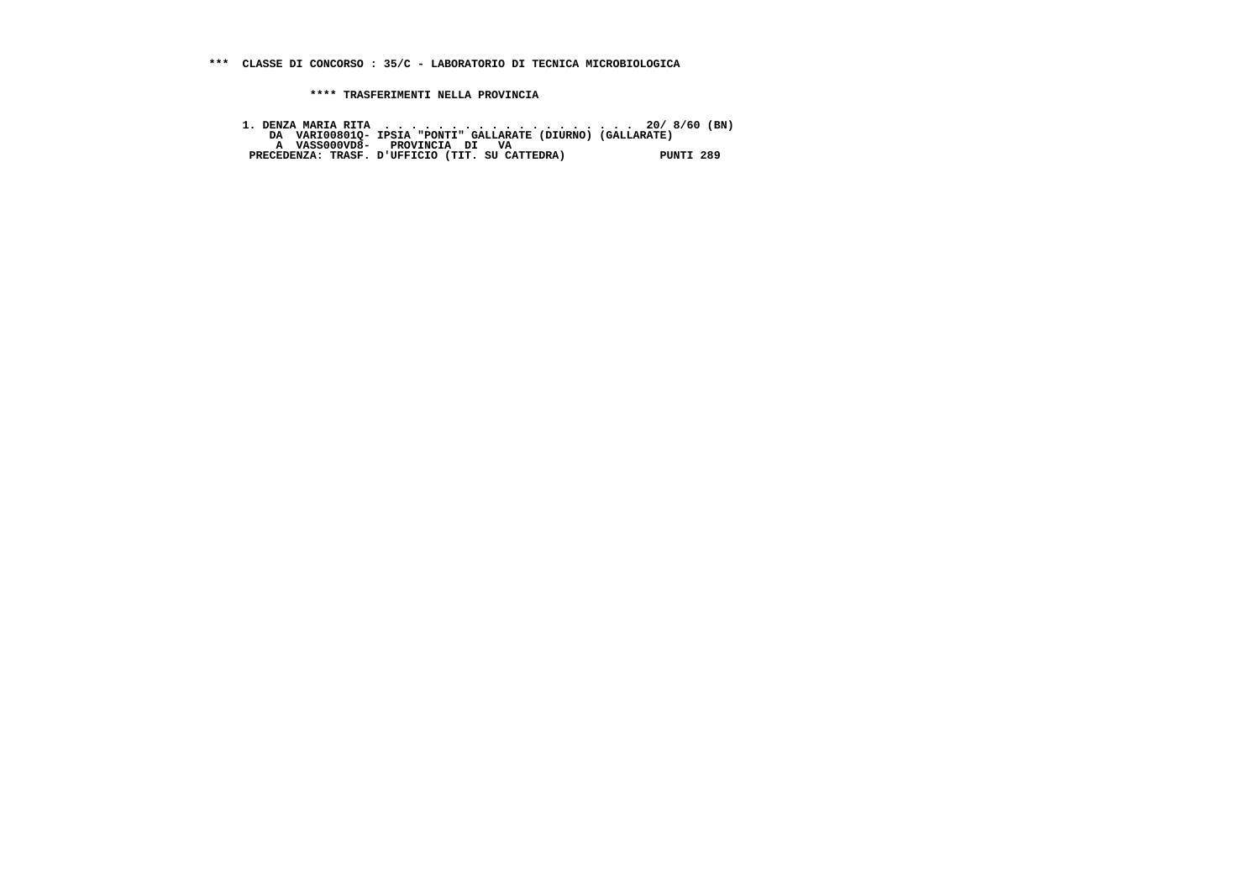**\*\*\* CLASSE DI CONCORSO : 35/C - LABORATORIO DI TECNICA MICROBIOLOGICA**

 **\*\*\*\* TRASFERIMENTI NELLA PROVINCIA**

1. DENZA MARIA RITA<br>DA VARIO0801Q- IPSIA "PONTI" GALLARATE (DIURNO) (GALLARATE)<br>A VASSOOOVD8- PROVINCIA DI VA<br>PRECEDENZA: TRASF. D'UFFICIO (TIT. SU CATTEDRA) PUNTI 289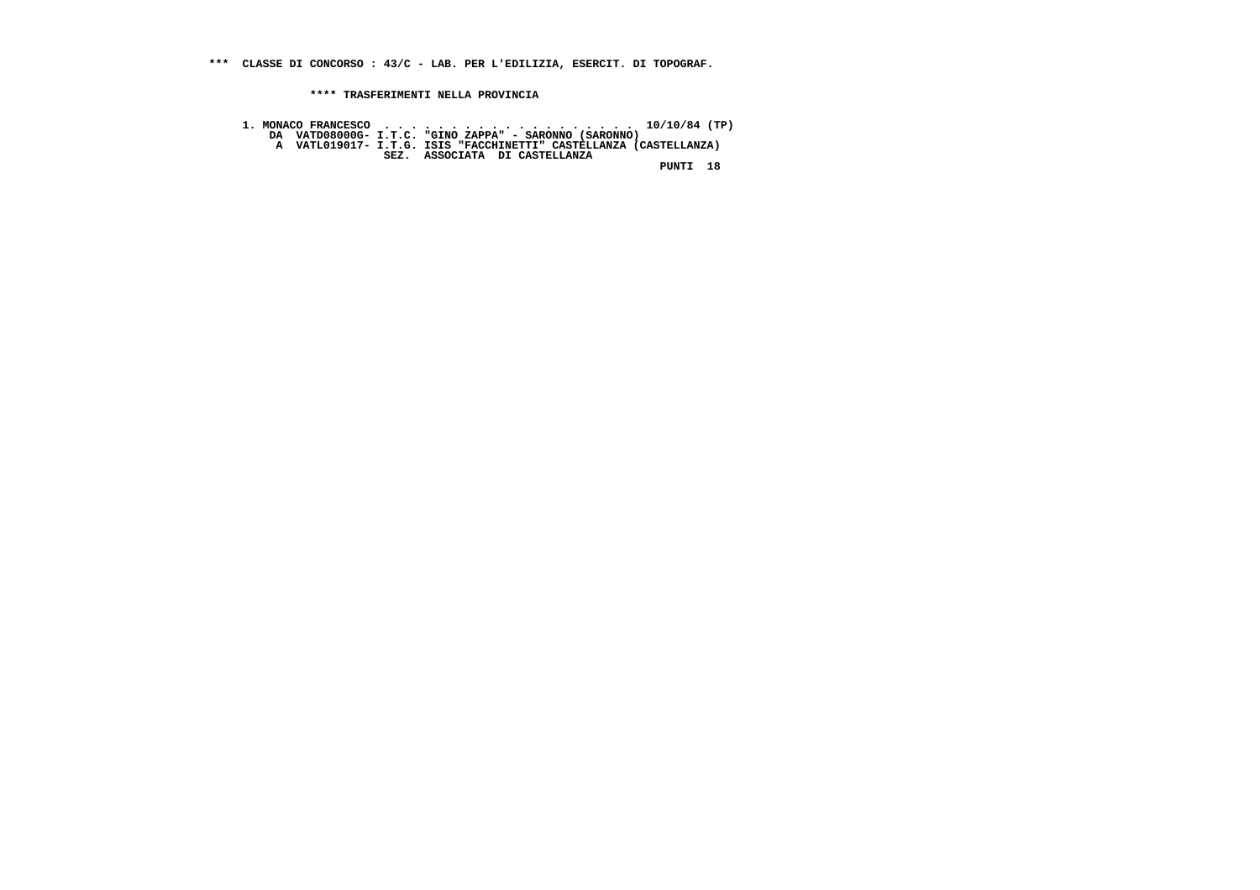**\*\*\* CLASSE DI CONCORSO : 43/C - LAB. PER L'EDILIZIA, ESERCIT. DI TOPOGRAF.**

 **\*\*\*\* TRASFERIMENTI NELLA PROVINCIA**

 **1. MONACO FRANCESCO . . . . . . . . . . . . . . . . . . . 10/10/84 (TP) DA VATD08000G- I.T.C. "GINO ZAPPA" - SARONNO (SARONNO) A VATL019017- I.T.G. ISIS "FACCHINETTI" CASTELLANZA (CASTELLANZA) SEZ. ASSOCIATA DI CASTELLANZA PUNTI 18**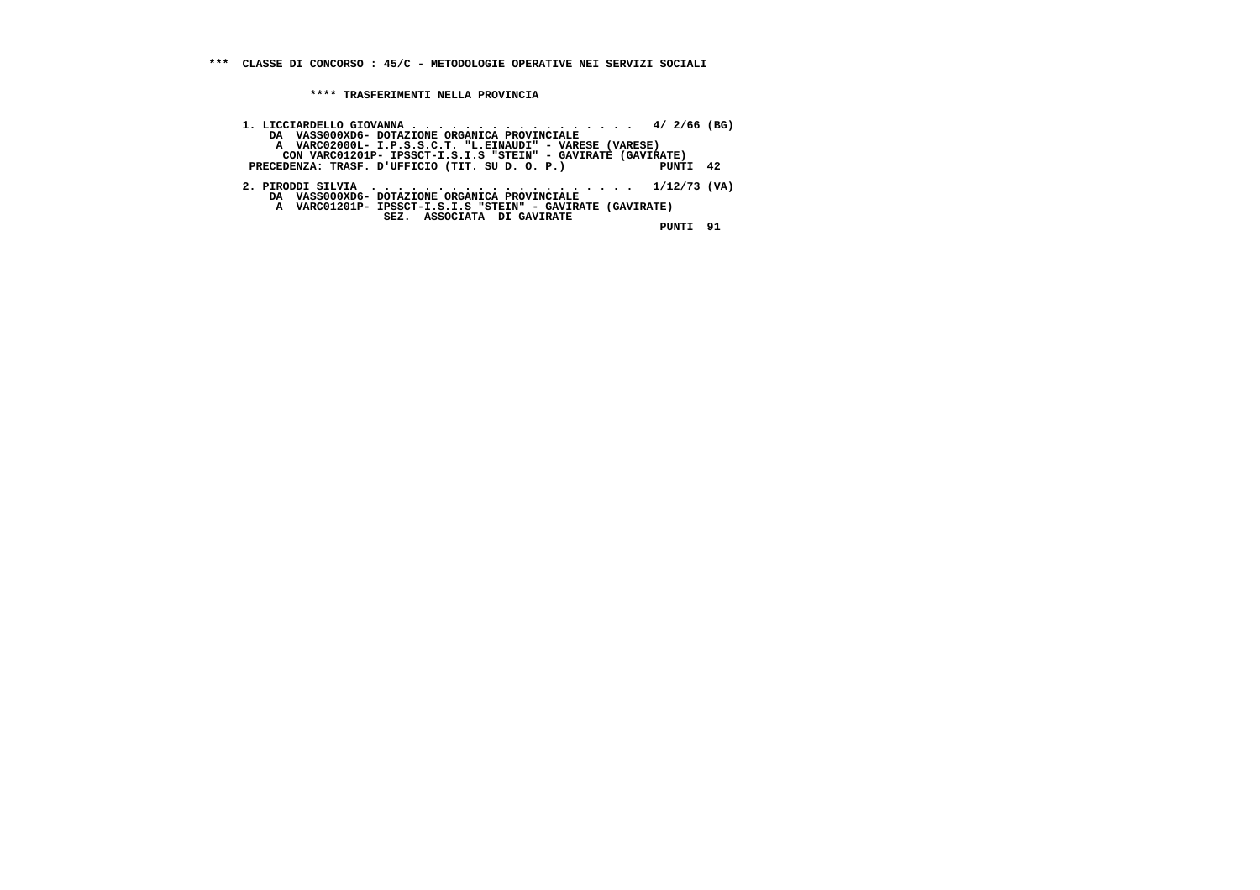**\*\*\* CLASSE DI CONCORSO : 45/C - METODOLOGIE OPERATIVE NEI SERVIZI SOCIALI**

 **\*\*\*\* TRASFERIMENTI NELLA PROVINCIA**

 **1. LICCIARDELLO GIOVANNA . . . . . . . . . . . . . . . . . 4/ 2/66 (BG) DA VASS000XD6- DOTAZIONE ORGANICA PROVINCIALE A VARC02000L- I.P.S.S.C.T. "L.EINAUDI" - VARESE (VARESE) CON VARC01201P- IPSSCT-I.S.I.S "STEIN" - GAVIRATE (GAVIRATE)** $PUNTI$  42 PRECEDENZA: TRASF. D'UFFICIO (TIT. SU D. O. P.)  **2. PIRODDI SILVIA . . . . . . . . . . . . . . . . . . . . 1/12/73 (VA) DA VASS000XD6- DOTAZIONE ORGANICA PROVINCIALE A VARC01201P- IPSSCT-I.S.I.S "STEIN" - GAVIRATE (GAVIRATE) SEZ. ASSOCIATA DI GAVIRATE PUNTI 91**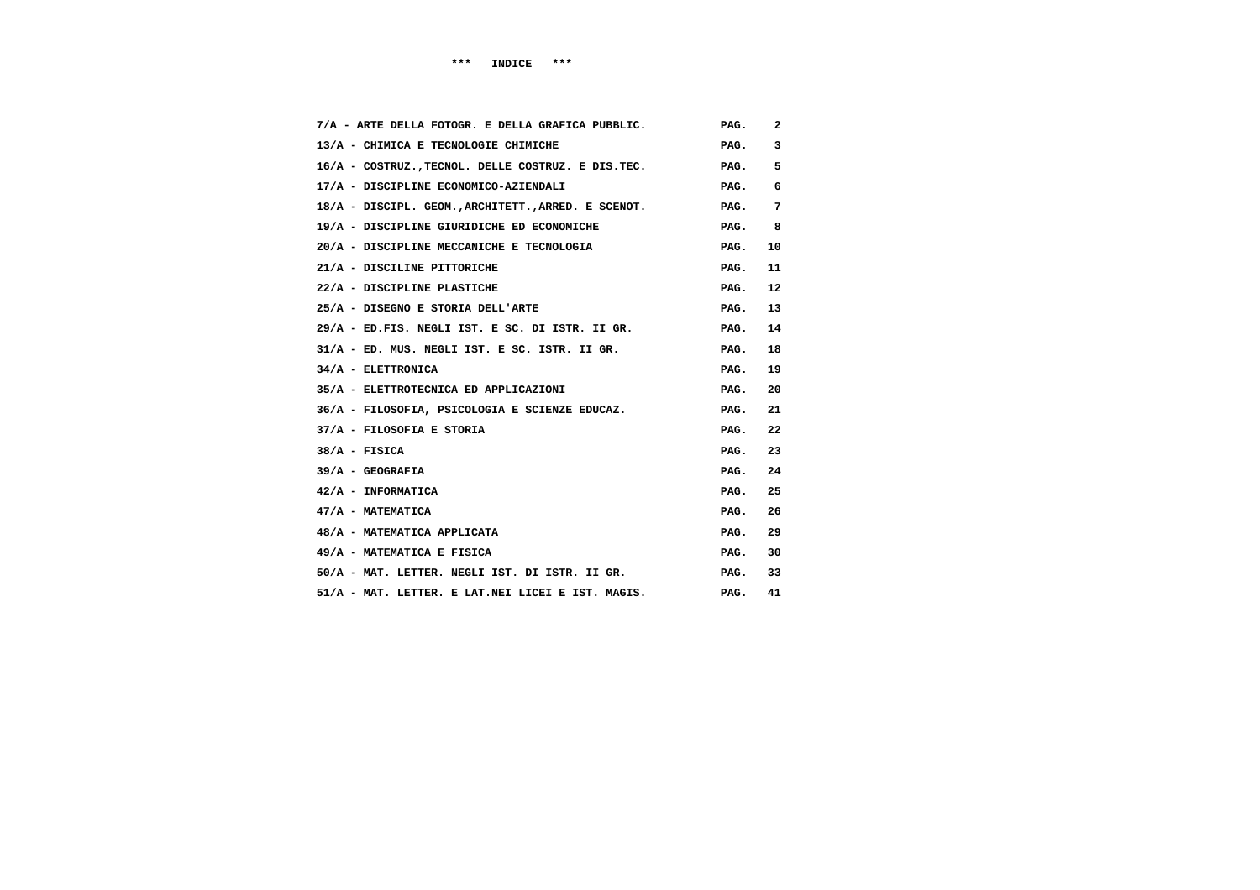| 7/A - ARTE DELLA FOTOGR. E DELLA GRAFICA PUBBLIC.   | PAG. | 2  |
|-----------------------------------------------------|------|----|
| 13/A - CHIMICA E TECNOLOGIE CHIMICHE                | PAG. | 3  |
| 16/A - COSTRUZ., TECNOL. DELLE COSTRUZ. E DIS.TEC.  | PAG. | 5  |
| 17/A - DISCIPLINE ECONOMICO-AZIENDALI               | PAG. | 6  |
| 18/A - DISCIPL. GEOM., ARCHITETT., ARRED. E SCENOT. | PAG. | 7  |
| 19/A - DISCIPLINE GIURIDICHE ED ECONOMICHE          | PAG. | 8  |
| 20/A - DISCIPLINE MECCANICHE E TECNOLOGIA           | PAG. | 10 |
| 21/A - DISCILINE PITTORICHE                         | PAG. | 11 |
| 22/A - DISCIPLINE PLASTICHE                         | PAG. | 12 |
| 25/A - DISEGNO E STORIA DELL'ARTE                   | PAG. | 13 |
| 29/A - ED.FIS. NEGLI IST. E SC. DI ISTR. II GR.     | PAG. | 14 |
| 31/A - ED. MUS. NEGLI IST. E SC. ISTR. II GR.       | PAG. | 18 |
| 34/A - ELETTRONICA                                  | PAG. | 19 |
| 35/A - ELETTROTECNICA ED APPLICAZIONI               | PAG. | 20 |
| 36/A - FILOSOFIA, PSICOLOGIA E SCIENZE EDUCAZ.      | PAG. | 21 |
| 37/A - FILOSOFIA E STORIA                           | PAG. | 22 |
| $38/A$ - FISICA                                     | PAG. | 23 |
| $39/A - GEOGRAFIA$                                  | PAG. | 24 |
| 42/A - INFORMATICA                                  | PAG. | 25 |
| 47/A - MATEMATICA                                   | PAG. | 26 |
| 48/A - MATEMATICA APPLICATA                         | PAG. | 29 |
| 49/A - MATEMATICA E FISICA                          | PAG. | 30 |
| 50/A - MAT. LETTER. NEGLI IST. DI ISTR. II GR.      | PAG. | 33 |
| 51/A - MAT. LETTER. E LAT.NEI LICEI E IST. MAGIS.   | PAG. | 41 |